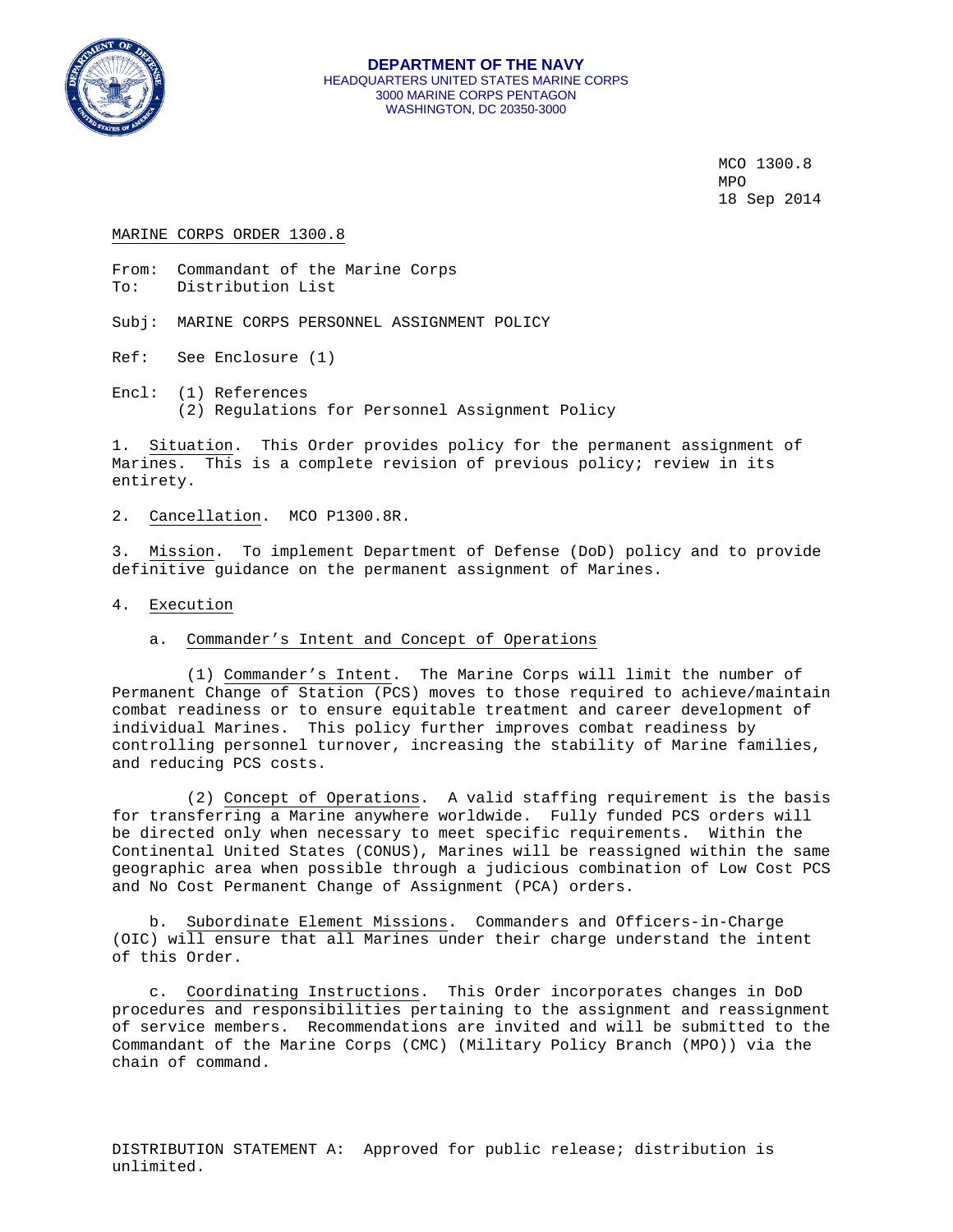

MCO 1300.8<br>MPO MPO **MPO** 18 Sep 2014

#### MARINE CORPS ORDER 1300.8

From: Commandant of the Marine Corps<br>To: Distribution List Distribution List

Subj: MARINE CORPS PERSONNEL ASSIGNMENT POLICY

- Ref: See Enclosure (1)
- Encl: (1) References (2) Regulations for Personnel Assignment Policy

1. Situation. This Order provides policy for the permanent assignment of Marines. This is a complete revision of previous policy; review in its entirety.

2. Cancellation. MCO P1300.8R.

3. Mission. To implement Department of Defense (DoD) policy and to provide definitive guidance on the permanent assignment of Marines.

## 4. Execution

## a. Commander's Intent and Concept of Operations

 (1) Commander's Intent. The Marine Corps will limit the number of Permanent Change of Station (PCS) moves to those required to achieve/maintain combat readiness or to ensure equitable treatment and career development of individual Marines. This policy further improves combat readiness by controlling personnel turnover, increasing the stability of Marine families, and reducing PCS costs.

 (2) Concept of Operations. A valid staffing requirement is the basis for transferring a Marine anywhere worldwide. Fully funded PCS orders will be directed only when necessary to meet specific requirements. Within the Continental United States (CONUS), Marines will be reassigned within the same geographic area when possible through a judicious combination of Low Cost PCS and No Cost Permanent Change of Assignment (PCA) orders.

 b. Subordinate Element Missions. Commanders and Officers-in-Charge (OIC) will ensure that all Marines under their charge understand the intent of this Order.

 c. Coordinating Instructions. This Order incorporates changes in DoD procedures and responsibilities pertaining to the assignment and reassignment of service members. Recommendations are invited and will be submitted to the Commandant of the Marine Corps (CMC) (Military Policy Branch (MPO)) via the chain of command.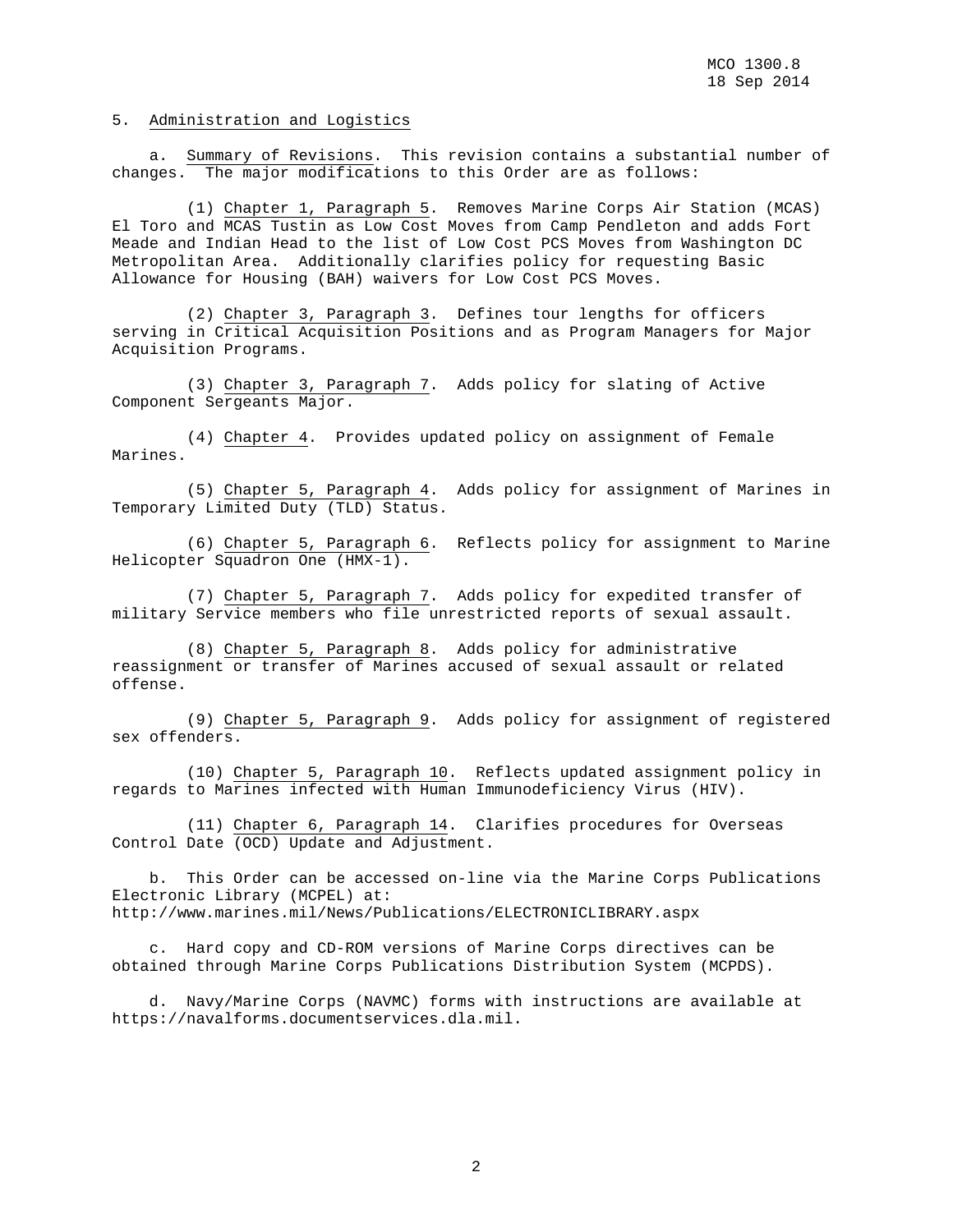## 5. Administration and Logistics

 a. Summary of Revisions. This revision contains a substantial number of changes. The major modifications to this Order are as follows:

 (1) Chapter 1, Paragraph 5. Removes Marine Corps Air Station (MCAS) El Toro and MCAS Tustin as Low Cost Moves from Camp Pendleton and adds Fort Meade and Indian Head to the list of Low Cost PCS Moves from Washington DC Metropolitan Area. Additionally clarifies policy for requesting Basic Allowance for Housing (BAH) waivers for Low Cost PCS Moves.

 (2) Chapter 3, Paragraph 3. Defines tour lengths for officers serving in Critical Acquisition Positions and as Program Managers for Major Acquisition Programs.

 (3) Chapter 3, Paragraph 7. Adds policy for slating of Active Component Sergeants Major.

 (4) Chapter 4. Provides updated policy on assignment of Female Marines.

 (5) Chapter 5, Paragraph 4. Adds policy for assignment of Marines in Temporary Limited Duty (TLD) Status.

 (6) Chapter 5, Paragraph 6. Reflects policy for assignment to Marine Helicopter Squadron One (HMX-1).

 (7) Chapter 5, Paragraph 7. Adds policy for expedited transfer of military Service members who file unrestricted reports of sexual assault.

 (8) Chapter 5, Paragraph 8. Adds policy for administrative reassignment or transfer of Marines accused of sexual assault or related offense.

 (9) Chapter 5, Paragraph 9. Adds policy for assignment of registered sex offenders.

 (10) Chapter 5, Paragraph 10. Reflects updated assignment policy in regards to Marines infected with Human Immunodeficiency Virus (HIV).

 (11) Chapter 6, Paragraph 14. Clarifies procedures for Overseas Control Date (OCD) Update and Adjustment.

 b. This Order can be accessed on-line via the Marine Corps Publications Electronic Library (MCPEL) at: http://www.marines.mil/News/Publications/ELECTRONICLIBRARY.aspx

 c. Hard copy and CD-ROM versions of Marine Corps directives can be obtained through Marine Corps Publications Distribution System (MCPDS).

 d. Navy/Marine Corps (NAVMC) forms with instructions are available at https://navalforms.documentservices.dla.mil.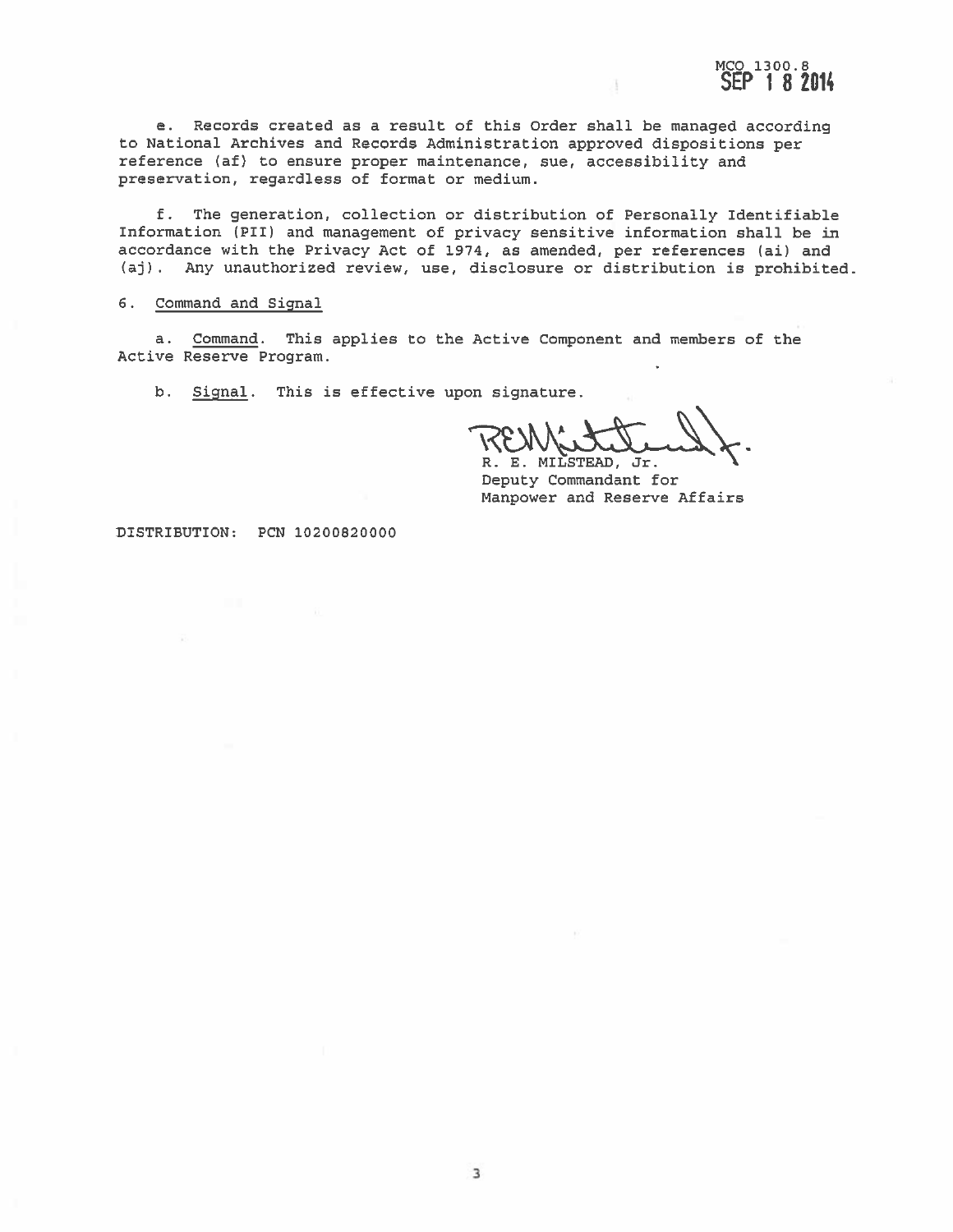e. Records created as a result of this Order shall be managed according to National Archives and Records Administration approved dispositions per reference (af) to ensure proper maintenance, sue, accessibility and preservation, regardless of format or medium.

f. The generation, collection or distribution of Personally Identifiable Information (PII) and management of privacy sensitive information shall be in accordance with the Privacy Act of 1974, as amended, per references (ai) and (aj). Any unauthorized review, use, disclosure or distribution is prohibited.

#### 6. Command and Signal

a. Command. This applies to the Active Component and members of the Active Reserve Program.

b. Signal. This is effective upon signature.

R. E. MILSTEAD, Jr.

MCO 1300.8<br>SEP 18 2014

Deputy Commandant for Manpower and Reserve Affairs

DISTRIBUTION: PCN 10200820000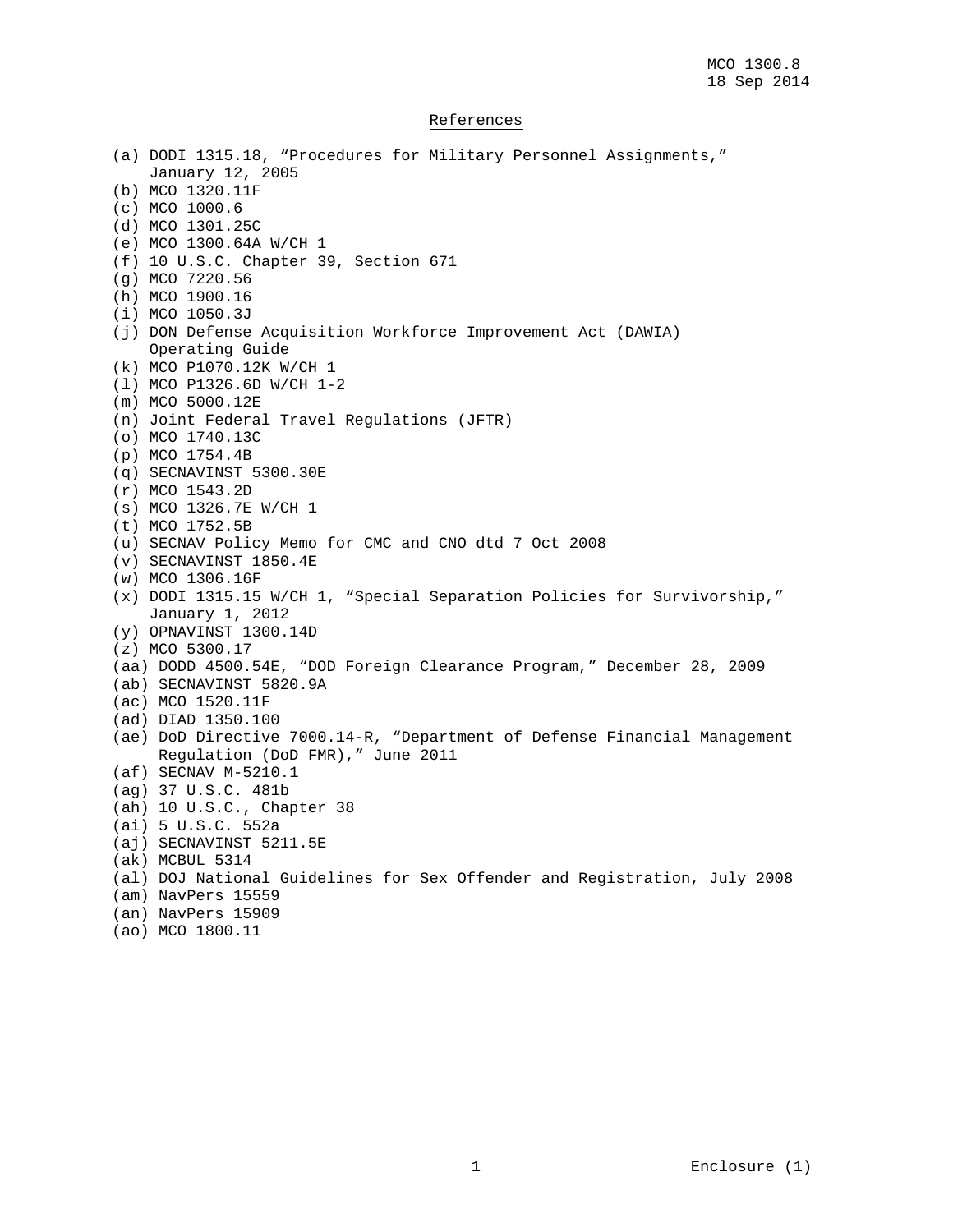## References

(a) DODI 1315.18, "Procedures for Military Personnel Assignments," January 12, 2005 (b) MCO 1320.11F (c) MCO 1000.6 (d) MCO 1301.25C (e) MCO 1300.64A W/CH 1 (f) 10 U.S.C. Chapter 39, Section 671 (g) MCO 7220.56 (h) MCO 1900.16 (i) MCO 1050.3J (j) DON Defense Acquisition Workforce Improvement Act (DAWIA) Operating Guide (k) MCO P1070.12K W/CH 1 (l) MCO P1326.6D W/CH 1-2 (m) MCO 5000.12E (n) Joint Federal Travel Regulations (JFTR) (o) MCO 1740.13C (p) MCO 1754.4B (q) SECNAVINST 5300.30E (r) MCO 1543.2D (s) MCO 1326.7E W/CH 1 (t) MCO 1752.5B (u) SECNAV Policy Memo for CMC and CNO dtd 7 Oct 2008 (v) SECNAVINST 1850.4E (w) MCO 1306.16F (x) DODI 1315.15 W/CH 1, "Special Separation Policies for Survivorship," January 1, 2012 (y) OPNAVINST 1300.14D (z) MCO 5300.17 (aa) DODD 4500.54E, "DOD Foreign Clearance Program," December 28, 2009 (ab) SECNAVINST 5820.9A (ac) MCO 1520.11F (ad) DIAD 1350.100 (ae) DoD Directive 7000.14-R, "Department of Defense Financial Management Regulation (DoD FMR)," June 2011 (af) SECNAV M-5210.1 (ag) 37 U.S.C. 481b (ah) 10 U.S.C., Chapter 38 (ai) 5 U.S.C. 552a (aj) SECNAVINST 5211.5E (ak) MCBUL 5314 (al) DOJ National Guidelines for Sex Offender and Registration, July 2008 (am) NavPers 15559 (an) NavPers 15909 (ao) MCO 1800.11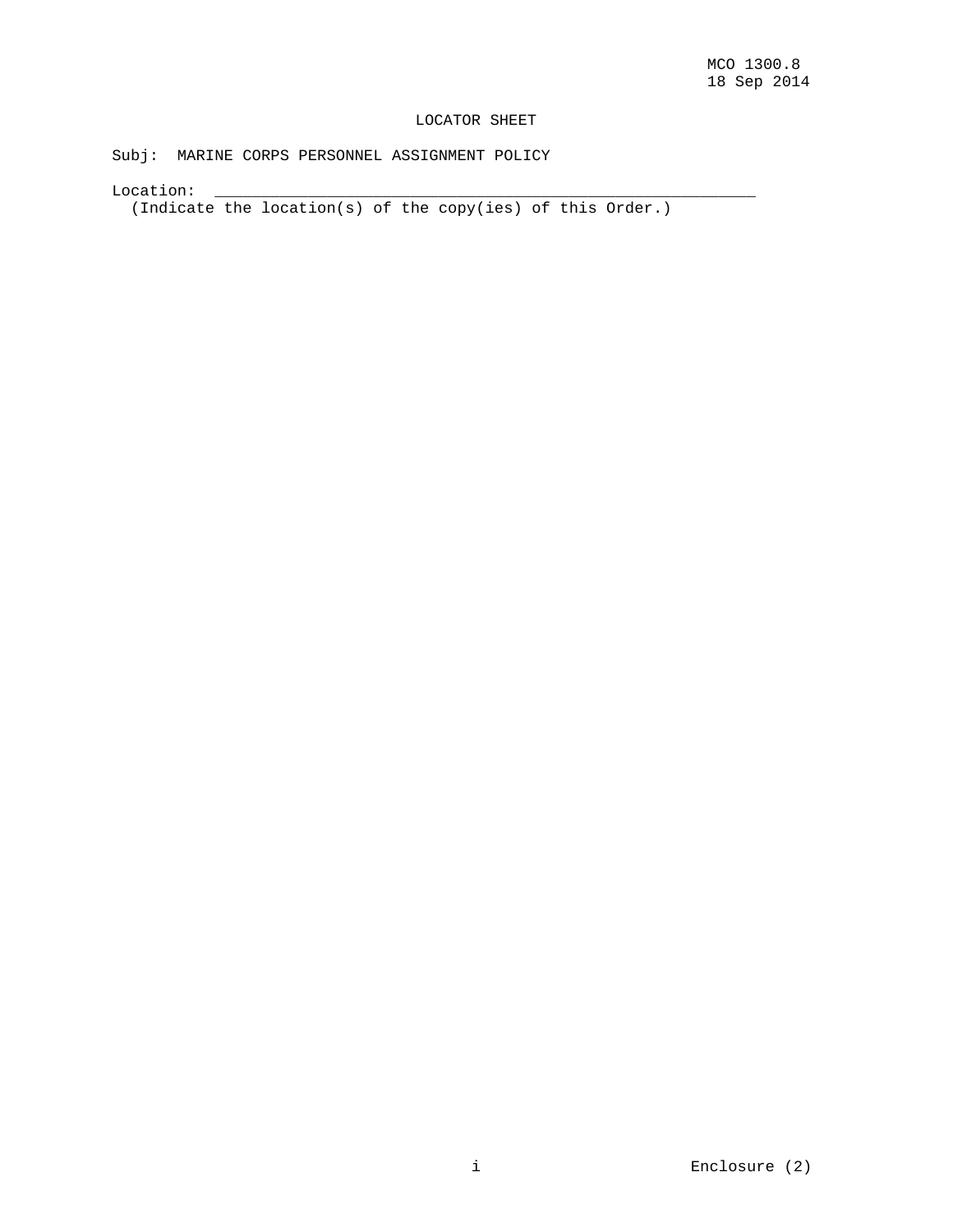# LOCATOR SHEET

Subj: MARINE CORPS PERSONNEL ASSIGNMENT POLICY

Location: \_\_\_\_\_\_\_\_\_\_\_\_\_\_\_\_\_\_\_\_\_\_\_\_\_\_\_\_\_\_\_\_\_\_\_\_\_\_\_\_\_\_\_\_\_\_\_\_\_\_\_\_\_\_\_\_\_\_

(Indicate the location(s) of the copy(ies) of this Order.)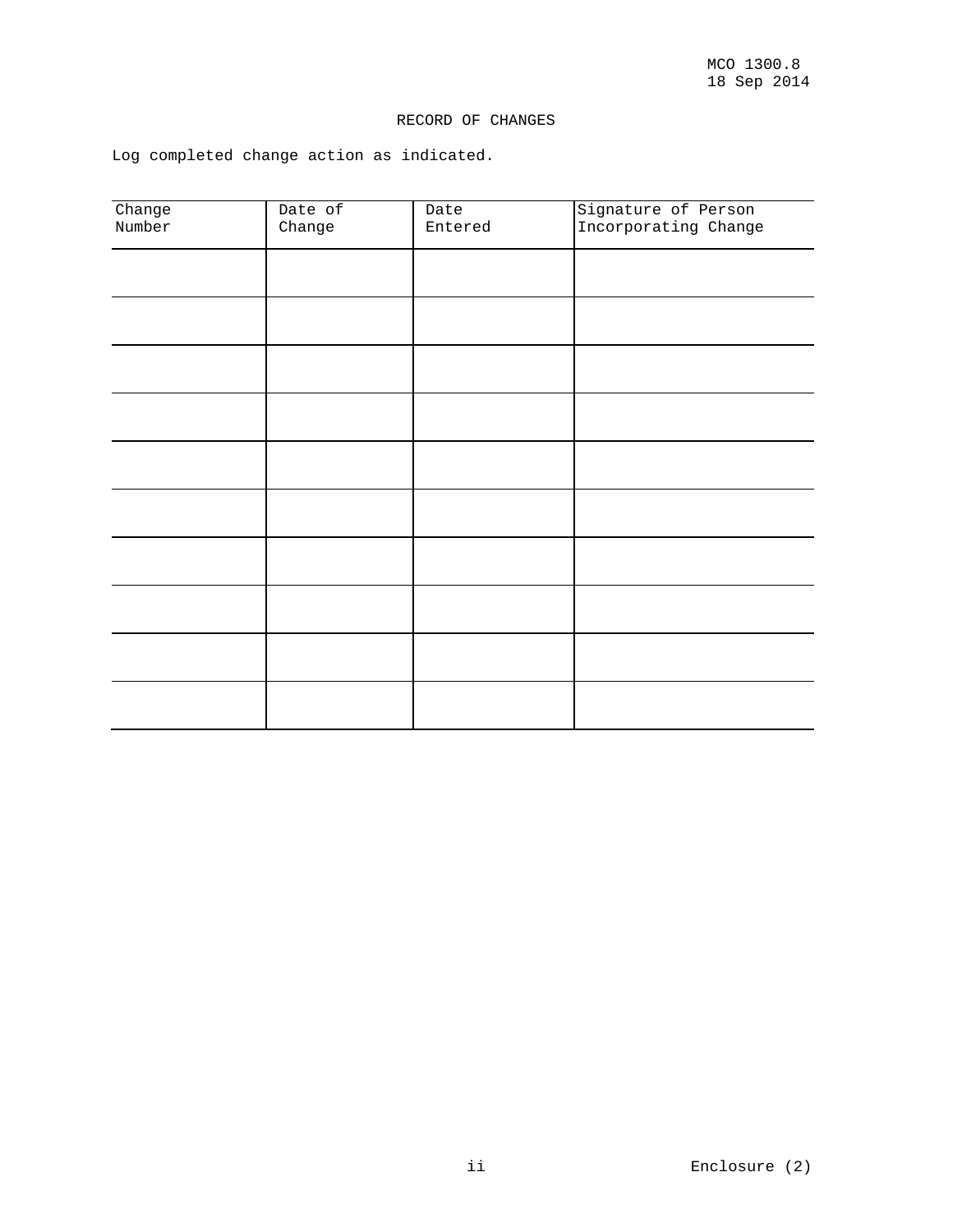# RECORD OF CHANGES

Log completed change action as indicated.

| Change<br>Number | Date of<br>Change | Date<br>Entered | Signature of Person<br>Incorporating Change |
|------------------|-------------------|-----------------|---------------------------------------------|
|                  |                   |                 |                                             |
|                  |                   |                 |                                             |
|                  |                   |                 |                                             |
|                  |                   |                 |                                             |
|                  |                   |                 |                                             |
|                  |                   |                 |                                             |
|                  |                   |                 |                                             |
|                  |                   |                 |                                             |
|                  |                   |                 |                                             |
|                  |                   |                 |                                             |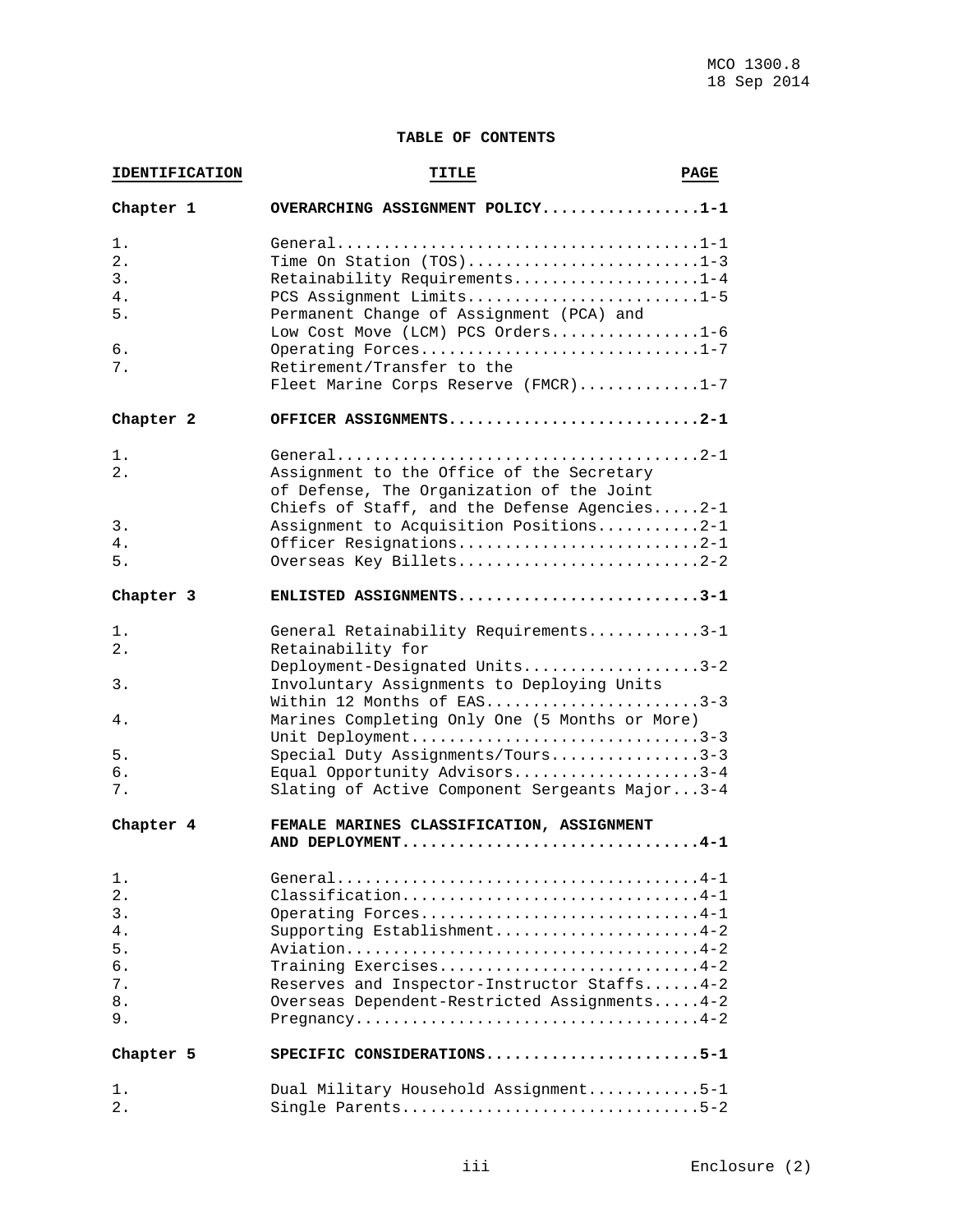# **TABLE OF CONTENTS**

| <b>IDENTIFICATION</b>                              | TITLE                                                                                                                                                                                                                                                                                                                                                                    | <b>PAGE</b> |
|----------------------------------------------------|--------------------------------------------------------------------------------------------------------------------------------------------------------------------------------------------------------------------------------------------------------------------------------------------------------------------------------------------------------------------------|-------------|
| Chapter 1                                          | OVERARCHING ASSIGNMENT POLICY1-1                                                                                                                                                                                                                                                                                                                                         |             |
| 1.<br>$2$ .<br>3.<br>4.<br>5.<br>6.<br>7.          | Time On Station (TOS)1-3<br>Retainability Requirements1-4<br>PCS Assignment Limits1-5<br>Permanent Change of Assignment (PCA) and<br>Low Cost Move (LCM) PCS Orders1-6<br>Operating Forces1-7<br>Retirement/Transfer to the<br>Fleet Marine Corps Reserve (FMCR)1-7                                                                                                      |             |
| Chapter 2                                          | OFFICER ASSIGNMENTS2-1                                                                                                                                                                                                                                                                                                                                                   |             |
| 1.<br>2.<br>3.<br>4.<br>5.                         | Assignment to the Office of the Secretary<br>of Defense, The Organization of the Joint<br>Chiefs of Staff, and the Defense Agencies2-1<br>Assignment to Acquisition Positions2-1<br>Officer Resignations2-1<br>Overseas Key Billets2-2                                                                                                                                   |             |
| Chapter 3                                          | ENLISTED ASSIGNMENTS3-1                                                                                                                                                                                                                                                                                                                                                  |             |
| 1.<br>$2$ .<br>$3$ .<br>4.<br>5.<br>б.<br>7.       | General Retainability Requirements3-1<br>Retainability for<br>Deployment-Designated Units3-2<br>Involuntary Assignments to Deploying Units<br>Within 12 Months of EAS3-3<br>Marines Completing Only One (5 Months or More)<br>Unit Deployment3-3<br>Special Duty Assignments/Tours3-3<br>Equal Opportunity Advisors3-4<br>Slating of Active Component Sergeants Major3-4 |             |
| Chapter 4                                          | FEMALE MARINES CLASSIFICATION, ASSIGNMENT<br>AND DEPLOYMENT4-1                                                                                                                                                                                                                                                                                                           |             |
| 1.<br>2.<br>3.<br>4.<br>5.<br>б.<br>7.<br>8.<br>9. | Classification4-1<br>Operating Forces4-1<br>Supporting Establishment4-2<br>Training Exercises4-2<br>Reserves and Inspector-Instructor Staffs4-2<br>Overseas Dependent-Restricted Assignments4-2                                                                                                                                                                          |             |
| Chapter 5                                          | SPECIFIC CONSIDERATIONS5-1                                                                                                                                                                                                                                                                                                                                               |             |
| 1.<br>$2$ .                                        | Dual Military Household Assignment5-1<br>Single Parents5-2                                                                                                                                                                                                                                                                                                               |             |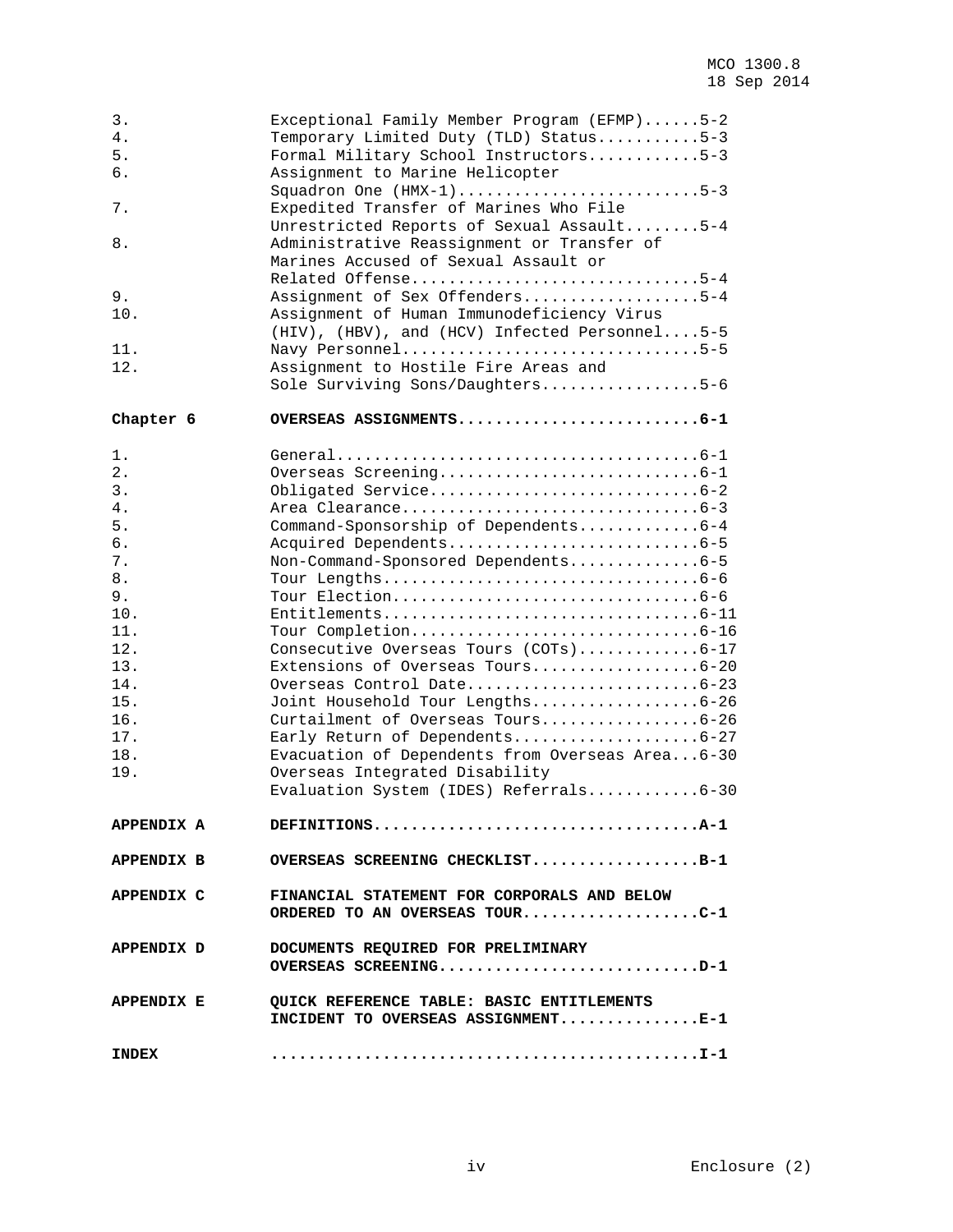| 3.<br>4.<br>5.<br>б.<br>7.<br>8.<br>9.<br>10.<br>11.<br>12.                                                              | Exceptional Family Member Program (EFMP)5-2<br>Temporary Limited Duty (TLD) Status5-3<br>Formal Military School Instructors5-3<br>Assignment to Marine Helicopter<br>Squadron One (HMX-1)5-3<br>Expedited Transfer of Marines Who File<br>Unrestricted Reports of Sexual Assault5-4<br>Administrative Reassignment or Transfer of<br>Marines Accused of Sexual Assault or<br>Related Offense5-4<br>Assignment of Sex Offenders5-4<br>Assignment of Human Immunodeficiency Virus<br>(HIV), (HBV), and (HCV) Infected Personnel5-5<br>Navy Personnel5-5<br>Assignment to Hostile Fire Areas and<br>Sole Surviving Sons/Daughters5-6 |
|--------------------------------------------------------------------------------------------------------------------------|-----------------------------------------------------------------------------------------------------------------------------------------------------------------------------------------------------------------------------------------------------------------------------------------------------------------------------------------------------------------------------------------------------------------------------------------------------------------------------------------------------------------------------------------------------------------------------------------------------------------------------------|
| Chapter 6                                                                                                                | OVERSEAS ASSIGNMENTS6-1                                                                                                                                                                                                                                                                                                                                                                                                                                                                                                                                                                                                           |
| 1.<br>2.<br>3.<br>4.<br>5.<br>6.<br>7.<br>8.<br>9.<br>10.<br>11.<br>12.<br>13.<br>14.<br>15.<br>16.<br>17.<br>18.<br>19. | Command-Sponsorship of Dependents6-4<br>Non-Command-Sponsored Dependents6-5<br>$Entilements \ldots \ldots \ldots \ldots \ldots \ldots \ldots \ldots \ldots \ldots 6-11$<br>Consecutive Overseas Tours (COTs)6-17<br>Extensions of Overseas Tours6-20<br>Overseas Control Date6-23<br>Joint Household Tour Lengths6-26<br>Curtailment of Overseas Tours6-26<br>Early Return of Dependents6-27<br>Evacuation of Dependents from Overseas Area6-30<br>Overseas Integrated Disability<br>Evaluation System (IDES) Referrals6-30                                                                                                       |
| APPENDIX A                                                                                                               | DEFINITIONSA-1                                                                                                                                                                                                                                                                                                                                                                                                                                                                                                                                                                                                                    |
| APPENDIX B                                                                                                               | OVERSEAS SCREENING CHECKLISTB-1                                                                                                                                                                                                                                                                                                                                                                                                                                                                                                                                                                                                   |
| APPENDIX C                                                                                                               | FINANCIAL STATEMENT FOR CORPORALS AND BELOW<br>ORDERED TO AN OVERSEAS TOURC-1                                                                                                                                                                                                                                                                                                                                                                                                                                                                                                                                                     |
| APPENDIX D                                                                                                               | DOCUMENTS REQUIRED FOR PRELIMINARY<br>OVERSEAS SCREENINGD-1                                                                                                                                                                                                                                                                                                                                                                                                                                                                                                                                                                       |
| APPENDIX E                                                                                                               | <b>QUICK REFERENCE TABLE: BASIC ENTITLEMENTS</b><br>INCIDENT TO OVERSEAS ASSIGNMENTE-1                                                                                                                                                                                                                                                                                                                                                                                                                                                                                                                                            |
| <b>INDEX</b>                                                                                                             |                                                                                                                                                                                                                                                                                                                                                                                                                                                                                                                                                                                                                                   |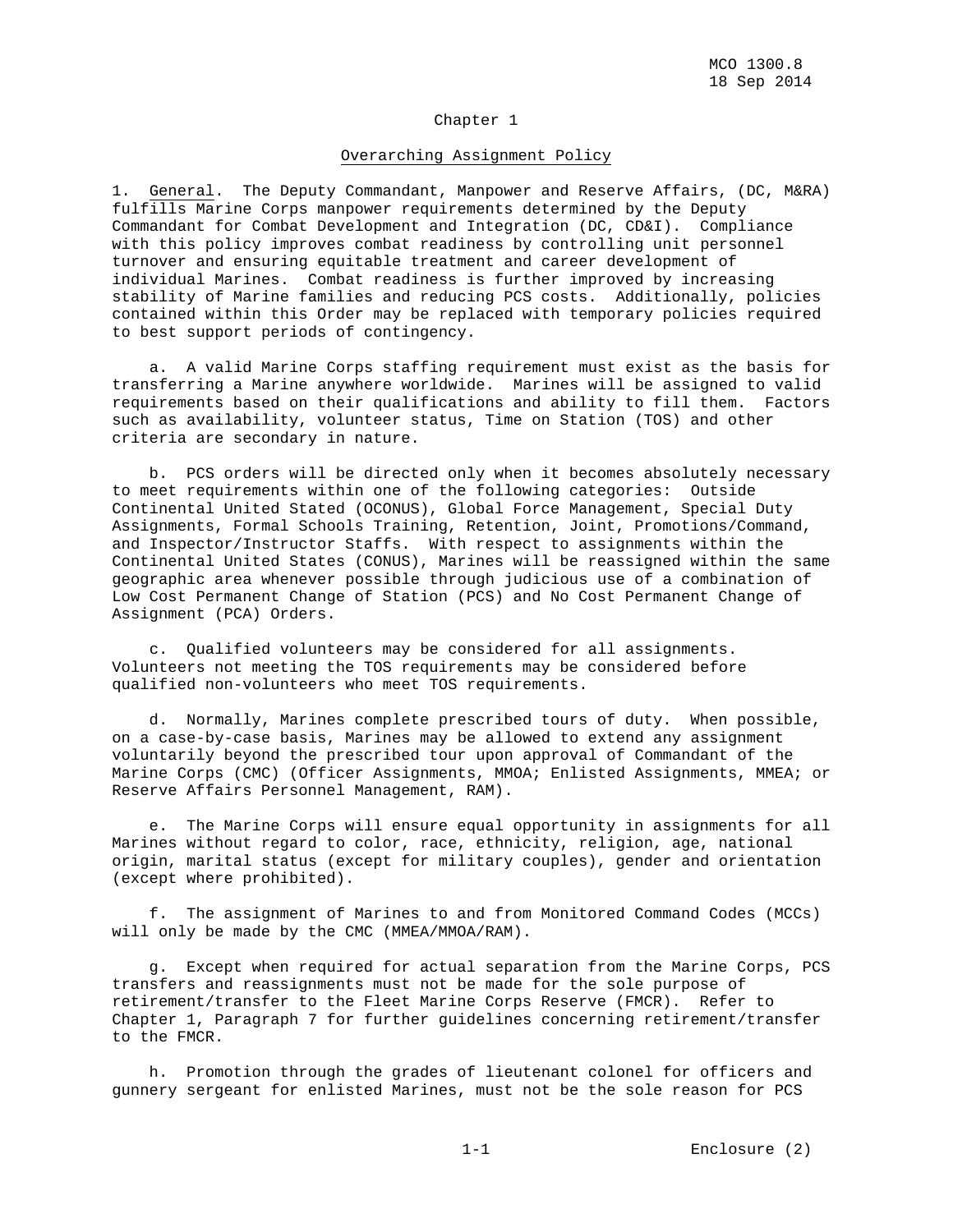### Chapter 1

#### Overarching Assignment Policy

1. General. The Deputy Commandant, Manpower and Reserve Affairs, (DC, M&RA) fulfills Marine Corps manpower requirements determined by the Deputy Commandant for Combat Development and Integration (DC, CD&I). Compliance with this policy improves combat readiness by controlling unit personnel turnover and ensuring equitable treatment and career development of individual Marines. Combat readiness is further improved by increasing stability of Marine families and reducing PCS costs. Additionally, policies contained within this Order may be replaced with temporary policies required to best support periods of contingency.

 a. A valid Marine Corps staffing requirement must exist as the basis for transferring a Marine anywhere worldwide. Marines will be assigned to valid requirements based on their qualifications and ability to fill them. Factors such as availability, volunteer status, Time on Station (TOS) and other criteria are secondary in nature.

 b. PCS orders will be directed only when it becomes absolutely necessary to meet requirements within one of the following categories: Outside Continental United Stated (OCONUS), Global Force Management, Special Duty Assignments, Formal Schools Training, Retention, Joint, Promotions/Command, and Inspector/Instructor Staffs. With respect to assignments within the Continental United States (CONUS), Marines will be reassigned within the same geographic area whenever possible through judicious use of a combination of Low Cost Permanent Change of Station (PCS) and No Cost Permanent Change of Assignment (PCA) Orders.

 c. Qualified volunteers may be considered for all assignments. Volunteers not meeting the TOS requirements may be considered before qualified non-volunteers who meet TOS requirements.

 d. Normally, Marines complete prescribed tours of duty. When possible, on a case-by-case basis, Marines may be allowed to extend any assignment voluntarily beyond the prescribed tour upon approval of Commandant of the Marine Corps (CMC) (Officer Assignments, MMOA; Enlisted Assignments, MMEA; or Reserve Affairs Personnel Management, RAM).

 e. The Marine Corps will ensure equal opportunity in assignments for all Marines without regard to color, race, ethnicity, religion, age, national origin, marital status (except for military couples), gender and orientation (except where prohibited).

 f. The assignment of Marines to and from Monitored Command Codes (MCCs) will only be made by the CMC (MMEA/MMOA/RAM).

 g. Except when required for actual separation from the Marine Corps, PCS transfers and reassignments must not be made for the sole purpose of retirement/transfer to the Fleet Marine Corps Reserve (FMCR). Refer to Chapter 1, Paragraph 7 for further guidelines concerning retirement/transfer to the FMCR.

 h. Promotion through the grades of lieutenant colonel for officers and gunnery sergeant for enlisted Marines, must not be the sole reason for PCS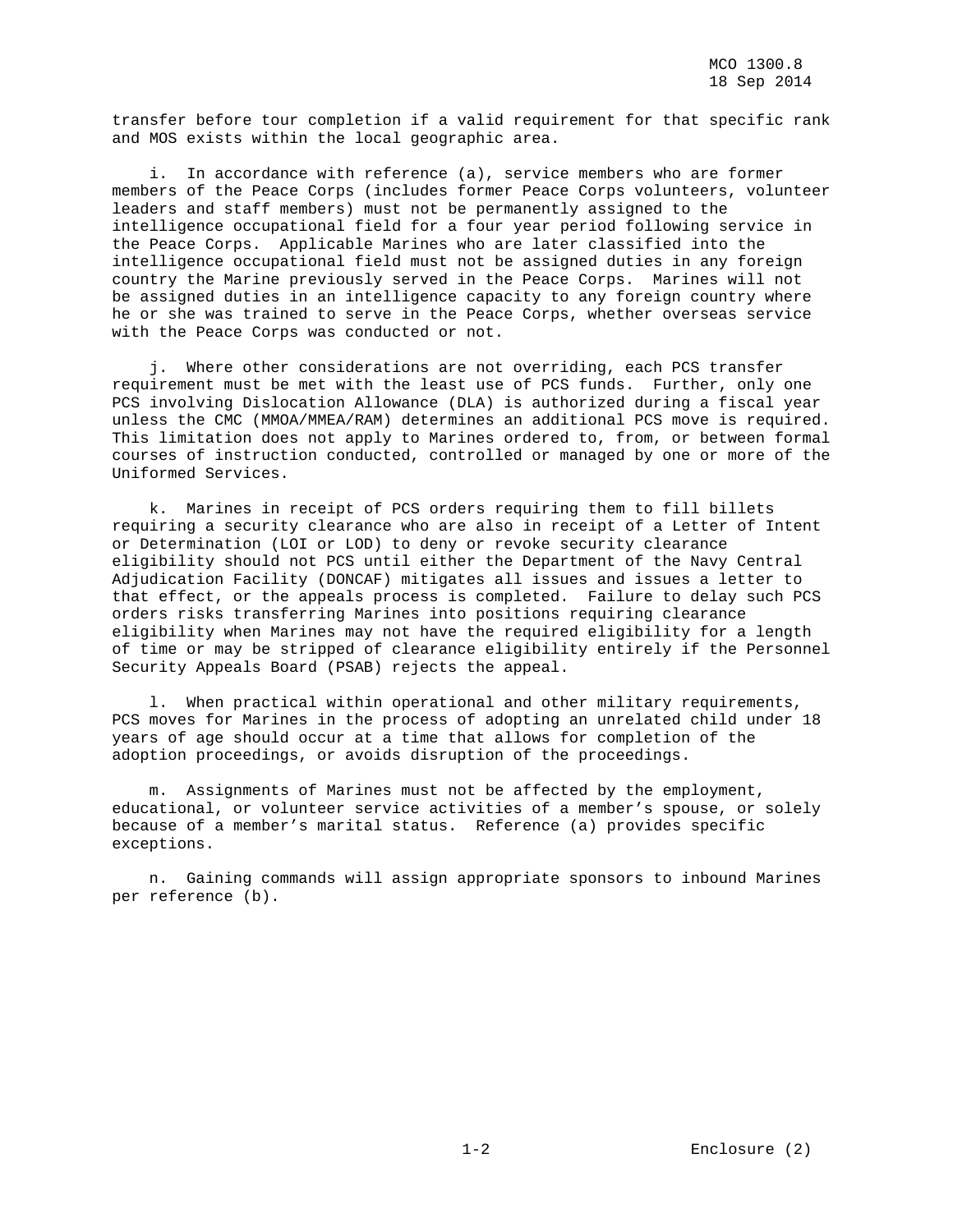transfer before tour completion if a valid requirement for that specific rank and MOS exists within the local geographic area.

 i. In accordance with reference (a), service members who are former members of the Peace Corps (includes former Peace Corps volunteers, volunteer leaders and staff members) must not be permanently assigned to the intelligence occupational field for a four year period following service in the Peace Corps. Applicable Marines who are later classified into the intelligence occupational field must not be assigned duties in any foreign country the Marine previously served in the Peace Corps. Marines will not be assigned duties in an intelligence capacity to any foreign country where he or she was trained to serve in the Peace Corps, whether overseas service with the Peace Corps was conducted or not.

 j. Where other considerations are not overriding, each PCS transfer requirement must be met with the least use of PCS funds. Further, only one PCS involving Dislocation Allowance (DLA) is authorized during a fiscal year unless the CMC (MMOA/MMEA/RAM) determines an additional PCS move is required. This limitation does not apply to Marines ordered to, from, or between formal courses of instruction conducted, controlled or managed by one or more of the Uniformed Services.

 k. Marines in receipt of PCS orders requiring them to fill billets requiring a security clearance who are also in receipt of a Letter of Intent or Determination (LOI or LOD) to deny or revoke security clearance eligibility should not PCS until either the Department of the Navy Central Adjudication Facility (DONCAF) mitigates all issues and issues a letter to that effect, or the appeals process is completed. Failure to delay such PCS orders risks transferring Marines into positions requiring clearance eligibility when Marines may not have the required eligibility for a length of time or may be stripped of clearance eligibility entirely if the Personnel Security Appeals Board (PSAB) rejects the appeal.

 l. When practical within operational and other military requirements, PCS moves for Marines in the process of adopting an unrelated child under 18 years of age should occur at a time that allows for completion of the adoption proceedings, or avoids disruption of the proceedings.

 m. Assignments of Marines must not be affected by the employment, educational, or volunteer service activities of a member's spouse, or solely because of a member's marital status. Reference (a) provides specific exceptions.

 n. Gaining commands will assign appropriate sponsors to inbound Marines per reference (b).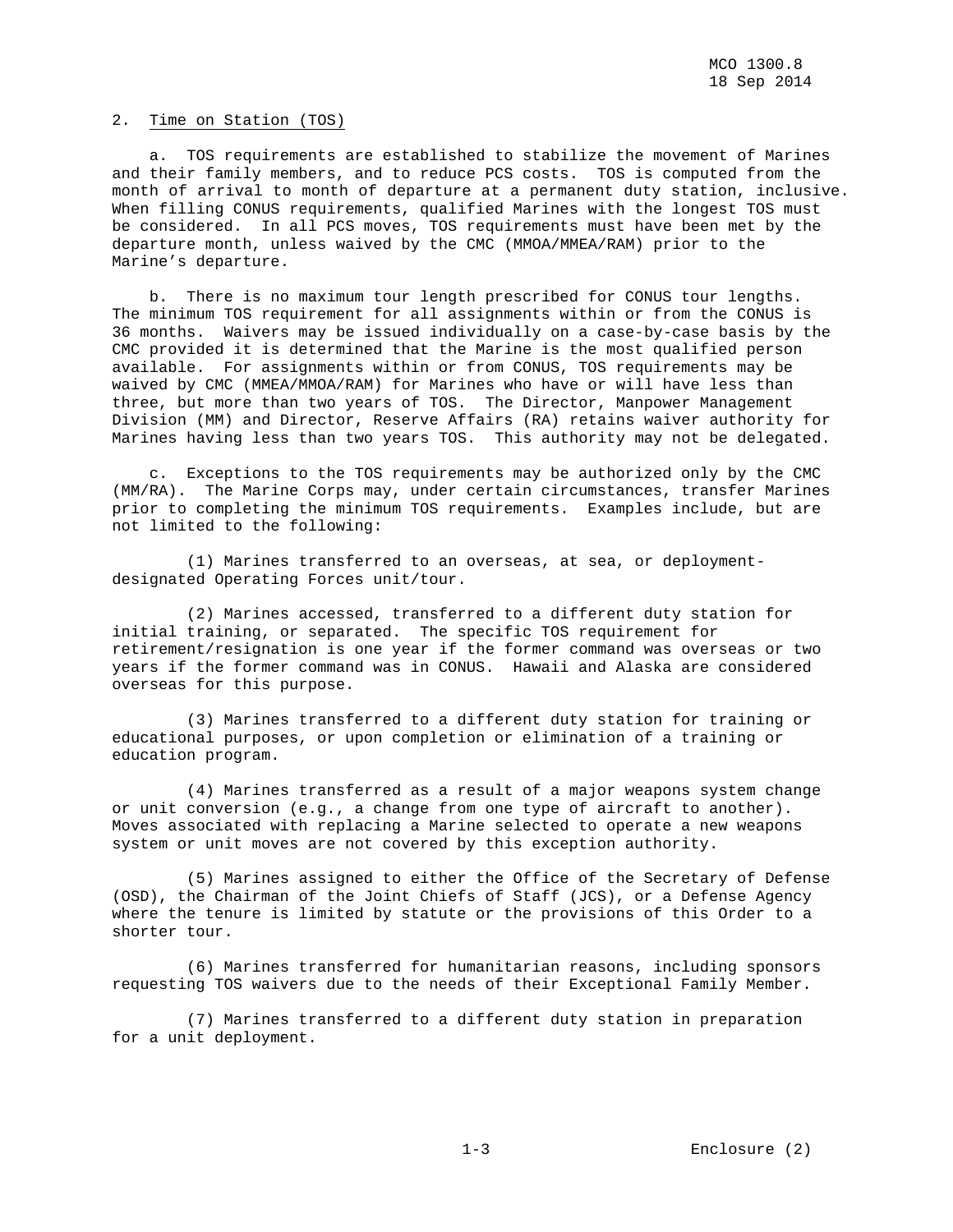## 2. Time on Station (TOS)

 a. TOS requirements are established to stabilize the movement of Marines and their family members, and to reduce PCS costs. TOS is computed from the month of arrival to month of departure at a permanent duty station, inclusive. When filling CONUS requirements, qualified Marines with the longest TOS must be considered. In all PCS moves, TOS requirements must have been met by the departure month, unless waived by the CMC (MMOA/MMEA/RAM) prior to the Marine's departure.

 b. There is no maximum tour length prescribed for CONUS tour lengths. The minimum TOS requirement for all assignments within or from the CONUS is 36 months. Waivers may be issued individually on a case-by-case basis by the CMC provided it is determined that the Marine is the most qualified person available. For assignments within or from CONUS, TOS requirements may be waived by CMC (MMEA/MMOA/RAM) for Marines who have or will have less than three, but more than two years of TOS. The Director, Manpower Management Division (MM) and Director, Reserve Affairs (RA) retains waiver authority for Marines having less than two years TOS. This authority may not be delegated.

 c. Exceptions to the TOS requirements may be authorized only by the CMC (MM/RA). The Marine Corps may, under certain circumstances, transfer Marines prior to completing the minimum TOS requirements. Examples include, but are not limited to the following:

 (1) Marines transferred to an overseas, at sea, or deploymentdesignated Operating Forces unit/tour.

 (2) Marines accessed, transferred to a different duty station for initial training, or separated. The specific TOS requirement for retirement/resignation is one year if the former command was overseas or two years if the former command was in CONUS. Hawaii and Alaska are considered overseas for this purpose.

 (3) Marines transferred to a different duty station for training or educational purposes, or upon completion or elimination of a training or education program.

 (4) Marines transferred as a result of a major weapons system change or unit conversion (e.g., a change from one type of aircraft to another). Moves associated with replacing a Marine selected to operate a new weapons system or unit moves are not covered by this exception authority.

 (5) Marines assigned to either the Office of the Secretary of Defense (OSD), the Chairman of the Joint Chiefs of Staff (JCS), or a Defense Agency where the tenure is limited by statute or the provisions of this Order to a shorter tour.

 (6) Marines transferred for humanitarian reasons, including sponsors requesting TOS waivers due to the needs of their Exceptional Family Member.

 (7) Marines transferred to a different duty station in preparation for a unit deployment.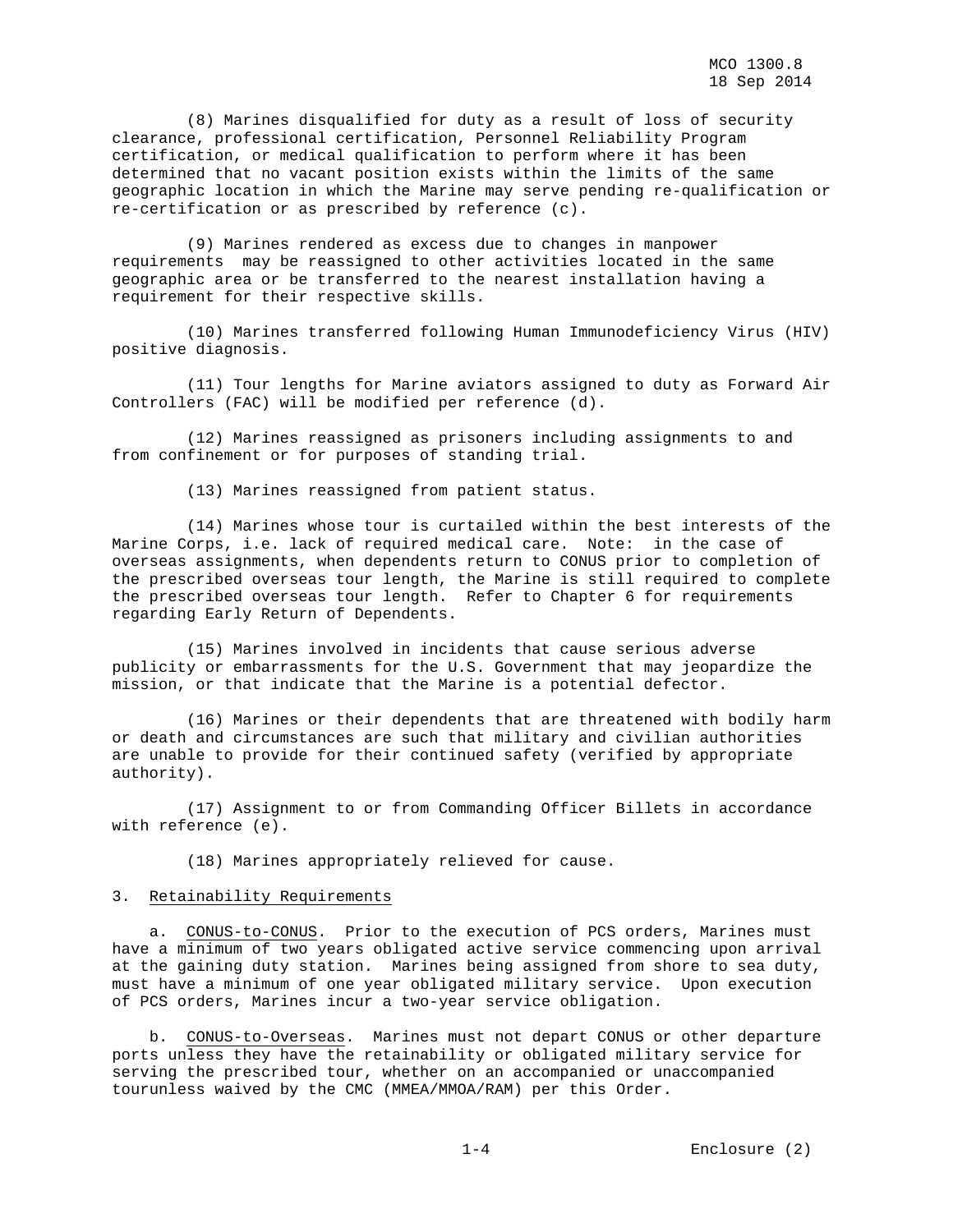(8) Marines disqualified for duty as a result of loss of security clearance, professional certification, Personnel Reliability Program certification, or medical qualification to perform where it has been determined that no vacant position exists within the limits of the same geographic location in which the Marine may serve pending re-qualification or re-certification or as prescribed by reference (c).

 (9) Marines rendered as excess due to changes in manpower requirements may be reassigned to other activities located in the same geographic area or be transferred to the nearest installation having a requirement for their respective skills.

 (10) Marines transferred following Human Immunodeficiency Virus (HIV) positive diagnosis.

 (11) Tour lengths for Marine aviators assigned to duty as Forward Air Controllers (FAC) will be modified per reference (d).

 (12) Marines reassigned as prisoners including assignments to and from confinement or for purposes of standing trial.

(13) Marines reassigned from patient status.

 (14) Marines whose tour is curtailed within the best interests of the Marine Corps, i.e. lack of required medical care. Note: in the case of overseas assignments, when dependents return to CONUS prior to completion of the prescribed overseas tour length, the Marine is still required to complete the prescribed overseas tour length. Refer to Chapter 6 for requirements regarding Early Return of Dependents.

 (15) Marines involved in incidents that cause serious adverse publicity or embarrassments for the U.S. Government that may jeopardize the mission, or that indicate that the Marine is a potential defector.

 (16) Marines or their dependents that are threatened with bodily harm or death and circumstances are such that military and civilian authorities are unable to provide for their continued safety (verified by appropriate authority).

 (17) Assignment to or from Commanding Officer Billets in accordance with reference (e).

(18) Marines appropriately relieved for cause.

#### 3. Retainability Requirements

 a. CONUS-to-CONUS. Prior to the execution of PCS orders, Marines must have a minimum of two years obligated active service commencing upon arrival at the gaining duty station. Marines being assigned from shore to sea duty, must have a minimum of one year obligated military service. Upon execution of PCS orders, Marines incur a two-year service obligation.

 b. CONUS-to-Overseas. Marines must not depart CONUS or other departure ports unless they have the retainability or obligated military service for serving the prescribed tour, whether on an accompanied or unaccompanied tourunless waived by the CMC (MMEA/MMOA/RAM) per this Order.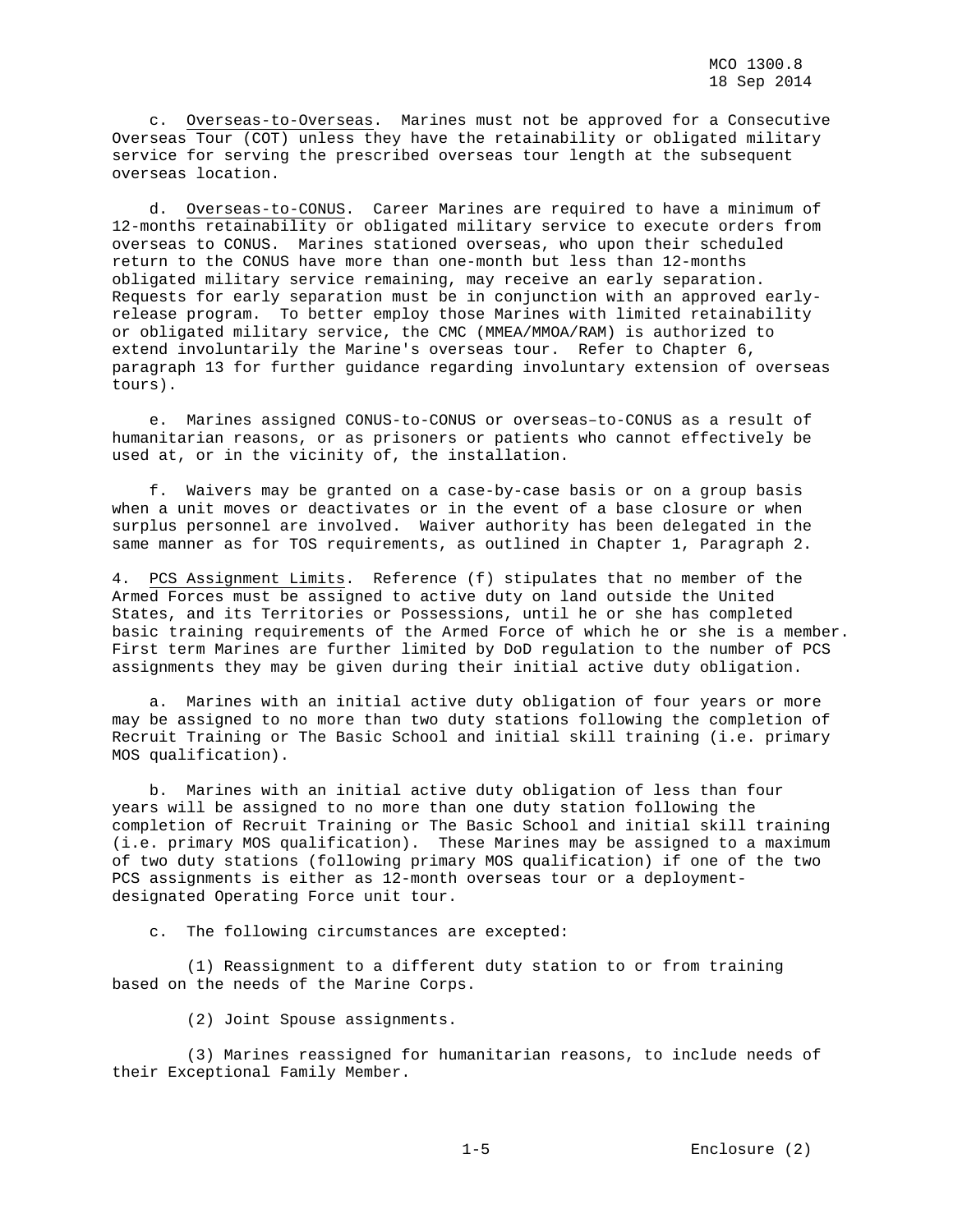c. Overseas-to-Overseas. Marines must not be approved for a Consecutive Overseas Tour (COT) unless they have the retainability or obligated military service for serving the prescribed overseas tour length at the subsequent overseas location.

 d. Overseas-to-CONUS. Career Marines are required to have a minimum of 12-months retainability or obligated military service to execute orders from overseas to CONUS. Marines stationed overseas, who upon their scheduled return to the CONUS have more than one-month but less than 12-months obligated military service remaining, may receive an early separation. Requests for early separation must be in conjunction with an approved earlyrelease program. To better employ those Marines with limited retainability or obligated military service, the CMC (MMEA/MMOA/RAM) is authorized to extend involuntarily the Marine's overseas tour. Refer to Chapter 6, paragraph 13 for further guidance regarding involuntary extension of overseas tours).

 e. Marines assigned CONUS-to-CONUS or overseas–to-CONUS as a result of humanitarian reasons, or as prisoners or patients who cannot effectively be used at, or in the vicinity of, the installation.

 f. Waivers may be granted on a case-by-case basis or on a group basis when a unit moves or deactivates or in the event of a base closure or when surplus personnel are involved. Waiver authority has been delegated in the same manner as for TOS requirements, as outlined in Chapter 1, Paragraph 2.

4. PCS Assignment Limits. Reference (f) stipulates that no member of the Armed Forces must be assigned to active duty on land outside the United States, and its Territories or Possessions, until he or she has completed basic training requirements of the Armed Force of which he or she is a member. First term Marines are further limited by DoD regulation to the number of PCS assignments they may be given during their initial active duty obligation.

 a. Marines with an initial active duty obligation of four years or more may be assigned to no more than two duty stations following the completion of Recruit Training or The Basic School and initial skill training (i.e. primary MOS qualification).

 b. Marines with an initial active duty obligation of less than four years will be assigned to no more than one duty station following the completion of Recruit Training or The Basic School and initial skill training (i.e. primary MOS qualification). These Marines may be assigned to a maximum of two duty stations (following primary MOS qualification) if one of the two PCS assignments is either as 12-month overseas tour or a deploymentdesignated Operating Force unit tour.

c. The following circumstances are excepted:

 (1) Reassignment to a different duty station to or from training based on the needs of the Marine Corps.

(2) Joint Spouse assignments.

 (3) Marines reassigned for humanitarian reasons, to include needs of their Exceptional Family Member.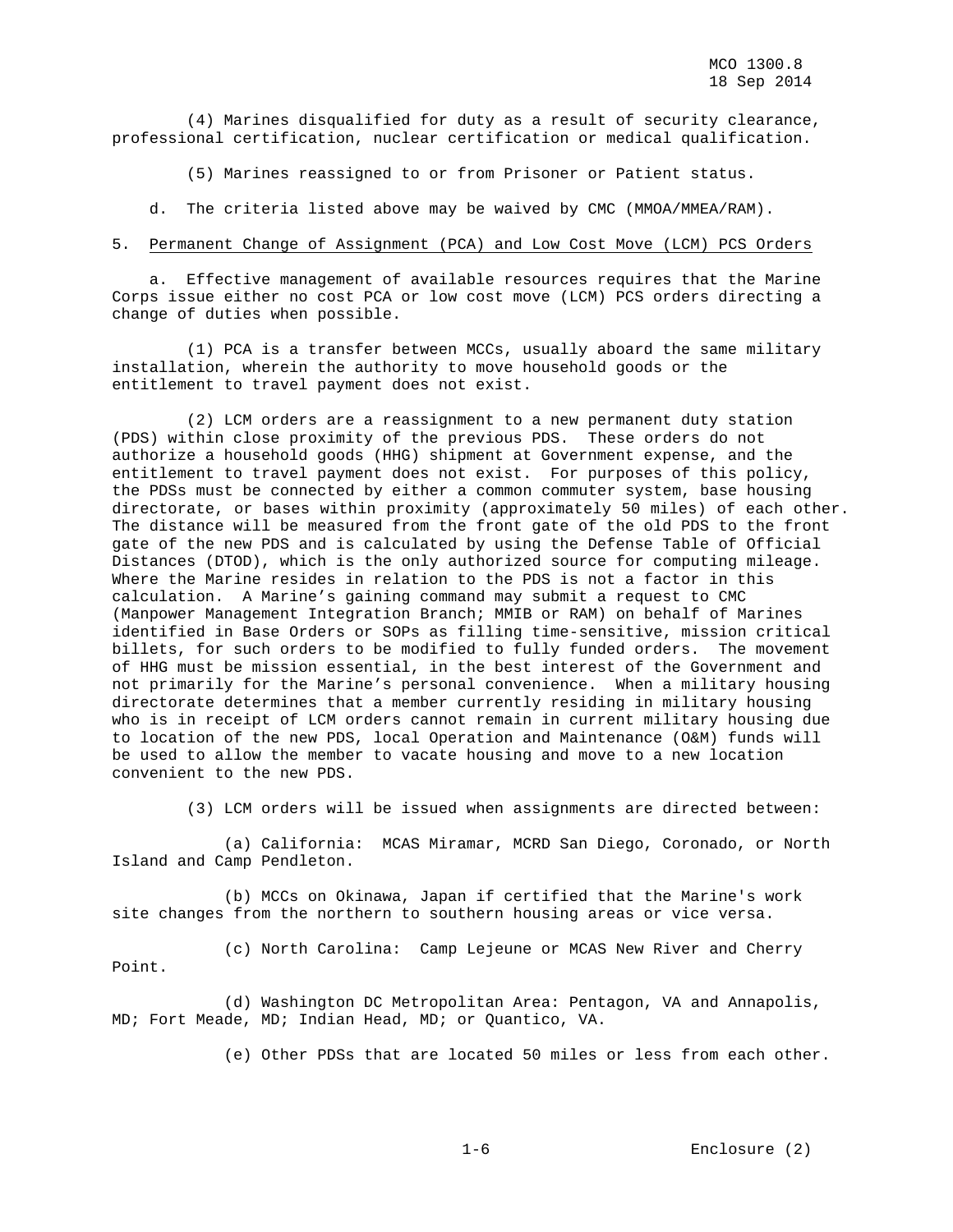(4) Marines disqualified for duty as a result of security clearance, professional certification, nuclear certification or medical qualification.

(5) Marines reassigned to or from Prisoner or Patient status.

d. The criteria listed above may be waived by CMC (MMOA/MMEA/RAM).

#### 5. Permanent Change of Assignment (PCA) and Low Cost Move (LCM) PCS Orders

 a. Effective management of available resources requires that the Marine Corps issue either no cost PCA or low cost move (LCM) PCS orders directing a change of duties when possible.

 (1) PCA is a transfer between MCCs, usually aboard the same military installation, wherein the authority to move household goods or the entitlement to travel payment does not exist.

 (2) LCM orders are a reassignment to a new permanent duty station (PDS) within close proximity of the previous PDS. These orders do not authorize a household goods (HHG) shipment at Government expense, and the entitlement to travel payment does not exist. For purposes of this policy, the PDSs must be connected by either a common commuter system, base housing directorate, or bases within proximity (approximately 50 miles) of each other. The distance will be measured from the front gate of the old PDS to the front gate of the new PDS and is calculated by using the Defense Table of Official Distances (DTOD), which is the only authorized source for computing mileage. Where the Marine resides in relation to the PDS is not a factor in this calculation. A Marine's gaining command may submit a request to CMC (Manpower Management Integration Branch; MMIB or RAM) on behalf of Marines identified in Base Orders or SOPs as filling time-sensitive, mission critical billets, for such orders to be modified to fully funded orders. The movement of HHG must be mission essential, in the best interest of the Government and not primarily for the Marine's personal convenience. When a military housing directorate determines that a member currently residing in military housing who is in receipt of LCM orders cannot remain in current military housing due to location of the new PDS, local Operation and Maintenance (O&M) funds will be used to allow the member to vacate housing and move to a new location convenient to the new PDS.

(3) LCM orders will be issued when assignments are directed between:

 (a) California: MCAS Miramar, MCRD San Diego, Coronado, or North Island and Camp Pendleton.

 (b) MCCs on Okinawa, Japan if certified that the Marine's work site changes from the northern to southern housing areas or vice versa.

 (c) North Carolina: Camp Lejeune or MCAS New River and Cherry Point.

 (d) Washington DC Metropolitan Area: Pentagon, VA and Annapolis, MD; Fort Meade, MD; Indian Head, MD; or Quantico, VA.

(e) Other PDSs that are located 50 miles or less from each other.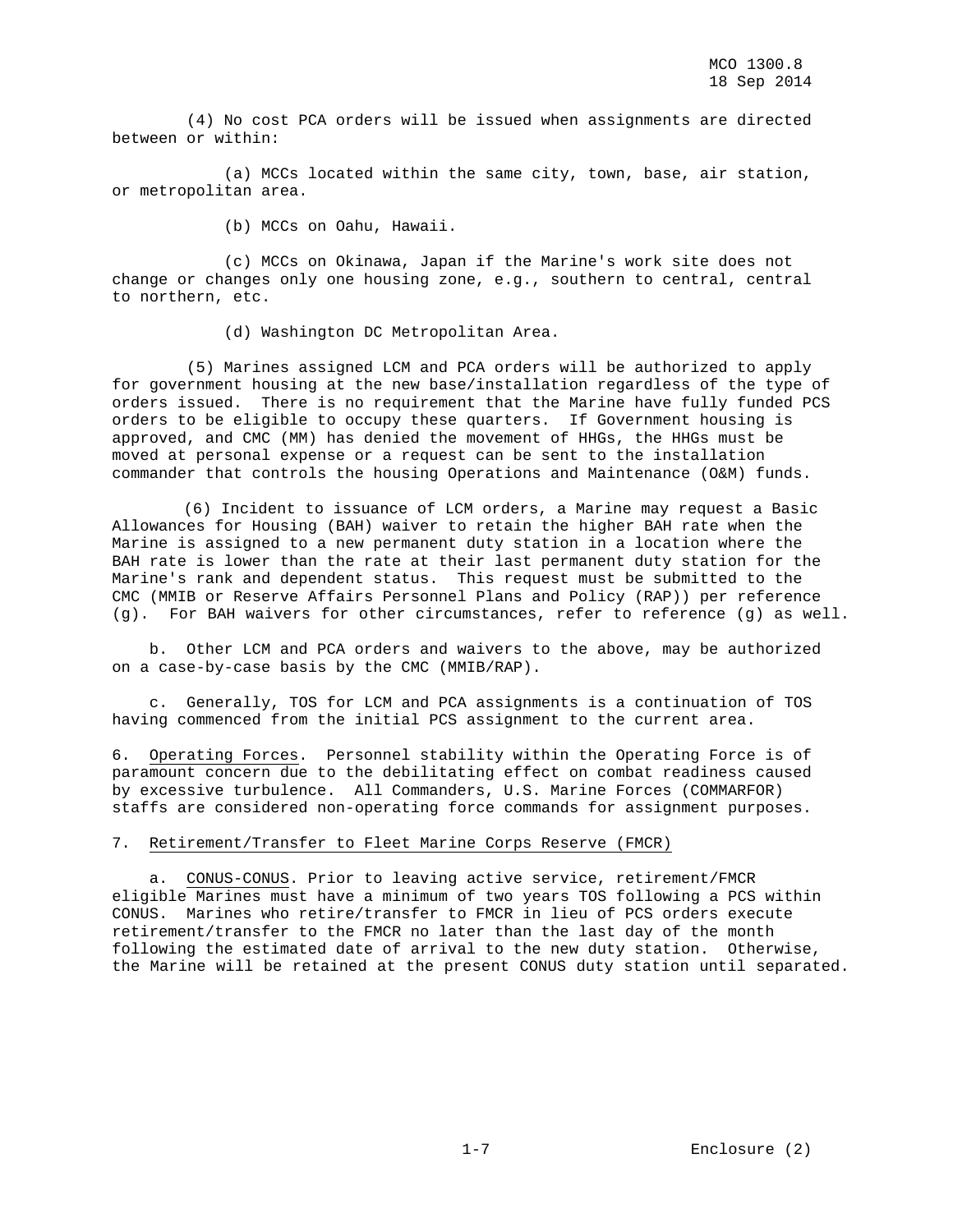(4) No cost PCA orders will be issued when assignments are directed between or within:

 (a) MCCs located within the same city, town, base, air station, or metropolitan area.

(b) MCCs on Oahu, Hawaii.

 (c) MCCs on Okinawa, Japan if the Marine's work site does not change or changes only one housing zone, e.g., southern to central, central to northern, etc.

(d) Washington DC Metropolitan Area.

 (5) Marines assigned LCM and PCA orders will be authorized to apply for government housing at the new base/installation regardless of the type of orders issued. There is no requirement that the Marine have fully funded PCS orders to be eligible to occupy these quarters. If Government housing is approved, and CMC (MM) has denied the movement of HHGs, the HHGs must be moved at personal expense or a request can be sent to the installation commander that controls the housing Operations and Maintenance (O&M) funds.

 (6) Incident to issuance of LCM orders, a Marine may request a Basic Allowances for Housing (BAH) waiver to retain the higher BAH rate when the Marine is assigned to a new permanent duty station in a location where the BAH rate is lower than the rate at their last permanent duty station for the Marine's rank and dependent status. This request must be submitted to the CMC (MMIB or Reserve Affairs Personnel Plans and Policy (RAP)) per reference (g). For BAH waivers for other circumstances, refer to reference (g) as well.

 b. Other LCM and PCA orders and waivers to the above, may be authorized on a case-by-case basis by the CMC (MMIB/RAP).

 c. Generally, TOS for LCM and PCA assignments is a continuation of TOS having commenced from the initial PCS assignment to the current area.

6. Operating Forces. Personnel stability within the Operating Force is of paramount concern due to the debilitating effect on combat readiness caused by excessive turbulence. All Commanders, U.S. Marine Forces (COMMARFOR) staffs are considered non-operating force commands for assignment purposes.

## 7. Retirement/Transfer to Fleet Marine Corps Reserve (FMCR)

 a. CONUS-CONUS. Prior to leaving active service, retirement/FMCR eligible Marines must have a minimum of two years TOS following a PCS within CONUS. Marines who retire/transfer to FMCR in lieu of PCS orders execute retirement/transfer to the FMCR no later than the last day of the month following the estimated date of arrival to the new duty station. Otherwise, the Marine will be retained at the present CONUS duty station until separated.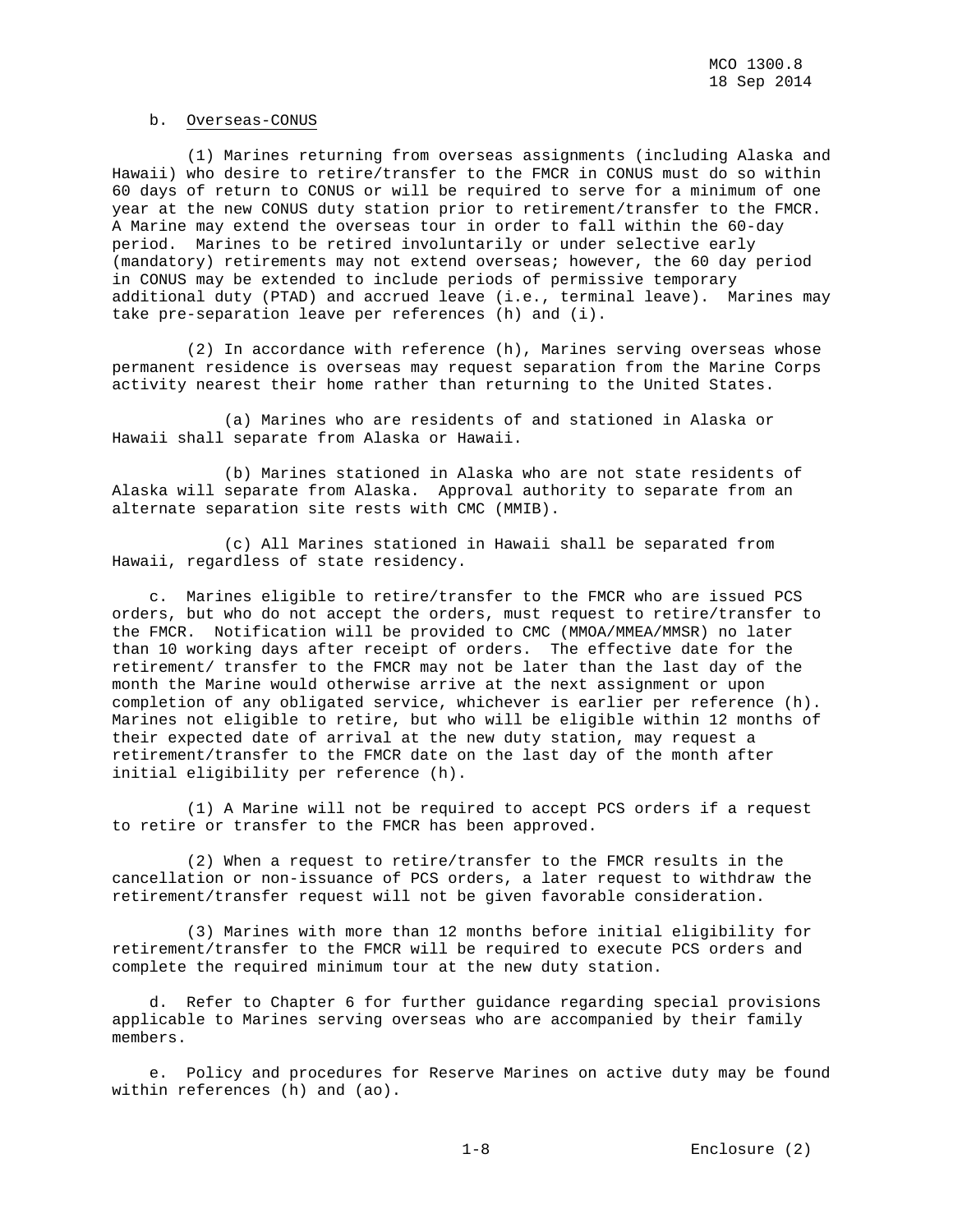#### b. Overseas-CONUS

 (1) Marines returning from overseas assignments (including Alaska and Hawaii) who desire to retire/transfer to the FMCR in CONUS must do so within 60 days of return to CONUS or will be required to serve for a minimum of one year at the new CONUS duty station prior to retirement/transfer to the FMCR. A Marine may extend the overseas tour in order to fall within the 60-day period. Marines to be retired involuntarily or under selective early (mandatory) retirements may not extend overseas; however, the 60 day period in CONUS may be extended to include periods of permissive temporary additional duty (PTAD) and accrued leave (i.e., terminal leave). Marines may take pre-separation leave per references (h) and (i).

 (2) In accordance with reference (h), Marines serving overseas whose permanent residence is overseas may request separation from the Marine Corps activity nearest their home rather than returning to the United States.

 (a) Marines who are residents of and stationed in Alaska or Hawaii shall separate from Alaska or Hawaii.

 (b) Marines stationed in Alaska who are not state residents of Alaska will separate from Alaska. Approval authority to separate from an alternate separation site rests with CMC (MMIB).

 (c) All Marines stationed in Hawaii shall be separated from Hawaii, regardless of state residency.

 c. Marines eligible to retire/transfer to the FMCR who are issued PCS orders, but who do not accept the orders, must request to retire/transfer to the FMCR. Notification will be provided to CMC (MMOA/MMEA/MMSR) no later than 10 working days after receipt of orders. The effective date for the retirement/ transfer to the FMCR may not be later than the last day of the month the Marine would otherwise arrive at the next assignment or upon completion of any obligated service, whichever is earlier per reference (h). Marines not eligible to retire, but who will be eligible within 12 months of their expected date of arrival at the new duty station, may request a retirement/transfer to the FMCR date on the last day of the month after initial eligibility per reference (h).

 (1) A Marine will not be required to accept PCS orders if a request to retire or transfer to the FMCR has been approved.

 (2) When a request to retire/transfer to the FMCR results in the cancellation or non-issuance of PCS orders, a later request to withdraw the retirement/transfer request will not be given favorable consideration.

 (3) Marines with more than 12 months before initial eligibility for retirement/transfer to the FMCR will be required to execute PCS orders and complete the required minimum tour at the new duty station.

 d. Refer to Chapter 6 for further guidance regarding special provisions applicable to Marines serving overseas who are accompanied by their family members.

 e. Policy and procedures for Reserve Marines on active duty may be found within references (h) and (ao).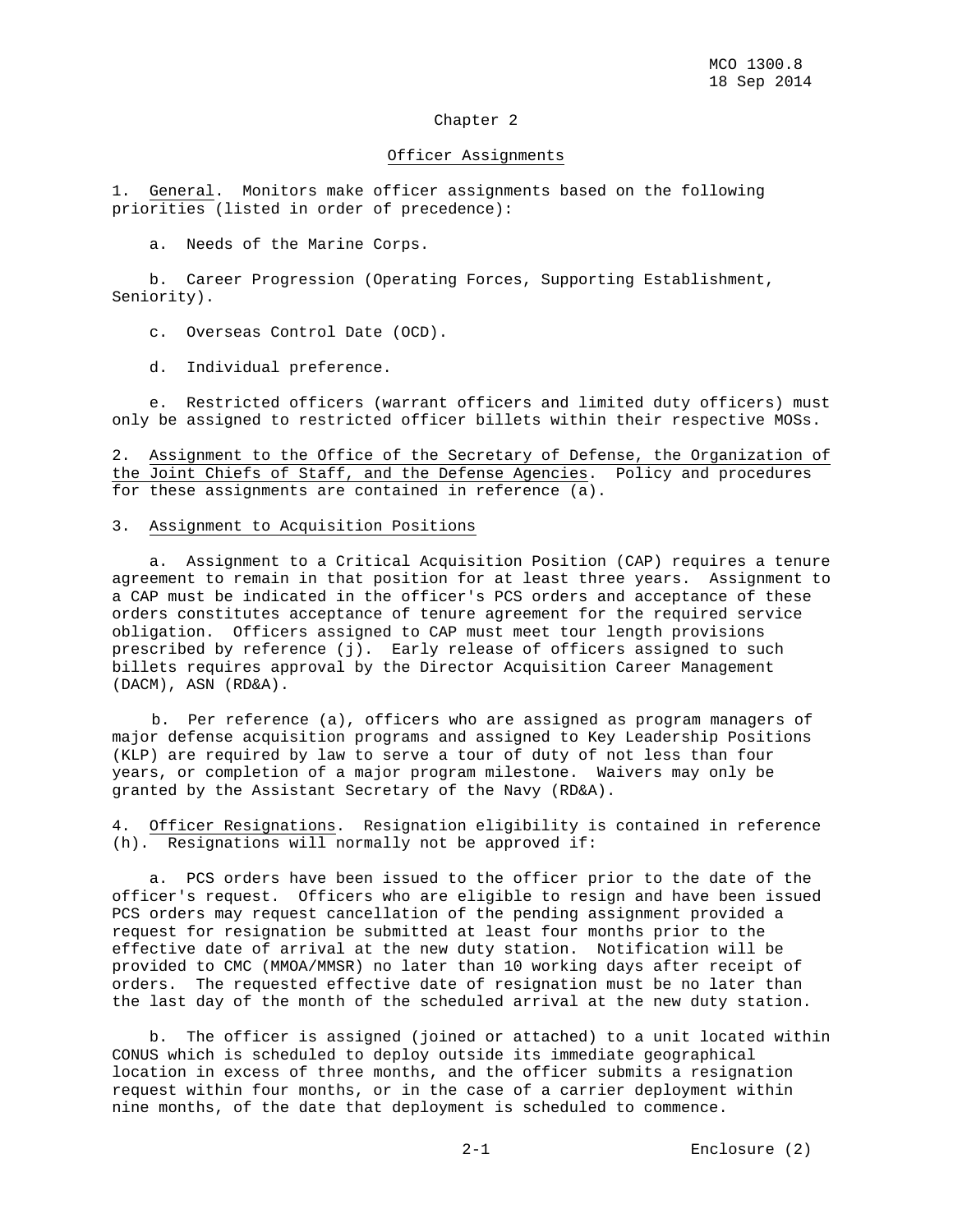#### Chapter 2

#### Officer Assignments

1. General. Monitors make officer assignments based on the following priorities (listed in order of precedence):

a. Needs of the Marine Corps.

 b. Career Progression (Operating Forces, Supporting Establishment, Seniority).

c. Overseas Control Date (OCD).

d. Individual preference.

 e. Restricted officers (warrant officers and limited duty officers) must only be assigned to restricted officer billets within their respective MOSs.

2. Assignment to the Office of the Secretary of Defense, the Organization of the Joint Chiefs of Staff, and the Defense Agencies. Policy and procedures for these assignments are contained in reference (a).

# 3. Assignment to Acquisition Positions

 a. Assignment to a Critical Acquisition Position (CAP) requires a tenure agreement to remain in that position for at least three years. Assignment to a CAP must be indicated in the officer's PCS orders and acceptance of these orders constitutes acceptance of tenure agreement for the required service obligation. Officers assigned to CAP must meet tour length provisions prescribed by reference (j). Early release of officers assigned to such billets requires approval by the Director Acquisition Career Management (DACM), ASN (RD&A).

 b. Per reference (a), officers who are assigned as program managers of major defense acquisition programs and assigned to Key Leadership Positions (KLP) are required by law to serve a tour of duty of not less than four years, or completion of a major program milestone. Waivers may only be granted by the Assistant Secretary of the Navy (RD&A).

4. Officer Resignations. Resignation eligibility is contained in reference (h). Resignations will normally not be approved if:

 a. PCS orders have been issued to the officer prior to the date of the officer's request. Officers who are eligible to resign and have been issued PCS orders may request cancellation of the pending assignment provided a request for resignation be submitted at least four months prior to the effective date of arrival at the new duty station. Notification will be provided to CMC (MMOA/MMSR) no later than 10 working days after receipt of orders. The requested effective date of resignation must be no later than the last day of the month of the scheduled arrival at the new duty station.

 b. The officer is assigned (joined or attached) to a unit located within CONUS which is scheduled to deploy outside its immediate geographical location in excess of three months, and the officer submits a resignation request within four months, or in the case of a carrier deployment within nine months, of the date that deployment is scheduled to commence.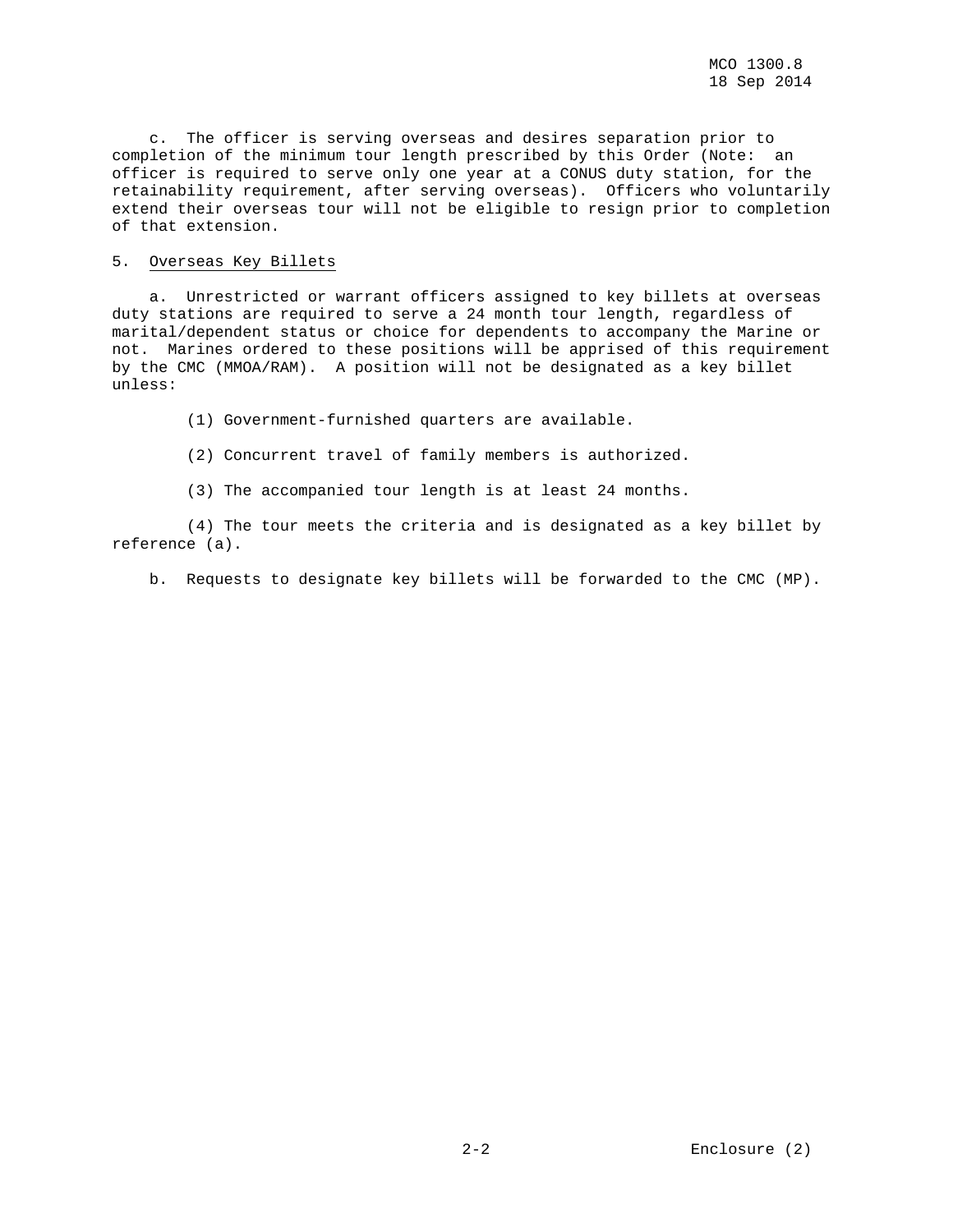c. The officer is serving overseas and desires separation prior to completion of the minimum tour length prescribed by this Order (Note: an officer is required to serve only one year at a CONUS duty station, for the retainability requirement, after serving overseas). Officers who voluntarily extend their overseas tour will not be eligible to resign prior to completion of that extension.

## 5. Overseas Key Billets

 a. Unrestricted or warrant officers assigned to key billets at overseas duty stations are required to serve a 24 month tour length, regardless of marital/dependent status or choice for dependents to accompany the Marine or not. Marines ordered to these positions will be apprised of this requirement by the CMC (MMOA/RAM). A position will not be designated as a key billet unless:

- (1) Government-furnished quarters are available.
- (2) Concurrent travel of family members is authorized.
- (3) The accompanied tour length is at least 24 months.

 (4) The tour meets the criteria and is designated as a key billet by reference (a).

b. Requests to designate key billets will be forwarded to the CMC (MP).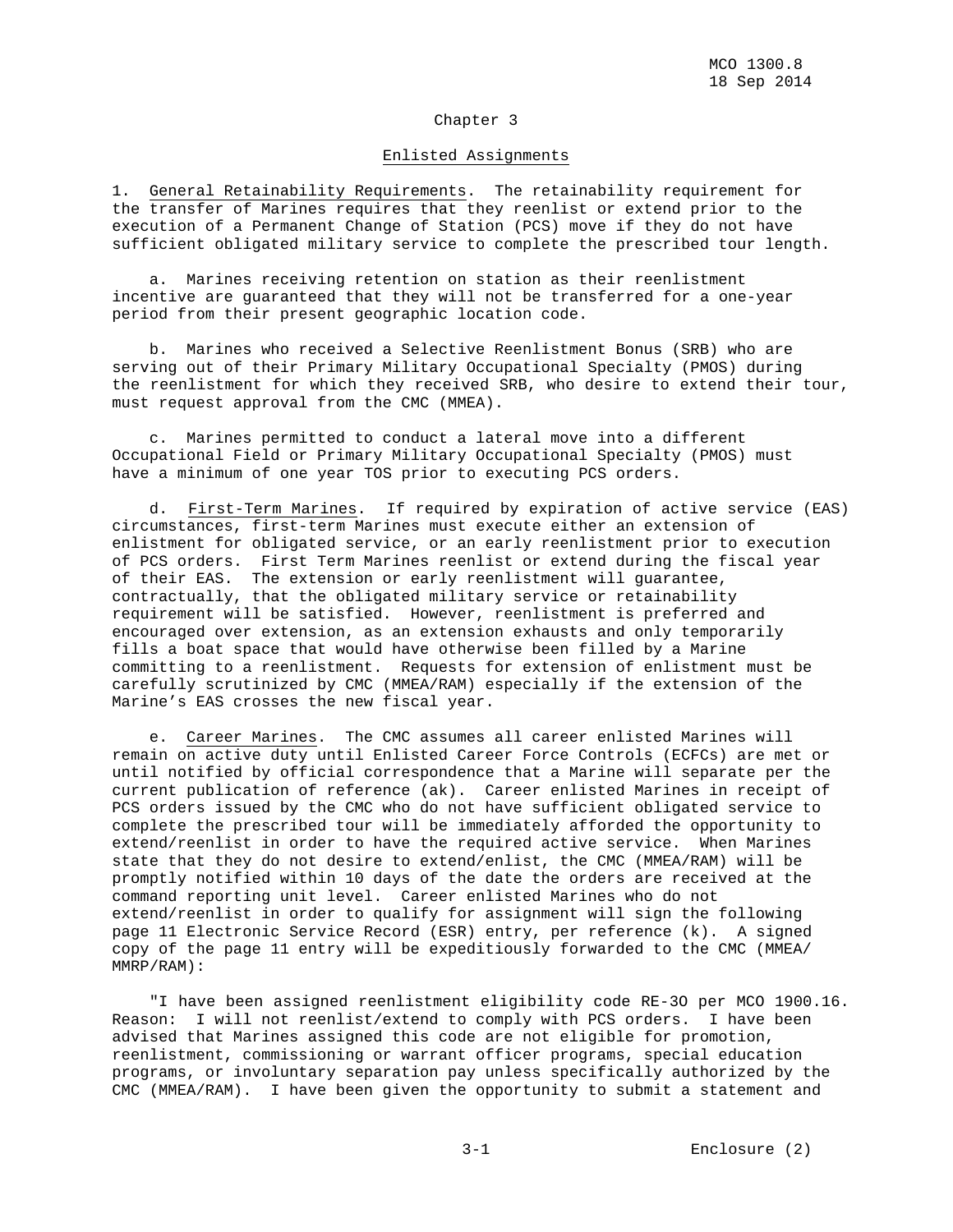#### Chapter 3

#### Enlisted Assignments

1. General Retainability Requirements. The retainability requirement for the transfer of Marines requires that they reenlist or extend prior to the execution of a Permanent Change of Station (PCS) move if they do not have sufficient obligated military service to complete the prescribed tour length.

 a. Marines receiving retention on station as their reenlistment incentive are guaranteed that they will not be transferred for a one-year period from their present geographic location code.

 b. Marines who received a Selective Reenlistment Bonus (SRB) who are serving out of their Primary Military Occupational Specialty (PMOS) during the reenlistment for which they received SRB, who desire to extend their tour, must request approval from the CMC (MMEA).

 c. Marines permitted to conduct a lateral move into a different Occupational Field or Primary Military Occupational Specialty (PMOS) must have a minimum of one year TOS prior to executing PCS orders.

 d. First-Term Marines. If required by expiration of active service (EAS) circumstances, first-term Marines must execute either an extension of enlistment for obligated service, or an early reenlistment prior to execution of PCS orders. First Term Marines reenlist or extend during the fiscal year of their EAS. The extension or early reenlistment will guarantee, contractually, that the obligated military service or retainability requirement will be satisfied. However, reenlistment is preferred and encouraged over extension, as an extension exhausts and only temporarily fills a boat space that would have otherwise been filled by a Marine committing to a reenlistment. Requests for extension of enlistment must be carefully scrutinized by CMC (MMEA/RAM) especially if the extension of the Marine's EAS crosses the new fiscal year.

 e. Career Marines. The CMC assumes all career enlisted Marines will remain on active duty until Enlisted Career Force Controls (ECFCs) are met or until notified by official correspondence that a Marine will separate per the current publication of reference (ak). Career enlisted Marines in receipt of PCS orders issued by the CMC who do not have sufficient obligated service to complete the prescribed tour will be immediately afforded the opportunity to extend/reenlist in order to have the required active service. When Marines state that they do not desire to extend/enlist, the CMC (MMEA/RAM) will be promptly notified within 10 days of the date the orders are received at the command reporting unit level. Career enlisted Marines who do not extend/reenlist in order to qualify for assignment will sign the following page 11 Electronic Service Record (ESR) entry, per reference (k). A signed copy of the page 11 entry will be expeditiously forwarded to the CMC (MMEA/ MMRP/RAM):

 "I have been assigned reenlistment eligibility code RE-3O per MCO 1900.16. Reason: I will not reenlist/extend to comply with PCS orders. I have been advised that Marines assigned this code are not eligible for promotion, reenlistment, commissioning or warrant officer programs, special education programs, or involuntary separation pay unless specifically authorized by the CMC (MMEA/RAM). I have been given the opportunity to submit a statement and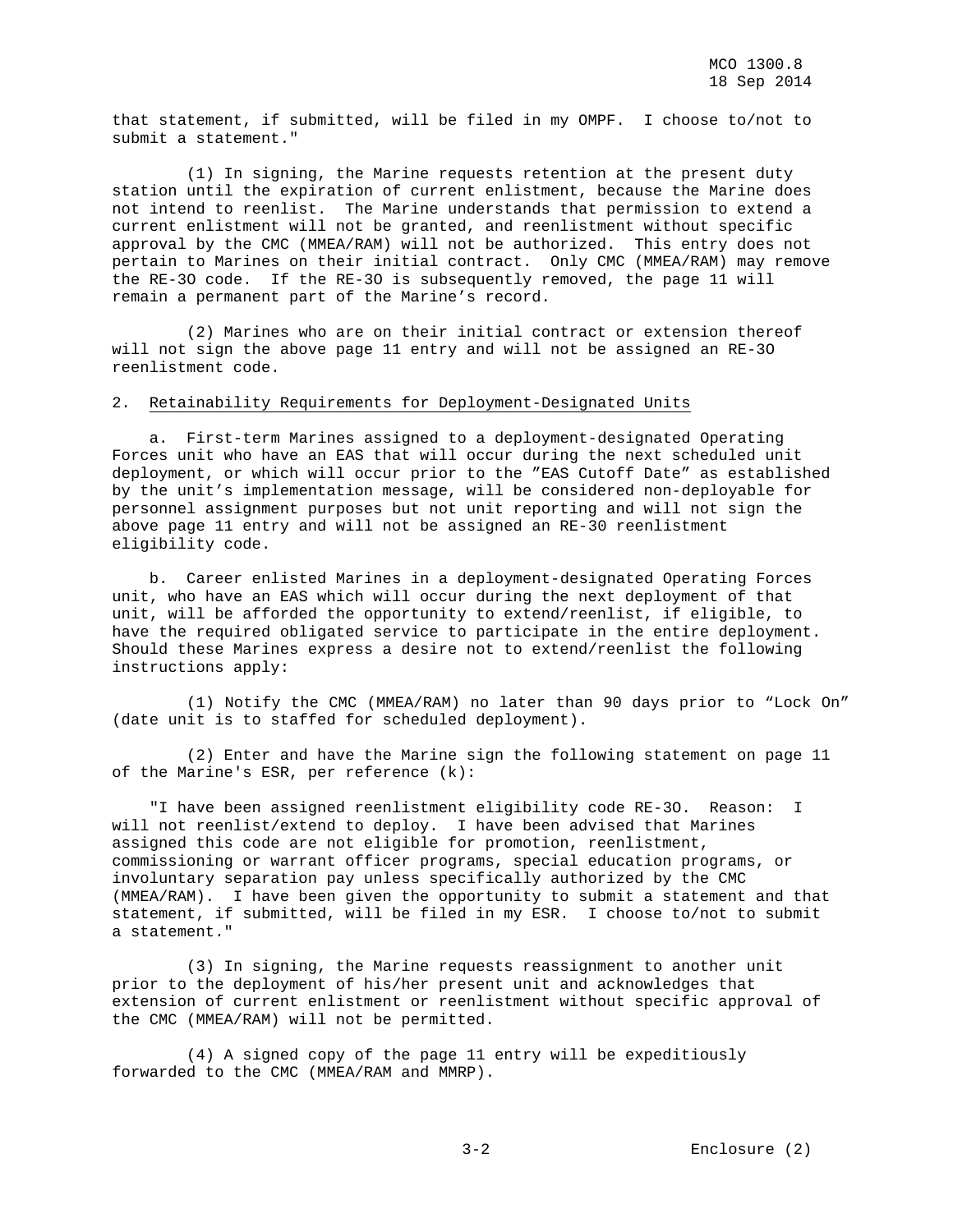that statement, if submitted, will be filed in my OMPF. I choose to/not to submit a statement."

 (1) In signing, the Marine requests retention at the present duty station until the expiration of current enlistment, because the Marine does not intend to reenlist. The Marine understands that permission to extend a current enlistment will not be granted, and reenlistment without specific approval by the CMC (MMEA/RAM) will not be authorized. This entry does not pertain to Marines on their initial contract. Only CMC (MMEA/RAM) may remove the RE-3O code. If the RE-3O is subsequently removed, the page 11 will remain a permanent part of the Marine's record.

 (2) Marines who are on their initial contract or extension thereof will not sign the above page 11 entry and will not be assigned an RE-3O reenlistment code.

#### 2. Retainability Requirements for Deployment-Designated Units

 a. First-term Marines assigned to a deployment-designated Operating Forces unit who have an EAS that will occur during the next scheduled unit deployment, or which will occur prior to the "EAS Cutoff Date" as established by the unit's implementation message, will be considered non-deployable for personnel assignment purposes but not unit reporting and will not sign the above page 11 entry and will not be assigned an RE-30 reenlistment eligibility code.

 b. Career enlisted Marines in a deployment-designated Operating Forces unit, who have an EAS which will occur during the next deployment of that unit, will be afforded the opportunity to extend/reenlist, if eligible, to have the required obligated service to participate in the entire deployment. Should these Marines express a desire not to extend/reenlist the following instructions apply:

 (1) Notify the CMC (MMEA/RAM) no later than 90 days prior to "Lock On" (date unit is to staffed for scheduled deployment).

 (2) Enter and have the Marine sign the following statement on page 11 of the Marine's ESR, per reference (k):

 "I have been assigned reenlistment eligibility code RE-3O. Reason: I will not reenlist/extend to deploy. I have been advised that Marines assigned this code are not eligible for promotion, reenlistment, commissioning or warrant officer programs, special education programs, or involuntary separation pay unless specifically authorized by the CMC (MMEA/RAM). I have been given the opportunity to submit a statement and that statement, if submitted, will be filed in my ESR. I choose to/not to submit a statement."

 (3) In signing, the Marine requests reassignment to another unit prior to the deployment of his/her present unit and acknowledges that extension of current enlistment or reenlistment without specific approval of the CMC (MMEA/RAM) will not be permitted.

 (4) A signed copy of the page 11 entry will be expeditiously forwarded to the CMC (MMEA/RAM and MMRP).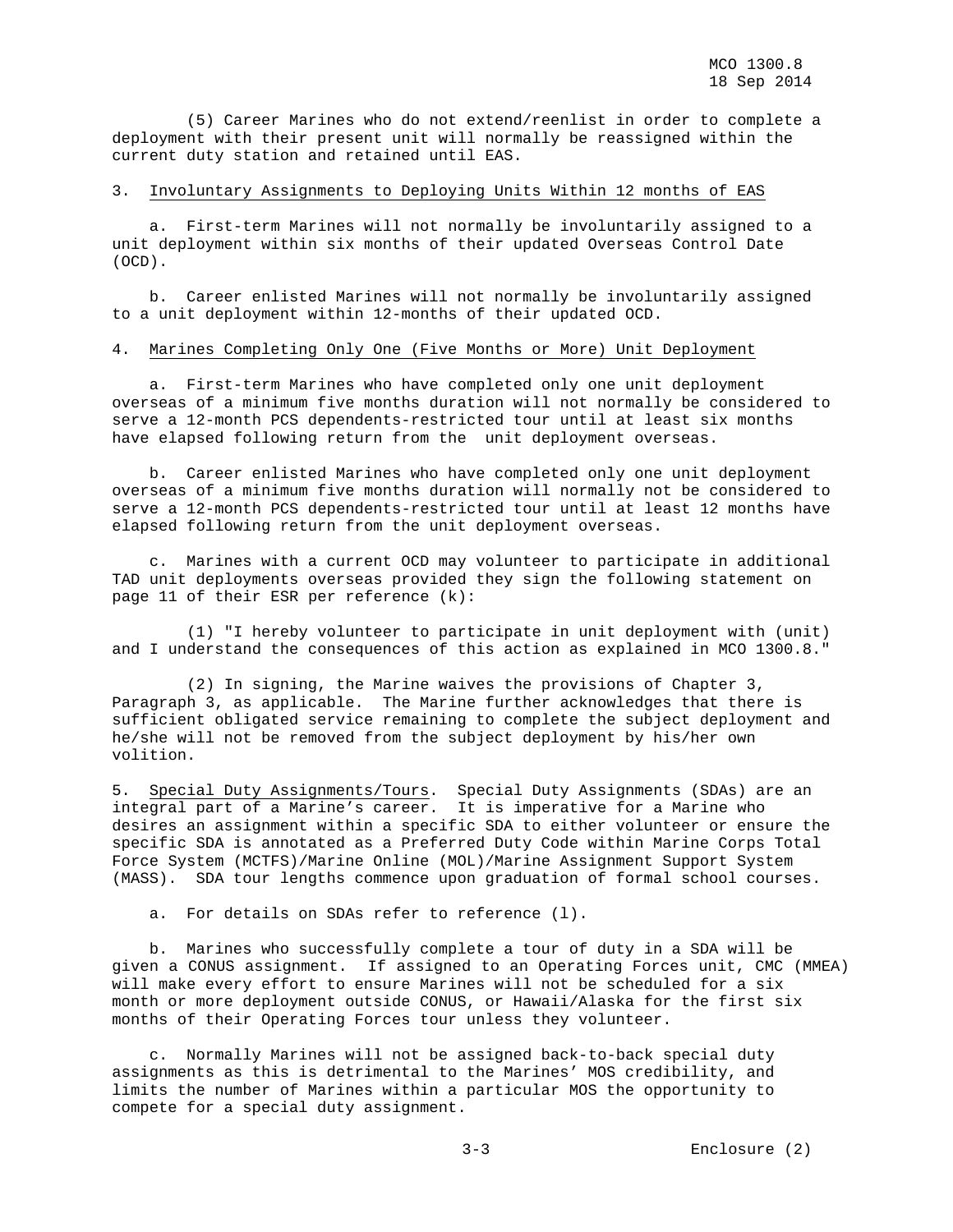(5) Career Marines who do not extend/reenlist in order to complete a deployment with their present unit will normally be reassigned within the current duty station and retained until EAS.

## 3. Involuntary Assignments to Deploying Units Within 12 months of EAS

 a. First-term Marines will not normally be involuntarily assigned to a unit deployment within six months of their updated Overseas Control Date (OCD).

 b. Career enlisted Marines will not normally be involuntarily assigned to a unit deployment within 12-months of their updated OCD.

## 4. Marines Completing Only One (Five Months or More) Unit Deployment

 a. First-term Marines who have completed only one unit deployment overseas of a minimum five months duration will not normally be considered to serve a 12-month PCS dependents-restricted tour until at least six months have elapsed following return from the unit deployment overseas.

 b. Career enlisted Marines who have completed only one unit deployment overseas of a minimum five months duration will normally not be considered to serve a 12-month PCS dependents-restricted tour until at least 12 months have elapsed following return from the unit deployment overseas.

 c. Marines with a current OCD may volunteer to participate in additional TAD unit deployments overseas provided they sign the following statement on page 11 of their ESR per reference (k):

 (1) "I hereby volunteer to participate in unit deployment with (unit) and I understand the consequences of this action as explained in MCO 1300.8."

 (2) In signing, the Marine waives the provisions of Chapter 3, Paragraph 3, as applicable. The Marine further acknowledges that there is sufficient obligated service remaining to complete the subject deployment and he/she will not be removed from the subject deployment by his/her own volition.

5. Special Duty Assignments/Tours. Special Duty Assignments (SDAs) are an integral part of a Marine's career. It is imperative for a Marine who desires an assignment within a specific SDA to either volunteer or ensure the specific SDA is annotated as a Preferred Duty Code within Marine Corps Total Force System (MCTFS)/Marine Online (MOL)/Marine Assignment Support System (MASS). SDA tour lengths commence upon graduation of formal school courses.

a. For details on SDAs refer to reference (l).

 b. Marines who successfully complete a tour of duty in a SDA will be given a CONUS assignment. If assigned to an Operating Forces unit, CMC (MMEA) will make every effort to ensure Marines will not be scheduled for a six month or more deployment outside CONUS, or Hawaii/Alaska for the first six months of their Operating Forces tour unless they volunteer.

 c. Normally Marines will not be assigned back-to-back special duty assignments as this is detrimental to the Marines' MOS credibility, and limits the number of Marines within a particular MOS the opportunity to compete for a special duty assignment.

3-3 Enclosure (2)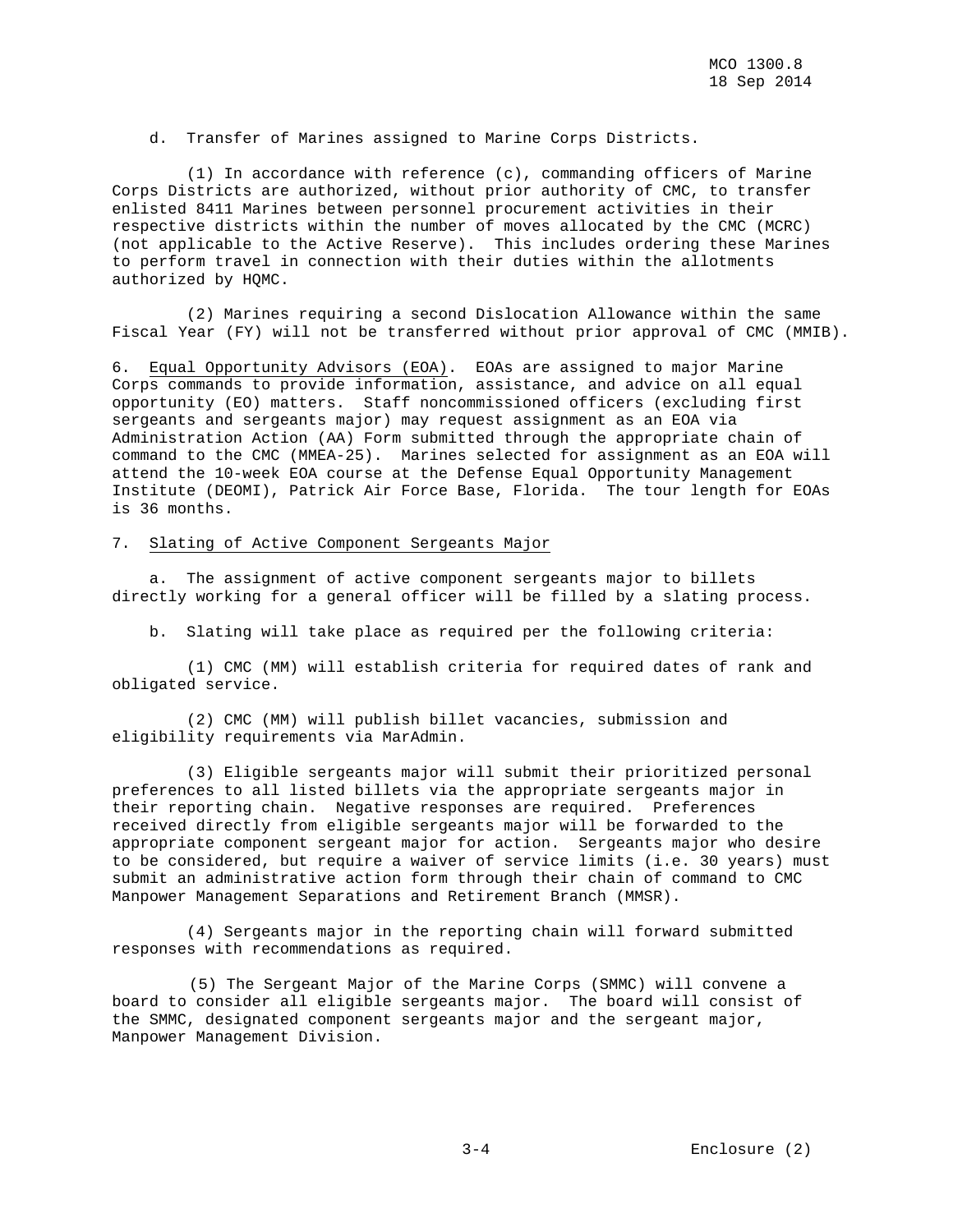d. Transfer of Marines assigned to Marine Corps Districts.

 (1) In accordance with reference (c), commanding officers of Marine Corps Districts are authorized, without prior authority of CMC, to transfer enlisted 8411 Marines between personnel procurement activities in their respective districts within the number of moves allocated by the CMC (MCRC) (not applicable to the Active Reserve). This includes ordering these Marines to perform travel in connection with their duties within the allotments authorized by HQMC.

 (2) Marines requiring a second Dislocation Allowance within the same Fiscal Year (FY) will not be transferred without prior approval of CMC (MMIB).

6. Equal Opportunity Advisors (EOA). EOAs are assigned to major Marine Corps commands to provide information, assistance, and advice on all equal opportunity (EO) matters. Staff noncommissioned officers (excluding first sergeants and sergeants major) may request assignment as an EOA via Administration Action (AA) Form submitted through the appropriate chain of command to the CMC (MMEA-25). Marines selected for assignment as an EOA will attend the 10-week EOA course at the Defense Equal Opportunity Management Institute (DEOMI), Patrick Air Force Base, Florida. The tour length for EOAs is 36 months.

#### 7. Slating of Active Component Sergeants Major

 a. The assignment of active component sergeants major to billets directly working for a general officer will be filled by a slating process.

b. Slating will take place as required per the following criteria:

 (1) CMC (MM) will establish criteria for required dates of rank and obligated service.

 (2) CMC (MM) will publish billet vacancies, submission and eligibility requirements via MarAdmin.

 (3) Eligible sergeants major will submit their prioritized personal preferences to all listed billets via the appropriate sergeants major in their reporting chain. Negative responses are required. Preferences received directly from eligible sergeants major will be forwarded to the appropriate component sergeant major for action. Sergeants major who desire to be considered, but require a waiver of service limits (i.e. 30 years) must submit an administrative action form through their chain of command to CMC Manpower Management Separations and Retirement Branch (MMSR).

 (4) Sergeants major in the reporting chain will forward submitted responses with recommendations as required.

(5) The Sergeant Major of the Marine Corps (SMMC) will convene a board to consider all eligible sergeants major. The board will consist of the SMMC, designated component sergeants major and the sergeant major, Manpower Management Division.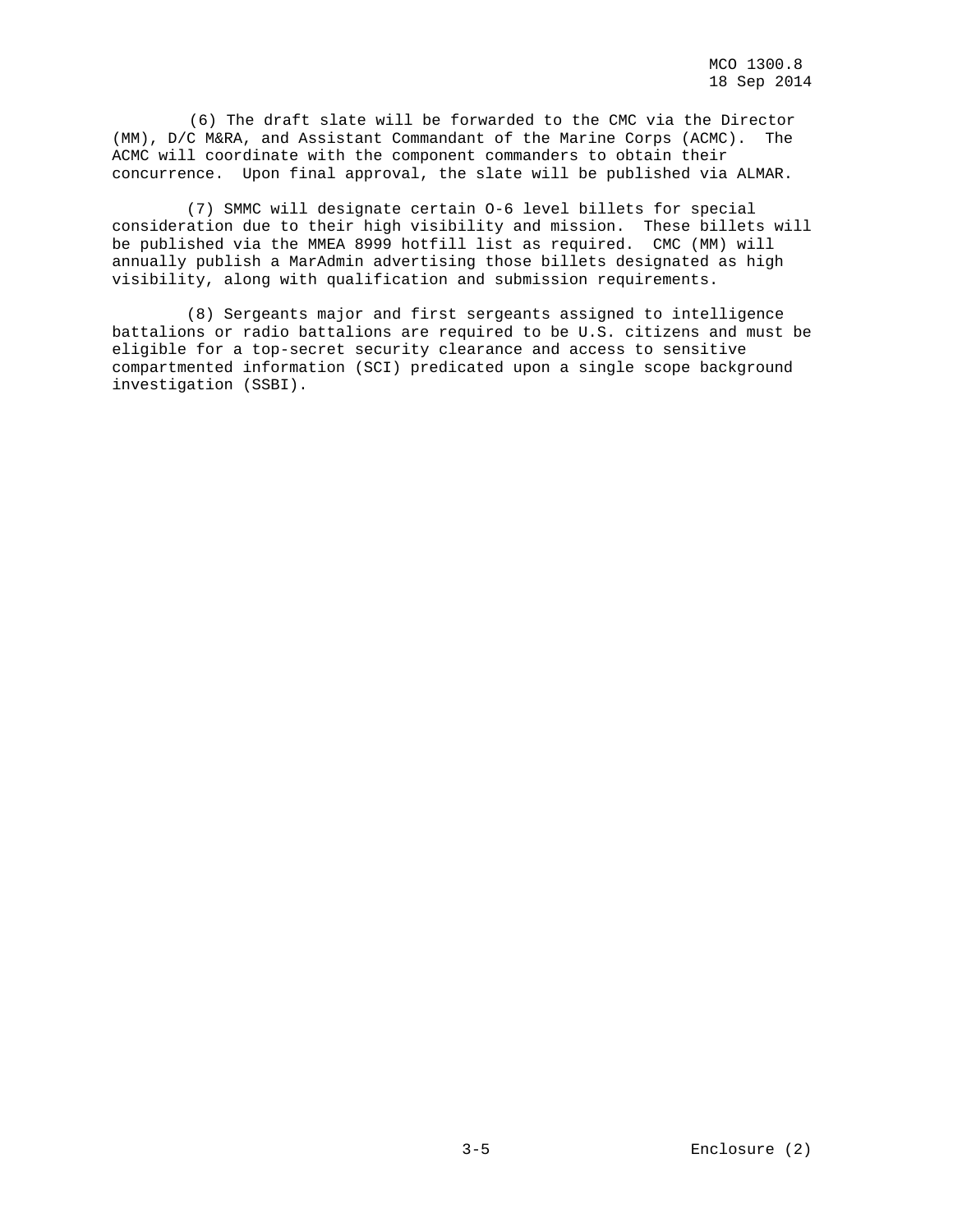(6) The draft slate will be forwarded to the CMC via the Director (MM), D/C M&RA, and Assistant Commandant of the Marine Corps (ACMC). The ACMC will coordinate with the component commanders to obtain their concurrence. Upon final approval, the slate will be published via ALMAR.

 (7) SMMC will designate certain O-6 level billets for special consideration due to their high visibility and mission. These billets will be published via the MMEA 8999 hotfill list as required. CMC (MM) will annually publish a MarAdmin advertising those billets designated as high visibility, along with qualification and submission requirements.

 (8) Sergeants major and first sergeants assigned to intelligence battalions or radio battalions are required to be U.S. citizens and must be eligible for a top-secret security clearance and access to sensitive compartmented information (SCI) predicated upon a single scope background investigation (SSBI).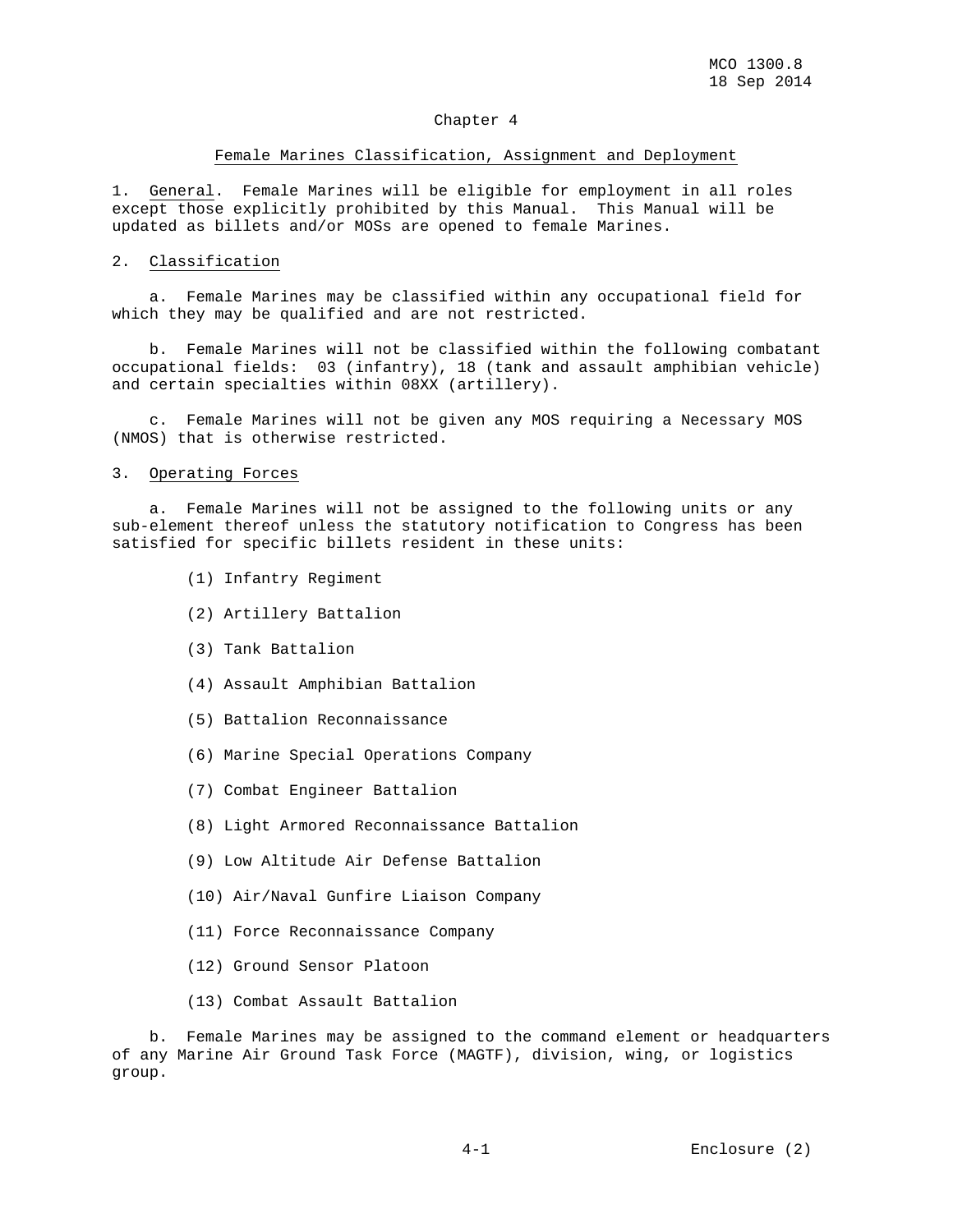#### Chapter 4

#### Female Marines Classification, Assignment and Deployment

1. General. Female Marines will be eligible for employment in all roles except those explicitly prohibited by this Manual. This Manual will be updated as billets and/or MOSs are opened to female Marines.

#### 2. Classification

 a. Female Marines may be classified within any occupational field for which they may be qualified and are not restricted.

 b. Female Marines will not be classified within the following combatant occupational fields: 03 (infantry), 18 (tank and assault amphibian vehicle) and certain specialties within 08XX (artillery).

 c. Female Marines will not be given any MOS requiring a Necessary MOS (NMOS) that is otherwise restricted.

### 3. Operating Forces

 a. Female Marines will not be assigned to the following units or any sub-element thereof unless the statutory notification to Congress has been satisfied for specific billets resident in these units:

- (1) Infantry Regiment
- (2) Artillery Battalion
- (3) Tank Battalion
- (4) Assault Amphibian Battalion
- (5) Battalion Reconnaissance
- (6) Marine Special Operations Company
- (7) Combat Engineer Battalion
- (8) Light Armored Reconnaissance Battalion
- (9) Low Altitude Air Defense Battalion
- (10) Air/Naval Gunfire Liaison Company
- (11) Force Reconnaissance Company
- (12) Ground Sensor Platoon
- (13) Combat Assault Battalion

 b. Female Marines may be assigned to the command element or headquarters of any Marine Air Ground Task Force (MAGTF), division, wing, or logistics group.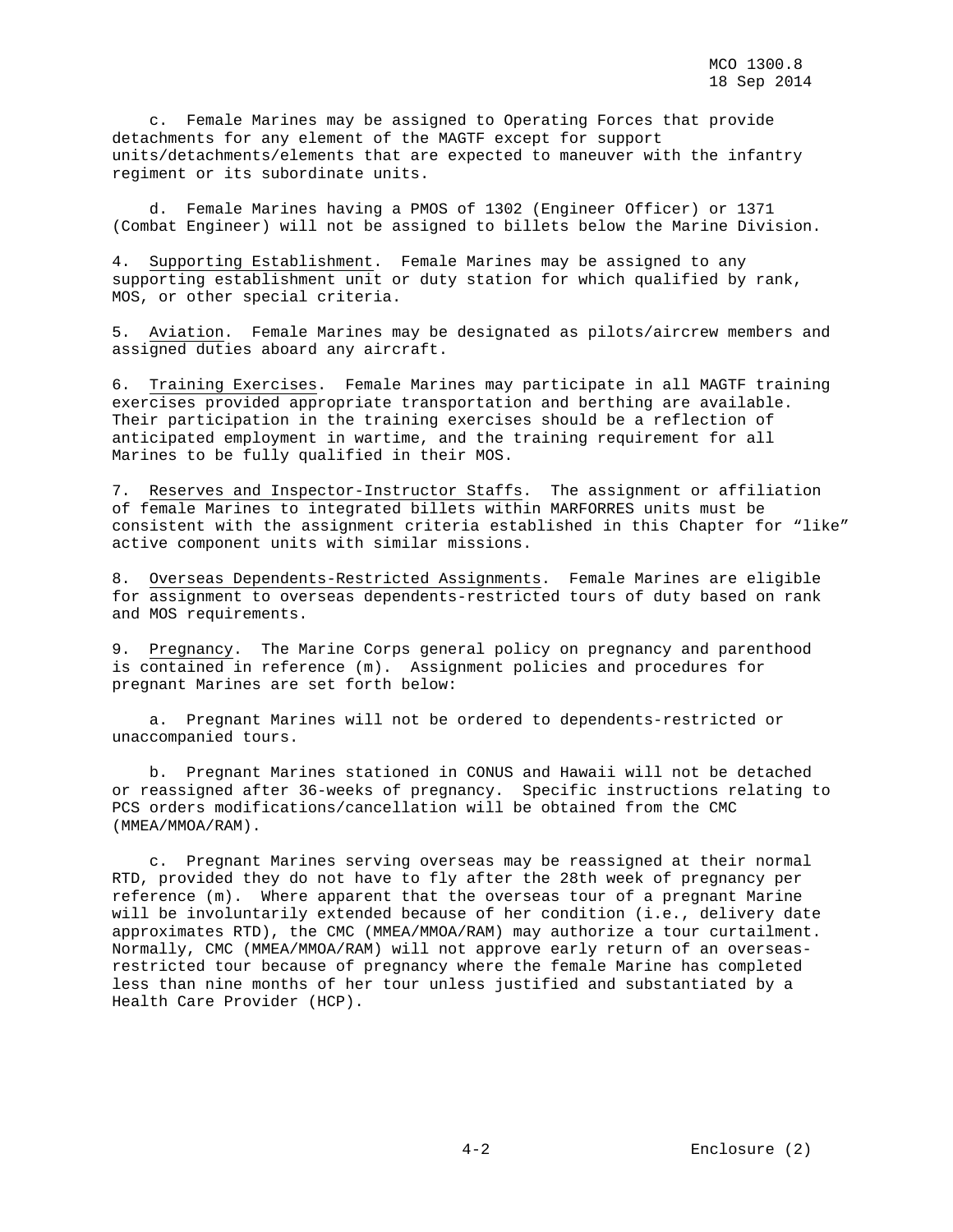c. Female Marines may be assigned to Operating Forces that provide detachments for any element of the MAGTF except for support units/detachments/elements that are expected to maneuver with the infantry regiment or its subordinate units.

 d. Female Marines having a PMOS of 1302 (Engineer Officer) or 1371 (Combat Engineer) will not be assigned to billets below the Marine Division.

4. Supporting Establishment. Female Marines may be assigned to any supporting establishment unit or duty station for which qualified by rank, MOS, or other special criteria.

5. Aviation. Female Marines may be designated as pilots/aircrew members and assigned duties aboard any aircraft.

6. Training Exercises. Female Marines may participate in all MAGTF training exercises provided appropriate transportation and berthing are available. Their participation in the training exercises should be a reflection of anticipated employment in wartime, and the training requirement for all Marines to be fully qualified in their MOS.

7. Reserves and Inspector-Instructor Staffs. The assignment or affiliation of female Marines to integrated billets within MARFORRES units must be consistent with the assignment criteria established in this Chapter for "like" active component units with similar missions.

8. Overseas Dependents-Restricted Assignments. Female Marines are eligible for assignment to overseas dependents-restricted tours of duty based on rank and MOS requirements.

9. Pregnancy. The Marine Corps general policy on pregnancy and parenthood is contained in reference (m). Assignment policies and procedures for pregnant Marines are set forth below:

 a. Pregnant Marines will not be ordered to dependents-restricted or unaccompanied tours.

 b. Pregnant Marines stationed in CONUS and Hawaii will not be detached or reassigned after 36-weeks of pregnancy. Specific instructions relating to PCS orders modifications/cancellation will be obtained from the CMC (MMEA/MMOA/RAM).

 c. Pregnant Marines serving overseas may be reassigned at their normal RTD, provided they do not have to fly after the 28th week of pregnancy per reference (m). Where apparent that the overseas tour of a pregnant Marine will be involuntarily extended because of her condition (i.e., delivery date approximates RTD), the CMC (MMEA/MMOA/RAM) may authorize a tour curtailment. Normally, CMC (MMEA/MMOA/RAM) will not approve early return of an overseasrestricted tour because of pregnancy where the female Marine has completed less than nine months of her tour unless justified and substantiated by a Health Care Provider (HCP).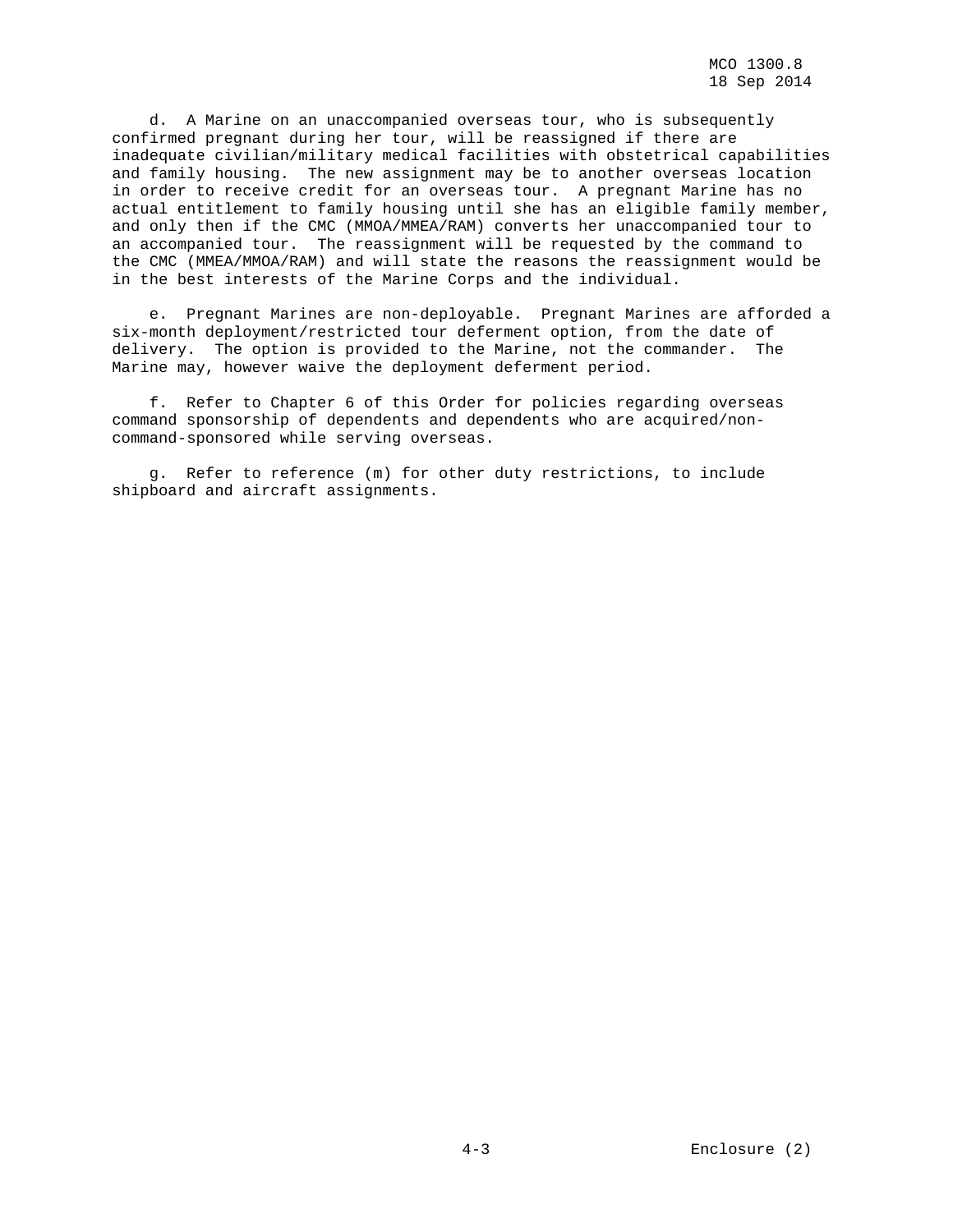d. A Marine on an unaccompanied overseas tour, who is subsequently confirmed pregnant during her tour, will be reassigned if there are inadequate civilian/military medical facilities with obstetrical capabilities and family housing. The new assignment may be to another overseas location in order to receive credit for an overseas tour. A pregnant Marine has no actual entitlement to family housing until she has an eligible family member, and only then if the CMC (MMOA/MMEA/RAM) converts her unaccompanied tour to an accompanied tour. The reassignment will be requested by the command to the CMC (MMEA/MMOA/RAM) and will state the reasons the reassignment would be in the best interests of the Marine Corps and the individual.

 e. Pregnant Marines are non-deployable. Pregnant Marines are afforded a six-month deployment/restricted tour deferment option, from the date of delivery. The option is provided to the Marine, not the commander. The Marine may, however waive the deployment deferment period.

 f. Refer to Chapter 6 of this Order for policies regarding overseas command sponsorship of dependents and dependents who are acquired/noncommand-sponsored while serving overseas.

 g. Refer to reference (m) for other duty restrictions, to include shipboard and aircraft assignments.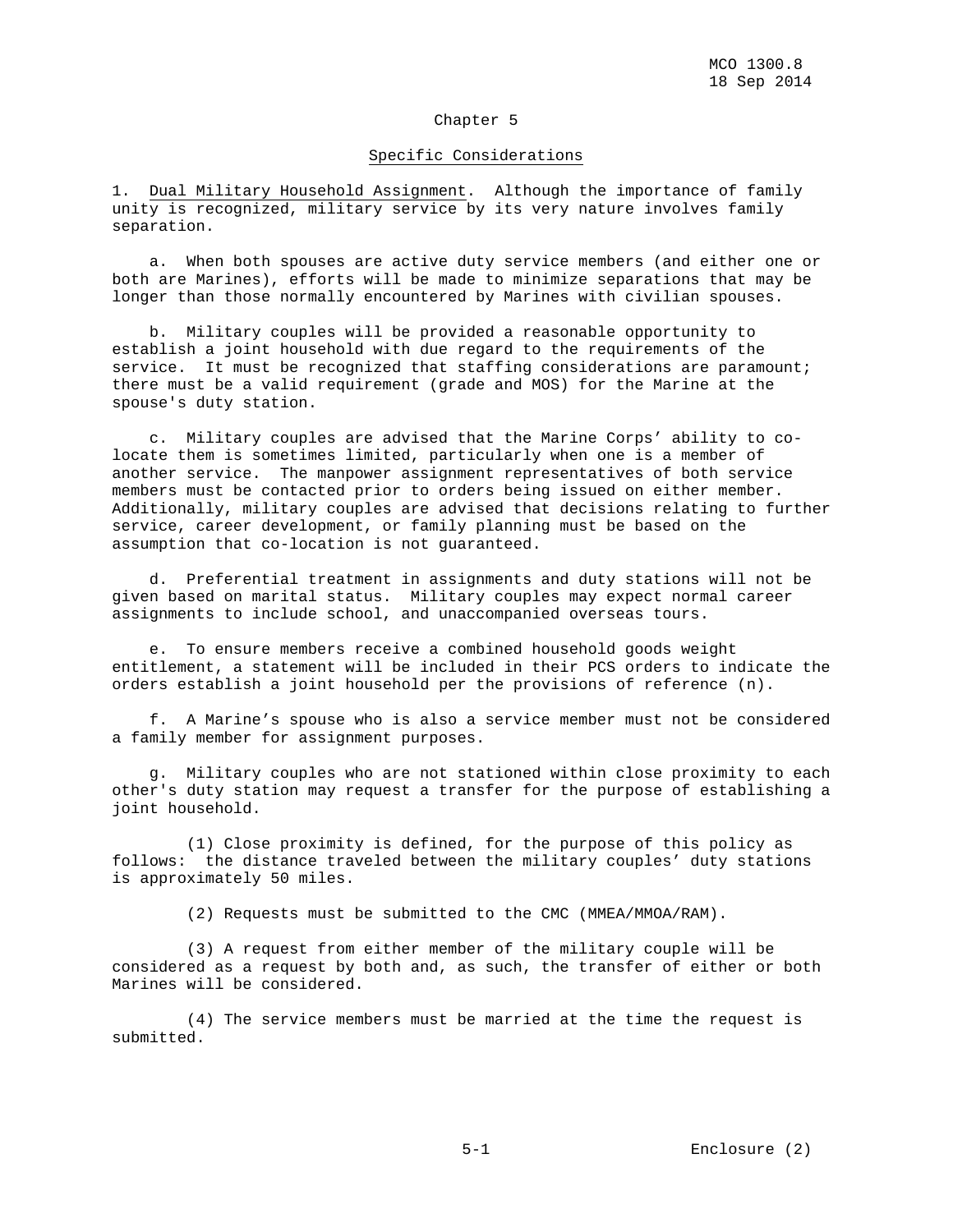## Chapter 5

#### Specific Considerations

1. Dual Military Household Assignment. Although the importance of family unity is recognized, military service by its very nature involves family separation.

 a. When both spouses are active duty service members (and either one or both are Marines), efforts will be made to minimize separations that may be longer than those normally encountered by Marines with civilian spouses.

 b. Military couples will be provided a reasonable opportunity to establish a joint household with due regard to the requirements of the service. It must be recognized that staffing considerations are paramount; there must be a valid requirement (grade and MOS) for the Marine at the spouse's duty station.

 c. Military couples are advised that the Marine Corps' ability to colocate them is sometimes limited, particularly when one is a member of another service. The manpower assignment representatives of both service members must be contacted prior to orders being issued on either member. Additionally, military couples are advised that decisions relating to further service, career development, or family planning must be based on the assumption that co-location is not guaranteed.

 d. Preferential treatment in assignments and duty stations will not be given based on marital status. Military couples may expect normal career assignments to include school, and unaccompanied overseas tours.

 e. To ensure members receive a combined household goods weight entitlement, a statement will be included in their PCS orders to indicate the orders establish a joint household per the provisions of reference (n).

 f. A Marine's spouse who is also a service member must not be considered a family member for assignment purposes.

 g. Military couples who are not stationed within close proximity to each other's duty station may request a transfer for the purpose of establishing a joint household.

 (1) Close proximity is defined, for the purpose of this policy as follows: the distance traveled between the military couples' duty stations is approximately 50 miles.

(2) Requests must be submitted to the CMC (MMEA/MMOA/RAM).

 (3) A request from either member of the military couple will be considered as a request by both and, as such, the transfer of either or both Marines will be considered.

 (4) The service members must be married at the time the request is submitted.

5-1 Enclosure (2)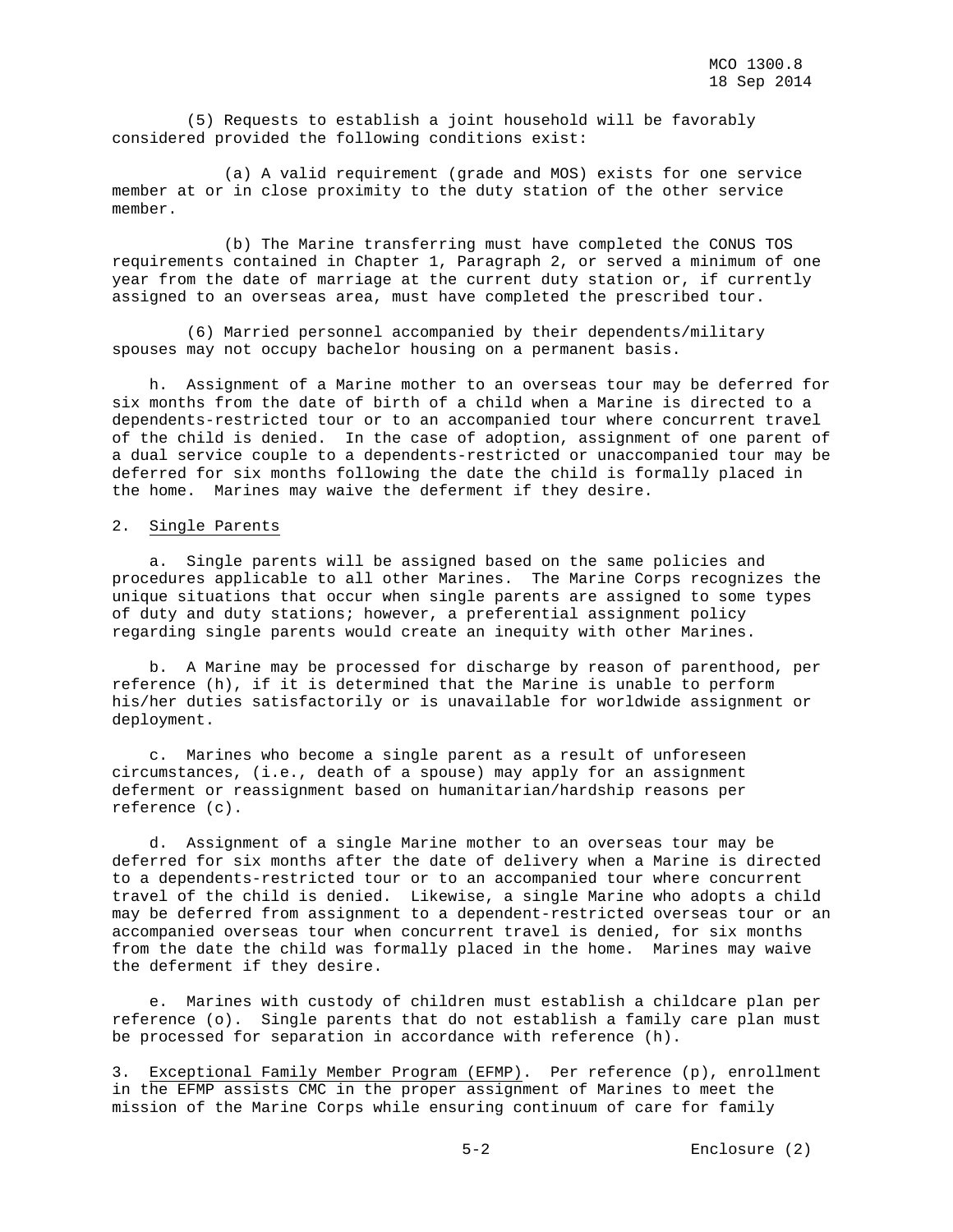(5) Requests to establish a joint household will be favorably considered provided the following conditions exist:

 (a) A valid requirement (grade and MOS) exists for one service member at or in close proximity to the duty station of the other service member.

 (b) The Marine transferring must have completed the CONUS TOS requirements contained in Chapter 1, Paragraph 2, or served a minimum of one year from the date of marriage at the current duty station or, if currently assigned to an overseas area, must have completed the prescribed tour.

 (6) Married personnel accompanied by their dependents/military spouses may not occupy bachelor housing on a permanent basis.

 h. Assignment of a Marine mother to an overseas tour may be deferred for six months from the date of birth of a child when a Marine is directed to a dependents-restricted tour or to an accompanied tour where concurrent travel of the child is denied. In the case of adoption, assignment of one parent of a dual service couple to a dependents-restricted or unaccompanied tour may be deferred for six months following the date the child is formally placed in the home. Marines may waive the deferment if they desire.

## 2. Single Parents

 a. Single parents will be assigned based on the same policies and procedures applicable to all other Marines. The Marine Corps recognizes the unique situations that occur when single parents are assigned to some types of duty and duty stations; however, a preferential assignment policy regarding single parents would create an inequity with other Marines.

 b. A Marine may be processed for discharge by reason of parenthood, per reference (h), if it is determined that the Marine is unable to perform his/her duties satisfactorily or is unavailable for worldwide assignment or deployment.

 c. Marines who become a single parent as a result of unforeseen circumstances, (i.e., death of a spouse) may apply for an assignment deferment or reassignment based on humanitarian/hardship reasons per reference (c).

 d. Assignment of a single Marine mother to an overseas tour may be deferred for six months after the date of delivery when a Marine is directed to a dependents-restricted tour or to an accompanied tour where concurrent travel of the child is denied. Likewise, a single Marine who adopts a child may be deferred from assignment to a dependent-restricted overseas tour or an accompanied overseas tour when concurrent travel is denied, for six months from the date the child was formally placed in the home. Marines may waive the deferment if they desire.

 e. Marines with custody of children must establish a childcare plan per reference (o). Single parents that do not establish a family care plan must be processed for separation in accordance with reference (h).

3. Exceptional Family Member Program (EFMP). Per reference (p), enrollment in the EFMP assists CMC in the proper assignment of Marines to meet the mission of the Marine Corps while ensuring continuum of care for family

5-2 Enclosure (2)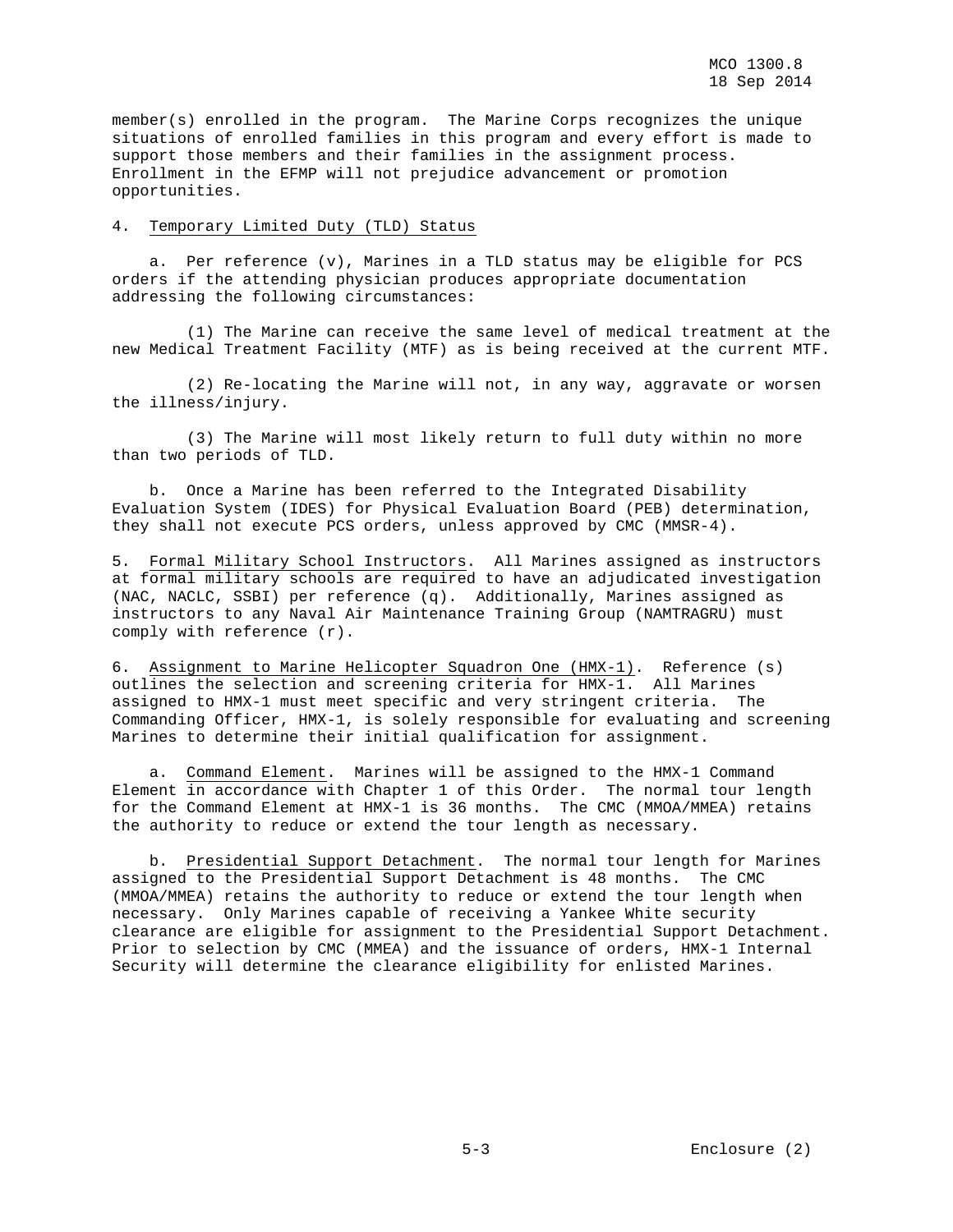member(s) enrolled in the program. The Marine Corps recognizes the unique situations of enrolled families in this program and every effort is made to support those members and their families in the assignment process. Enrollment in the EFMP will not prejudice advancement or promotion opportunities.

#### 4. Temporary Limited Duty (TLD) Status

 a. Per reference (v), Marines in a TLD status may be eligible for PCS orders if the attending physician produces appropriate documentation addressing the following circumstances:

 (1) The Marine can receive the same level of medical treatment at the new Medical Treatment Facility (MTF) as is being received at the current MTF.

 (2) Re-locating the Marine will not, in any way, aggravate or worsen the illness/injury.

 (3) The Marine will most likely return to full duty within no more than two periods of TLD.

 b. Once a Marine has been referred to the Integrated Disability Evaluation System (IDES) for Physical Evaluation Board (PEB) determination, they shall not execute PCS orders, unless approved by CMC (MMSR-4).

5. Formal Military School Instructors. All Marines assigned as instructors at formal military schools are required to have an adjudicated investigation (NAC, NACLC, SSBI) per reference (q). Additionally, Marines assigned as instructors to any Naval Air Maintenance Training Group (NAMTRAGRU) must comply with reference (r).

6. Assignment to Marine Helicopter Squadron One (HMX-1). Reference (s) outlines the selection and screening criteria for HMX-1. All Marines assigned to HMX-1 must meet specific and very stringent criteria. The Commanding Officer, HMX-1, is solely responsible for evaluating and screening Marines to determine their initial qualification for assignment.

 a. Command Element. Marines will be assigned to the HMX-1 Command Element in accordance with Chapter 1 of this Order. The normal tour length for the Command Element at HMX-1 is 36 months. The CMC (MMOA/MMEA) retains the authority to reduce or extend the tour length as necessary.

 b. Presidential Support Detachment. The normal tour length for Marines assigned to the Presidential Support Detachment is 48 months. The CMC (MMOA/MMEA) retains the authority to reduce or extend the tour length when necessary. Only Marines capable of receiving a Yankee White security clearance are eligible for assignment to the Presidential Support Detachment. Prior to selection by CMC (MMEA) and the issuance of orders, HMX-1 Internal Security will determine the clearance eligibility for enlisted Marines.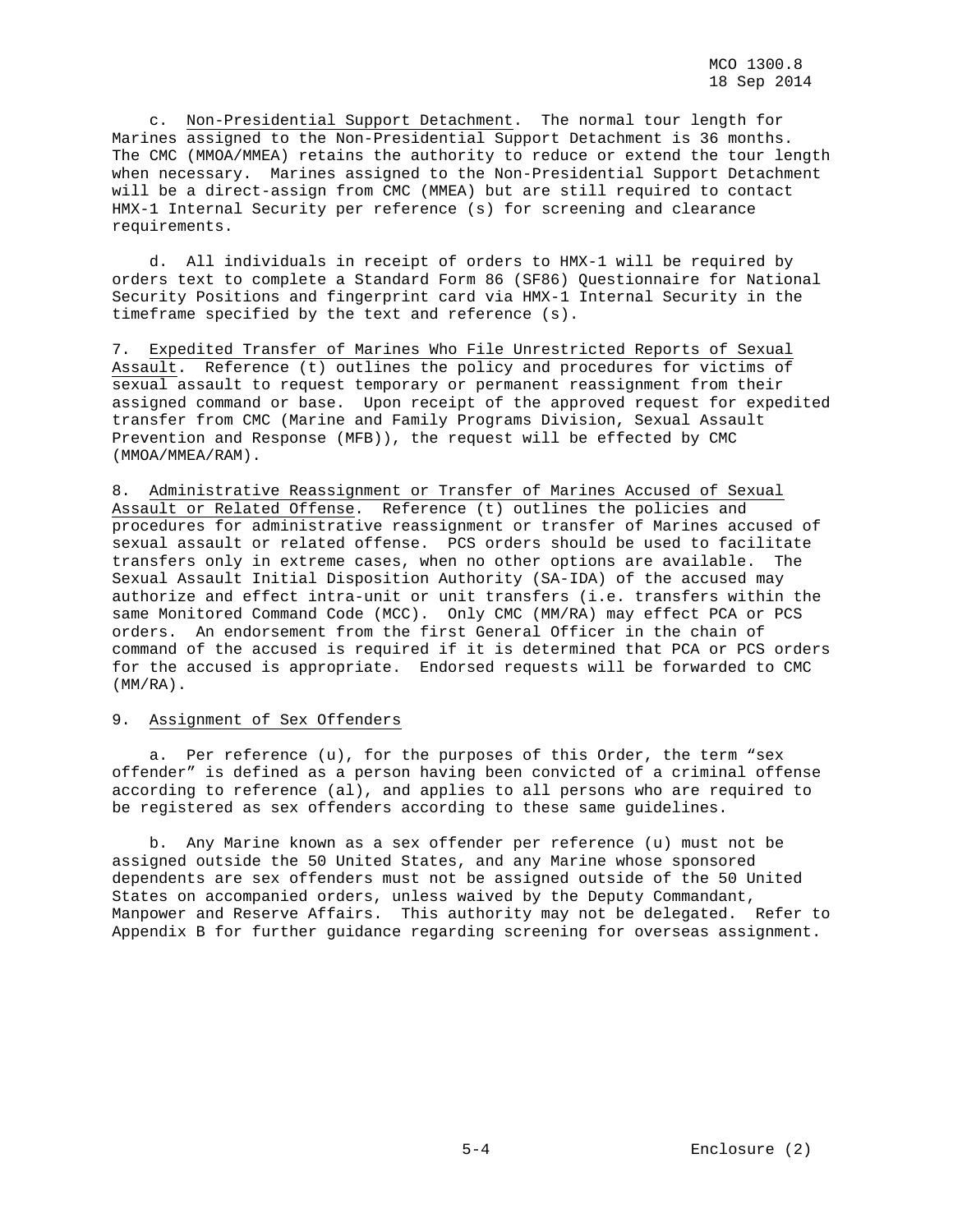c. Non-Presidential Support Detachment. The normal tour length for Marines assigned to the Non-Presidential Support Detachment is 36 months. The CMC (MMOA/MMEA) retains the authority to reduce or extend the tour length when necessary. Marines assigned to the Non-Presidential Support Detachment will be a direct-assign from CMC (MMEA) but are still required to contact HMX-1 Internal Security per reference (s) for screening and clearance requirements.

 d. All individuals in receipt of orders to HMX-1 will be required by orders text to complete a Standard Form 86 (SF86) Questionnaire for National Security Positions and fingerprint card via HMX-1 Internal Security in the timeframe specified by the text and reference (s).

7. Expedited Transfer of Marines Who File Unrestricted Reports of Sexual Assault. Reference (t) outlines the policy and procedures for victims of sexual assault to request temporary or permanent reassignment from their assigned command or base. Upon receipt of the approved request for expedited transfer from CMC (Marine and Family Programs Division, Sexual Assault Prevention and Response (MFB)), the request will be effected by CMC (MMOA/MMEA/RAM).

8. Administrative Reassignment or Transfer of Marines Accused of Sexual Assault or Related Offense. Reference (t) outlines the policies and procedures for administrative reassignment or transfer of Marines accused of sexual assault or related offense. PCS orders should be used to facilitate transfers only in extreme cases, when no other options are available. The Sexual Assault Initial Disposition Authority (SA-IDA) of the accused may authorize and effect intra-unit or unit transfers (i.e. transfers within the same Monitored Command Code (MCC). Only CMC (MM/RA) may effect PCA or PCS orders. An endorsement from the first General Officer in the chain of command of the accused is required if it is determined that PCA or PCS orders for the accused is appropriate. Endorsed requests will be forwarded to CMC (MM/RA).

## 9. Assignment of Sex Offenders

 a. Per reference (u), for the purposes of this Order, the term "sex offender" is defined as a person having been convicted of a criminal offense according to reference (al), and applies to all persons who are required to be registered as sex offenders according to these same guidelines.

 b. Any Marine known as a sex offender per reference (u) must not be assigned outside the 50 United States, and any Marine whose sponsored dependents are sex offenders must not be assigned outside of the 50 United States on accompanied orders, unless waived by the Deputy Commandant, Manpower and Reserve Affairs. This authority may not be delegated. Refer to Appendix B for further guidance regarding screening for overseas assignment.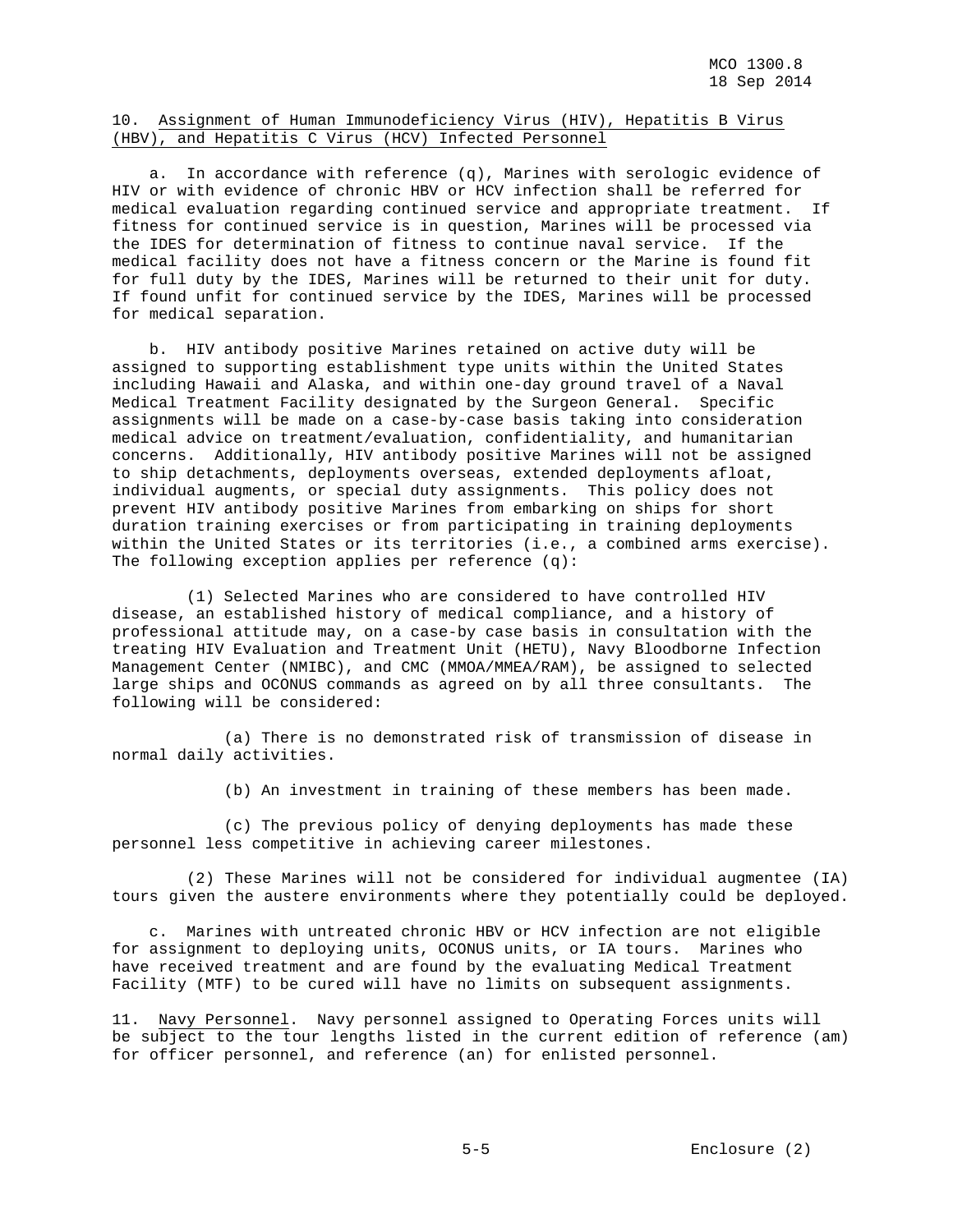## 10. Assignment of Human Immunodeficiency Virus (HIV), Hepatitis B Virus (HBV), and Hepatitis C Virus (HCV) Infected Personnel

 a. In accordance with reference (q), Marines with serologic evidence of HIV or with evidence of chronic HBV or HCV infection shall be referred for medical evaluation regarding continued service and appropriate treatment. If fitness for continued service is in question, Marines will be processed via the IDES for determination of fitness to continue naval service. If the medical facility does not have a fitness concern or the Marine is found fit for full duty by the IDES, Marines will be returned to their unit for duty. If found unfit for continued service by the IDES, Marines will be processed for medical separation.

 b. HIV antibody positive Marines retained on active duty will be assigned to supporting establishment type units within the United States including Hawaii and Alaska, and within one-day ground travel of a Naval Medical Treatment Facility designated by the Surgeon General. Specific assignments will be made on a case-by-case basis taking into consideration medical advice on treatment/evaluation, confidentiality, and humanitarian concerns. Additionally, HIV antibody positive Marines will not be assigned to ship detachments, deployments overseas, extended deployments afloat, individual augments, or special duty assignments. This policy does not prevent HIV antibody positive Marines from embarking on ships for short duration training exercises or from participating in training deployments within the United States or its territories (i.e., a combined arms exercise). The following exception applies per reference (q):

 (1) Selected Marines who are considered to have controlled HIV disease, an established history of medical compliance, and a history of professional attitude may, on a case-by case basis in consultation with the treating HIV Evaluation and Treatment Unit (HETU), Navy Bloodborne Infection Management Center (NMIBC), and CMC (MMOA/MMEA/RAM), be assigned to selected large ships and OCONUS commands as agreed on by all three consultants. The following will be considered:

 (a) There is no demonstrated risk of transmission of disease in normal daily activities.

(b) An investment in training of these members has been made.

 (c) The previous policy of denying deployments has made these personnel less competitive in achieving career milestones.

 (2) These Marines will not be considered for individual augmentee (IA) tours given the austere environments where they potentially could be deployed.

 c. Marines with untreated chronic HBV or HCV infection are not eligible for assignment to deploying units, OCONUS units, or IA tours. Marines who have received treatment and are found by the evaluating Medical Treatment Facility (MTF) to be cured will have no limits on subsequent assignments.

11. Navy Personnel. Navy personnel assigned to Operating Forces units will be subject to the tour lengths listed in the current edition of reference (am) for officer personnel, and reference (an) for enlisted personnel.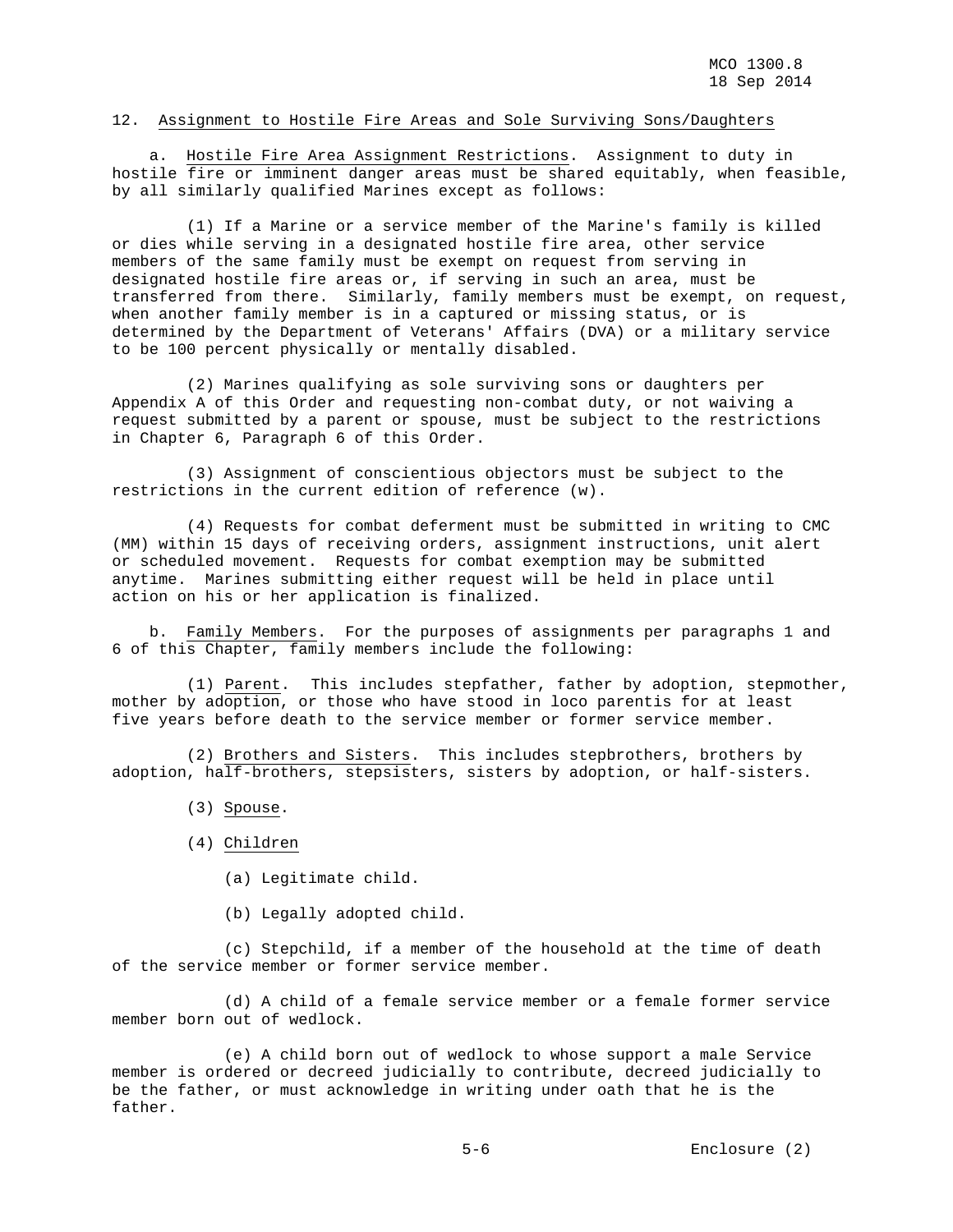### 12. Assignment to Hostile Fire Areas and Sole Surviving Sons/Daughters

 a. Hostile Fire Area Assignment Restrictions. Assignment to duty in hostile fire or imminent danger areas must be shared equitably, when feasible, by all similarly qualified Marines except as follows:

 (1) If a Marine or a service member of the Marine's family is killed or dies while serving in a designated hostile fire area, other service members of the same family must be exempt on request from serving in designated hostile fire areas or, if serving in such an area, must be transferred from there. Similarly, family members must be exempt, on request, when another family member is in a captured or missing status, or is determined by the Department of Veterans' Affairs (DVA) or a military service to be 100 percent physically or mentally disabled.

 (2) Marines qualifying as sole surviving sons or daughters per Appendix A of this Order and requesting non-combat duty, or not waiving a request submitted by a parent or spouse, must be subject to the restrictions in Chapter 6, Paragraph 6 of this Order.

 (3) Assignment of conscientious objectors must be subject to the restrictions in the current edition of reference (w).

 (4) Requests for combat deferment must be submitted in writing to CMC (MM) within 15 days of receiving orders, assignment instructions, unit alert or scheduled movement. Requests for combat exemption may be submitted anytime. Marines submitting either request will be held in place until action on his or her application is finalized.

 b. Family Members. For the purposes of assignments per paragraphs 1 and 6 of this Chapter, family members include the following:

 (1) Parent. This includes stepfather, father by adoption, stepmother, mother by adoption, or those who have stood in loco parentis for at least five years before death to the service member or former service member.

 (2) Brothers and Sisters. This includes stepbrothers, brothers by adoption, half-brothers, stepsisters, sisters by adoption, or half-sisters.

(3) Spouse.

(4) Children

- (a) Legitimate child.
- (b) Legally adopted child.

 (c) Stepchild, if a member of the household at the time of death of the service member or former service member.

 (d) A child of a female service member or a female former service member born out of wedlock.

 (e) A child born out of wedlock to whose support a male Service member is ordered or decreed judicially to contribute, decreed judicially to be the father, or must acknowledge in writing under oath that he is the father.

5-6 Enclosure (2)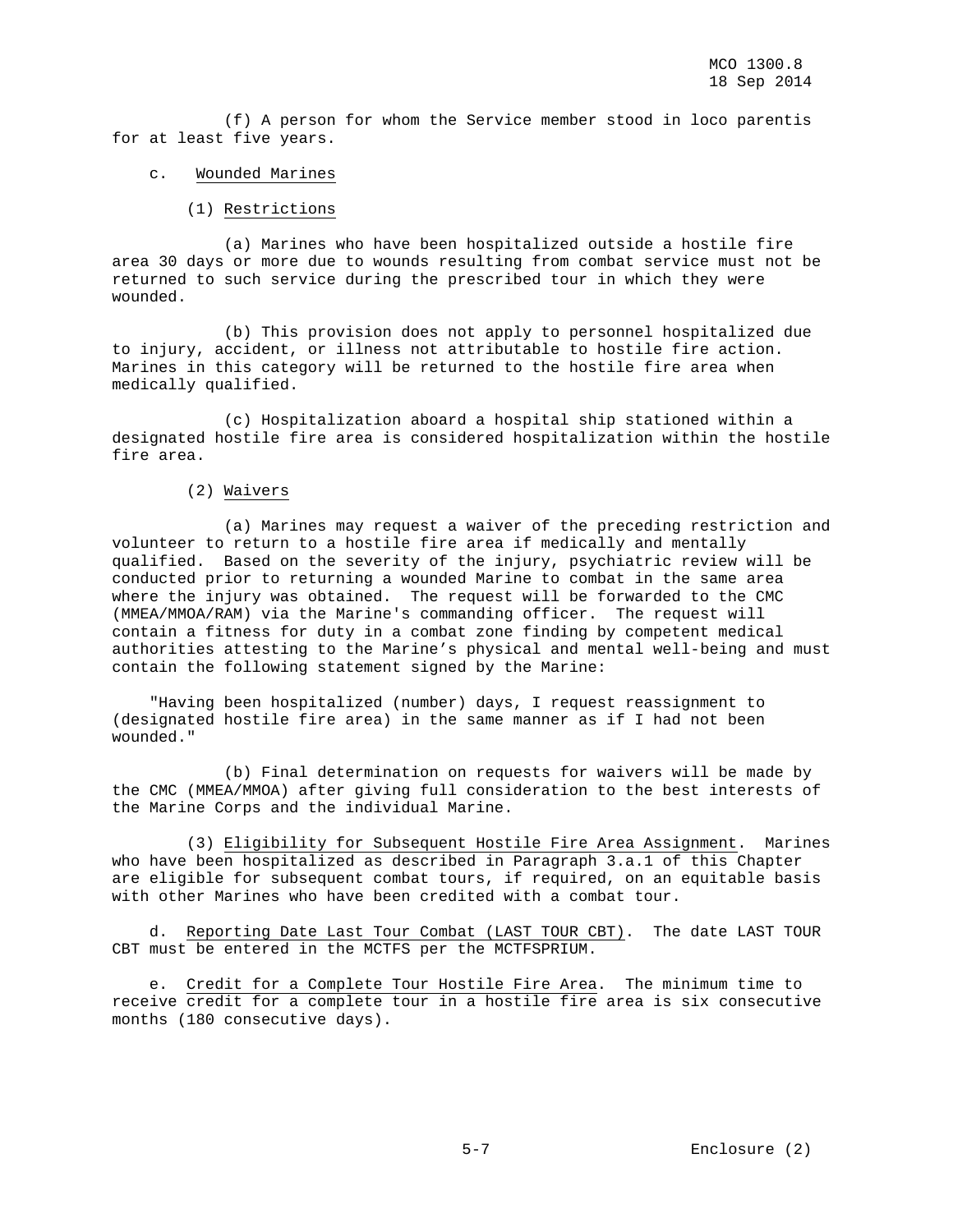(f) A person for whom the Service member stood in loco parentis for at least five years.

## c. Wounded Marines

(1) Restrictions

 (a) Marines who have been hospitalized outside a hostile fire area 30 days or more due to wounds resulting from combat service must not be returned to such service during the prescribed tour in which they were wounded.

 (b) This provision does not apply to personnel hospitalized due to injury, accident, or illness not attributable to hostile fire action. Marines in this category will be returned to the hostile fire area when medically qualified.

 (c) Hospitalization aboard a hospital ship stationed within a designated hostile fire area is considered hospitalization within the hostile fire area.

## (2) Waivers

 (a) Marines may request a waiver of the preceding restriction and volunteer to return to a hostile fire area if medically and mentally qualified. Based on the severity of the injury, psychiatric review will be conducted prior to returning a wounded Marine to combat in the same area where the injury was obtained. The request will be forwarded to the CMC (MMEA/MMOA/RAM) via the Marine's commanding officer. The request will contain a fitness for duty in a combat zone finding by competent medical authorities attesting to the Marine's physical and mental well-being and must contain the following statement signed by the Marine:

 "Having been hospitalized (number) days, I request reassignment to (designated hostile fire area) in the same manner as if I had not been wounded."

 (b) Final determination on requests for waivers will be made by the CMC (MMEA/MMOA) after giving full consideration to the best interests of the Marine Corps and the individual Marine.

 (3) Eligibility for Subsequent Hostile Fire Area Assignment. Marines who have been hospitalized as described in Paragraph 3.a.1 of this Chapter are eligible for subsequent combat tours, if required, on an equitable basis with other Marines who have been credited with a combat tour.

 d. Reporting Date Last Tour Combat (LAST TOUR CBT). The date LAST TOUR CBT must be entered in the MCTFS per the MCTFSPRIUM.

 e. Credit for a Complete Tour Hostile Fire Area. The minimum time to receive credit for a complete tour in a hostile fire area is six consecutive months (180 consecutive days).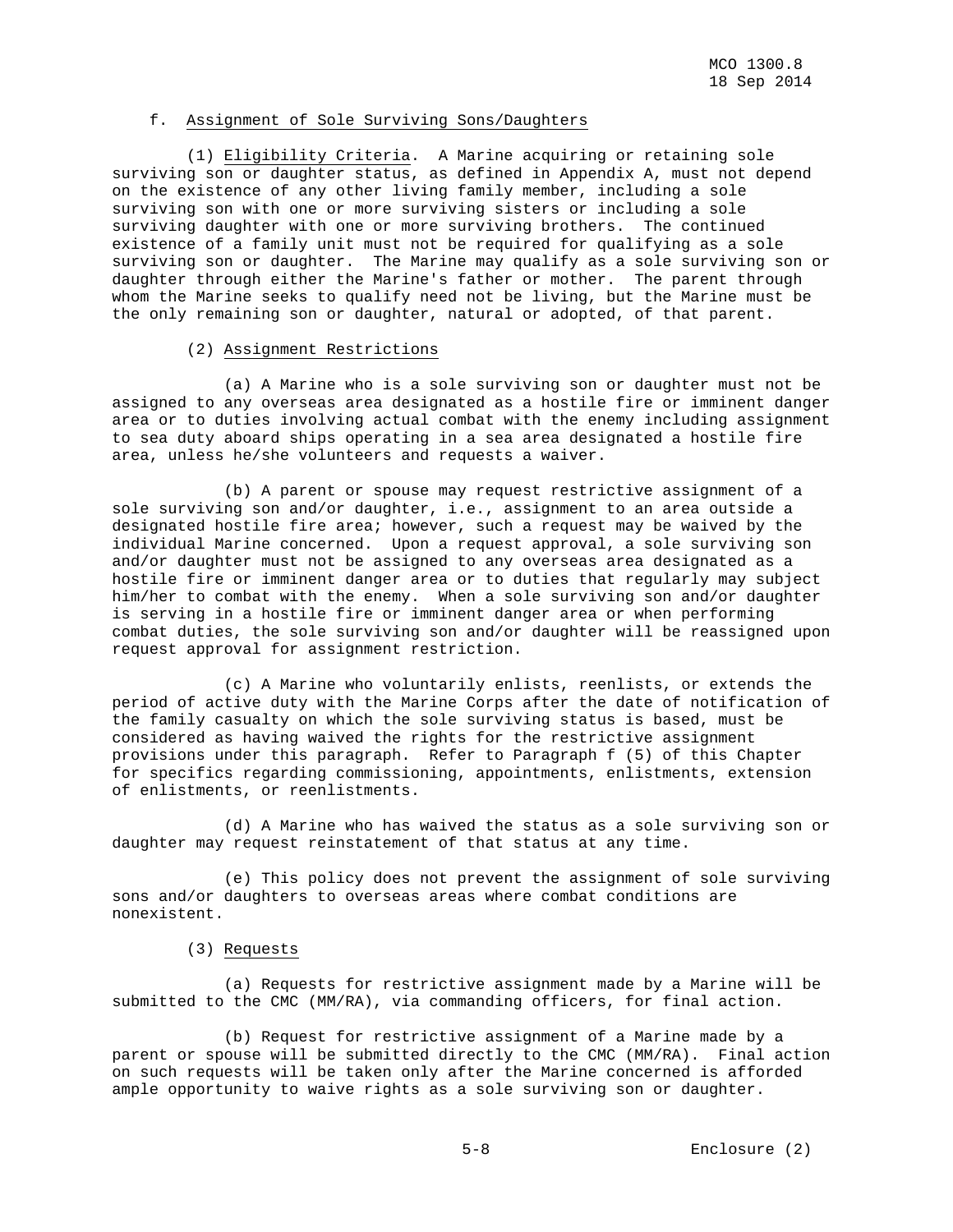## f. Assignment of Sole Surviving Sons/Daughters

 (1) Eligibility Criteria. A Marine acquiring or retaining sole surviving son or daughter status, as defined in Appendix A, must not depend on the existence of any other living family member, including a sole surviving son with one or more surviving sisters or including a sole surviving daughter with one or more surviving brothers. The continued existence of a family unit must not be required for qualifying as a sole surviving son or daughter. The Marine may qualify as a sole surviving son or daughter through either the Marine's father or mother. The parent through whom the Marine seeks to qualify need not be living, but the Marine must be the only remaining son or daughter, natural or adopted, of that parent.

## (2) Assignment Restrictions

 (a) A Marine who is a sole surviving son or daughter must not be assigned to any overseas area designated as a hostile fire or imminent danger area or to duties involving actual combat with the enemy including assignment to sea duty aboard ships operating in a sea area designated a hostile fire area, unless he/she volunteers and requests a waiver.

 (b) A parent or spouse may request restrictive assignment of a sole surviving son and/or daughter, i.e., assignment to an area outside a designated hostile fire area; however, such a request may be waived by the individual Marine concerned. Upon a request approval, a sole surviving son and/or daughter must not be assigned to any overseas area designated as a hostile fire or imminent danger area or to duties that regularly may subject him/her to combat with the enemy. When a sole surviving son and/or daughter is serving in a hostile fire or imminent danger area or when performing combat duties, the sole surviving son and/or daughter will be reassigned upon request approval for assignment restriction.

 (c) A Marine who voluntarily enlists, reenlists, or extends the period of active duty with the Marine Corps after the date of notification of the family casualty on which the sole surviving status is based, must be considered as having waived the rights for the restrictive assignment provisions under this paragraph. Refer to Paragraph f (5) of this Chapter for specifics regarding commissioning, appointments, enlistments, extension of enlistments, or reenlistments.

 (d) A Marine who has waived the status as a sole surviving son or daughter may request reinstatement of that status at any time.

 (e) This policy does not prevent the assignment of sole surviving sons and/or daughters to overseas areas where combat conditions are nonexistent.

## (3) Requests

 (a) Requests for restrictive assignment made by a Marine will be submitted to the CMC (MM/RA), via commanding officers, for final action.

 (b) Request for restrictive assignment of a Marine made by a parent or spouse will be submitted directly to the CMC (MM/RA). Final action on such requests will be taken only after the Marine concerned is afforded ample opportunity to waive rights as a sole surviving son or daughter.

5-8 Enclosure (2)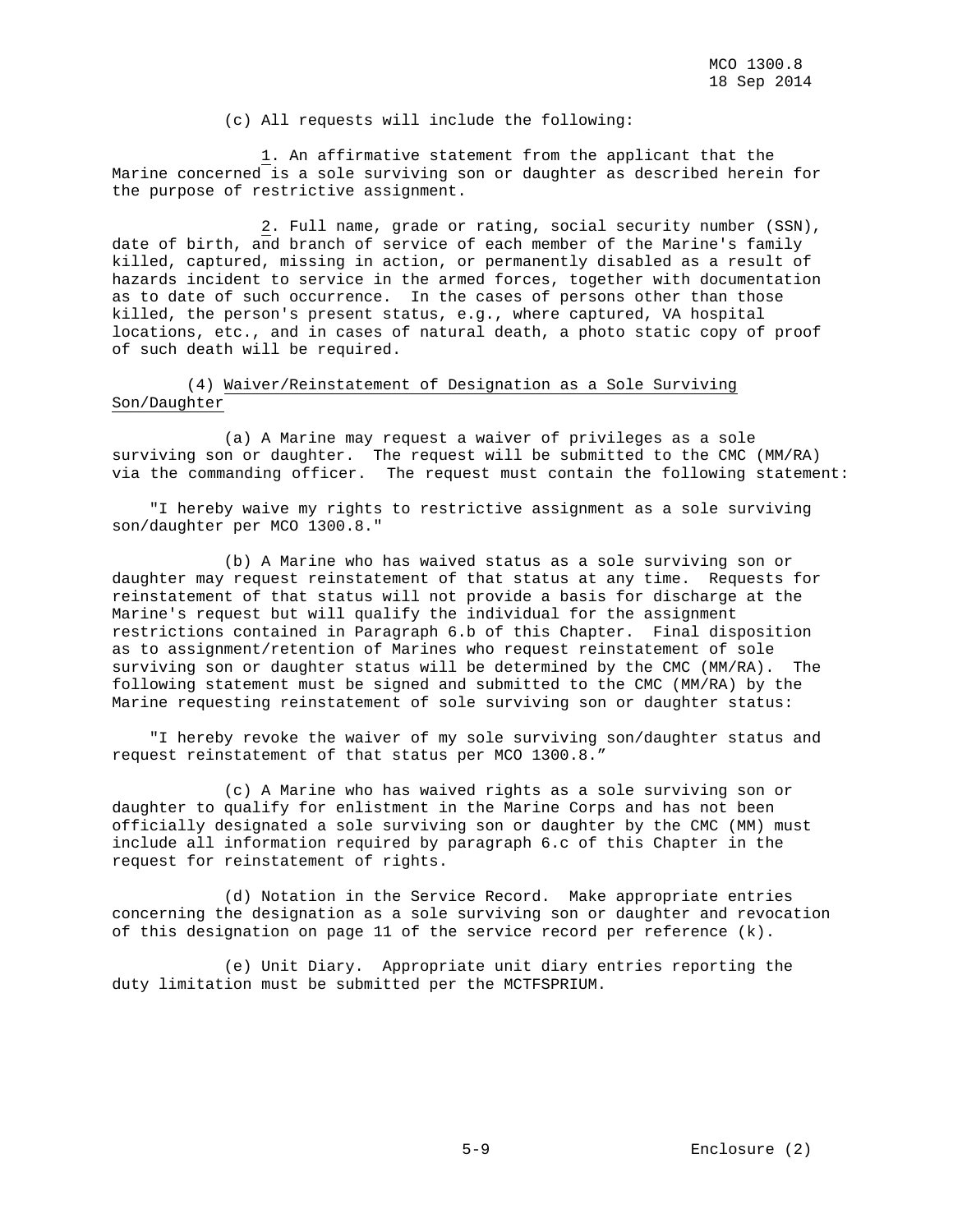(c) All requests will include the following:

 1. An affirmative statement from the applicant that the Marine concerned is a sole surviving son or daughter as described herein for the purpose of restrictive assignment.

 2. Full name, grade or rating, social security number (SSN), date of birth, and branch of service of each member of the Marine's family killed, captured, missing in action, or permanently disabled as a result of hazards incident to service in the armed forces, together with documentation as to date of such occurrence. In the cases of persons other than those killed, the person's present status, e.g., where captured, VA hospital locations, etc., and in cases of natural death, a photo static copy of proof of such death will be required.

 (4) Waiver/Reinstatement of Designation as a Sole Surviving Son/Daughter

 (a) A Marine may request a waiver of privileges as a sole surviving son or daughter. The request will be submitted to the CMC (MM/RA) via the commanding officer. The request must contain the following statement:

 "I hereby waive my rights to restrictive assignment as a sole surviving son/daughter per MCO 1300.8."

 (b) A Marine who has waived status as a sole surviving son or daughter may request reinstatement of that status at any time. Requests for reinstatement of that status will not provide a basis for discharge at the Marine's request but will qualify the individual for the assignment restrictions contained in Paragraph 6.b of this Chapter. Final disposition as to assignment/retention of Marines who request reinstatement of sole surviving son or daughter status will be determined by the CMC (MM/RA). The following statement must be signed and submitted to the CMC (MM/RA) by the Marine requesting reinstatement of sole surviving son or daughter status:

 "I hereby revoke the waiver of my sole surviving son/daughter status and request reinstatement of that status per MCO 1300.8."

 (c) A Marine who has waived rights as a sole surviving son or daughter to qualify for enlistment in the Marine Corps and has not been officially designated a sole surviving son or daughter by the CMC (MM) must include all information required by paragraph 6.c of this Chapter in the request for reinstatement of rights.

 (d) Notation in the Service Record. Make appropriate entries concerning the designation as a sole surviving son or daughter and revocation of this designation on page 11 of the service record per reference (k).

 (e) Unit Diary. Appropriate unit diary entries reporting the duty limitation must be submitted per the MCTFSPRIUM.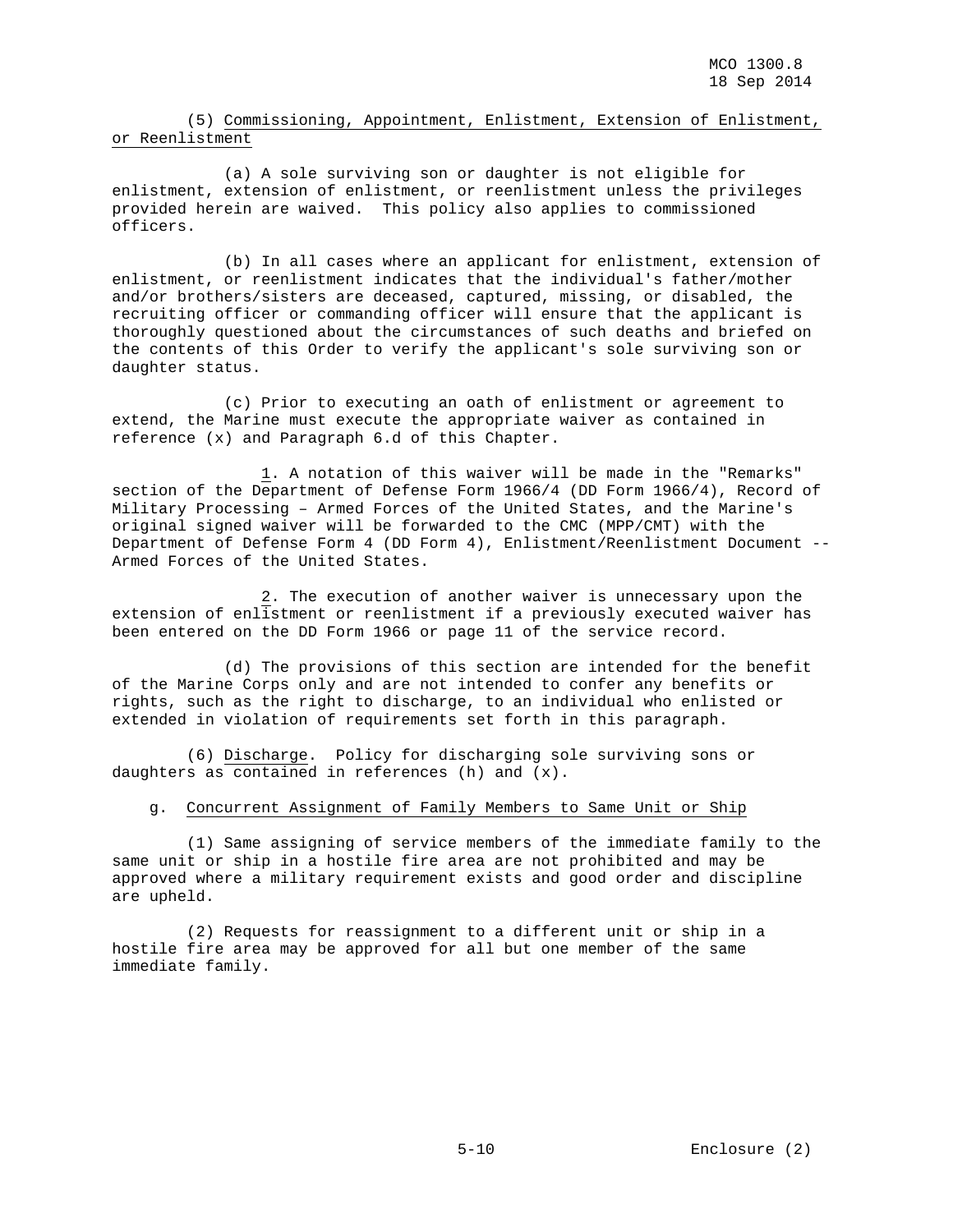(5) Commissioning, Appointment, Enlistment, Extension of Enlistment, or Reenlistment

 (a) A sole surviving son or daughter is not eligible for enlistment, extension of enlistment, or reenlistment unless the privileges provided herein are waived. This policy also applies to commissioned officers.

 (b) In all cases where an applicant for enlistment, extension of enlistment, or reenlistment indicates that the individual's father/mother and/or brothers/sisters are deceased, captured, missing, or disabled, the recruiting officer or commanding officer will ensure that the applicant is thoroughly questioned about the circumstances of such deaths and briefed on the contents of this Order to verify the applicant's sole surviving son or daughter status.

 (c) Prior to executing an oath of enlistment or agreement to extend, the Marine must execute the appropriate waiver as contained in reference (x) and Paragraph 6.d of this Chapter.

 1. A notation of this waiver will be made in the "Remarks" section of the Department of Defense Form 1966/4 (DD Form 1966/4), Record of Military Processing – Armed Forces of the United States, and the Marine's original signed waiver will be forwarded to the CMC (MPP/CMT) with the Department of Defense Form 4 (DD Form 4), Enlistment/Reenlistment Document -- Armed Forces of the United States.

 2. The execution of another waiver is unnecessary upon the extension of enlistment or reenlistment if a previously executed waiver has been entered on the DD Form 1966 or page 11 of the service record.

 (d) The provisions of this section are intended for the benefit of the Marine Corps only and are not intended to confer any benefits or rights, such as the right to discharge, to an individual who enlisted or extended in violation of requirements set forth in this paragraph.

 (6) Discharge. Policy for discharging sole surviving sons or daughters as contained in references (h) and (x).

#### g. Concurrent Assignment of Family Members to Same Unit or Ship

 (1) Same assigning of service members of the immediate family to the same unit or ship in a hostile fire area are not prohibited and may be approved where a military requirement exists and good order and discipline are upheld.

 (2) Requests for reassignment to a different unit or ship in a hostile fire area may be approved for all but one member of the same immediate family.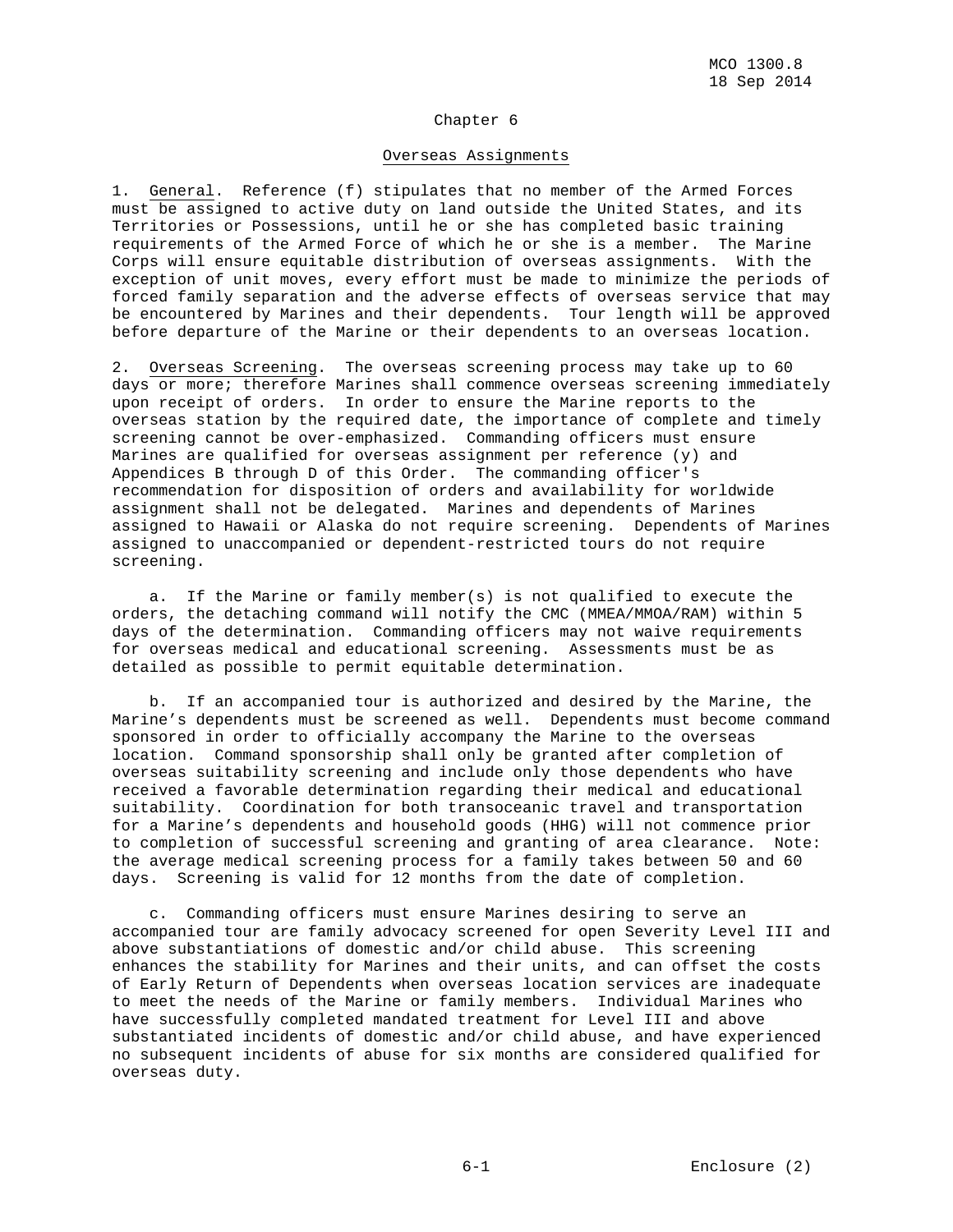## Chapter 6

## Overseas Assignments

1. General. Reference (f) stipulates that no member of the Armed Forces must be assigned to active duty on land outside the United States, and its Territories or Possessions, until he or she has completed basic training requirements of the Armed Force of which he or she is a member. The Marine Corps will ensure equitable distribution of overseas assignments. With the exception of unit moves, every effort must be made to minimize the periods of forced family separation and the adverse effects of overseas service that may be encountered by Marines and their dependents. Tour length will be approved before departure of the Marine or their dependents to an overseas location.

2. Overseas Screening. The overseas screening process may take up to 60 days or more; therefore Marines shall commence overseas screening immediately upon receipt of orders. In order to ensure the Marine reports to the overseas station by the required date, the importance of complete and timely screening cannot be over-emphasized. Commanding officers must ensure Marines are qualified for overseas assignment per reference (y) and Appendices B through D of this Order. The commanding officer's recommendation for disposition of orders and availability for worldwide assignment shall not be delegated. Marines and dependents of Marines assigned to Hawaii or Alaska do not require screening. Dependents of Marines assigned to unaccompanied or dependent-restricted tours do not require screening.

 a. If the Marine or family member(s) is not qualified to execute the orders, the detaching command will notify the CMC (MMEA/MMOA/RAM) within 5 days of the determination. Commanding officers may not waive requirements for overseas medical and educational screening. Assessments must be as detailed as possible to permit equitable determination.

 b. If an accompanied tour is authorized and desired by the Marine, the Marine's dependents must be screened as well. Dependents must become command sponsored in order to officially accompany the Marine to the overseas location. Command sponsorship shall only be granted after completion of overseas suitability screening and include only those dependents who have received a favorable determination regarding their medical and educational suitability. Coordination for both transoceanic travel and transportation for a Marine's dependents and household goods (HHG) will not commence prior to completion of successful screening and granting of area clearance. Note: the average medical screening process for a family takes between 50 and 60 days. Screening is valid for 12 months from the date of completion.

 c. Commanding officers must ensure Marines desiring to serve an accompanied tour are family advocacy screened for open Severity Level III and above substantiations of domestic and/or child abuse. This screening enhances the stability for Marines and their units, and can offset the costs of Early Return of Dependents when overseas location services are inadequate to meet the needs of the Marine or family members. Individual Marines who have successfully completed mandated treatment for Level III and above substantiated incidents of domestic and/or child abuse, and have experienced no subsequent incidents of abuse for six months are considered qualified for overseas duty.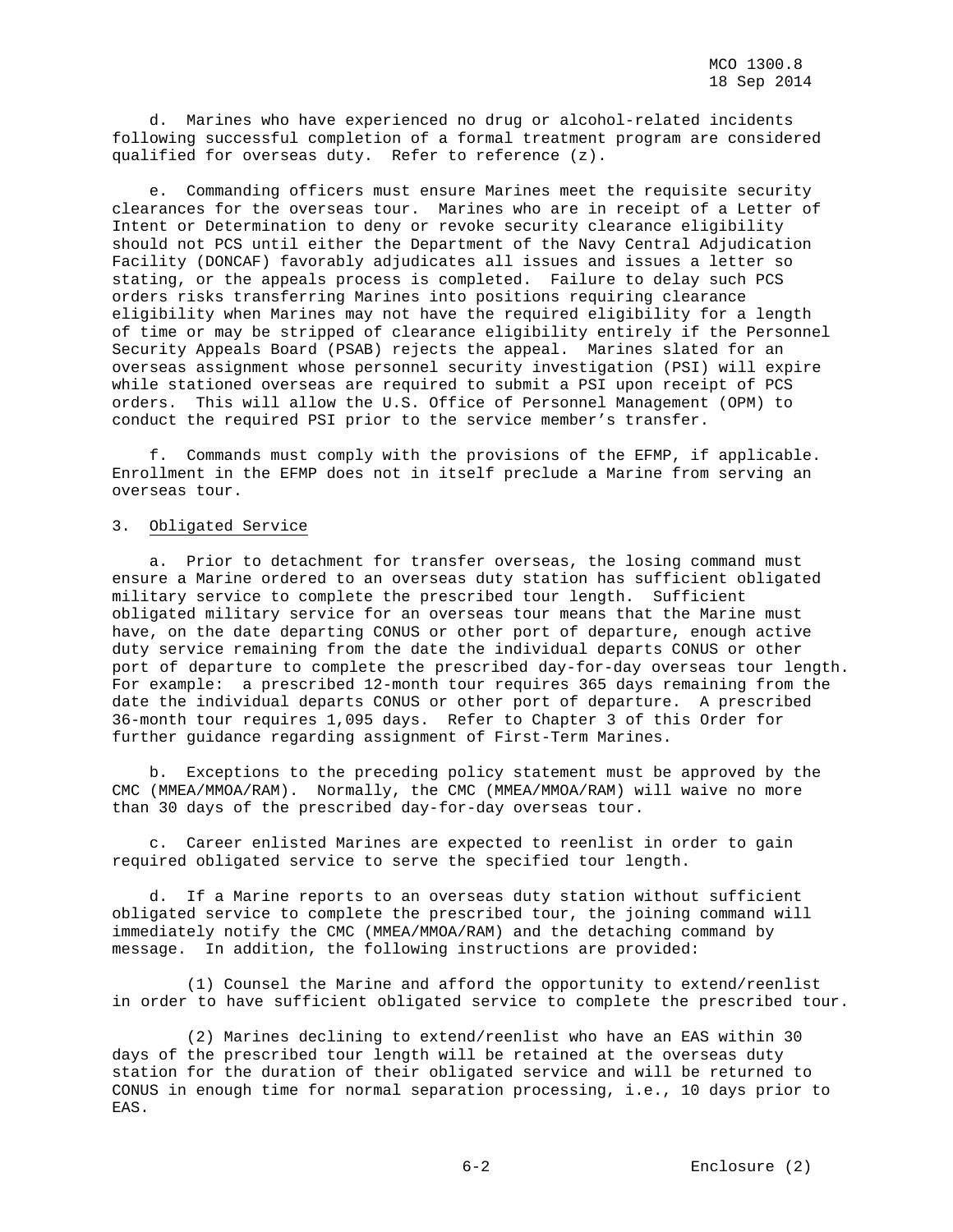d. Marines who have experienced no drug or alcohol-related incidents following successful completion of a formal treatment program are considered qualified for overseas duty. Refer to reference (z).

 e. Commanding officers must ensure Marines meet the requisite security clearances for the overseas tour. Marines who are in receipt of a Letter of Intent or Determination to deny or revoke security clearance eligibility should not PCS until either the Department of the Navy Central Adjudication Facility (DONCAF) favorably adjudicates all issues and issues a letter so stating, or the appeals process is completed. Failure to delay such PCS orders risks transferring Marines into positions requiring clearance eligibility when Marines may not have the required eligibility for a length of time or may be stripped of clearance eligibility entirely if the Personnel Security Appeals Board (PSAB) rejects the appeal. Marines slated for an overseas assignment whose personnel security investigation (PSI) will expire while stationed overseas are required to submit a PSI upon receipt of PCS orders. This will allow the U.S. Office of Personnel Management (OPM) to conduct the required PSI prior to the service member's transfer.

 f. Commands must comply with the provisions of the EFMP, if applicable. Enrollment in the EFMP does not in itself preclude a Marine from serving an overseas tour.

## 3. Obligated Service

 a. Prior to detachment for transfer overseas, the losing command must ensure a Marine ordered to an overseas duty station has sufficient obligated military service to complete the prescribed tour length. Sufficient obligated military service for an overseas tour means that the Marine must have, on the date departing CONUS or other port of departure, enough active duty service remaining from the date the individual departs CONUS or other port of departure to complete the prescribed day-for-day overseas tour length. For example: a prescribed 12-month tour requires 365 days remaining from the date the individual departs CONUS or other port of departure. A prescribed 36-month tour requires 1,095 days. Refer to Chapter 3 of this Order for further guidance regarding assignment of First-Term Marines.

 b. Exceptions to the preceding policy statement must be approved by the CMC (MMEA/MMOA/RAM). Normally, the CMC (MMEA/MMOA/RAM) will waive no more than 30 days of the prescribed day-for-day overseas tour.

 c. Career enlisted Marines are expected to reenlist in order to gain required obligated service to serve the specified tour length.

 d. If a Marine reports to an overseas duty station without sufficient obligated service to complete the prescribed tour, the joining command will immediately notify the CMC (MMEA/MMOA/RAM) and the detaching command by message. In addition, the following instructions are provided:

 (1) Counsel the Marine and afford the opportunity to extend/reenlist in order to have sufficient obligated service to complete the prescribed tour.

 (2) Marines declining to extend/reenlist who have an EAS within 30 days of the prescribed tour length will be retained at the overseas duty station for the duration of their obligated service and will be returned to CONUS in enough time for normal separation processing, i.e., 10 days prior to EAS.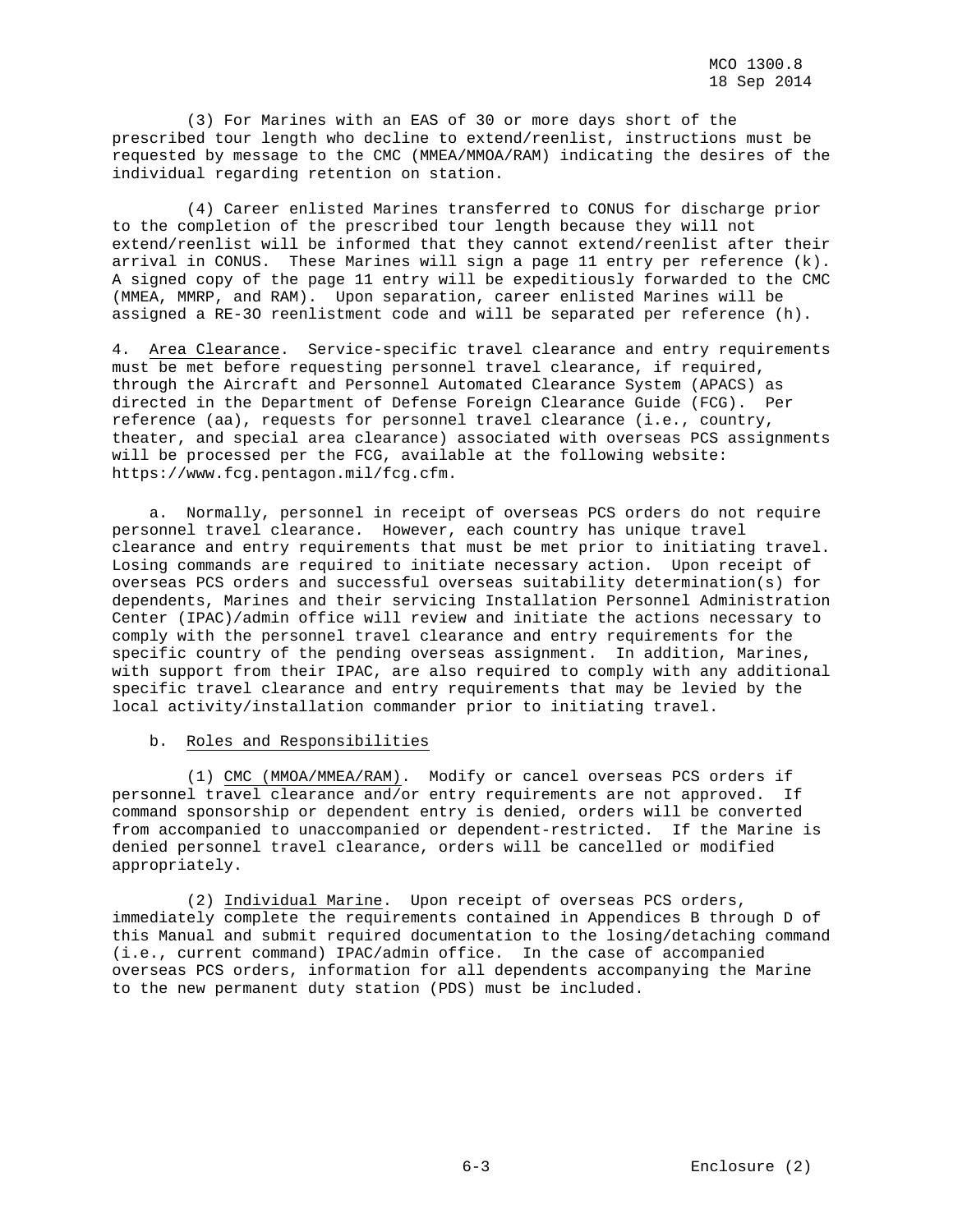(3) For Marines with an EAS of 30 or more days short of the prescribed tour length who decline to extend/reenlist, instructions must be requested by message to the CMC (MMEA/MMOA/RAM) indicating the desires of the individual regarding retention on station.

 (4) Career enlisted Marines transferred to CONUS for discharge prior to the completion of the prescribed tour length because they will not extend/reenlist will be informed that they cannot extend/reenlist after their arrival in CONUS. These Marines will sign a page 11 entry per reference (k). A signed copy of the page 11 entry will be expeditiously forwarded to the CMC (MMEA, MMRP, and RAM). Upon separation, career enlisted Marines will be assigned a RE-3O reenlistment code and will be separated per reference (h).

4. Area Clearance. Service-specific travel clearance and entry requirements must be met before requesting personnel travel clearance, if required, through the Aircraft and Personnel Automated Clearance System (APACS) as directed in the Department of Defense Foreign Clearance Guide (FCG). Per reference (aa), requests for personnel travel clearance (i.e., country, theater, and special area clearance) associated with overseas PCS assignments will be processed per the FCG, available at the following website: https://www.fcg.pentagon.mil/fcg.cfm.

 a. Normally, personnel in receipt of overseas PCS orders do not require personnel travel clearance. However, each country has unique travel clearance and entry requirements that must be met prior to initiating travel. Losing commands are required to initiate necessary action. Upon receipt of overseas PCS orders and successful overseas suitability determination(s) for dependents, Marines and their servicing Installation Personnel Administration Center (IPAC)/admin office will review and initiate the actions necessary to comply with the personnel travel clearance and entry requirements for the specific country of the pending overseas assignment. In addition, Marines, with support from their IPAC, are also required to comply with any additional specific travel clearance and entry requirements that may be levied by the local activity/installation commander prior to initiating travel.

## b. Roles and Responsibilities

 (1) CMC (MMOA/MMEA/RAM). Modify or cancel overseas PCS orders if personnel travel clearance and/or entry requirements are not approved. If command sponsorship or dependent entry is denied, orders will be converted from accompanied to unaccompanied or dependent-restricted. If the Marine is denied personnel travel clearance, orders will be cancelled or modified appropriately.

 (2) Individual Marine. Upon receipt of overseas PCS orders, immediately complete the requirements contained in Appendices B through D of this Manual and submit required documentation to the losing/detaching command (i.e., current command) IPAC/admin office. In the case of accompanied overseas PCS orders, information for all dependents accompanying the Marine to the new permanent duty station (PDS) must be included.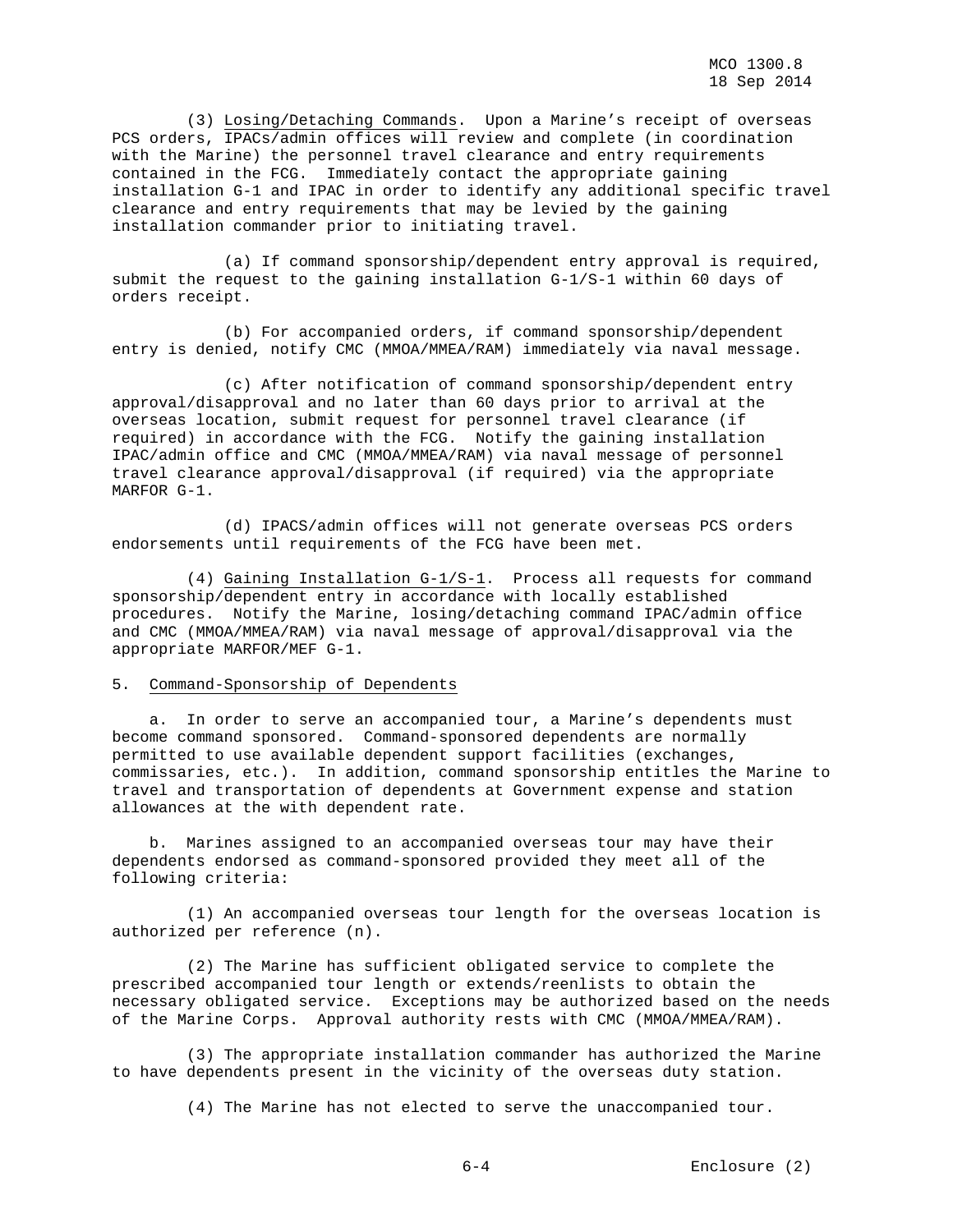(3) Losing/Detaching Commands. Upon a Marine's receipt of overseas PCS orders, IPACs/admin offices will review and complete (in coordination with the Marine) the personnel travel clearance and entry requirements contained in the FCG. Immediately contact the appropriate gaining installation G-1 and IPAC in order to identify any additional specific travel clearance and entry requirements that may be levied by the gaining installation commander prior to initiating travel.

 (a) If command sponsorship/dependent entry approval is required, submit the request to the gaining installation G-1/S-1 within 60 days of orders receipt.

 (b) For accompanied orders, if command sponsorship/dependent entry is denied, notify CMC (MMOA/MMEA/RAM) immediately via naval message.

 (c) After notification of command sponsorship/dependent entry approval/disapproval and no later than 60 days prior to arrival at the overseas location, submit request for personnel travel clearance (if required) in accordance with the FCG. Notify the gaining installation IPAC/admin office and CMC (MMOA/MMEA/RAM) via naval message of personnel travel clearance approval/disapproval (if required) via the appropriate MARFOR G-1.

 (d) IPACS/admin offices will not generate overseas PCS orders endorsements until requirements of the FCG have been met.

 (4) Gaining Installation G-1/S-1. Process all requests for command sponsorship/dependent entry in accordance with locally established procedures. Notify the Marine, losing/detaching command IPAC/admin office and CMC (MMOA/MMEA/RAM) via naval message of approval/disapproval via the appropriate MARFOR/MEF G-1.

## 5. Command-Sponsorship of Dependents

 a. In order to serve an accompanied tour, a Marine's dependents must become command sponsored. Command-sponsored dependents are normally permitted to use available dependent support facilities (exchanges, commissaries, etc.). In addition, command sponsorship entitles the Marine to travel and transportation of dependents at Government expense and station allowances at the with dependent rate.

 b. Marines assigned to an accompanied overseas tour may have their dependents endorsed as command-sponsored provided they meet all of the following criteria:

 (1) An accompanied overseas tour length for the overseas location is authorized per reference (n).

 (2) The Marine has sufficient obligated service to complete the prescribed accompanied tour length or extends/reenlists to obtain the necessary obligated service. Exceptions may be authorized based on the needs of the Marine Corps. Approval authority rests with CMC (MMOA/MMEA/RAM).

 (3) The appropriate installation commander has authorized the Marine to have dependents present in the vicinity of the overseas duty station.

(4) The Marine has not elected to serve the unaccompanied tour.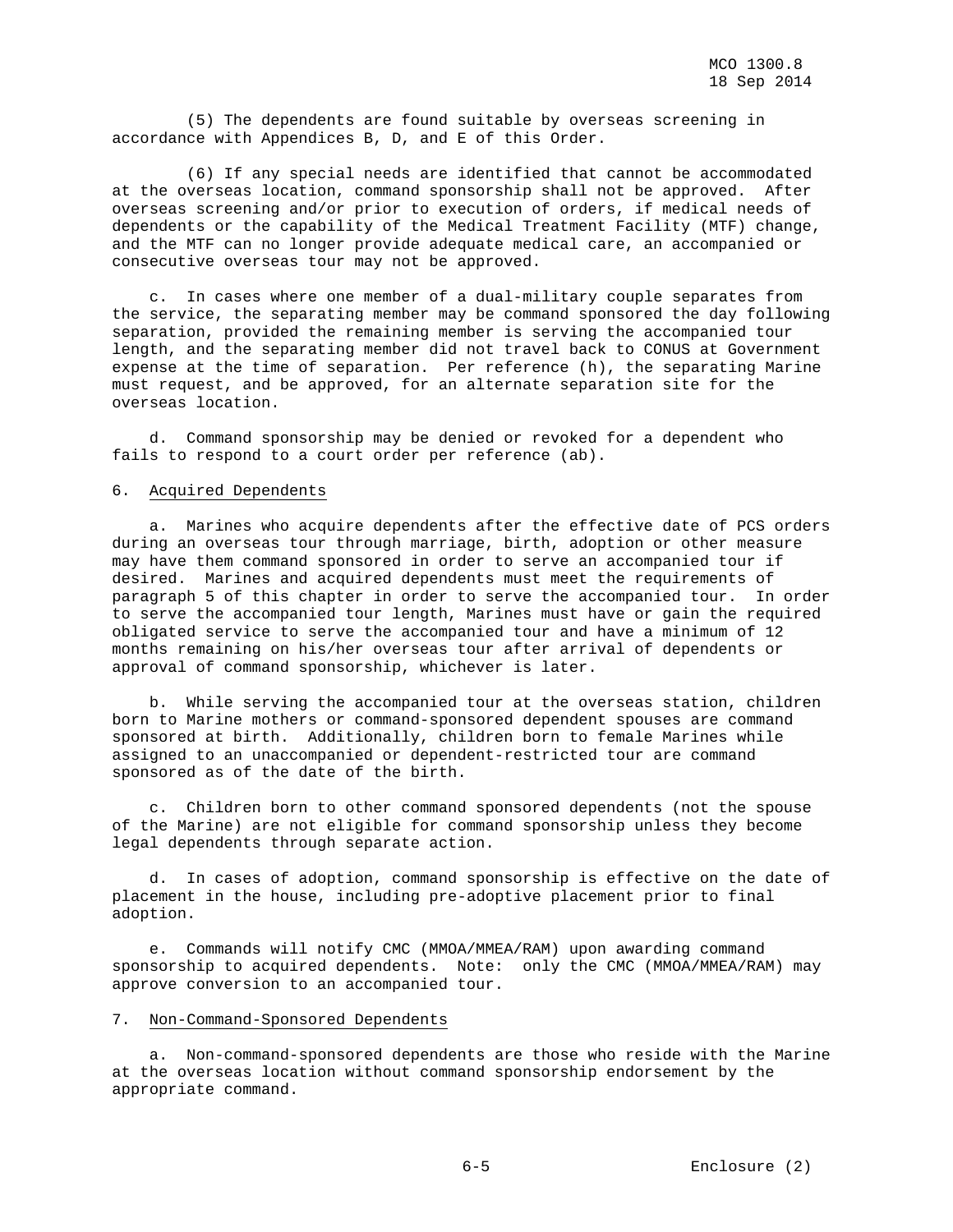(5) The dependents are found suitable by overseas screening in accordance with Appendices B, D, and E of this Order.

 (6) If any special needs are identified that cannot be accommodated at the overseas location, command sponsorship shall not be approved. After overseas screening and/or prior to execution of orders, if medical needs of dependents or the capability of the Medical Treatment Facility (MTF) change, and the MTF can no longer provide adequate medical care, an accompanied or consecutive overseas tour may not be approved.

 c. In cases where one member of a dual-military couple separates from the service, the separating member may be command sponsored the day following separation, provided the remaining member is serving the accompanied tour length, and the separating member did not travel back to CONUS at Government expense at the time of separation. Per reference (h), the separating Marine must request, and be approved, for an alternate separation site for the overseas location.

 d. Command sponsorship may be denied or revoked for a dependent who fails to respond to a court order per reference (ab).

## 6. Acquired Dependents

 a. Marines who acquire dependents after the effective date of PCS orders during an overseas tour through marriage, birth, adoption or other measure may have them command sponsored in order to serve an accompanied tour if desired. Marines and acquired dependents must meet the requirements of paragraph 5 of this chapter in order to serve the accompanied tour. In order to serve the accompanied tour length, Marines must have or gain the required obligated service to serve the accompanied tour and have a minimum of 12 months remaining on his/her overseas tour after arrival of dependents or approval of command sponsorship, whichever is later.

 b. While serving the accompanied tour at the overseas station, children born to Marine mothers or command-sponsored dependent spouses are command sponsored at birth. Additionally, children born to female Marines while assigned to an unaccompanied or dependent-restricted tour are command sponsored as of the date of the birth.

 c. Children born to other command sponsored dependents (not the spouse of the Marine) are not eligible for command sponsorship unless they become legal dependents through separate action.

 d. In cases of adoption, command sponsorship is effective on the date of placement in the house, including pre-adoptive placement prior to final adoption.

 e. Commands will notify CMC (MMOA/MMEA/RAM) upon awarding command sponsorship to acquired dependents. Note: only the CMC (MMOA/MMEA/RAM) may approve conversion to an accompanied tour.

## 7. Non-Command-Sponsored Dependents

 a. Non-command-sponsored dependents are those who reside with the Marine at the overseas location without command sponsorship endorsement by the appropriate command.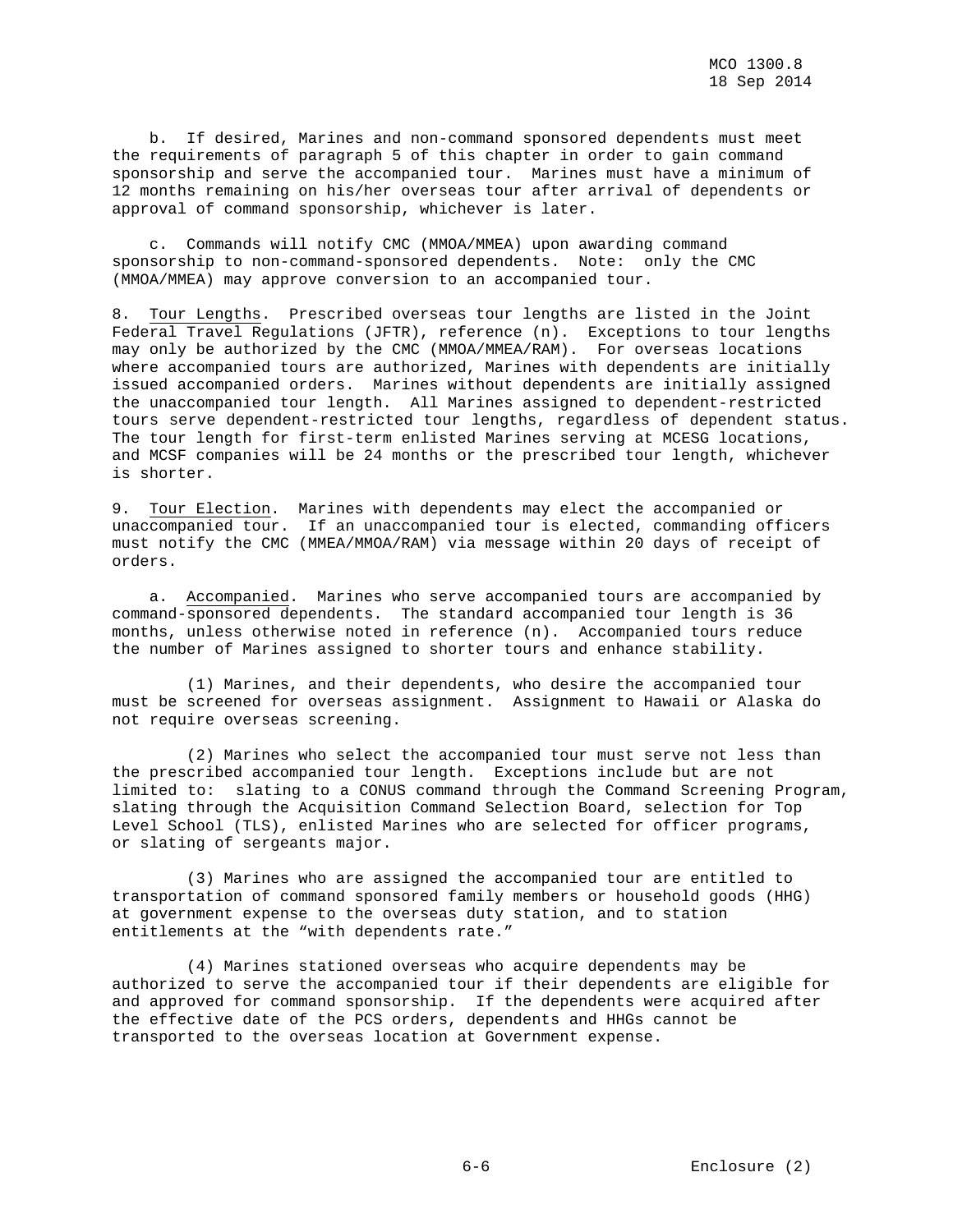b. If desired, Marines and non-command sponsored dependents must meet the requirements of paragraph 5 of this chapter in order to gain command sponsorship and serve the accompanied tour. Marines must have a minimum of 12 months remaining on his/her overseas tour after arrival of dependents or approval of command sponsorship, whichever is later.

 c. Commands will notify CMC (MMOA/MMEA) upon awarding command sponsorship to non-command-sponsored dependents. Note: only the CMC (MMOA/MMEA) may approve conversion to an accompanied tour.

8. Tour Lengths. Prescribed overseas tour lengths are listed in the Joint Federal Travel Regulations (JFTR), reference (n). Exceptions to tour lengths may only be authorized by the CMC (MMOA/MMEA/RAM). For overseas locations where accompanied tours are authorized, Marines with dependents are initially issued accompanied orders. Marines without dependents are initially assigned the unaccompanied tour length. All Marines assigned to dependent-restricted tours serve dependent-restricted tour lengths, regardless of dependent status. The tour length for first-term enlisted Marines serving at MCESG locations, and MCSF companies will be 24 months or the prescribed tour length, whichever is shorter.

9. Tour Election. Marines with dependents may elect the accompanied or unaccompanied tour. If an unaccompanied tour is elected, commanding officers must notify the CMC (MMEA/MMOA/RAM) via message within 20 days of receipt of orders.

 a. Accompanied. Marines who serve accompanied tours are accompanied by command-sponsored dependents. The standard accompanied tour length is 36 months, unless otherwise noted in reference (n). Accompanied tours reduce the number of Marines assigned to shorter tours and enhance stability.

 (1) Marines, and their dependents, who desire the accompanied tour must be screened for overseas assignment. Assignment to Hawaii or Alaska do not require overseas screening.

 (2) Marines who select the accompanied tour must serve not less than the prescribed accompanied tour length. Exceptions include but are not limited to: slating to a CONUS command through the Command Screening Program, slating through the Acquisition Command Selection Board, selection for Top Level School (TLS), enlisted Marines who are selected for officer programs, or slating of sergeants major.

 (3) Marines who are assigned the accompanied tour are entitled to transportation of command sponsored family members or household goods (HHG) at government expense to the overseas duty station, and to station entitlements at the "with dependents rate."

 (4) Marines stationed overseas who acquire dependents may be authorized to serve the accompanied tour if their dependents are eligible for and approved for command sponsorship. If the dependents were acquired after the effective date of the PCS orders, dependents and HHGs cannot be transported to the overseas location at Government expense.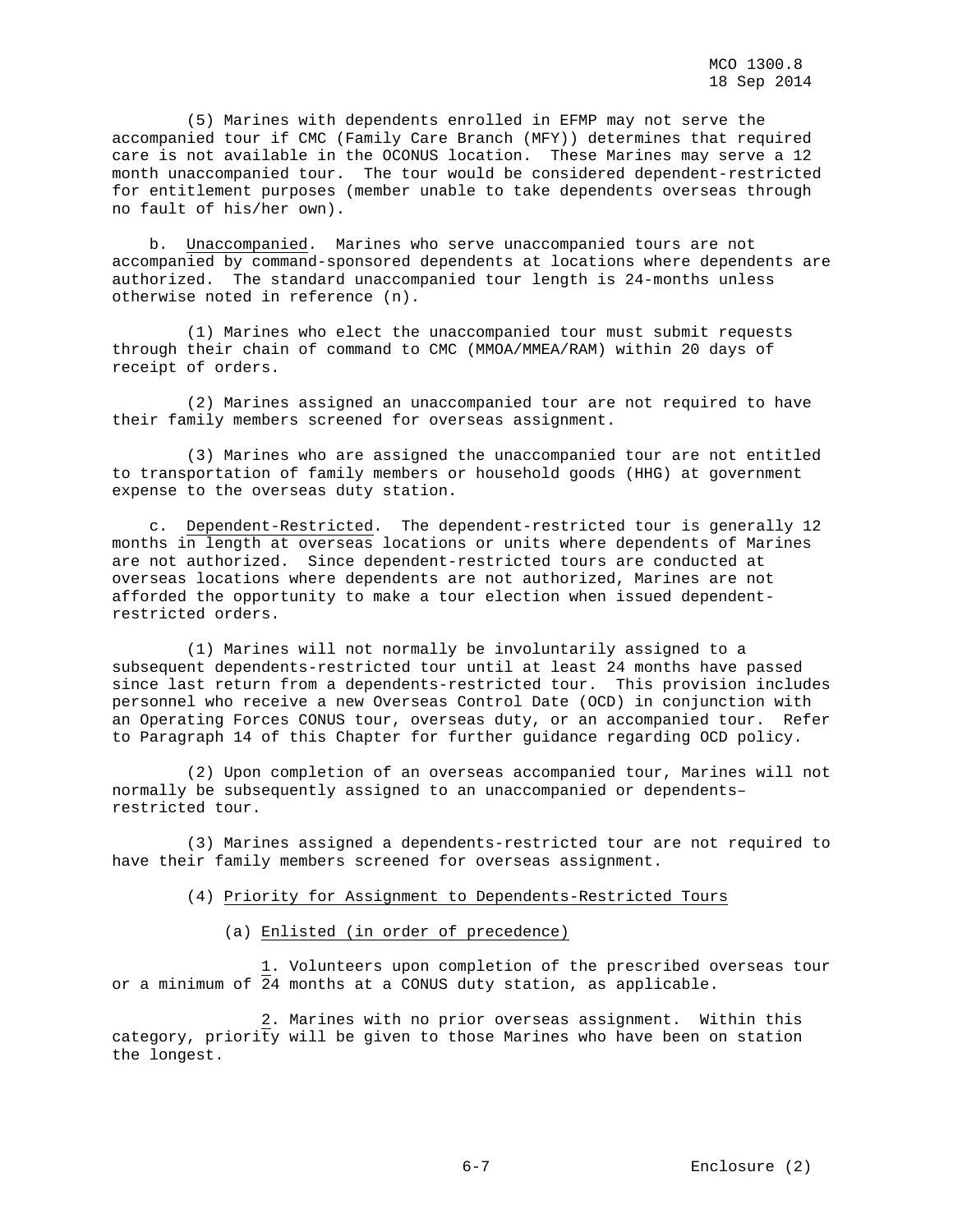(5) Marines with dependents enrolled in EFMP may not serve the accompanied tour if CMC (Family Care Branch (MFY)) determines that required care is not available in the OCONUS location. These Marines may serve a 12 month unaccompanied tour. The tour would be considered dependent-restricted for entitlement purposes (member unable to take dependents overseas through no fault of his/her own).

 b. Unaccompanied. Marines who serve unaccompanied tours are not accompanied by command-sponsored dependents at locations where dependents are authorized. The standard unaccompanied tour length is 24-months unless otherwise noted in reference (n).

 (1) Marines who elect the unaccompanied tour must submit requests through their chain of command to CMC (MMOA/MMEA/RAM) within 20 days of receipt of orders.

 (2) Marines assigned an unaccompanied tour are not required to have their family members screened for overseas assignment.

 (3) Marines who are assigned the unaccompanied tour are not entitled to transportation of family members or household goods (HHG) at government expense to the overseas duty station.

 c. Dependent-Restricted. The dependent-restricted tour is generally 12 months in length at overseas locations or units where dependents of Marines are not authorized. Since dependent-restricted tours are conducted at overseas locations where dependents are not authorized, Marines are not afforded the opportunity to make a tour election when issued dependentrestricted orders.

 (1) Marines will not normally be involuntarily assigned to a subsequent dependents-restricted tour until at least 24 months have passed since last return from a dependents-restricted tour. This provision includes personnel who receive a new Overseas Control Date (OCD) in conjunction with an Operating Forces CONUS tour, overseas duty, or an accompanied tour. Refer to Paragraph 14 of this Chapter for further guidance regarding OCD policy.

 (2) Upon completion of an overseas accompanied tour, Marines will not normally be subsequently assigned to an unaccompanied or dependents– restricted tour.

 (3) Marines assigned a dependents-restricted tour are not required to have their family members screened for overseas assignment.

## (4) Priority for Assignment to Dependents-Restricted Tours

## (a) Enlisted (in order of precedence)

 1. Volunteers upon completion of the prescribed overseas tour or a minimum of 24 months at a CONUS duty station, as applicable.

 2. Marines with no prior overseas assignment. Within this category, priority will be given to those Marines who have been on station the longest.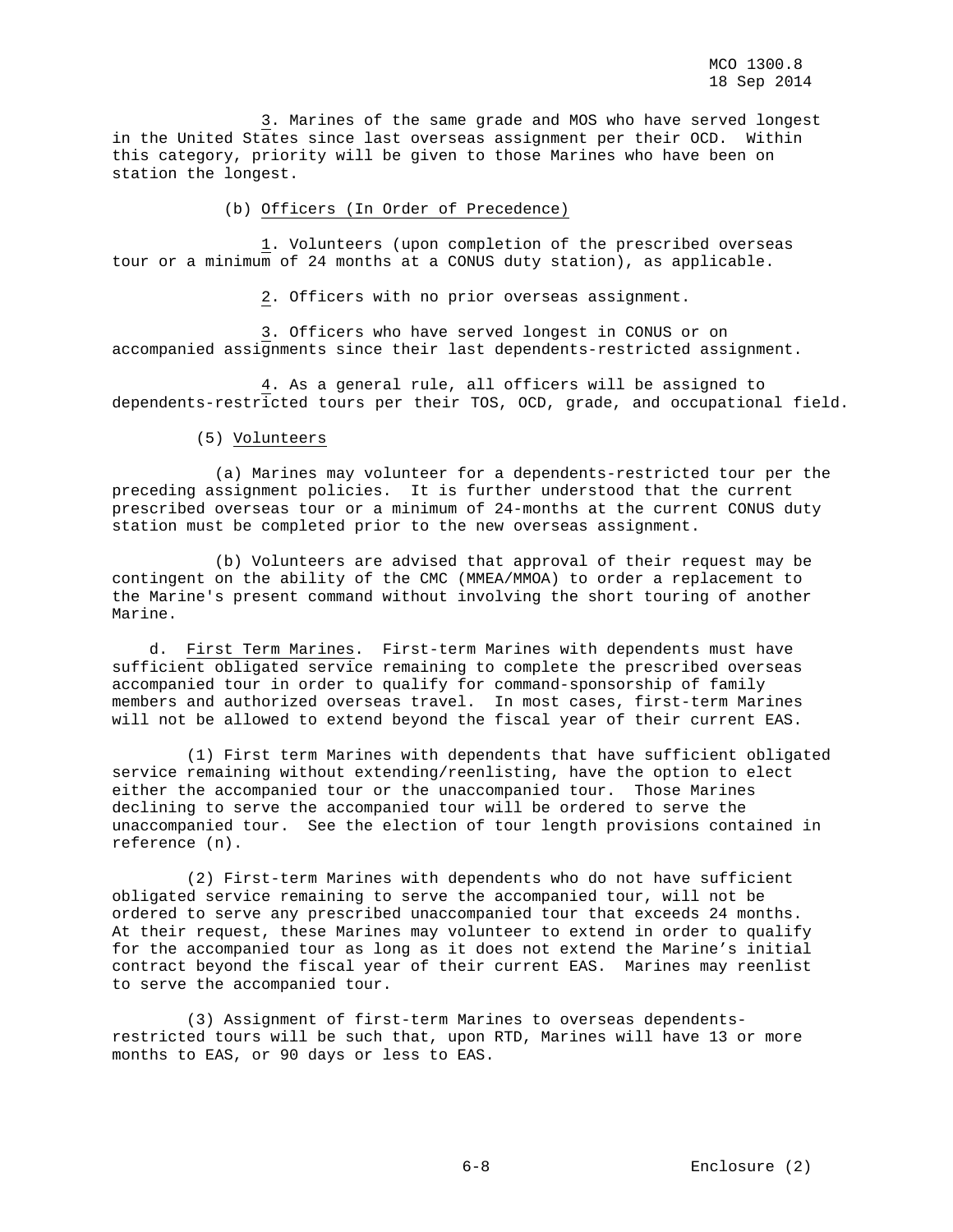3. Marines of the same grade and MOS who have served longest in the United States since last overseas assignment per their OCD. Within this category, priority will be given to those Marines who have been on station the longest.

(b) Officers (In Order of Precedence)

 1. Volunteers (upon completion of the prescribed overseas tour or a minimum of 24 months at a CONUS duty station), as applicable.

2. Officers with no prior overseas assignment.

 3. Officers who have served longest in CONUS or on accompanied assignments since their last dependents-restricted assignment.

 4. As a general rule, all officers will be assigned to dependents-restricted tours per their TOS, OCD, grade, and occupational field.

#### (5) Volunteers

 (a) Marines may volunteer for a dependents-restricted tour per the preceding assignment policies. It is further understood that the current prescribed overseas tour or a minimum of 24-months at the current CONUS duty station must be completed prior to the new overseas assignment.

 (b) Volunteers are advised that approval of their request may be contingent on the ability of the CMC (MMEA/MMOA) to order a replacement to the Marine's present command without involving the short touring of another Marine.

 d. First Term Marines. First-term Marines with dependents must have sufficient obligated service remaining to complete the prescribed overseas accompanied tour in order to qualify for command-sponsorship of family members and authorized overseas travel. In most cases, first-term Marines will not be allowed to extend beyond the fiscal year of their current EAS.

 (1) First term Marines with dependents that have sufficient obligated service remaining without extending/reenlisting, have the option to elect either the accompanied tour or the unaccompanied tour. Those Marines declining to serve the accompanied tour will be ordered to serve the unaccompanied tour. See the election of tour length provisions contained in reference (n).

 (2) First-term Marines with dependents who do not have sufficient obligated service remaining to serve the accompanied tour, will not be ordered to serve any prescribed unaccompanied tour that exceeds 24 months. At their request, these Marines may volunteer to extend in order to qualify for the accompanied tour as long as it does not extend the Marine's initial contract beyond the fiscal year of their current EAS. Marines may reenlist to serve the accompanied tour.

 (3) Assignment of first-term Marines to overseas dependentsrestricted tours will be such that, upon RTD, Marines will have 13 or more months to EAS, or 90 days or less to EAS.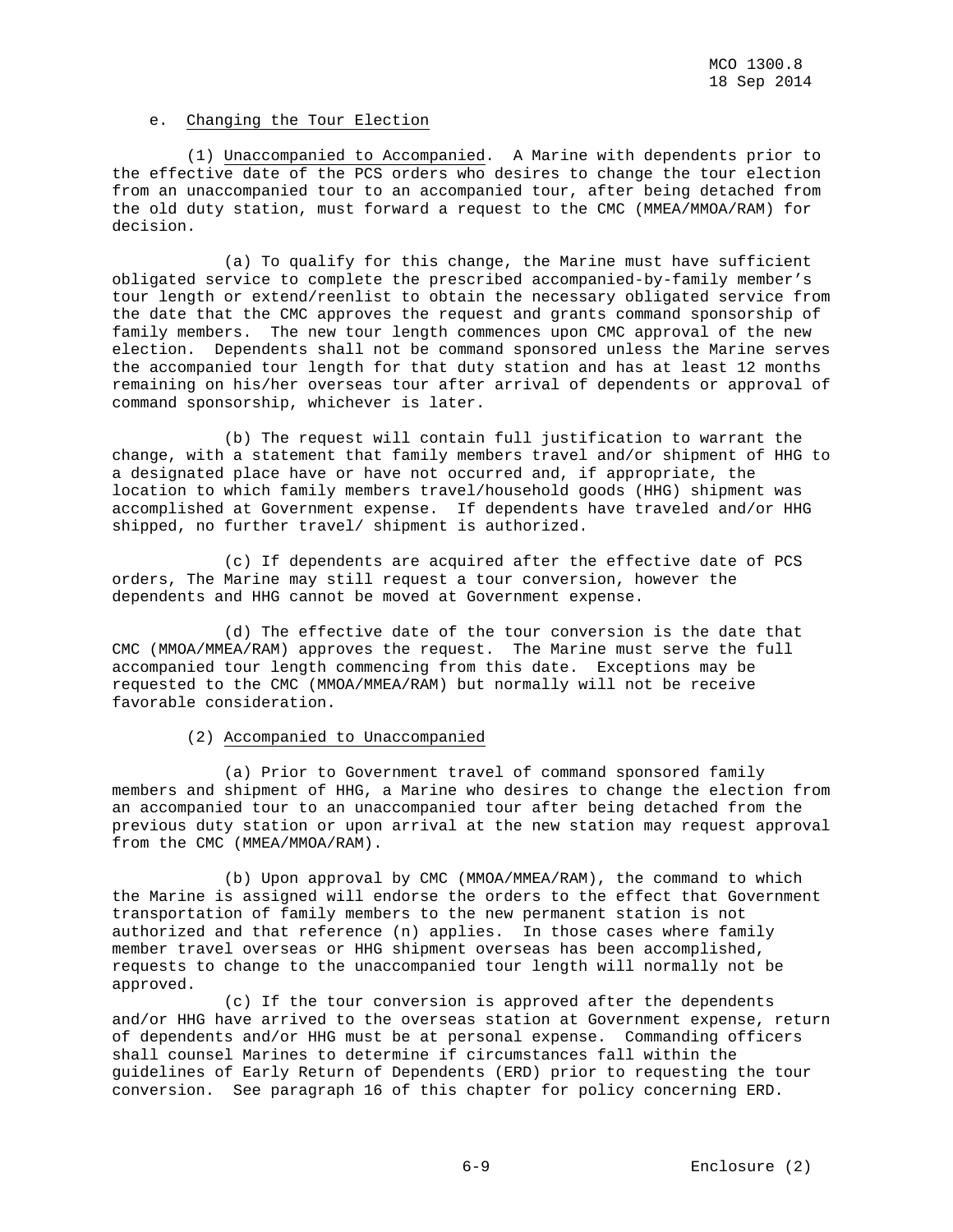## e. Changing the Tour Election

 (1) Unaccompanied to Accompanied. A Marine with dependents prior to the effective date of the PCS orders who desires to change the tour election from an unaccompanied tour to an accompanied tour, after being detached from the old duty station, must forward a request to the CMC (MMEA/MMOA/RAM) for decision.

 (a) To qualify for this change, the Marine must have sufficient obligated service to complete the prescribed accompanied-by-family member's tour length or extend/reenlist to obtain the necessary obligated service from the date that the CMC approves the request and grants command sponsorship of family members. The new tour length commences upon CMC approval of the new election. Dependents shall not be command sponsored unless the Marine serves the accompanied tour length for that duty station and has at least 12 months remaining on his/her overseas tour after arrival of dependents or approval of command sponsorship, whichever is later.

 (b) The request will contain full justification to warrant the change, with a statement that family members travel and/or shipment of HHG to a designated place have or have not occurred and, if appropriate, the location to which family members travel/household goods (HHG) shipment was accomplished at Government expense. If dependents have traveled and/or HHG shipped, no further travel/ shipment is authorized.

 (c) If dependents are acquired after the effective date of PCS orders, The Marine may still request a tour conversion, however the dependents and HHG cannot be moved at Government expense.

 (d) The effective date of the tour conversion is the date that CMC (MMOA/MMEA/RAM) approves the request. The Marine must serve the full accompanied tour length commencing from this date. Exceptions may be requested to the CMC (MMOA/MMEA/RAM) but normally will not be receive favorable consideration.

## (2) Accompanied to Unaccompanied

 (a) Prior to Government travel of command sponsored family members and shipment of HHG, a Marine who desires to change the election from an accompanied tour to an unaccompanied tour after being detached from the previous duty station or upon arrival at the new station may request approval from the CMC (MMEA/MMOA/RAM).

 (b) Upon approval by CMC (MMOA/MMEA/RAM), the command to which the Marine is assigned will endorse the orders to the effect that Government transportation of family members to the new permanent station is not authorized and that reference (n) applies. In those cases where family member travel overseas or HHG shipment overseas has been accomplished, requests to change to the unaccompanied tour length will normally not be approved.

 (c) If the tour conversion is approved after the dependents and/or HHG have arrived to the overseas station at Government expense, return of dependents and/or HHG must be at personal expense. Commanding officers shall counsel Marines to determine if circumstances fall within the guidelines of Early Return of Dependents (ERD) prior to requesting the tour conversion. See paragraph 16 of this chapter for policy concerning ERD.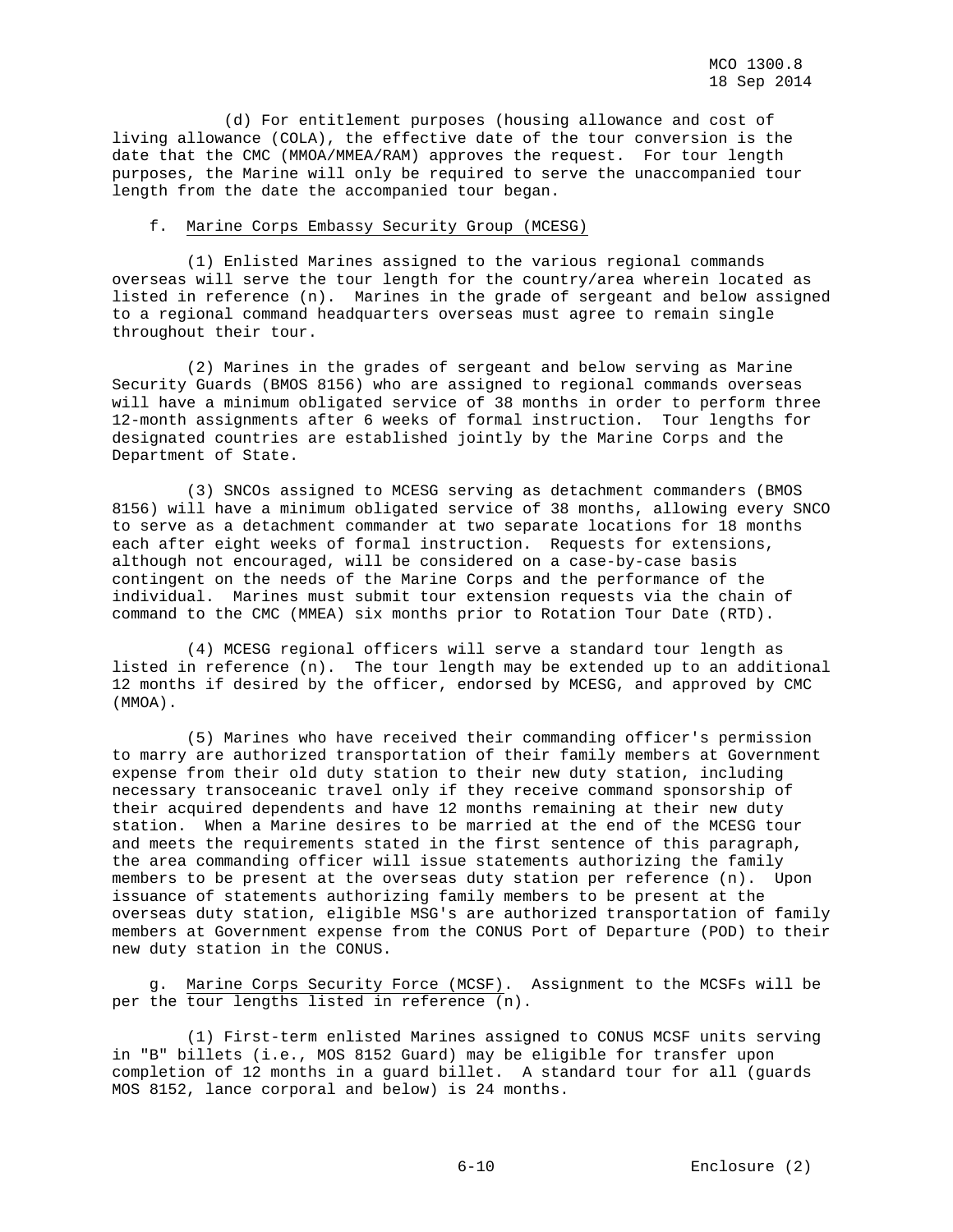(d) For entitlement purposes (housing allowance and cost of living allowance (COLA), the effective date of the tour conversion is the date that the CMC (MMOA/MMEA/RAM) approves the request. For tour length purposes, the Marine will only be required to serve the unaccompanied tour length from the date the accompanied tour began.

### f. Marine Corps Embassy Security Group (MCESG)

 (1) Enlisted Marines assigned to the various regional commands overseas will serve the tour length for the country/area wherein located as listed in reference (n). Marines in the grade of sergeant and below assigned to a regional command headquarters overseas must agree to remain single throughout their tour.

 (2) Marines in the grades of sergeant and below serving as Marine Security Guards (BMOS 8156) who are assigned to regional commands overseas will have a minimum obligated service of 38 months in order to perform three 12-month assignments after 6 weeks of formal instruction. Tour lengths for designated countries are established jointly by the Marine Corps and the Department of State.

 (3) SNCOs assigned to MCESG serving as detachment commanders (BMOS 8156) will have a minimum obligated service of 38 months, allowing every SNCO to serve as a detachment commander at two separate locations for 18 months each after eight weeks of formal instruction. Requests for extensions, although not encouraged, will be considered on a case-by-case basis contingent on the needs of the Marine Corps and the performance of the individual. Marines must submit tour extension requests via the chain of command to the CMC (MMEA) six months prior to Rotation Tour Date (RTD).

 (4) MCESG regional officers will serve a standard tour length as listed in reference (n). The tour length may be extended up to an additional 12 months if desired by the officer, endorsed by MCESG, and approved by CMC (MMOA).

 (5) Marines who have received their commanding officer's permission to marry are authorized transportation of their family members at Government expense from their old duty station to their new duty station, including necessary transoceanic travel only if they receive command sponsorship of their acquired dependents and have 12 months remaining at their new duty station. When a Marine desires to be married at the end of the MCESG tour and meets the requirements stated in the first sentence of this paragraph, the area commanding officer will issue statements authorizing the family members to be present at the overseas duty station per reference (n). Upon issuance of statements authorizing family members to be present at the overseas duty station, eligible MSG's are authorized transportation of family members at Government expense from the CONUS Port of Departure (POD) to their new duty station in the CONUS.

 g. Marine Corps Security Force (MCSF). Assignment to the MCSFs will be per the tour lengths listed in reference (n).

 (1) First-term enlisted Marines assigned to CONUS MCSF units serving in "B" billets (i.e., MOS 8152 Guard) may be eligible for transfer upon completion of 12 months in a guard billet. A standard tour for all (guards MOS 8152, lance corporal and below) is 24 months.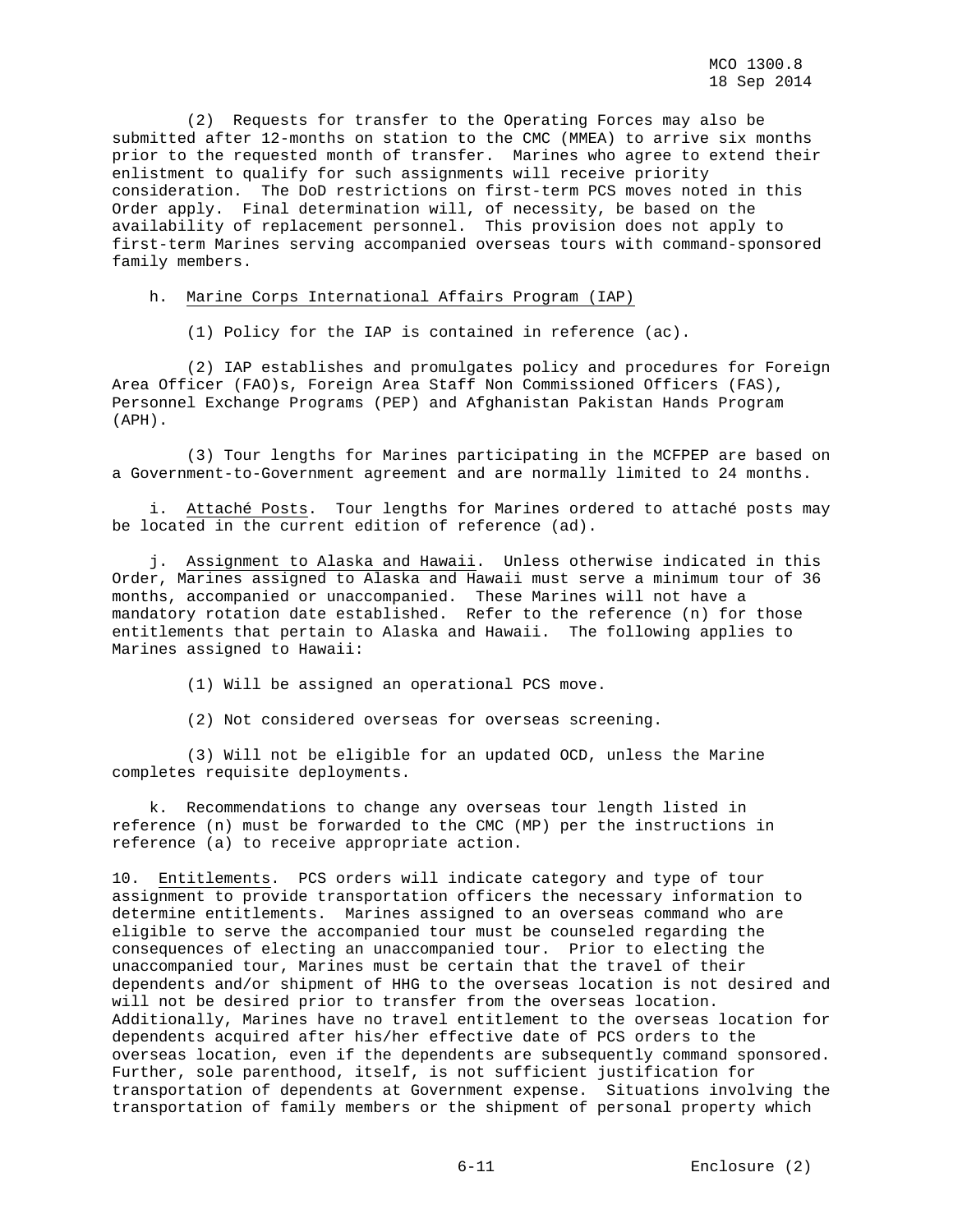(2) Requests for transfer to the Operating Forces may also be submitted after 12-months on station to the CMC (MMEA) to arrive six months prior to the requested month of transfer. Marines who agree to extend their enlistment to qualify for such assignments will receive priority consideration. The DoD restrictions on first-term PCS moves noted in this Order apply. Final determination will, of necessity, be based on the availability of replacement personnel. This provision does not apply to first-term Marines serving accompanied overseas tours with command-sponsored family members.

## h. Marine Corps International Affairs Program (IAP)

(1) Policy for the IAP is contained in reference (ac).

 (2) IAP establishes and promulgates policy and procedures for Foreign Area Officer (FAO)s, Foreign Area Staff Non Commissioned Officers (FAS), Personnel Exchange Programs (PEP) and Afghanistan Pakistan Hands Program (APH).

 (3) Tour lengths for Marines participating in the MCFPEP are based on a Government-to-Government agreement and are normally limited to 24 months.

Attaché Posts. Tour lengths for Marines ordered to attaché posts may be located in the current edition of reference (ad).

 j. Assignment to Alaska and Hawaii. Unless otherwise indicated in this Order, Marines assigned to Alaska and Hawaii must serve a minimum tour of 36 months, accompanied or unaccompanied. These Marines will not have a mandatory rotation date established. Refer to the reference (n) for those entitlements that pertain to Alaska and Hawaii. The following applies to Marines assigned to Hawaii:

(1) Will be assigned an operational PCS move.

(2) Not considered overseas for overseas screening.

 (3) Will not be eligible for an updated OCD, unless the Marine completes requisite deployments.

 k. Recommendations to change any overseas tour length listed in reference (n) must be forwarded to the CMC (MP) per the instructions in reference (a) to receive appropriate action.

10. Entitlements. PCS orders will indicate category and type of tour assignment to provide transportation officers the necessary information to determine entitlements. Marines assigned to an overseas command who are eligible to serve the accompanied tour must be counseled regarding the consequences of electing an unaccompanied tour. Prior to electing the unaccompanied tour, Marines must be certain that the travel of their dependents and/or shipment of HHG to the overseas location is not desired and will not be desired prior to transfer from the overseas location. Additionally, Marines have no travel entitlement to the overseas location for dependents acquired after his/her effective date of PCS orders to the overseas location, even if the dependents are subsequently command sponsored. Further, sole parenthood, itself, is not sufficient justification for transportation of dependents at Government expense. Situations involving the transportation of family members or the shipment of personal property which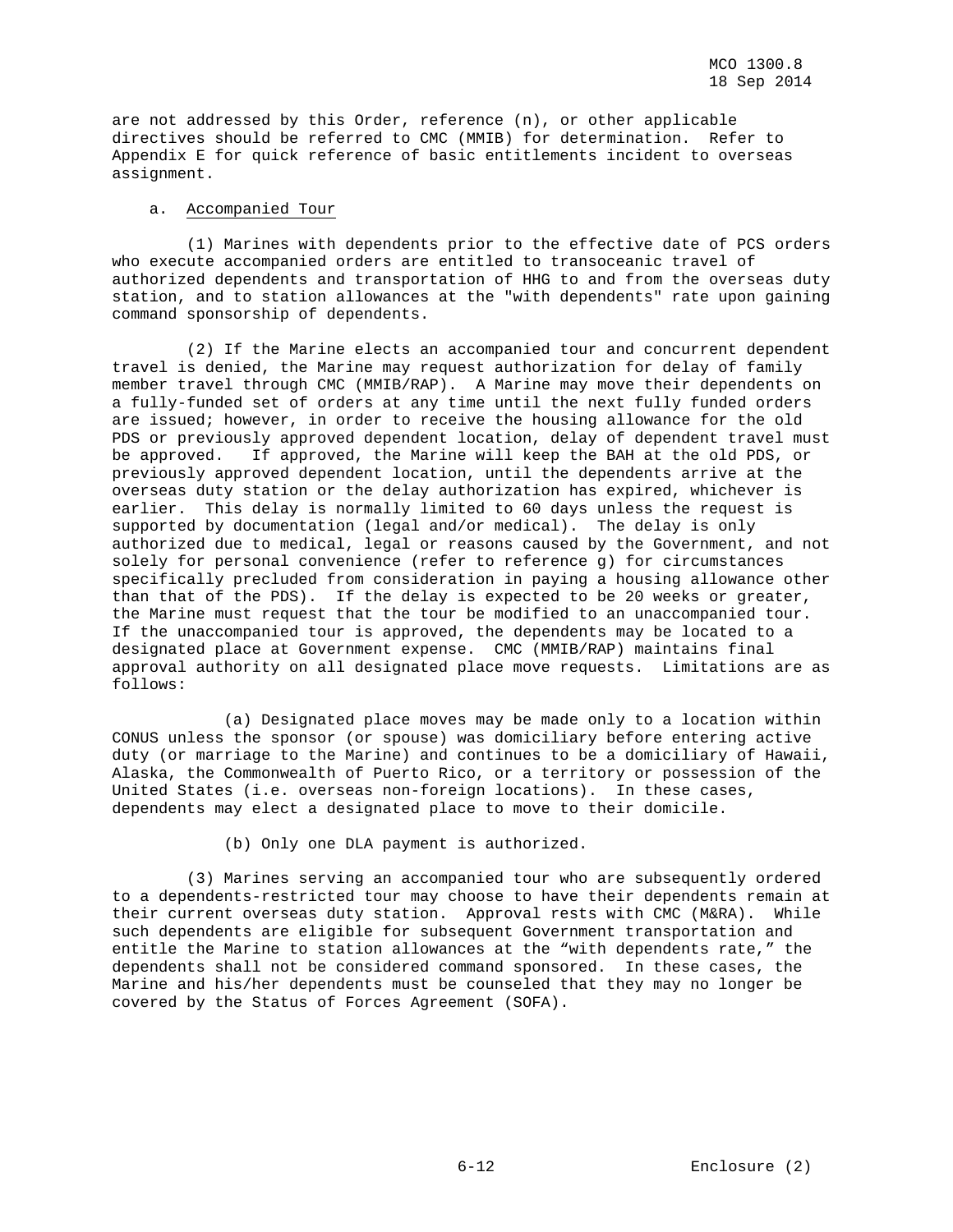are not addressed by this Order, reference (n), or other applicable directives should be referred to CMC (MMIB) for determination. Refer to Appendix E for quick reference of basic entitlements incident to overseas assignment.

#### a. Accompanied Tour

 (1) Marines with dependents prior to the effective date of PCS orders who execute accompanied orders are entitled to transoceanic travel of authorized dependents and transportation of HHG to and from the overseas duty station, and to station allowances at the "with dependents" rate upon gaining command sponsorship of dependents.

 (2) If the Marine elects an accompanied tour and concurrent dependent travel is denied, the Marine may request authorization for delay of family member travel through CMC (MMIB/RAP). A Marine may move their dependents on a fully-funded set of orders at any time until the next fully funded orders are issued; however, in order to receive the housing allowance for the old PDS or previously approved dependent location, delay of dependent travel must be approved. If approved, the Marine will keep the BAH at the old PDS, or previously approved dependent location, until the dependents arrive at the overseas duty station or the delay authorization has expired, whichever is earlier. This delay is normally limited to 60 days unless the request is supported by documentation (legal and/or medical). The delay is only authorized due to medical, legal or reasons caused by the Government, and not solely for personal convenience (refer to reference g) for circumstances specifically precluded from consideration in paying a housing allowance other than that of the PDS). If the delay is expected to be 20 weeks or greater, the Marine must request that the tour be modified to an unaccompanied tour. If the unaccompanied tour is approved, the dependents may be located to a designated place at Government expense. CMC (MMIB/RAP) maintains final approval authority on all designated place move requests. Limitations are as follows:

 (a) Designated place moves may be made only to a location within CONUS unless the sponsor (or spouse) was domiciliary before entering active duty (or marriage to the Marine) and continues to be a domiciliary of Hawaii, Alaska, the Commonwealth of Puerto Rico, or a territory or possession of the United States (i.e. overseas non-foreign locations). In these cases, dependents may elect a designated place to move to their domicile.

(b) Only one DLA payment is authorized.

 (3) Marines serving an accompanied tour who are subsequently ordered to a dependents-restricted tour may choose to have their dependents remain at their current overseas duty station. Approval rests with CMC (M&RA). While such dependents are eligible for subsequent Government transportation and entitle the Marine to station allowances at the "with dependents rate," the dependents shall not be considered command sponsored. In these cases, the Marine and his/her dependents must be counseled that they may no longer be covered by the Status of Forces Agreement (SOFA).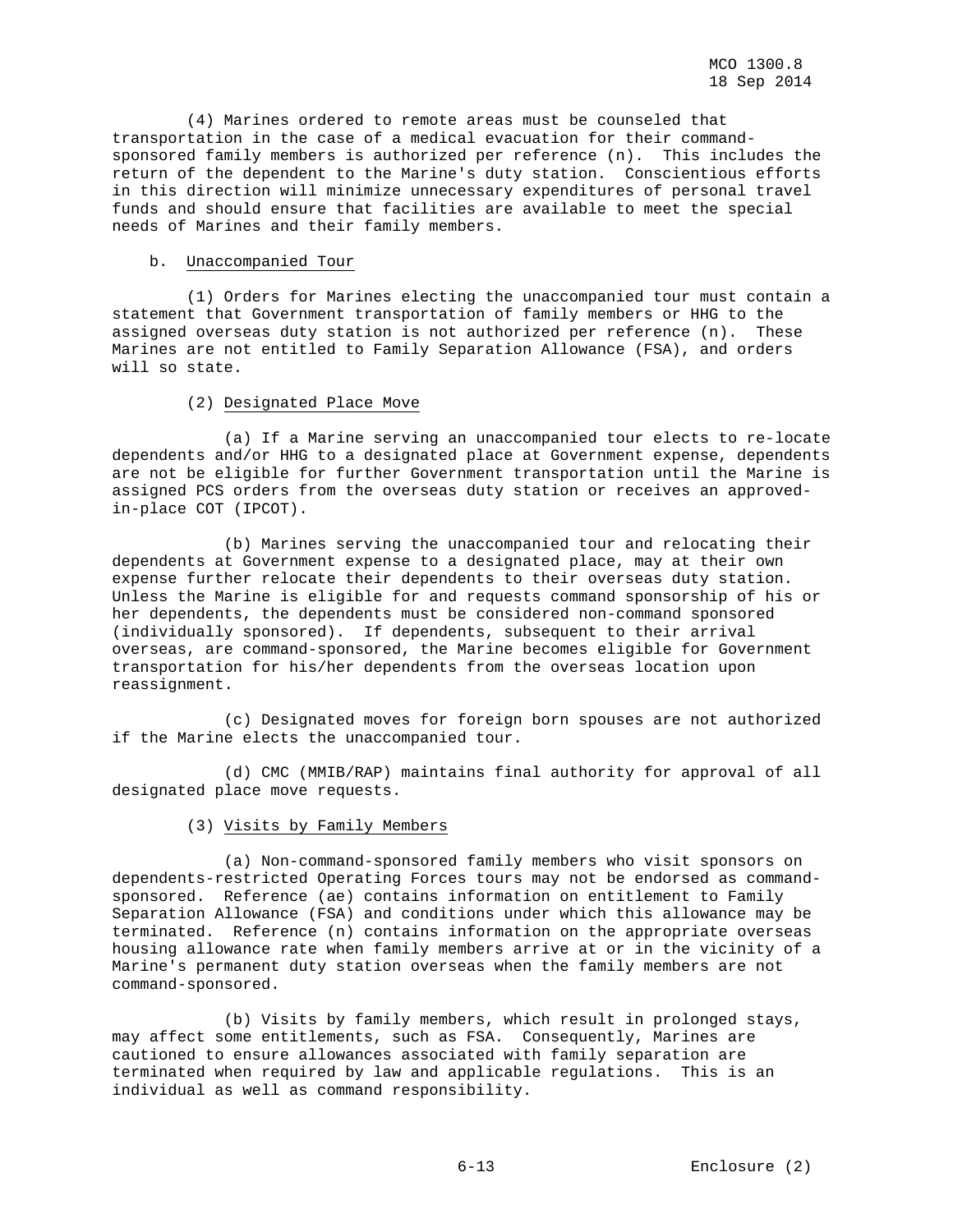(4) Marines ordered to remote areas must be counseled that transportation in the case of a medical evacuation for their commandsponsored family members is authorized per reference (n). This includes the return of the dependent to the Marine's duty station. Conscientious efforts in this direction will minimize unnecessary expenditures of personal travel funds and should ensure that facilities are available to meet the special needs of Marines and their family members.

## b. Unaccompanied Tour

 (1) Orders for Marines electing the unaccompanied tour must contain a statement that Government transportation of family members or HHG to the assigned overseas duty station is not authorized per reference (n). These Marines are not entitled to Family Separation Allowance (FSA), and orders will so state.

## (2) Designated Place Move

 (a) If a Marine serving an unaccompanied tour elects to re-locate dependents and/or HHG to a designated place at Government expense, dependents are not be eligible for further Government transportation until the Marine is assigned PCS orders from the overseas duty station or receives an approvedin-place COT (IPCOT).

 (b) Marines serving the unaccompanied tour and relocating their dependents at Government expense to a designated place, may at their own expense further relocate their dependents to their overseas duty station. Unless the Marine is eligible for and requests command sponsorship of his or her dependents, the dependents must be considered non-command sponsored (individually sponsored). If dependents, subsequent to their arrival overseas, are command-sponsored, the Marine becomes eligible for Government transportation for his/her dependents from the overseas location upon reassignment.

 (c) Designated moves for foreign born spouses are not authorized if the Marine elects the unaccompanied tour.

 (d) CMC (MMIB/RAP) maintains final authority for approval of all designated place move requests.

(3) Visits by Family Members

 (a) Non-command-sponsored family members who visit sponsors on dependents-restricted Operating Forces tours may not be endorsed as commandsponsored. Reference (ae) contains information on entitlement to Family Separation Allowance (FSA) and conditions under which this allowance may be terminated. Reference (n) contains information on the appropriate overseas housing allowance rate when family members arrive at or in the vicinity of a Marine's permanent duty station overseas when the family members are not command-sponsored.

 (b) Visits by family members, which result in prolonged stays, may affect some entitlements, such as FSA. Consequently, Marines are cautioned to ensure allowances associated with family separation are terminated when required by law and applicable regulations. This is an individual as well as command responsibility.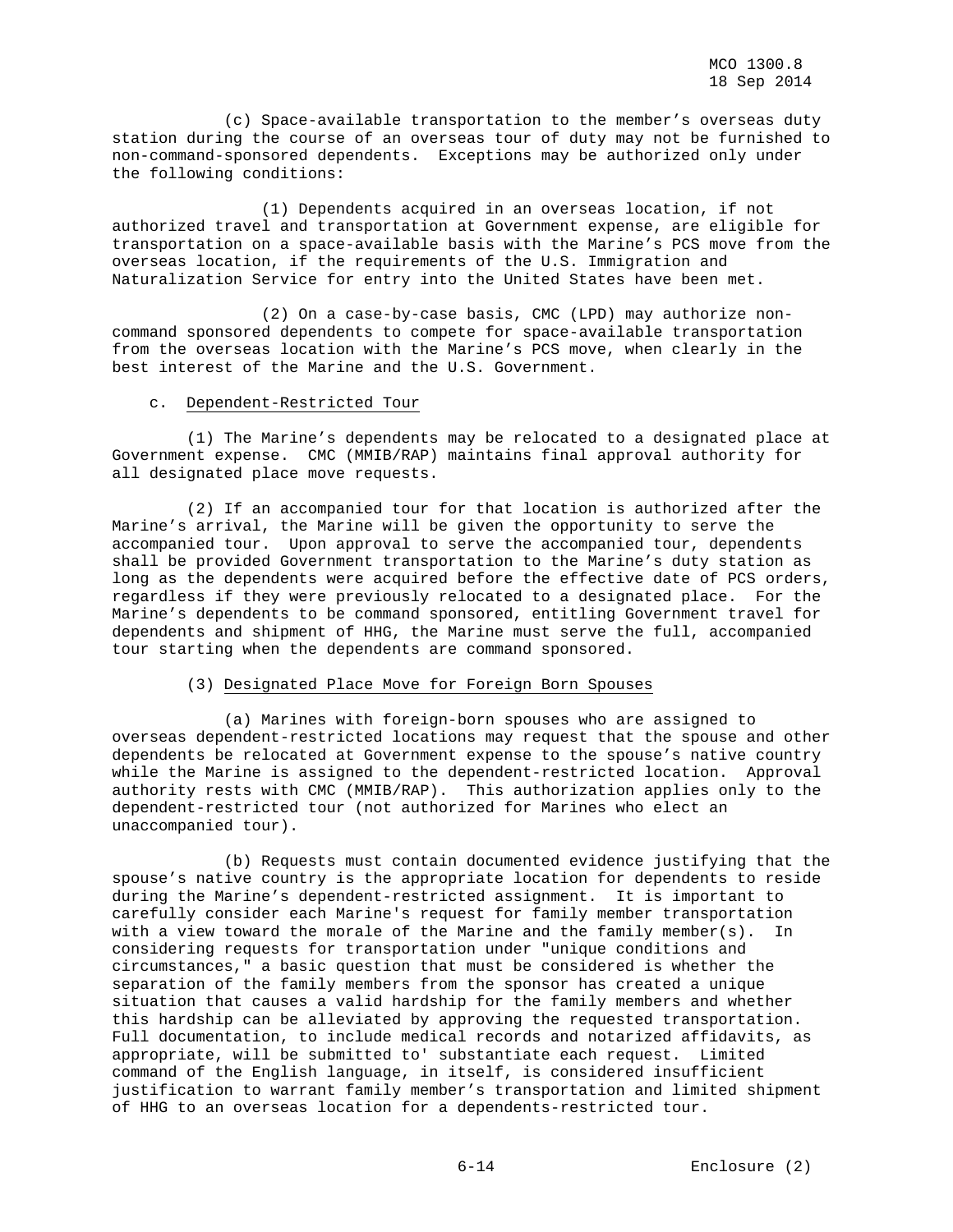(c) Space-available transportation to the member's overseas duty station during the course of an overseas tour of duty may not be furnished to non-command-sponsored dependents. Exceptions may be authorized only under the following conditions:

 (1) Dependents acquired in an overseas location, if not authorized travel and transportation at Government expense, are eligible for transportation on a space-available basis with the Marine's PCS move from the overseas location, if the requirements of the U.S. Immigration and Naturalization Service for entry into the United States have been met.

 (2) On a case-by-case basis, CMC (LPD) may authorize noncommand sponsored dependents to compete for space-available transportation from the overseas location with the Marine's PCS move, when clearly in the best interest of the Marine and the U.S. Government.

## c. Dependent-Restricted Tour

 (1) The Marine's dependents may be relocated to a designated place at Government expense. CMC (MMIB/RAP) maintains final approval authority for all designated place move requests.

 (2) If an accompanied tour for that location is authorized after the Marine's arrival, the Marine will be given the opportunity to serve the accompanied tour. Upon approval to serve the accompanied tour, dependents shall be provided Government transportation to the Marine's duty station as long as the dependents were acquired before the effective date of PCS orders, regardless if they were previously relocated to a designated place. For the Marine's dependents to be command sponsored, entitling Government travel for dependents and shipment of HHG, the Marine must serve the full, accompanied tour starting when the dependents are command sponsored.

## (3) Designated Place Move for Foreign Born Spouses

 (a) Marines with foreign-born spouses who are assigned to overseas dependent-restricted locations may request that the spouse and other dependents be relocated at Government expense to the spouse's native country while the Marine is assigned to the dependent-restricted location. Approval authority rests with CMC (MMIB/RAP). This authorization applies only to the dependent-restricted tour (not authorized for Marines who elect an unaccompanied tour).

 (b) Requests must contain documented evidence justifying that the spouse's native country is the appropriate location for dependents to reside during the Marine's dependent-restricted assignment. It is important to carefully consider each Marine's request for family member transportation with a view toward the morale of the Marine and the family member(s). considering requests for transportation under "unique conditions and circumstances," a basic question that must be considered is whether the separation of the family members from the sponsor has created a unique situation that causes a valid hardship for the family members and whether this hardship can be alleviated by approving the requested transportation. Full documentation, to include medical records and notarized affidavits, as appropriate, will be submitted to' substantiate each request. Limited command of the English language, in itself, is considered insufficient justification to warrant family member's transportation and limited shipment of HHG to an overseas location for a dependents-restricted tour.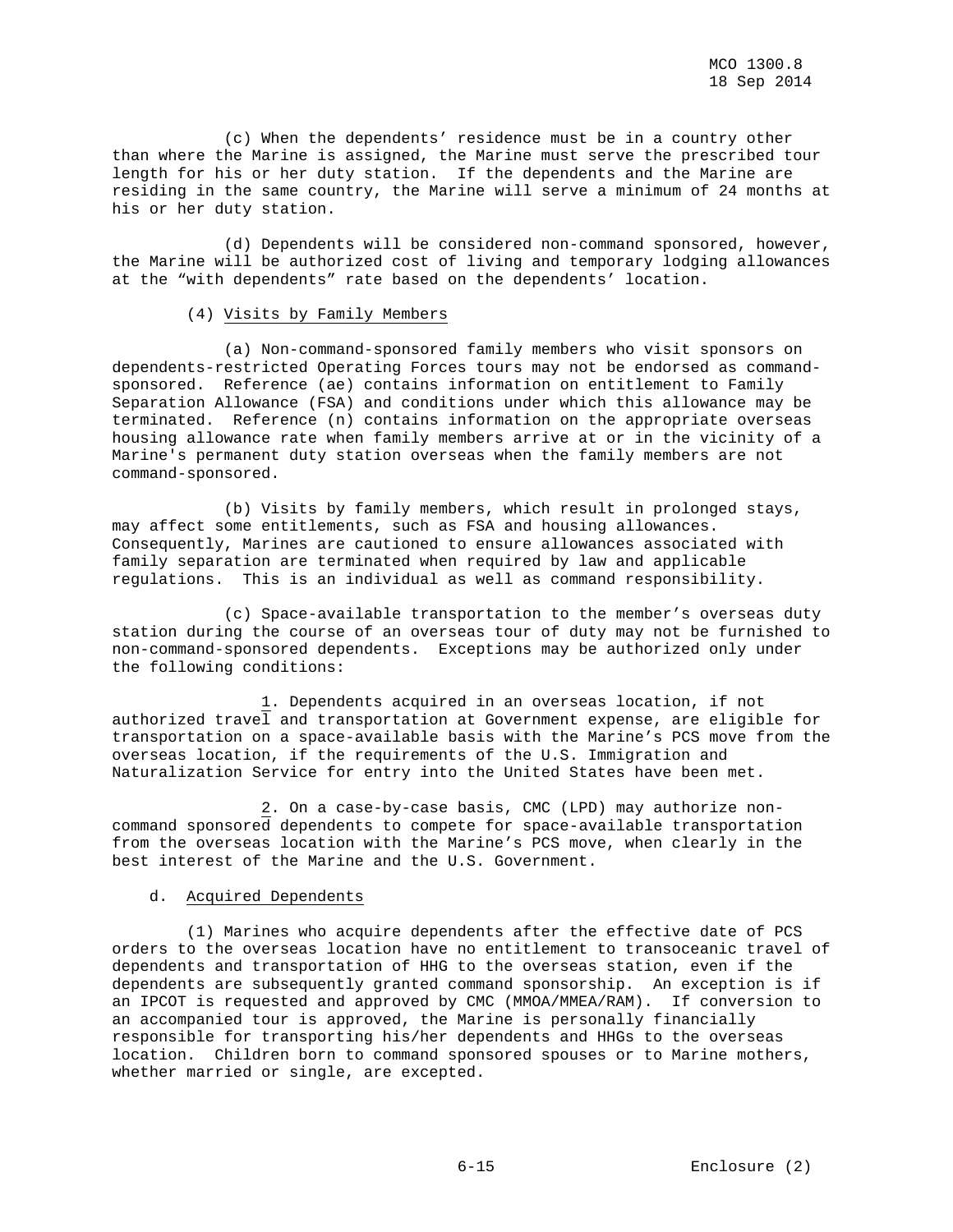(c) When the dependents' residence must be in a country other than where the Marine is assigned, the Marine must serve the prescribed tour length for his or her duty station. If the dependents and the Marine are residing in the same country, the Marine will serve a minimum of 24 months at his or her duty station.

 (d) Dependents will be considered non-command sponsored, however, the Marine will be authorized cost of living and temporary lodging allowances at the "with dependents" rate based on the dependents' location.

## (4) Visits by Family Members

 (a) Non-command-sponsored family members who visit sponsors on dependents-restricted Operating Forces tours may not be endorsed as commandsponsored. Reference (ae) contains information on entitlement to Family Separation Allowance (FSA) and conditions under which this allowance may be terminated. Reference (n) contains information on the appropriate overseas housing allowance rate when family members arrive at or in the vicinity of a Marine's permanent duty station overseas when the family members are not command-sponsored.

 (b) Visits by family members, which result in prolonged stays, may affect some entitlements, such as FSA and housing allowances. Consequently, Marines are cautioned to ensure allowances associated with family separation are terminated when required by law and applicable regulations. This is an individual as well as command responsibility.

 (c) Space-available transportation to the member's overseas duty station during the course of an overseas tour of duty may not be furnished to non-command-sponsored dependents. Exceptions may be authorized only under the following conditions:

 1. Dependents acquired in an overseas location, if not authorized travel and transportation at Government expense, are eligible for transportation on a space-available basis with the Marine's PCS move from the overseas location, if the requirements of the U.S. Immigration and Naturalization Service for entry into the United States have been met.

 2. On a case-by-case basis, CMC (LPD) may authorize noncommand sponsored dependents to compete for space-available transportation from the overseas location with the Marine's PCS move, when clearly in the best interest of the Marine and the U.S. Government.

## d. Acquired Dependents

 (1) Marines who acquire dependents after the effective date of PCS orders to the overseas location have no entitlement to transoceanic travel of dependents and transportation of HHG to the overseas station, even if the dependents are subsequently granted command sponsorship. An exception is if an IPCOT is requested and approved by CMC (MMOA/MMEA/RAM). If conversion to an accompanied tour is approved, the Marine is personally financially responsible for transporting his/her dependents and HHGs to the overseas location. Children born to command sponsored spouses or to Marine mothers, whether married or single, are excepted.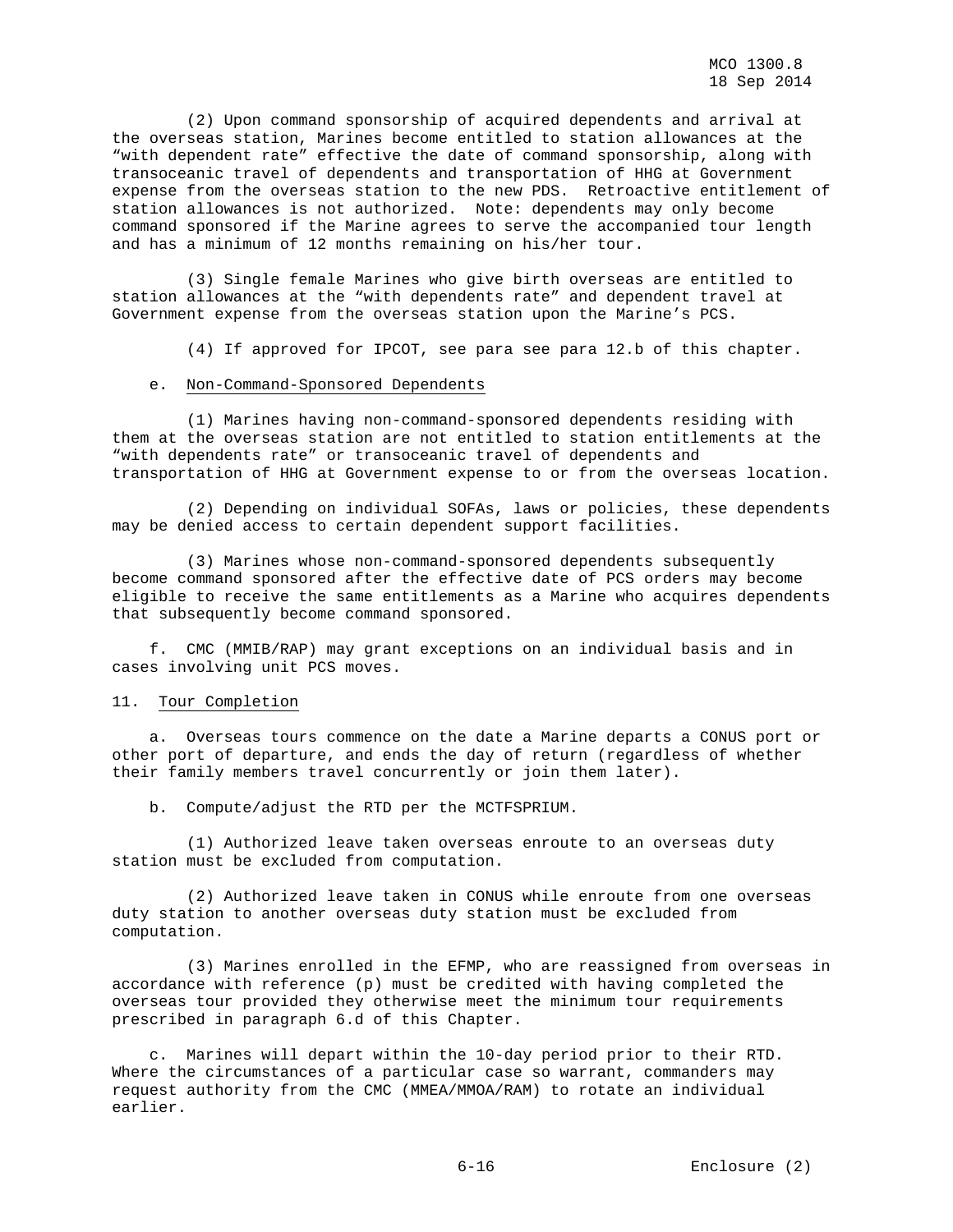(2) Upon command sponsorship of acquired dependents and arrival at the overseas station, Marines become entitled to station allowances at the "with dependent rate" effective the date of command sponsorship, along with transoceanic travel of dependents and transportation of HHG at Government expense from the overseas station to the new PDS. Retroactive entitlement of station allowances is not authorized. Note: dependents may only become command sponsored if the Marine agrees to serve the accompanied tour length and has a minimum of 12 months remaining on his/her tour.

 (3) Single female Marines who give birth overseas are entitled to station allowances at the "with dependents rate" and dependent travel at Government expense from the overseas station upon the Marine's PCS.

(4) If approved for IPCOT, see para see para 12.b of this chapter.

#### e. Non-Command-Sponsored Dependents

 (1) Marines having non-command-sponsored dependents residing with them at the overseas station are not entitled to station entitlements at the "with dependents rate" or transoceanic travel of dependents and transportation of HHG at Government expense to or from the overseas location.

 (2) Depending on individual SOFAs, laws or policies, these dependents may be denied access to certain dependent support facilities.

 (3) Marines whose non-command-sponsored dependents subsequently become command sponsored after the effective date of PCS orders may become eligible to receive the same entitlements as a Marine who acquires dependents that subsequently become command sponsored.

 f. CMC (MMIB/RAP) may grant exceptions on an individual basis and in cases involving unit PCS moves.

## 11. Tour Completion

 a. Overseas tours commence on the date a Marine departs a CONUS port or other port of departure, and ends the day of return (regardless of whether their family members travel concurrently or join them later).

b. Compute/adjust the RTD per the MCTFSPRIUM.

 (1) Authorized leave taken overseas enroute to an overseas duty station must be excluded from computation.

 (2) Authorized leave taken in CONUS while enroute from one overseas duty station to another overseas duty station must be excluded from computation.

 (3) Marines enrolled in the EFMP, who are reassigned from overseas in accordance with reference (p) must be credited with having completed the overseas tour provided they otherwise meet the minimum tour requirements prescribed in paragraph 6.d of this Chapter.

 c. Marines will depart within the 10-day period prior to their RTD. Where the circumstances of a particular case so warrant, commanders may request authority from the CMC (MMEA/MMOA/RAM) to rotate an individual earlier.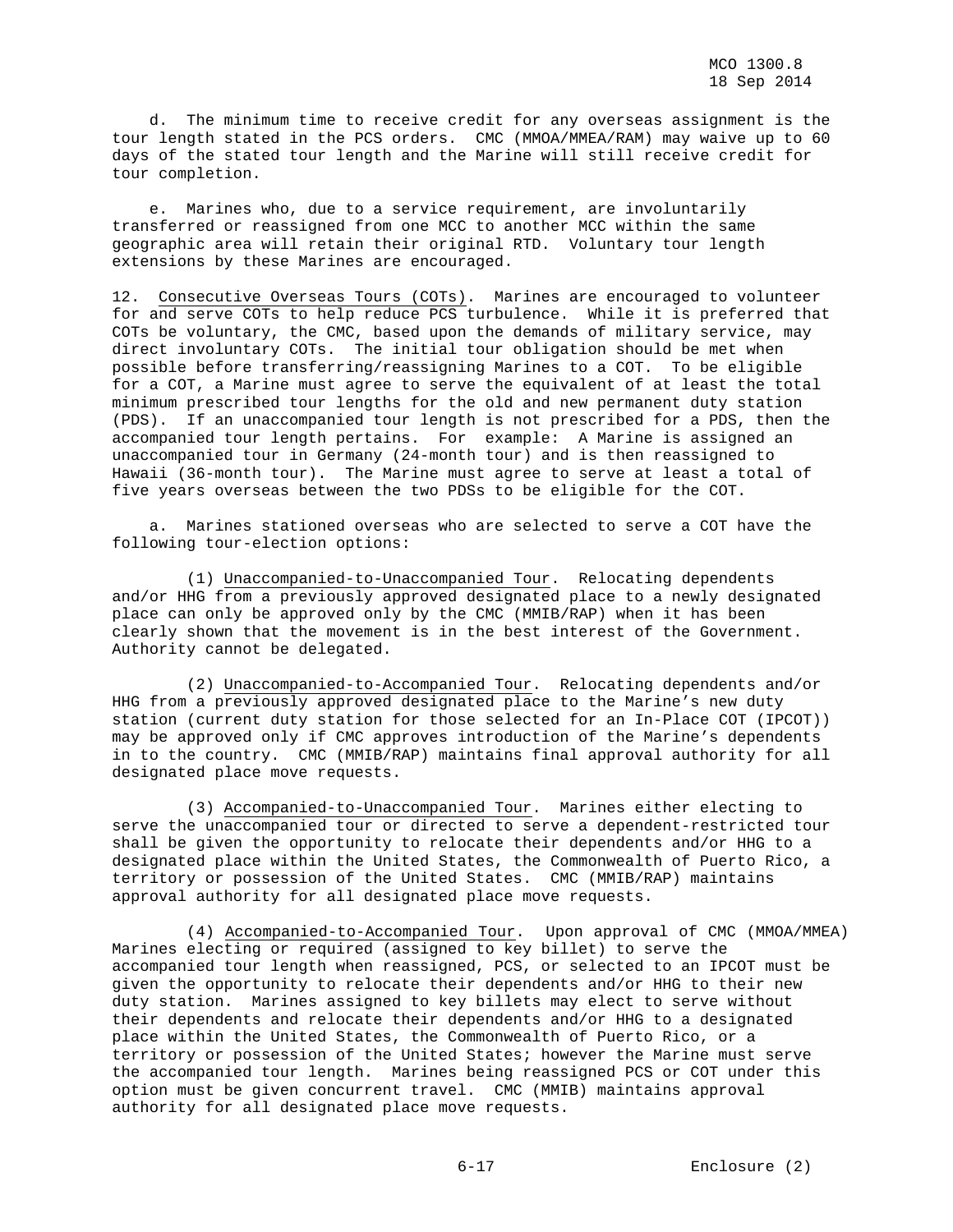d. The minimum time to receive credit for any overseas assignment is the tour length stated in the PCS orders. CMC (MMOA/MMEA/RAM) may waive up to 60 days of the stated tour length and the Marine will still receive credit for tour completion.

 e. Marines who, due to a service requirement, are involuntarily transferred or reassigned from one MCC to another MCC within the same geographic area will retain their original RTD. Voluntary tour length extensions by these Marines are encouraged.

12. Consecutive Overseas Tours (COTs). Marines are encouraged to volunteer for and serve COTs to help reduce PCS turbulence. While it is preferred that COTs be voluntary, the CMC, based upon the demands of military service, may direct involuntary COTs. The initial tour obligation should be met when possible before transferring/reassigning Marines to a COT. To be eligible for a COT, a Marine must agree to serve the equivalent of at least the total minimum prescribed tour lengths for the old and new permanent duty station (PDS). If an unaccompanied tour length is not prescribed for a PDS, then the accompanied tour length pertains. For example: A Marine is assigned an unaccompanied tour in Germany (24-month tour) and is then reassigned to Hawaii (36-month tour). The Marine must agree to serve at least a total of five years overseas between the two PDSs to be eligible for the COT.

 a. Marines stationed overseas who are selected to serve a COT have the following tour-election options:

 (1) Unaccompanied-to-Unaccompanied Tour. Relocating dependents and/or HHG from a previously approved designated place to a newly designated place can only be approved only by the CMC (MMIB/RAP) when it has been clearly shown that the movement is in the best interest of the Government. Authority cannot be delegated.

 (2) Unaccompanied-to-Accompanied Tour. Relocating dependents and/or HHG from a previously approved designated place to the Marine's new duty station (current duty station for those selected for an In-Place COT (IPCOT)) may be approved only if CMC approves introduction of the Marine's dependents in to the country. CMC (MMIB/RAP) maintains final approval authority for all designated place move requests.

 (3) Accompanied-to-Unaccompanied Tour. Marines either electing to serve the unaccompanied tour or directed to serve a dependent-restricted tour shall be given the opportunity to relocate their dependents and/or HHG to a designated place within the United States, the Commonwealth of Puerto Rico, a territory or possession of the United States. CMC (MMIB/RAP) maintains approval authority for all designated place move requests.

 (4) Accompanied-to-Accompanied Tour. Upon approval of CMC (MMOA/MMEA) Marines electing or required (assigned to key billet) to serve the accompanied tour length when reassigned, PCS, or selected to an IPCOT must be given the opportunity to relocate their dependents and/or HHG to their new duty station. Marines assigned to key billets may elect to serve without their dependents and relocate their dependents and/or HHG to a designated place within the United States, the Commonwealth of Puerto Rico, or a territory or possession of the United States; however the Marine must serve the accompanied tour length. Marines being reassigned PCS or COT under this option must be given concurrent travel. CMC (MMIB) maintains approval authority for all designated place move requests.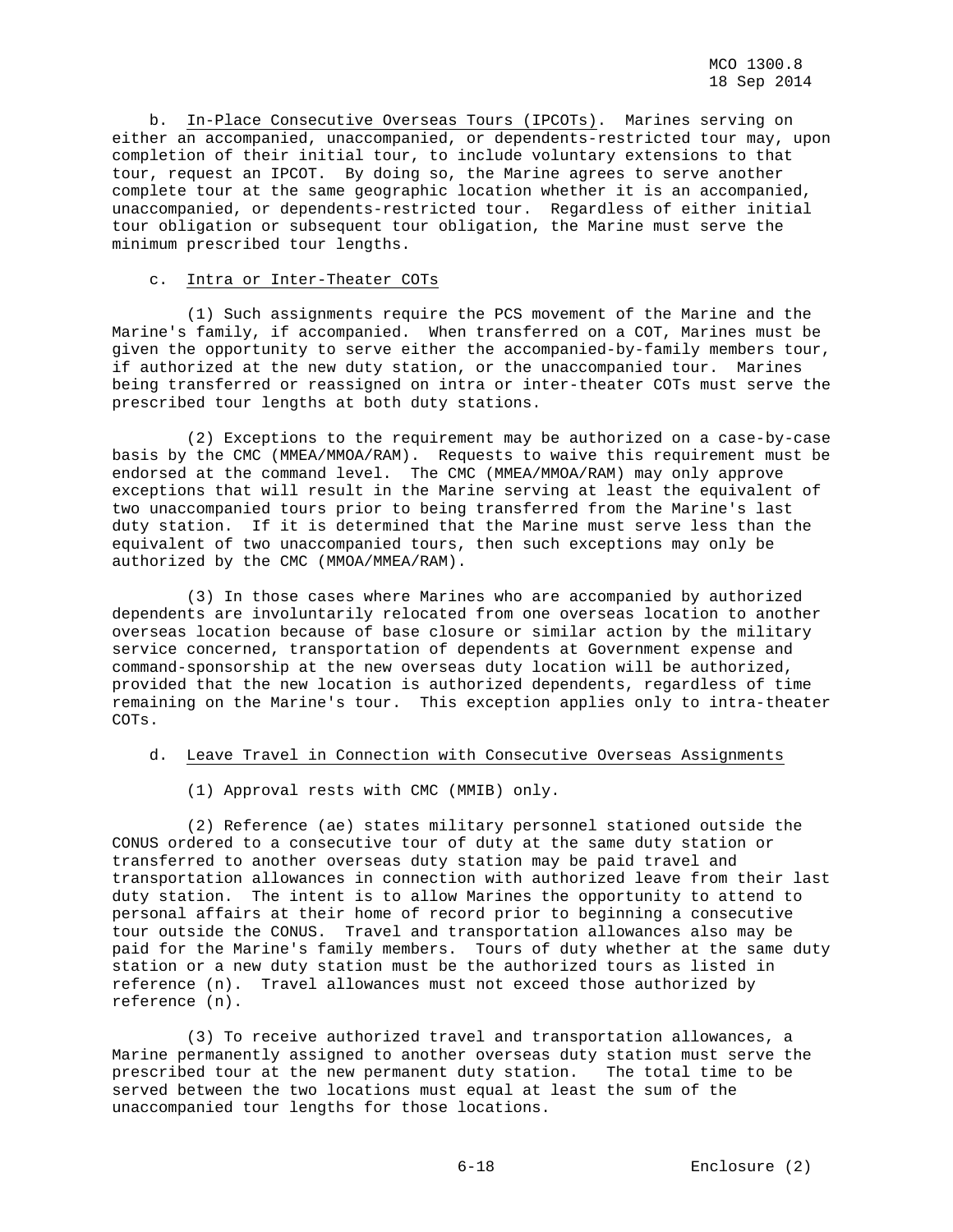b. In-Place Consecutive Overseas Tours (IPCOTs). Marines serving on either an accompanied, unaccompanied, or dependents-restricted tour may, upon completion of their initial tour, to include voluntary extensions to that tour, request an IPCOT. By doing so, the Marine agrees to serve another complete tour at the same geographic location whether it is an accompanied, unaccompanied, or dependents-restricted tour. Regardless of either initial tour obligation or subsequent tour obligation, the Marine must serve the minimum prescribed tour lengths.

## c. Intra or Inter-Theater COTs

 (1) Such assignments require the PCS movement of the Marine and the Marine's family, if accompanied. When transferred on a COT, Marines must be given the opportunity to serve either the accompanied-by-family members tour, if authorized at the new duty station, or the unaccompanied tour. Marines being transferred or reassigned on intra or inter-theater COTs must serve the prescribed tour lengths at both duty stations.

 (2) Exceptions to the requirement may be authorized on a case-by-case basis by the CMC (MMEA/MMOA/RAM). Requests to waive this requirement must be endorsed at the command level. The CMC (MMEA/MMOA/RAM) may only approve exceptions that will result in the Marine serving at least the equivalent of two unaccompanied tours prior to being transferred from the Marine's last duty station. If it is determined that the Marine must serve less than the equivalent of two unaccompanied tours, then such exceptions may only be authorized by the CMC (MMOA/MMEA/RAM).

 (3) In those cases where Marines who are accompanied by authorized dependents are involuntarily relocated from one overseas location to another overseas location because of base closure or similar action by the military service concerned, transportation of dependents at Government expense and command-sponsorship at the new overseas duty location will be authorized, provided that the new location is authorized dependents, regardless of time remaining on the Marine's tour. This exception applies only to intra-theater COTs.

## d. Leave Travel in Connection with Consecutive Overseas Assignments

(1) Approval rests with CMC (MMIB) only.

 (2) Reference (ae) states military personnel stationed outside the CONUS ordered to a consecutive tour of duty at the same duty station or transferred to another overseas duty station may be paid travel and transportation allowances in connection with authorized leave from their last duty station. The intent is to allow Marines the opportunity to attend to personal affairs at their home of record prior to beginning a consecutive tour outside the CONUS. Travel and transportation allowances also may be paid for the Marine's family members. Tours of duty whether at the same duty station or a new duty station must be the authorized tours as listed in reference (n). Travel allowances must not exceed those authorized by reference (n).

 (3) To receive authorized travel and transportation allowances, a Marine permanently assigned to another overseas duty station must serve the prescribed tour at the new permanent duty station. The total time to be served between the two locations must equal at least the sum of the unaccompanied tour lengths for those locations.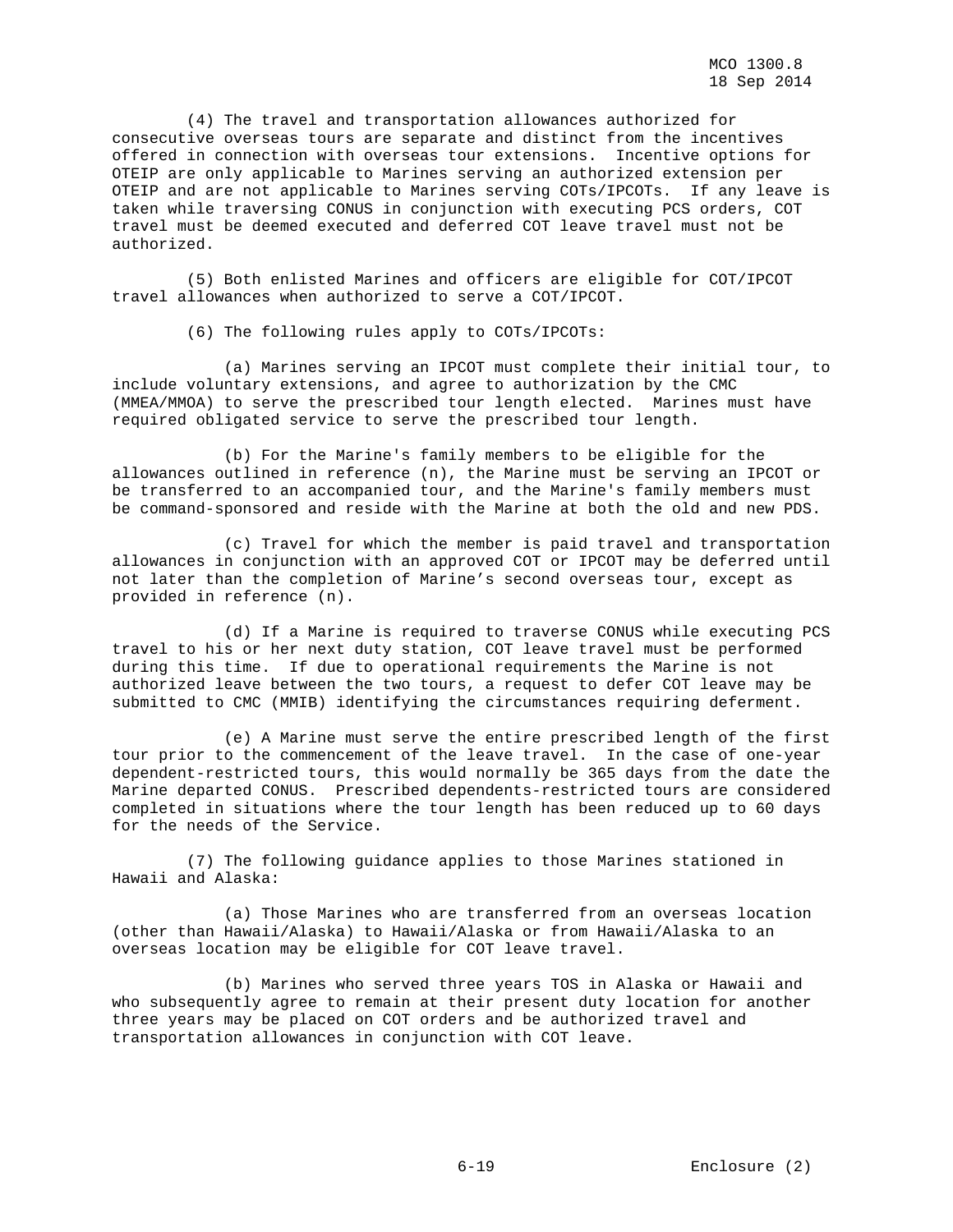(4) The travel and transportation allowances authorized for consecutive overseas tours are separate and distinct from the incentives offered in connection with overseas tour extensions. Incentive options for OTEIP are only applicable to Marines serving an authorized extension per OTEIP and are not applicable to Marines serving COTs/IPCOTs. If any leave is taken while traversing CONUS in conjunction with executing PCS orders, COT travel must be deemed executed and deferred COT leave travel must not be authorized.

 (5) Both enlisted Marines and officers are eligible for COT/IPCOT travel allowances when authorized to serve a COT/IPCOT.

(6) The following rules apply to COTs/IPCOTs:

 (a) Marines serving an IPCOT must complete their initial tour, to include voluntary extensions, and agree to authorization by the CMC (MMEA/MMOA) to serve the prescribed tour length elected. Marines must have required obligated service to serve the prescribed tour length.

 (b) For the Marine's family members to be eligible for the allowances outlined in reference (n), the Marine must be serving an IPCOT or be transferred to an accompanied tour, and the Marine's family members must be command-sponsored and reside with the Marine at both the old and new PDS.

 (c) Travel for which the member is paid travel and transportation allowances in conjunction with an approved COT or IPCOT may be deferred until not later than the completion of Marine's second overseas tour, except as provided in reference (n).

 (d) If a Marine is required to traverse CONUS while executing PCS travel to his or her next duty station, COT leave travel must be performed during this time. If due to operational requirements the Marine is not authorized leave between the two tours, a request to defer COT leave may be submitted to CMC (MMIB) identifying the circumstances requiring deferment.

 (e) A Marine must serve the entire prescribed length of the first tour prior to the commencement of the leave travel. In the case of one-year dependent-restricted tours, this would normally be 365 days from the date the Marine departed CONUS. Prescribed dependents-restricted tours are considered completed in situations where the tour length has been reduced up to 60 days for the needs of the Service.

 (7) The following guidance applies to those Marines stationed in Hawaii and Alaska:

 (a) Those Marines who are transferred from an overseas location (other than Hawaii/Alaska) to Hawaii/Alaska or from Hawaii/Alaska to an overseas location may be eligible for COT leave travel.

 (b) Marines who served three years TOS in Alaska or Hawaii and who subsequently agree to remain at their present duty location for another three years may be placed on COT orders and be authorized travel and transportation allowances in conjunction with COT leave.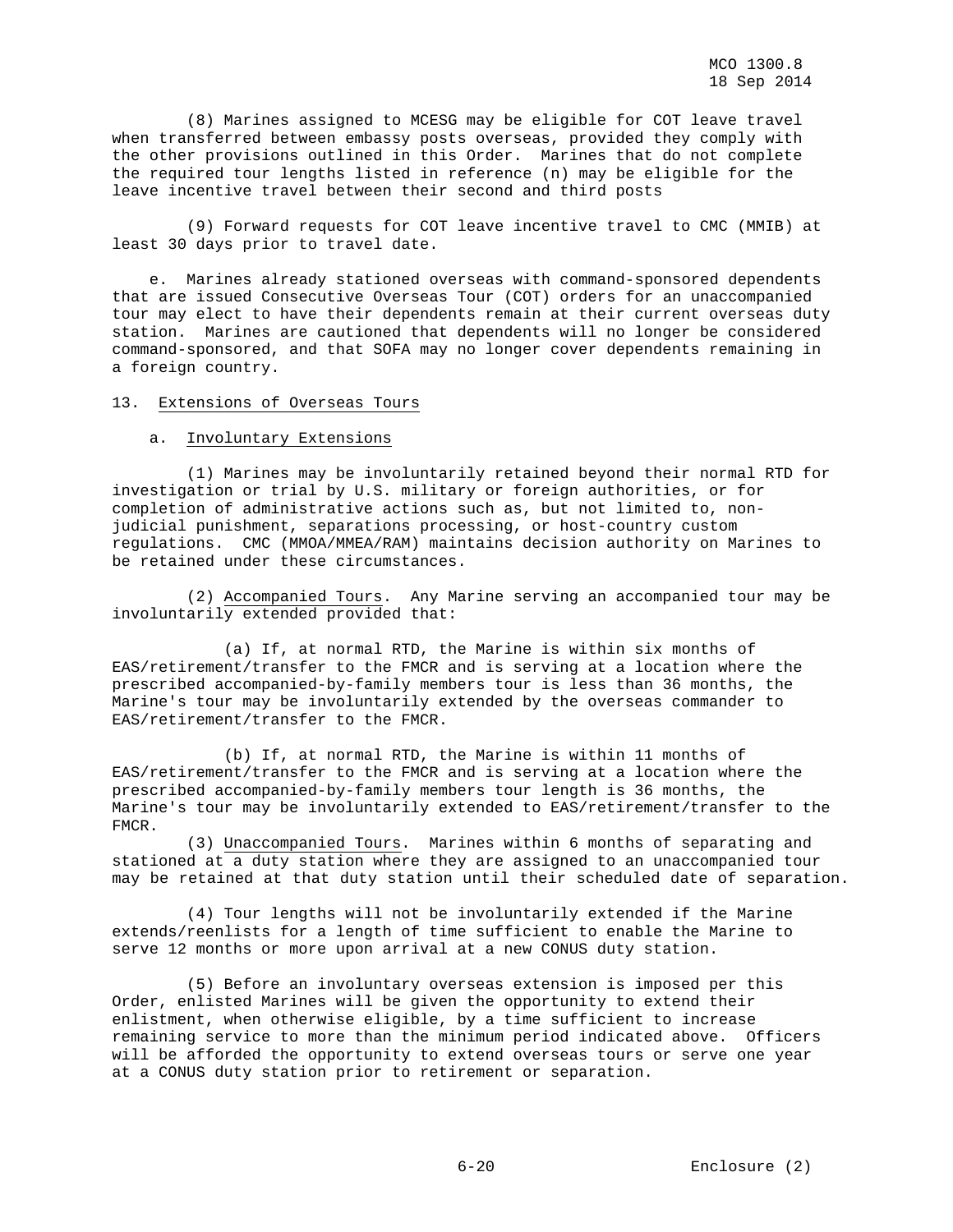(8) Marines assigned to MCESG may be eligible for COT leave travel when transferred between embassy posts overseas, provided they comply with the other provisions outlined in this Order. Marines that do not complete the required tour lengths listed in reference (n) may be eligible for the leave incentive travel between their second and third posts

 (9) Forward requests for COT leave incentive travel to CMC (MMIB) at least 30 days prior to travel date.

 e. Marines already stationed overseas with command-sponsored dependents that are issued Consecutive Overseas Tour (COT) orders for an unaccompanied tour may elect to have their dependents remain at their current overseas duty station. Marines are cautioned that dependents will no longer be considered command-sponsored, and that SOFA may no longer cover dependents remaining in a foreign country.

## 13. Extensions of Overseas Tours

#### a. Involuntary Extensions

 (1) Marines may be involuntarily retained beyond their normal RTD for investigation or trial by U.S. military or foreign authorities, or for completion of administrative actions such as, but not limited to, nonjudicial punishment, separations processing, or host-country custom regulations. CMC (MMOA/MMEA/RAM) maintains decision authority on Marines to be retained under these circumstances.

 (2) Accompanied Tours. Any Marine serving an accompanied tour may be involuntarily extended provided that:

 (a) If, at normal RTD, the Marine is within six months of EAS/retirement/transfer to the FMCR and is serving at a location where the prescribed accompanied-by-family members tour is less than 36 months, the Marine's tour may be involuntarily extended by the overseas commander to EAS/retirement/transfer to the FMCR.

 (b) If, at normal RTD, the Marine is within 11 months of EAS/retirement/transfer to the FMCR and is serving at a location where the prescribed accompanied-by-family members tour length is 36 months, the Marine's tour may be involuntarily extended to EAS/retirement/transfer to the FMCR.

 (3) Unaccompanied Tours. Marines within 6 months of separating and stationed at a duty station where they are assigned to an unaccompanied tour may be retained at that duty station until their scheduled date of separation.

 (4) Tour lengths will not be involuntarily extended if the Marine extends/reenlists for a length of time sufficient to enable the Marine to serve 12 months or more upon arrival at a new CONUS duty station.

 (5) Before an involuntary overseas extension is imposed per this Order, enlisted Marines will be given the opportunity to extend their enlistment, when otherwise eligible, by a time sufficient to increase remaining service to more than the minimum period indicated above. Officers will be afforded the opportunity to extend overseas tours or serve one year at a CONUS duty station prior to retirement or separation.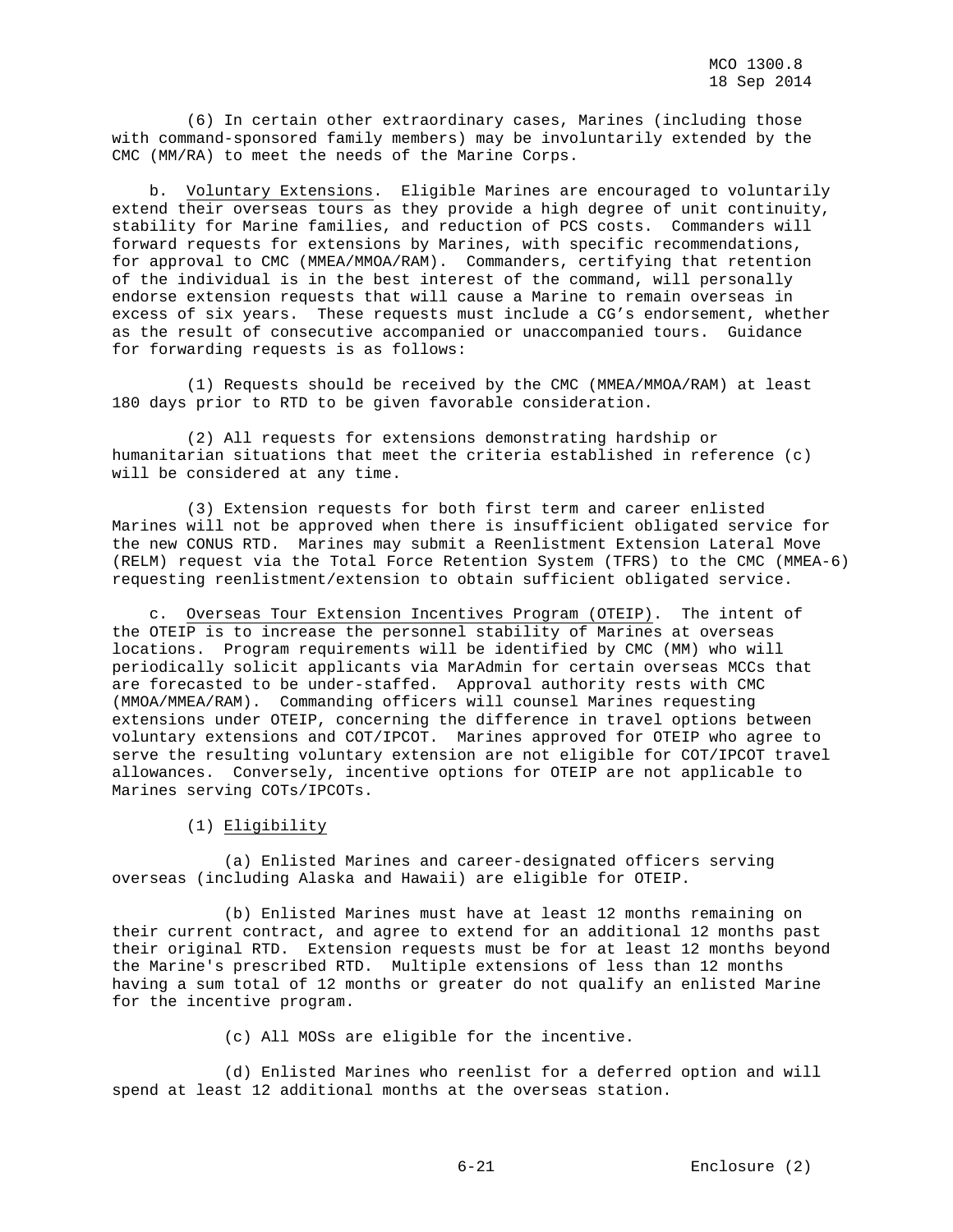(6) In certain other extraordinary cases, Marines (including those with command-sponsored family members) may be involuntarily extended by the CMC (MM/RA) to meet the needs of the Marine Corps.

 b. Voluntary Extensions. Eligible Marines are encouraged to voluntarily extend their overseas tours as they provide a high degree of unit continuity, stability for Marine families, and reduction of PCS costs. Commanders will forward requests for extensions by Marines, with specific recommendations, for approval to CMC (MMEA/MMOA/RAM). Commanders, certifying that retention of the individual is in the best interest of the command, will personally endorse extension requests that will cause a Marine to remain overseas in excess of six years. These requests must include a CG's endorsement, whether as the result of consecutive accompanied or unaccompanied tours. Guidance for forwarding requests is as follows:

 (1) Requests should be received by the CMC (MMEA/MMOA/RAM) at least 180 days prior to RTD to be given favorable consideration.

 (2) All requests for extensions demonstrating hardship or humanitarian situations that meet the criteria established in reference (c) will be considered at any time.

 (3) Extension requests for both first term and career enlisted Marines will not be approved when there is insufficient obligated service for the new CONUS RTD. Marines may submit a Reenlistment Extension Lateral Move (RELM) request via the Total Force Retention System (TFRS) to the CMC (MMEA-6) requesting reenlistment/extension to obtain sufficient obligated service.

 c. Overseas Tour Extension Incentives Program (OTEIP). The intent of the OTEIP is to increase the personnel stability of Marines at overseas locations. Program requirements will be identified by CMC (MM) who will periodically solicit applicants via MarAdmin for certain overseas MCCs that are forecasted to be under-staffed. Approval authority rests with CMC (MMOA/MMEA/RAM). Commanding officers will counsel Marines requesting extensions under OTEIP, concerning the difference in travel options between voluntary extensions and COT/IPCOT. Marines approved for OTEIP who agree to serve the resulting voluntary extension are not eligible for COT/IPCOT travel allowances. Conversely, incentive options for OTEIP are not applicable to Marines serving COTs/IPCOTs.

(1) Eligibility

 (a) Enlisted Marines and career-designated officers serving overseas (including Alaska and Hawaii) are eligible for OTEIP.

 (b) Enlisted Marines must have at least 12 months remaining on their current contract, and agree to extend for an additional 12 months past their original RTD. Extension requests must be for at least 12 months beyond the Marine's prescribed RTD. Multiple extensions of less than 12 months having a sum total of 12 months or greater do not qualify an enlisted Marine for the incentive program.

(c) All MOSs are eligible for the incentive.

 (d) Enlisted Marines who reenlist for a deferred option and will spend at least 12 additional months at the overseas station.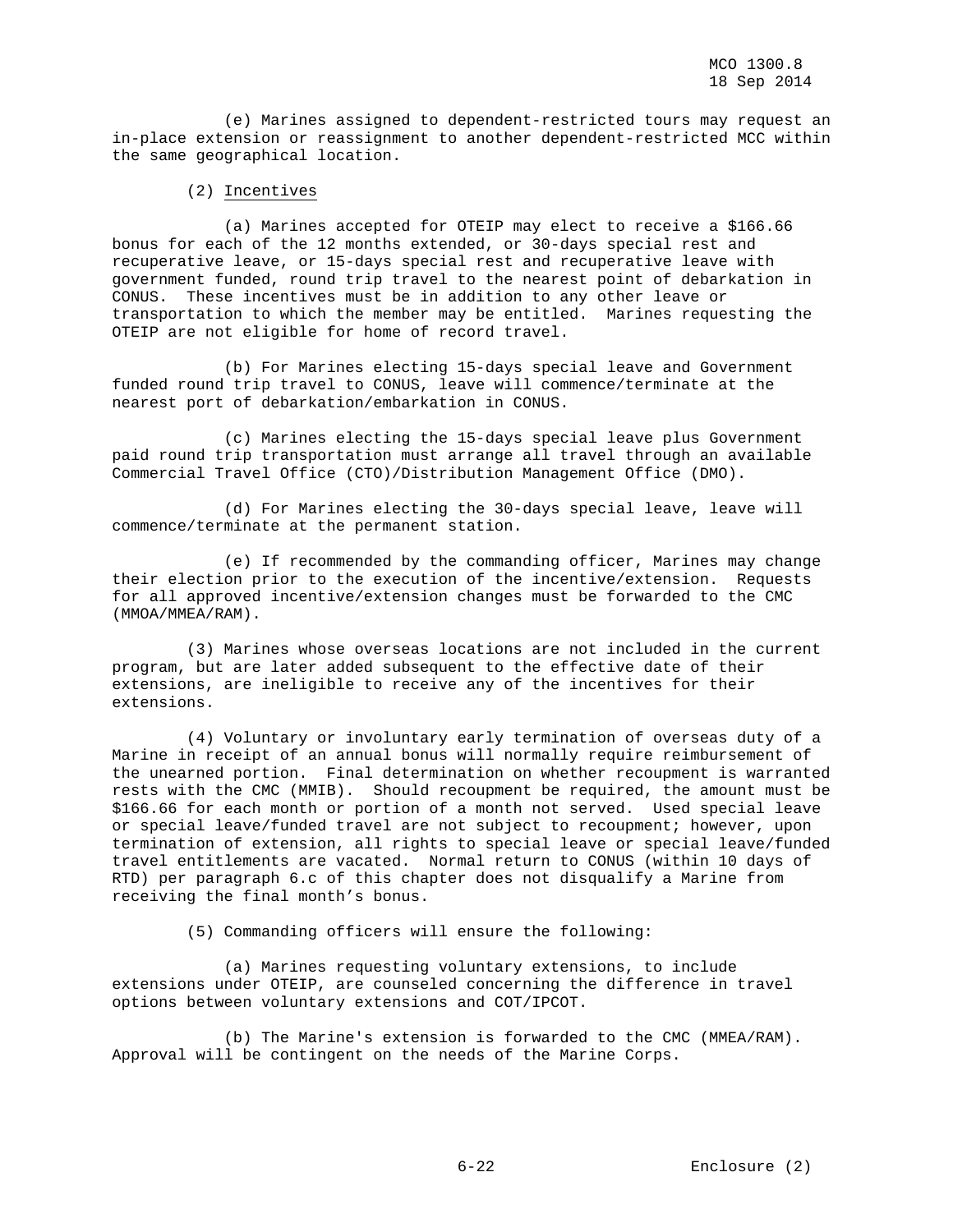(e) Marines assigned to dependent-restricted tours may request an in-place extension or reassignment to another dependent-restricted MCC within the same geographical location.

### (2) Incentives

 (a) Marines accepted for OTEIP may elect to receive a \$166.66 bonus for each of the 12 months extended, or 30-days special rest and recuperative leave, or 15-days special rest and recuperative leave with government funded, round trip travel to the nearest point of debarkation in CONUS. These incentives must be in addition to any other leave or transportation to which the member may be entitled. Marines requesting the OTEIP are not eligible for home of record travel.

 (b) For Marines electing 15-days special leave and Government funded round trip travel to CONUS, leave will commence/terminate at the nearest port of debarkation/embarkation in CONUS.

 (c) Marines electing the 15-days special leave plus Government paid round trip transportation must arrange all travel through an available Commercial Travel Office (CTO)/Distribution Management Office (DMO).

 (d) For Marines electing the 30-days special leave, leave will commence/terminate at the permanent station.

 (e) If recommended by the commanding officer, Marines may change their election prior to the execution of the incentive/extension. Requests for all approved incentive/extension changes must be forwarded to the CMC (MMOA/MMEA/RAM).

 (3) Marines whose overseas locations are not included in the current program, but are later added subsequent to the effective date of their extensions, are ineligible to receive any of the incentives for their extensions.

 (4) Voluntary or involuntary early termination of overseas duty of a Marine in receipt of an annual bonus will normally require reimbursement of the unearned portion. Final determination on whether recoupment is warranted rests with the CMC (MMIB). Should recoupment be required, the amount must be \$166.66 for each month or portion of a month not served. Used special leave or special leave/funded travel are not subject to recoupment; however, upon termination of extension, all rights to special leave or special leave/funded travel entitlements are vacated. Normal return to CONUS (within 10 days of RTD) per paragraph 6.c of this chapter does not disqualify a Marine from receiving the final month's bonus.

(5) Commanding officers will ensure the following:

 (a) Marines requesting voluntary extensions, to include extensions under OTEIP, are counseled concerning the difference in travel options between voluntary extensions and COT/IPCOT.

 (b) The Marine's extension is forwarded to the CMC (MMEA/RAM). Approval will be contingent on the needs of the Marine Corps.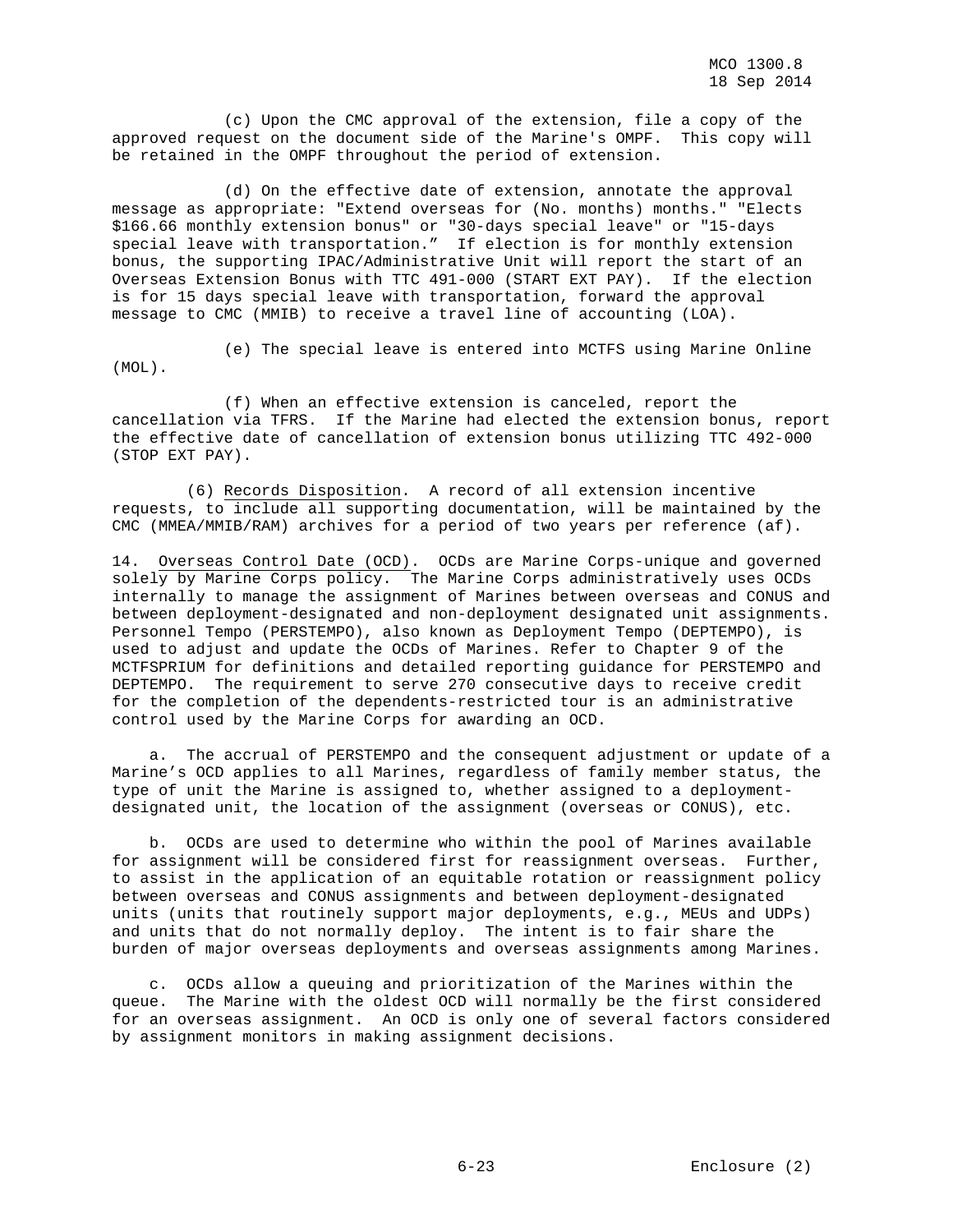(c) Upon the CMC approval of the extension, file a copy of the approved request on the document side of the Marine's OMPF. This copy will be retained in the OMPF throughout the period of extension.

 (d) On the effective date of extension, annotate the approval message as appropriate: "Extend overseas for (No. months) months." "Elects \$166.66 monthly extension bonus" or "30-days special leave" or "15-days special leave with transportation." If election is for monthly extension bonus, the supporting IPAC/Administrative Unit will report the start of an Overseas Extension Bonus with TTC 491-000 (START EXT PAY). If the election is for 15 days special leave with transportation, forward the approval message to CMC (MMIB) to receive a travel line of accounting (LOA).

 (e) The special leave is entered into MCTFS using Marine Online (MOL).

 (f) When an effective extension is canceled, report the cancellation via TFRS. If the Marine had elected the extension bonus, report the effective date of cancellation of extension bonus utilizing TTC 492-000 (STOP EXT PAY).

 (6) Records Disposition. A record of all extension incentive requests, to include all supporting documentation, will be maintained by the CMC (MMEA/MMIB/RAM) archives for a period of two years per reference (af).

14. Overseas Control Date (OCD). OCDs are Marine Corps-unique and governed solely by Marine Corps policy. The Marine Corps administratively uses OCDs internally to manage the assignment of Marines between overseas and CONUS and between deployment-designated and non-deployment designated unit assignments. Personnel Tempo (PERSTEMPO), also known as Deployment Tempo (DEPTEMPO), is used to adjust and update the OCDs of Marines. Refer to Chapter 9 of the MCTFSPRIUM for definitions and detailed reporting guidance for PERSTEMPO and DEPTEMPO. The requirement to serve 270 consecutive days to receive credit for the completion of the dependents-restricted tour is an administrative control used by the Marine Corps for awarding an OCD.

 a. The accrual of PERSTEMPO and the consequent adjustment or update of a Marine's OCD applies to all Marines, regardless of family member status, the type of unit the Marine is assigned to, whether assigned to a deploymentdesignated unit, the location of the assignment (overseas or CONUS), etc.

 b. OCDs are used to determine who within the pool of Marines available for assignment will be considered first for reassignment overseas. Further, to assist in the application of an equitable rotation or reassignment policy between overseas and CONUS assignments and between deployment-designated units (units that routinely support major deployments, e.g., MEUs and UDPs) and units that do not normally deploy. The intent is to fair share the burden of major overseas deployments and overseas assignments among Marines.

 c. OCDs allow a queuing and prioritization of the Marines within the queue. The Marine with the oldest OCD will normally be the first considered for an overseas assignment. An OCD is only one of several factors considered by assignment monitors in making assignment decisions.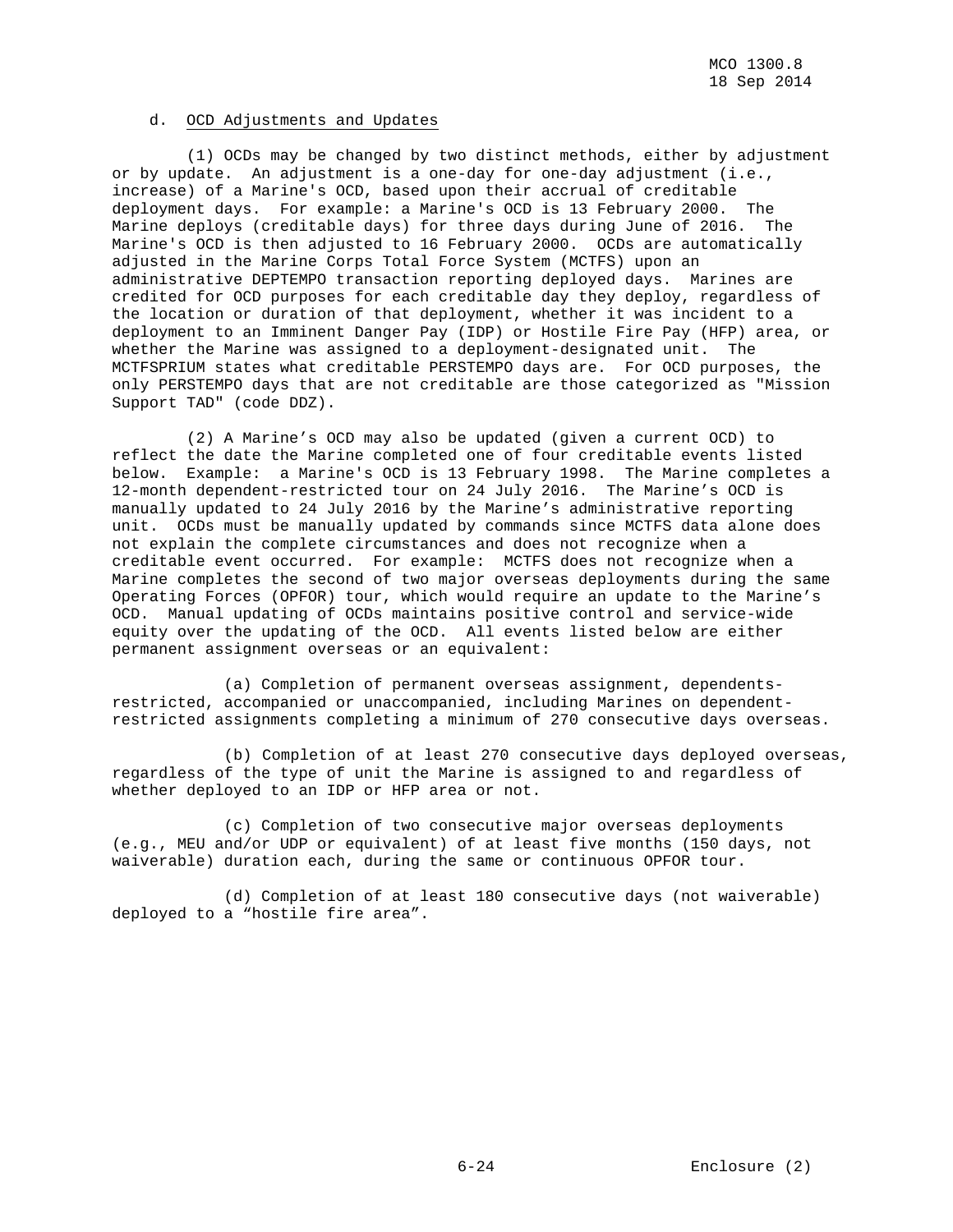MCO 1300.8 18 Sep 2014

## d. OCD Adjustments and Updates

 (1) OCDs may be changed by two distinct methods, either by adjustment or by update. An adjustment is a one-day for one-day adjustment (i.e., increase) of a Marine's OCD, based upon their accrual of creditable deployment days. For example: a Marine's OCD is 13 February 2000. The Marine deploys (creditable days) for three days during June of 2016. The Marine's OCD is then adjusted to 16 February 2000. OCDs are automatically adjusted in the Marine Corps Total Force System (MCTFS) upon an administrative DEPTEMPO transaction reporting deployed days. Marines are credited for OCD purposes for each creditable day they deploy, regardless of the location or duration of that deployment, whether it was incident to a deployment to an Imminent Danger Pay (IDP) or Hostile Fire Pay (HFP) area, or whether the Marine was assigned to a deployment-designated unit. The MCTFSPRIUM states what creditable PERSTEMPO days are. For OCD purposes, the only PERSTEMPO days that are not creditable are those categorized as "Mission Support TAD" (code DDZ).

 (2) A Marine's OCD may also be updated (given a current OCD) to reflect the date the Marine completed one of four creditable events listed below. Example: a Marine's OCD is 13 February 1998. The Marine completes a 12-month dependent-restricted tour on 24 July 2016. The Marine's OCD is manually updated to 24 July 2016 by the Marine's administrative reporting unit. OCDs must be manually updated by commands since MCTFS data alone does not explain the complete circumstances and does not recognize when a creditable event occurred. For example: MCTFS does not recognize when a Marine completes the second of two major overseas deployments during the same Operating Forces (OPFOR) tour, which would require an update to the Marine's OCD. Manual updating of OCDs maintains positive control and service-wide equity over the updating of the OCD. All events listed below are either permanent assignment overseas or an equivalent:

 (a) Completion of permanent overseas assignment, dependentsrestricted, accompanied or unaccompanied, including Marines on dependentrestricted assignments completing a minimum of 270 consecutive days overseas.

 (b) Completion of at least 270 consecutive days deployed overseas, regardless of the type of unit the Marine is assigned to and regardless of whether deployed to an IDP or HFP area or not.

 (c) Completion of two consecutive major overseas deployments (e.g., MEU and/or UDP or equivalent) of at least five months (150 days, not waiverable) duration each, during the same or continuous OPFOR tour.

 (d) Completion of at least 180 consecutive days (not waiverable) deployed to a "hostile fire area".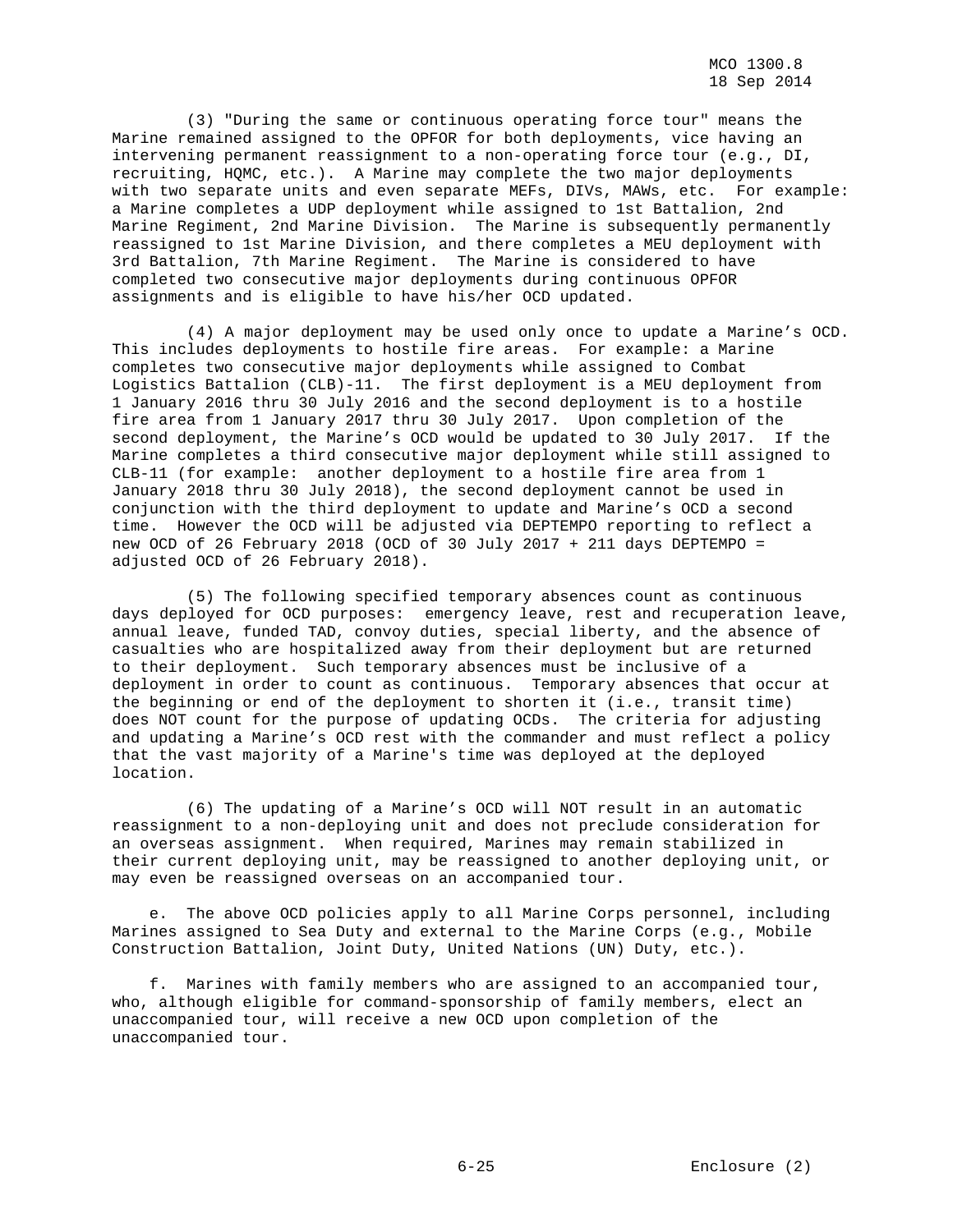(3) "During the same or continuous operating force tour" means the Marine remained assigned to the OPFOR for both deployments, vice having an intervening permanent reassignment to a non-operating force tour (e.g., DI, recruiting, HQMC, etc.). A Marine may complete the two major deployments with two separate units and even separate MEFs, DIVs, MAWs, etc. For example: a Marine completes a UDP deployment while assigned to 1st Battalion, 2nd Marine Regiment, 2nd Marine Division. The Marine is subsequently permanently reassigned to 1st Marine Division, and there completes a MEU deployment with 3rd Battalion, 7th Marine Regiment. The Marine is considered to have completed two consecutive major deployments during continuous OPFOR assignments and is eligible to have his/her OCD updated.

 (4) A major deployment may be used only once to update a Marine's OCD. This includes deployments to hostile fire areas. For example: a Marine completes two consecutive major deployments while assigned to Combat Logistics Battalion (CLB)-11. The first deployment is a MEU deployment from 1 January 2016 thru 30 July 2016 and the second deployment is to a hostile fire area from 1 January 2017 thru 30 July 2017. Upon completion of the second deployment, the Marine's OCD would be updated to 30 July 2017. If the Marine completes a third consecutive major deployment while still assigned to CLB-11 (for example: another deployment to a hostile fire area from 1 January 2018 thru 30 July 2018), the second deployment cannot be used in conjunction with the third deployment to update and Marine's OCD a second time. However the OCD will be adjusted via DEPTEMPO reporting to reflect a new OCD of 26 February 2018 (OCD of 30 July 2017 + 211 days DEPTEMPO = adjusted OCD of 26 February 2018).

 (5) The following specified temporary absences count as continuous days deployed for OCD purposes: emergency leave, rest and recuperation leave, annual leave, funded TAD, convoy duties, special liberty, and the absence of casualties who are hospitalized away from their deployment but are returned to their deployment. Such temporary absences must be inclusive of a deployment in order to count as continuous. Temporary absences that occur at the beginning or end of the deployment to shorten it (i.e., transit time) does NOT count for the purpose of updating OCDs. The criteria for adjusting and updating a Marine's OCD rest with the commander and must reflect a policy that the vast majority of a Marine's time was deployed at the deployed location.

 (6) The updating of a Marine's OCD will NOT result in an automatic reassignment to a non-deploying unit and does not preclude consideration for an overseas assignment. When required, Marines may remain stabilized in their current deploying unit, may be reassigned to another deploying unit, or may even be reassigned overseas on an accompanied tour.

 e. The above OCD policies apply to all Marine Corps personnel, including Marines assigned to Sea Duty and external to the Marine Corps (e.g., Mobile Construction Battalion, Joint Duty, United Nations (UN) Duty, etc.).

 f. Marines with family members who are assigned to an accompanied tour, who, although eligible for command-sponsorship of family members, elect an unaccompanied tour, will receive a new OCD upon completion of the unaccompanied tour.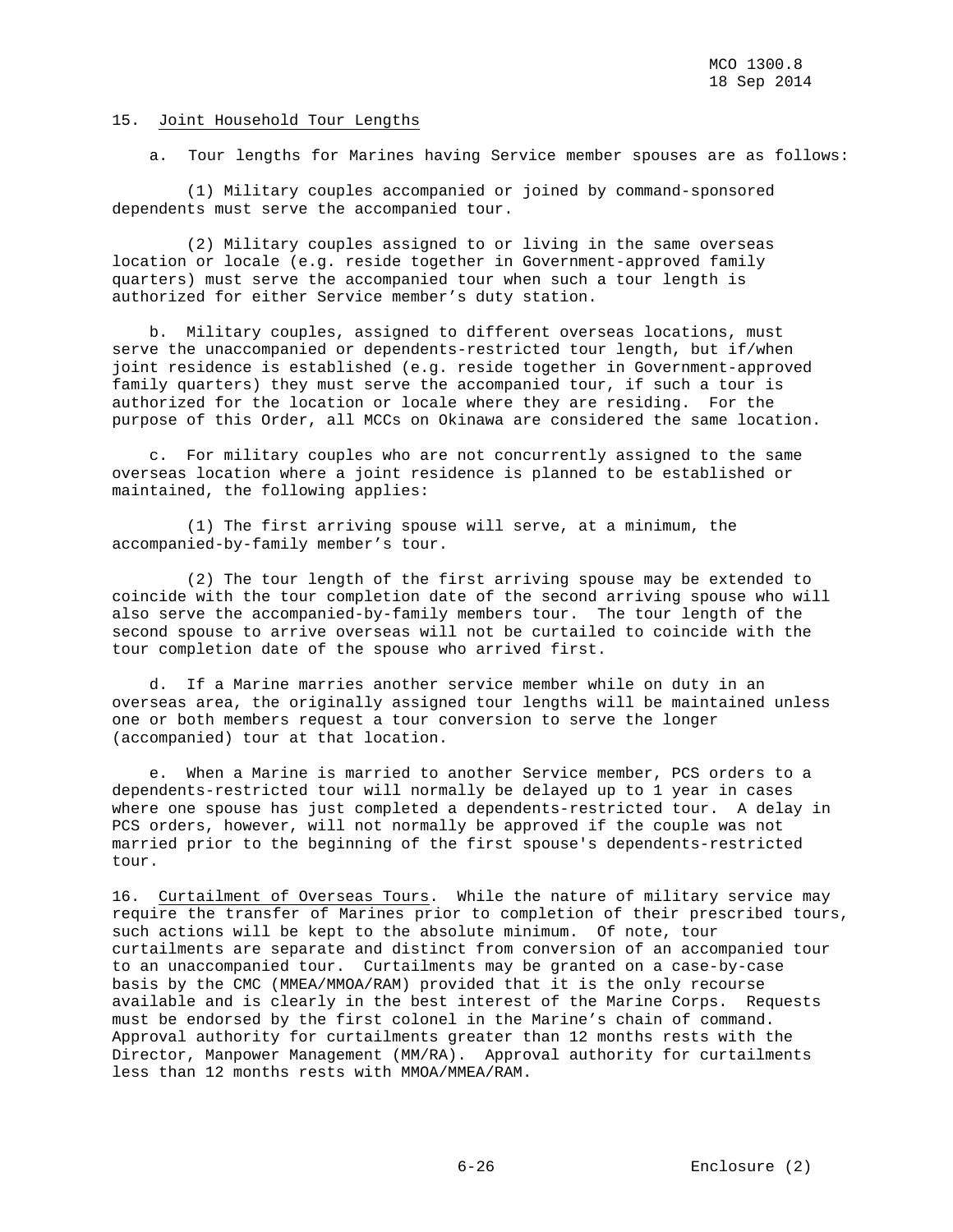## 15. Joint Household Tour Lengths

a. Tour lengths for Marines having Service member spouses are as follows:

 (1) Military couples accompanied or joined by command-sponsored dependents must serve the accompanied tour.

 (2) Military couples assigned to or living in the same overseas location or locale (e.g. reside together in Government-approved family quarters) must serve the accompanied tour when such a tour length is authorized for either Service member's duty station.

 b. Military couples, assigned to different overseas locations, must serve the unaccompanied or dependents-restricted tour length, but if/when joint residence is established (e.g. reside together in Government-approved family quarters) they must serve the accompanied tour, if such a tour is authorized for the location or locale where they are residing. For the purpose of this Order, all MCCs on Okinawa are considered the same location.

 c. For military couples who are not concurrently assigned to the same overseas location where a joint residence is planned to be established or maintained, the following applies:

 (1) The first arriving spouse will serve, at a minimum, the accompanied-by-family member's tour.

 (2) The tour length of the first arriving spouse may be extended to coincide with the tour completion date of the second arriving spouse who will also serve the accompanied-by-family members tour. The tour length of the second spouse to arrive overseas will not be curtailed to coincide with the tour completion date of the spouse who arrived first.

 d. If a Marine marries another service member while on duty in an overseas area, the originally assigned tour lengths will be maintained unless one or both members request a tour conversion to serve the longer (accompanied) tour at that location.

 e. When a Marine is married to another Service member, PCS orders to a dependents-restricted tour will normally be delayed up to 1 year in cases where one spouse has just completed a dependents-restricted tour. A delay in PCS orders, however, will not normally be approved if the couple was not married prior to the beginning of the first spouse's dependents-restricted tour.

16. Curtailment of Overseas Tours. While the nature of military service may require the transfer of Marines prior to completion of their prescribed tours, such actions will be kept to the absolute minimum. Of note, tour curtailments are separate and distinct from conversion of an accompanied tour to an unaccompanied tour. Curtailments may be granted on a case-by-case basis by the CMC (MMEA/MMOA/RAM) provided that it is the only recourse available and is clearly in the best interest of the Marine Corps. Requests must be endorsed by the first colonel in the Marine's chain of command. Approval authority for curtailments greater than 12 months rests with the Director, Manpower Management (MM/RA). Approval authority for curtailments less than 12 months rests with MMOA/MMEA/RAM.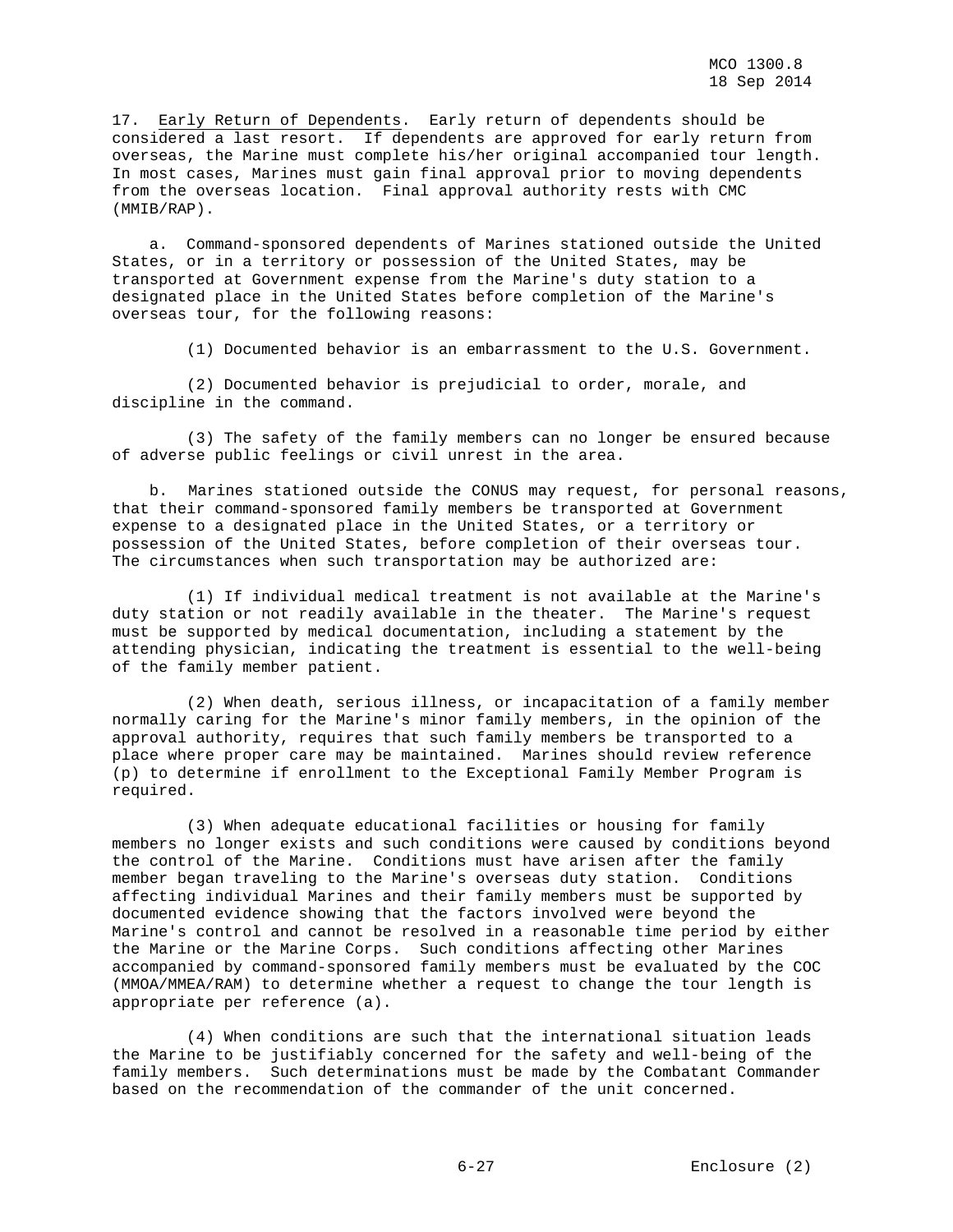17. Early Return of Dependents. Early return of dependents should be considered a last resort. If dependents are approved for early return from overseas, the Marine must complete his/her original accompanied tour length. In most cases, Marines must gain final approval prior to moving dependents from the overseas location. Final approval authority rests with CMC (MMIB/RAP).

 a. Command-sponsored dependents of Marines stationed outside the United States, or in a territory or possession of the United States, may be transported at Government expense from the Marine's duty station to a designated place in the United States before completion of the Marine's overseas tour, for the following reasons:

(1) Documented behavior is an embarrassment to the U.S. Government.

 (2) Documented behavior is prejudicial to order, morale, and discipline in the command.

 (3) The safety of the family members can no longer be ensured because of adverse public feelings or civil unrest in the area.

 b. Marines stationed outside the CONUS may request, for personal reasons, that their command-sponsored family members be transported at Government expense to a designated place in the United States, or a territory or possession of the United States, before completion of their overseas tour. The circumstances when such transportation may be authorized are:

 (1) If individual medical treatment is not available at the Marine's duty station or not readily available in the theater. The Marine's request must be supported by medical documentation, including a statement by the attending physician, indicating the treatment is essential to the well-being of the family member patient.

 (2) When death, serious illness, or incapacitation of a family member normally caring for the Marine's minor family members, in the opinion of the approval authority, requires that such family members be transported to a place where proper care may be maintained. Marines should review reference (p) to determine if enrollment to the Exceptional Family Member Program is required.

 (3) When adequate educational facilities or housing for family members no longer exists and such conditions were caused by conditions beyond the control of the Marine. Conditions must have arisen after the family member began traveling to the Marine's overseas duty station. Conditions affecting individual Marines and their family members must be supported by documented evidence showing that the factors involved were beyond the Marine's control and cannot be resolved in a reasonable time period by either the Marine or the Marine Corps. Such conditions affecting other Marines accompanied by command-sponsored family members must be evaluated by the COC (MMOA/MMEA/RAM) to determine whether a request to change the tour length is appropriate per reference (a).

 (4) When conditions are such that the international situation leads the Marine to be justifiably concerned for the safety and well-being of the family members. Such determinations must be made by the Combatant Commander based on the recommendation of the commander of the unit concerned.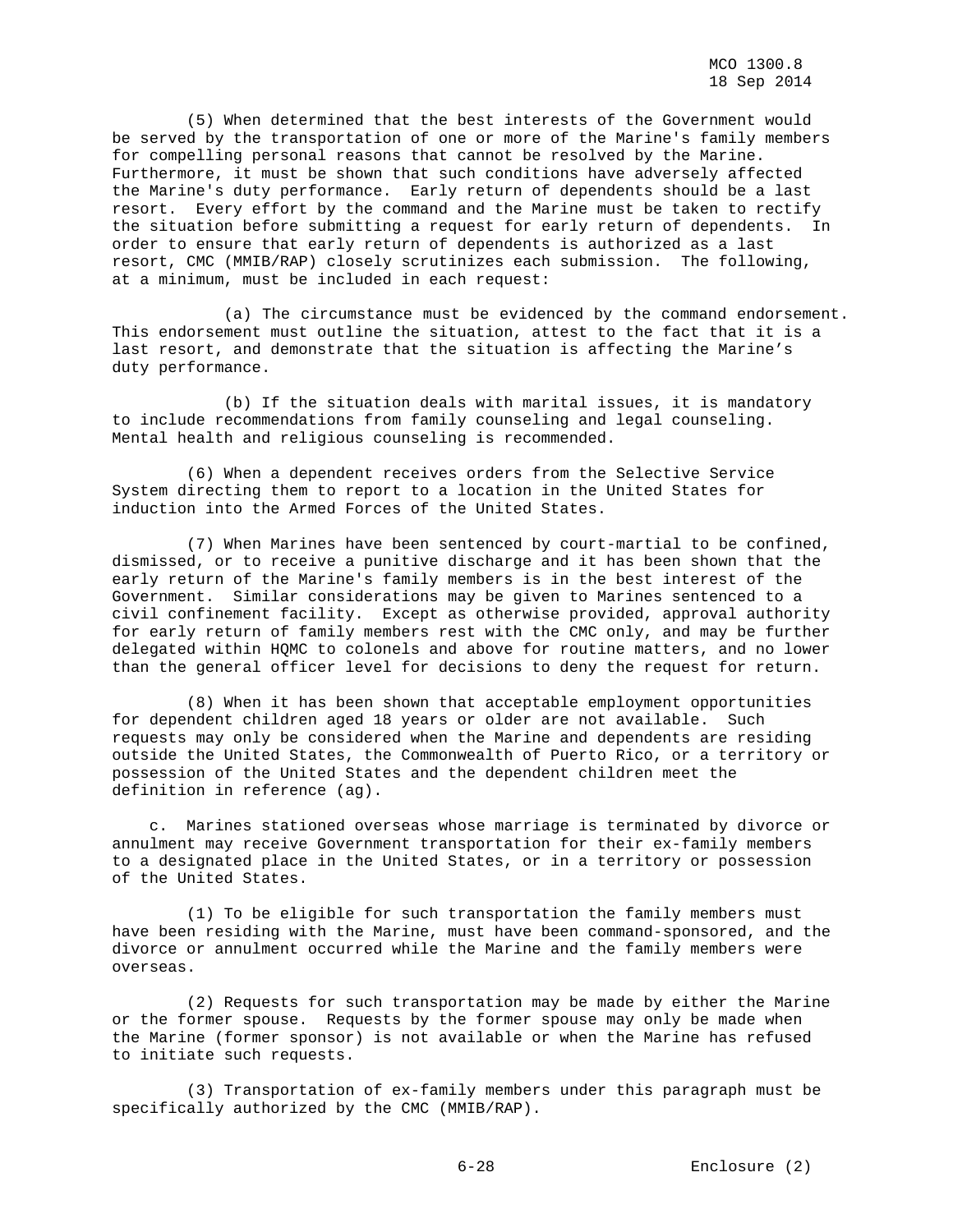(5) When determined that the best interests of the Government would be served by the transportation of one or more of the Marine's family members for compelling personal reasons that cannot be resolved by the Marine. Furthermore, it must be shown that such conditions have adversely affected the Marine's duty performance. Early return of dependents should be a last resort. Every effort by the command and the Marine must be taken to rectify the situation before submitting a request for early return of dependents. In order to ensure that early return of dependents is authorized as a last resort, CMC (MMIB/RAP) closely scrutinizes each submission. The following, at a minimum, must be included in each request:

 (a) The circumstance must be evidenced by the command endorsement. This endorsement must outline the situation, attest to the fact that it is a last resort, and demonstrate that the situation is affecting the Marine's duty performance.

 (b) If the situation deals with marital issues, it is mandatory to include recommendations from family counseling and legal counseling. Mental health and religious counseling is recommended.

 (6) When a dependent receives orders from the Selective Service System directing them to report to a location in the United States for induction into the Armed Forces of the United States.

 (7) When Marines have been sentenced by court-martial to be confined, dismissed, or to receive a punitive discharge and it has been shown that the early return of the Marine's family members is in the best interest of the Government. Similar considerations may be given to Marines sentenced to a civil confinement facility. Except as otherwise provided, approval authority for early return of family members rest with the CMC only, and may be further delegated within HQMC to colonels and above for routine matters, and no lower than the general officer level for decisions to deny the request for return.

 (8) When it has been shown that acceptable employment opportunities for dependent children aged 18 years or older are not available. Such requests may only be considered when the Marine and dependents are residing outside the United States, the Commonwealth of Puerto Rico, or a territory or possession of the United States and the dependent children meet the definition in reference (ag).

 c. Marines stationed overseas whose marriage is terminated by divorce or annulment may receive Government transportation for their ex-family members to a designated place in the United States, or in a territory or possession of the United States.

 (1) To be eligible for such transportation the family members must have been residing with the Marine, must have been command-sponsored, and the divorce or annulment occurred while the Marine and the family members were overseas.

 (2) Requests for such transportation may be made by either the Marine or the former spouse. Requests by the former spouse may only be made when the Marine (former sponsor) is not available or when the Marine has refused to initiate such requests.

 (3) Transportation of ex-family members under this paragraph must be specifically authorized by the CMC (MMIB/RAP).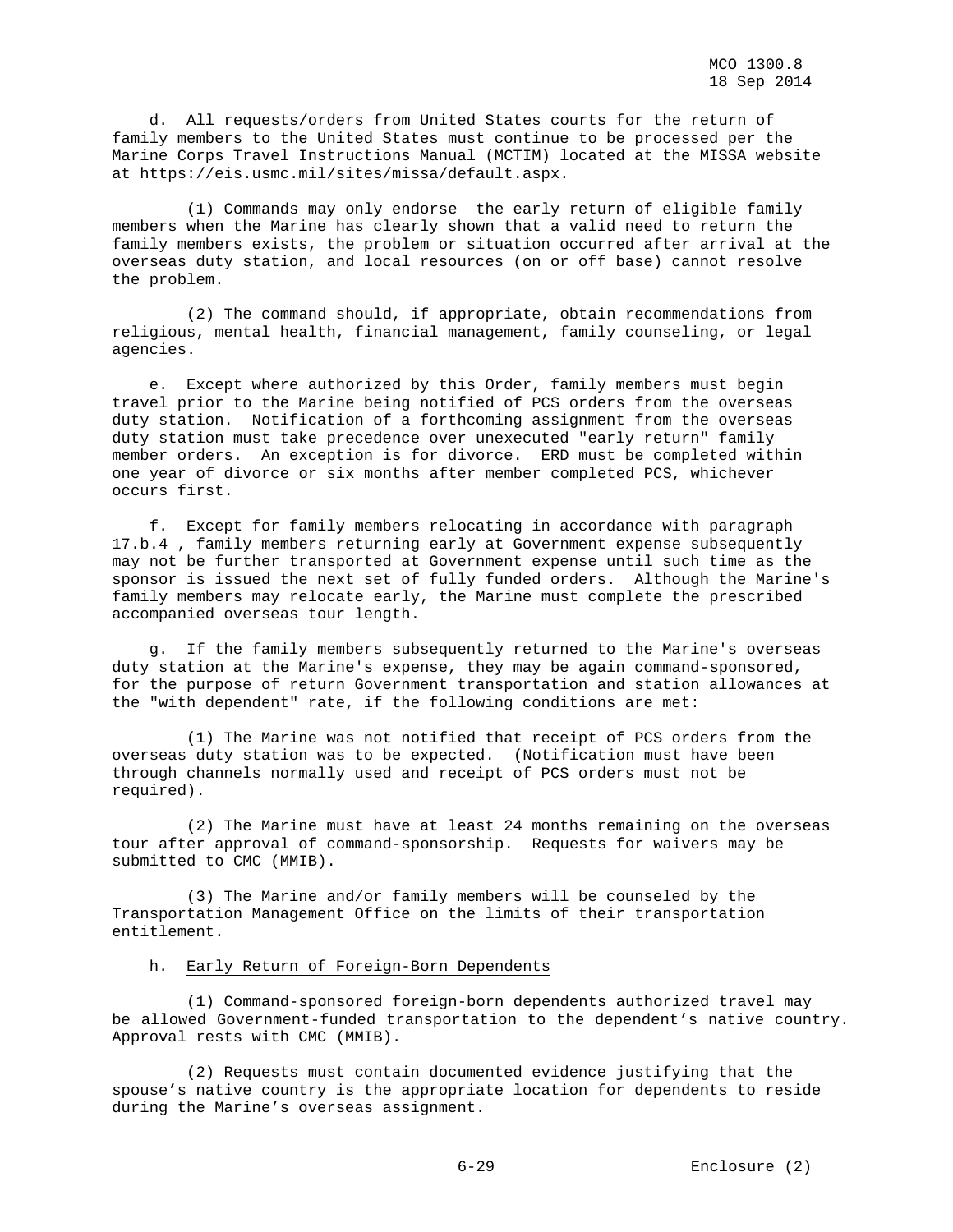d. All requests/orders from United States courts for the return of family members to the United States must continue to be processed per the Marine Corps Travel Instructions Manual (MCTIM) located at the MISSA website at https://eis.usmc.mil/sites/missa/default.aspx.

 (1) Commands may only endorse the early return of eligible family members when the Marine has clearly shown that a valid need to return the family members exists, the problem or situation occurred after arrival at the overseas duty station, and local resources (on or off base) cannot resolve the problem.

 (2) The command should, if appropriate, obtain recommendations from religious, mental health, financial management, family counseling, or legal agencies.

 e. Except where authorized by this Order, family members must begin travel prior to the Marine being notified of PCS orders from the overseas duty station. Notification of a forthcoming assignment from the overseas duty station must take precedence over unexecuted "early return" family member orders. An exception is for divorce. ERD must be completed within one year of divorce or six months after member completed PCS, whichever occurs first.

 f. Except for family members relocating in accordance with paragraph 17.b.4 , family members returning early at Government expense subsequently may not be further transported at Government expense until such time as the sponsor is issued the next set of fully funded orders. Although the Marine's family members may relocate early, the Marine must complete the prescribed accompanied overseas tour length.

 g. If the family members subsequently returned to the Marine's overseas duty station at the Marine's expense, they may be again command-sponsored, for the purpose of return Government transportation and station allowances at the "with dependent" rate, if the following conditions are met:

 (1) The Marine was not notified that receipt of PCS orders from the overseas duty station was to be expected. (Notification must have been through channels normally used and receipt of PCS orders must not be required).

 (2) The Marine must have at least 24 months remaining on the overseas tour after approval of command-sponsorship. Requests for waivers may be submitted to CMC (MMIB).

 (3) The Marine and/or family members will be counseled by the Transportation Management Office on the limits of their transportation entitlement.

## h. Early Return of Foreign-Born Dependents

 (1) Command-sponsored foreign-born dependents authorized travel may be allowed Government-funded transportation to the dependent's native country. Approval rests with CMC (MMIB).

 (2) Requests must contain documented evidence justifying that the spouse's native country is the appropriate location for dependents to reside during the Marine's overseas assignment.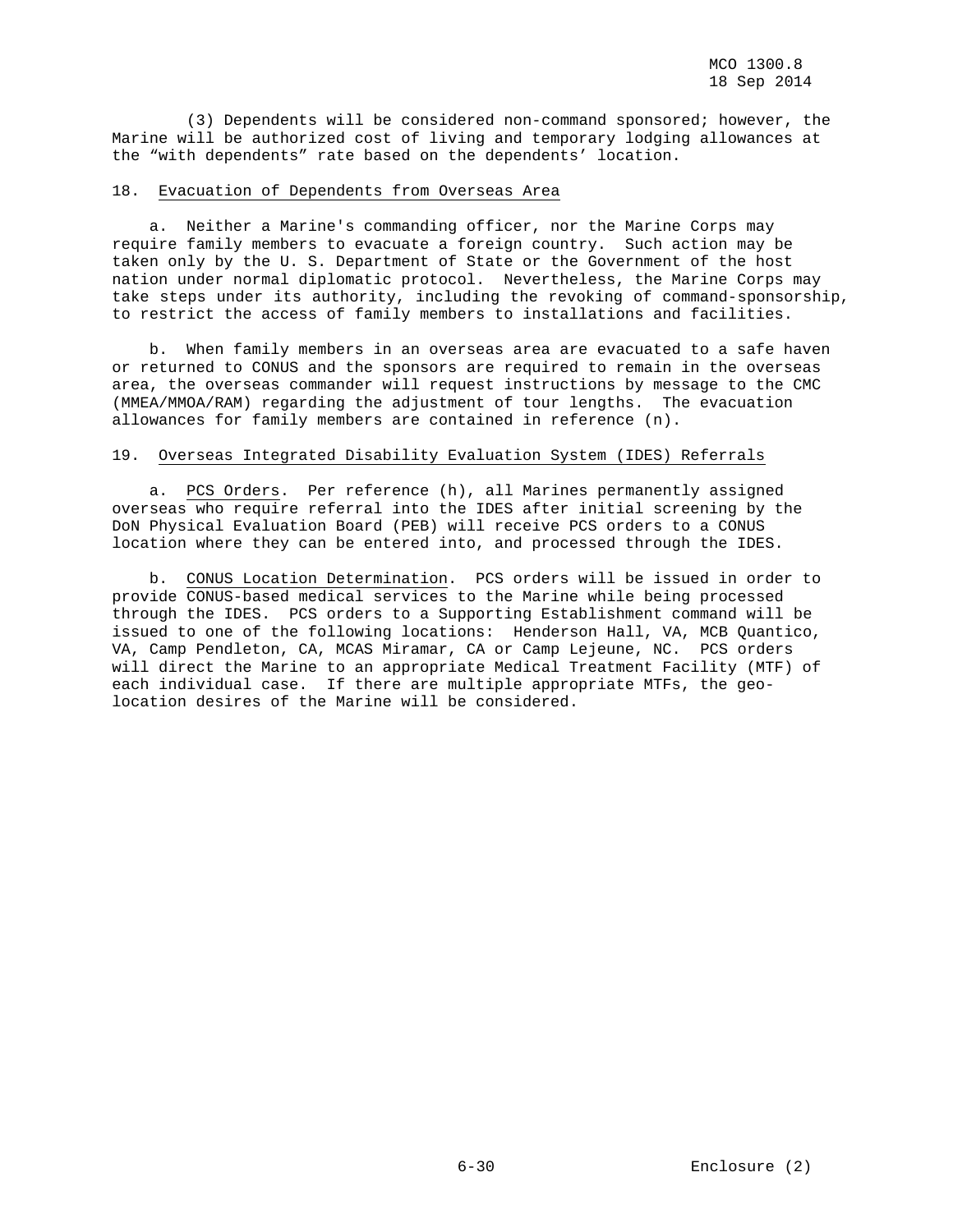(3) Dependents will be considered non-command sponsored; however, the Marine will be authorized cost of living and temporary lodging allowances at the "with dependents" rate based on the dependents' location.

## 18. Evacuation of Dependents from Overseas Area

 a. Neither a Marine's commanding officer, nor the Marine Corps may require family members to evacuate a foreign country. Such action may be taken only by the U. S. Department of State or the Government of the host nation under normal diplomatic protocol. Nevertheless, the Marine Corps may take steps under its authority, including the revoking of command-sponsorship, to restrict the access of family members to installations and facilities.

 b. When family members in an overseas area are evacuated to a safe haven or returned to CONUS and the sponsors are required to remain in the overseas area, the overseas commander will request instructions by message to the CMC (MMEA/MMOA/RAM) regarding the adjustment of tour lengths. The evacuation allowances for family members are contained in reference (n).

## 19. Overseas Integrated Disability Evaluation System (IDES) Referrals

 a. PCS Orders. Per reference (h), all Marines permanently assigned overseas who require referral into the IDES after initial screening by the DoN Physical Evaluation Board (PEB) will receive PCS orders to a CONUS location where they can be entered into, and processed through the IDES.

 b. CONUS Location Determination. PCS orders will be issued in order to provide CONUS-based medical services to the Marine while being processed through the IDES. PCS orders to a Supporting Establishment command will be issued to one of the following locations: Henderson Hall, VA, MCB Quantico, VA, Camp Pendleton, CA, MCAS Miramar, CA or Camp Lejeune, NC. PCS orders will direct the Marine to an appropriate Medical Treatment Facility (MTF) of each individual case. If there are multiple appropriate MTFs, the geolocation desires of the Marine will be considered.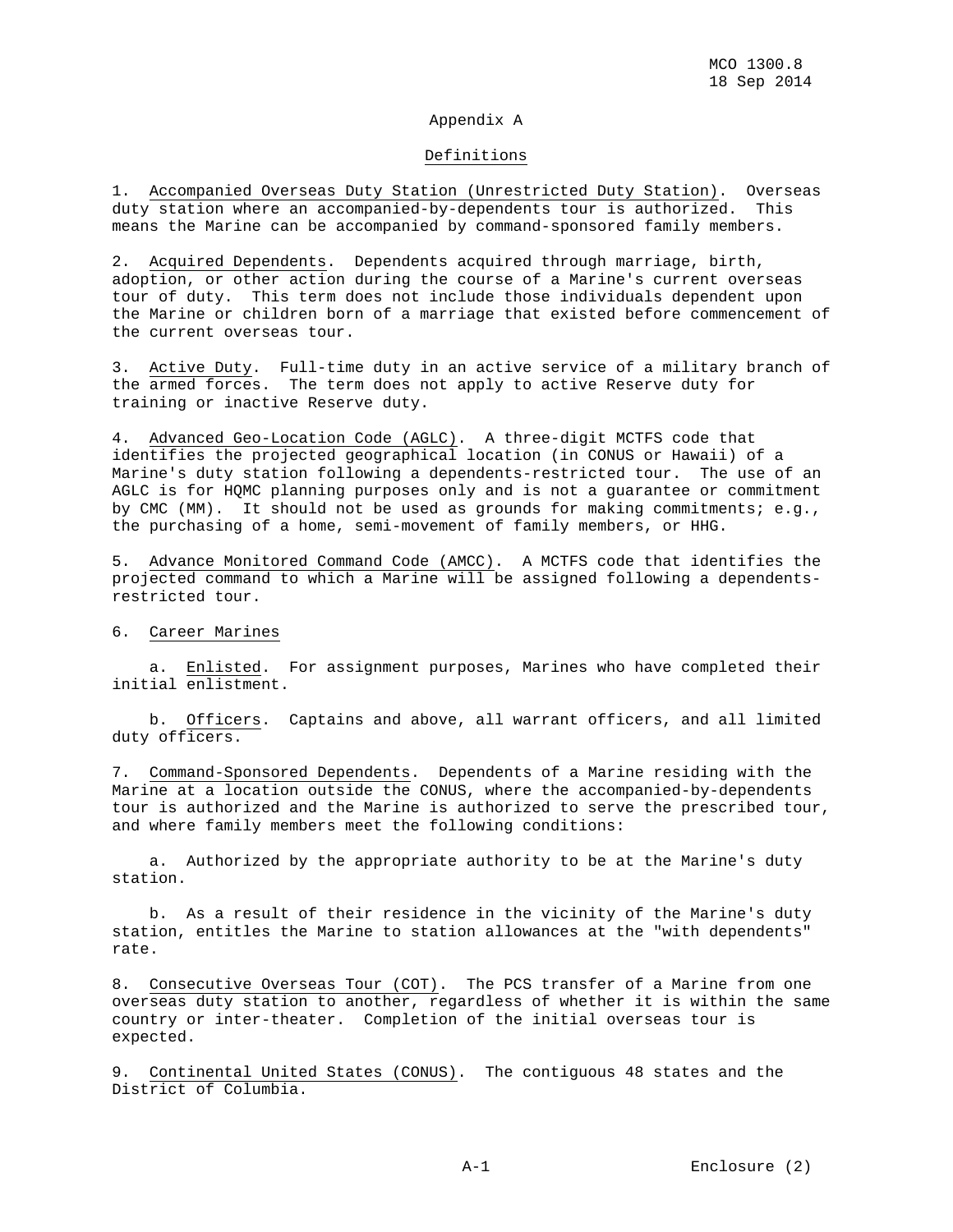## Appendix A

## Definitions

1. Accompanied Overseas Duty Station (Unrestricted Duty Station). Overseas duty station where an accompanied-by-dependents tour is authorized. This means the Marine can be accompanied by command-sponsored family members.

2. Acquired Dependents. Dependents acquired through marriage, birth, adoption, or other action during the course of a Marine's current overseas tour of duty. This term does not include those individuals dependent upon the Marine or children born of a marriage that existed before commencement of the current overseas tour.

3. Active Duty. Full-time duty in an active service of a military branch of the armed forces. The term does not apply to active Reserve duty for training or inactive Reserve duty.

4. Advanced Geo-Location Code (AGLC). A three-digit MCTFS code that identifies the projected geographical location (in CONUS or Hawaii) of a Marine's duty station following a dependents-restricted tour. The use of an AGLC is for HQMC planning purposes only and is not a guarantee or commitment by CMC (MM). It should not be used as grounds for making commitments; e.g., the purchasing of a home, semi-movement of family members, or HHG.

5. Advance Monitored Command Code (AMCC). A MCTFS code that identifies the projected command to which a Marine will be assigned following a dependentsrestricted tour.

## 6. Career Marines

 a. Enlisted. For assignment purposes, Marines who have completed their initial enlistment.

 b. Officers. Captains and above, all warrant officers, and all limited duty officers.

7. Command-Sponsored Dependents. Dependents of a Marine residing with the Marine at a location outside the CONUS, where the accompanied-by-dependents tour is authorized and the Marine is authorized to serve the prescribed tour, and where family members meet the following conditions:

 a. Authorized by the appropriate authority to be at the Marine's duty station.

 b. As a result of their residence in the vicinity of the Marine's duty station, entitles the Marine to station allowances at the "with dependents" rate.

8. Consecutive Overseas Tour (COT). The PCS transfer of a Marine from one overseas duty station to another, regardless of whether it is within the same country or inter-theater. Completion of the initial overseas tour is expected.

9. Continental United States (CONUS). The contiguous 48 states and the District of Columbia.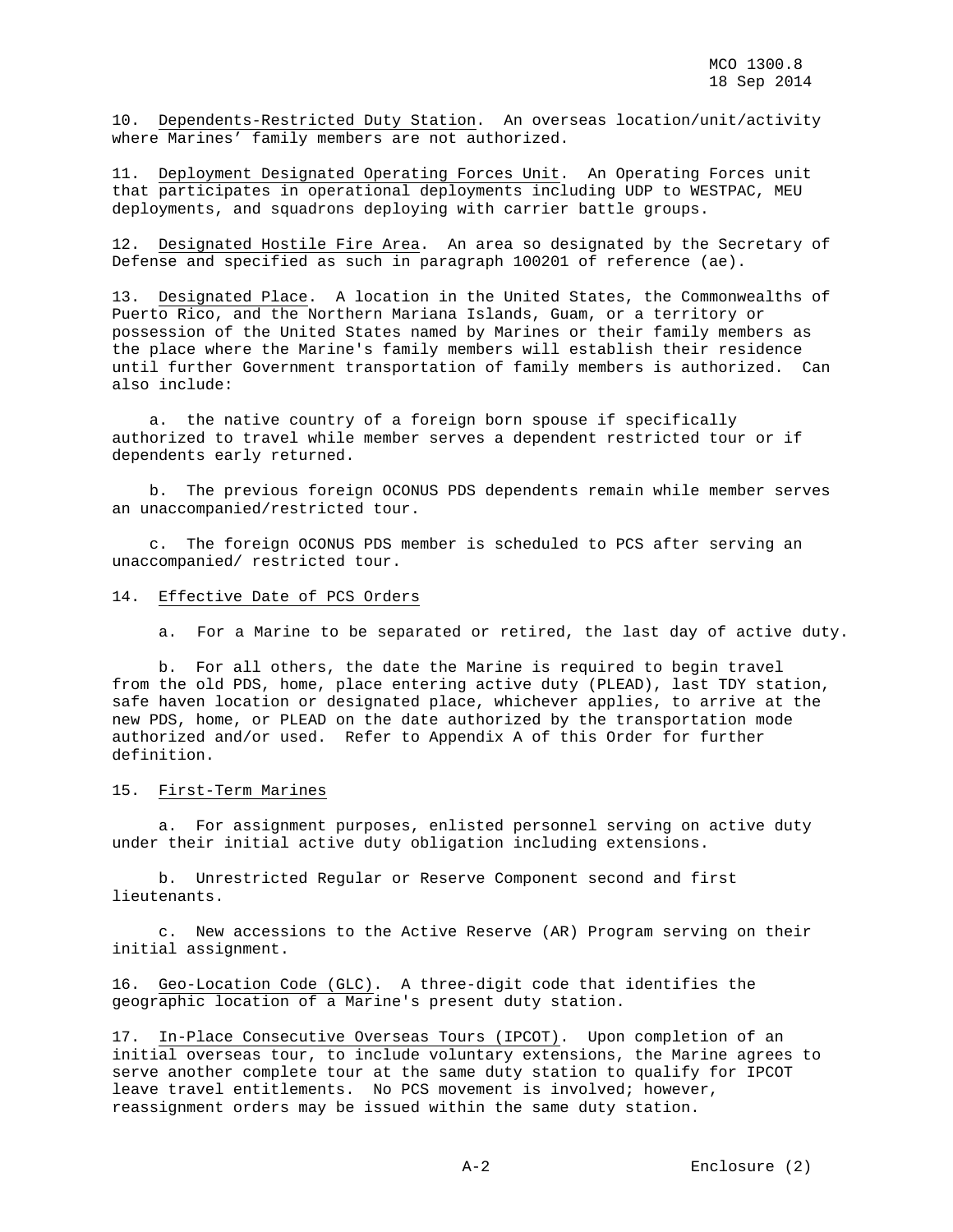10. Dependents-Restricted Duty Station. An overseas location/unit/activity where Marines' family members are not authorized.

11. Deployment Designated Operating Forces Unit. An Operating Forces unit that participates in operational deployments including UDP to WESTPAC, MEU deployments, and squadrons deploying with carrier battle groups.

12. Designated Hostile Fire Area. An area so designated by the Secretary of Defense and specified as such in paragraph 100201 of reference (ae).

13. Designated Place. A location in the United States, the Commonwealths of Puerto Rico, and the Northern Mariana Islands, Guam, or a territory or possession of the United States named by Marines or their family members as the place where the Marine's family members will establish their residence until further Government transportation of family members is authorized. Can also include:

 a. the native country of a foreign born spouse if specifically authorized to travel while member serves a dependent restricted tour or if dependents early returned.

 b. The previous foreign OCONUS PDS dependents remain while member serves an unaccompanied/restricted tour.

 c. The foreign OCONUS PDS member is scheduled to PCS after serving an unaccompanied/ restricted tour.

## 14. Effective Date of PCS Orders

a. For a Marine to be separated or retired, the last day of active duty.

 b. For all others, the date the Marine is required to begin travel from the old PDS, home, place entering active duty (PLEAD), last TDY station, safe haven location or designated place, whichever applies, to arrive at the new PDS, home, or PLEAD on the date authorized by the transportation mode authorized and/or used. Refer to Appendix A of this Order for further definition.

#### 15. First-Term Marines

 a. For assignment purposes, enlisted personnel serving on active duty under their initial active duty obligation including extensions.

 b. Unrestricted Regular or Reserve Component second and first lieutenants.

 c. New accessions to the Active Reserve (AR) Program serving on their initial assignment.

16. Geo-Location Code (GLC). A three-digit code that identifies the geographic location of a Marine's present duty station.

17. In-Place Consecutive Overseas Tours (IPCOT). Upon completion of an initial overseas tour, to include voluntary extensions, the Marine agrees to serve another complete tour at the same duty station to qualify for IPCOT leave travel entitlements. No PCS movement is involved; however, reassignment orders may be issued within the same duty station.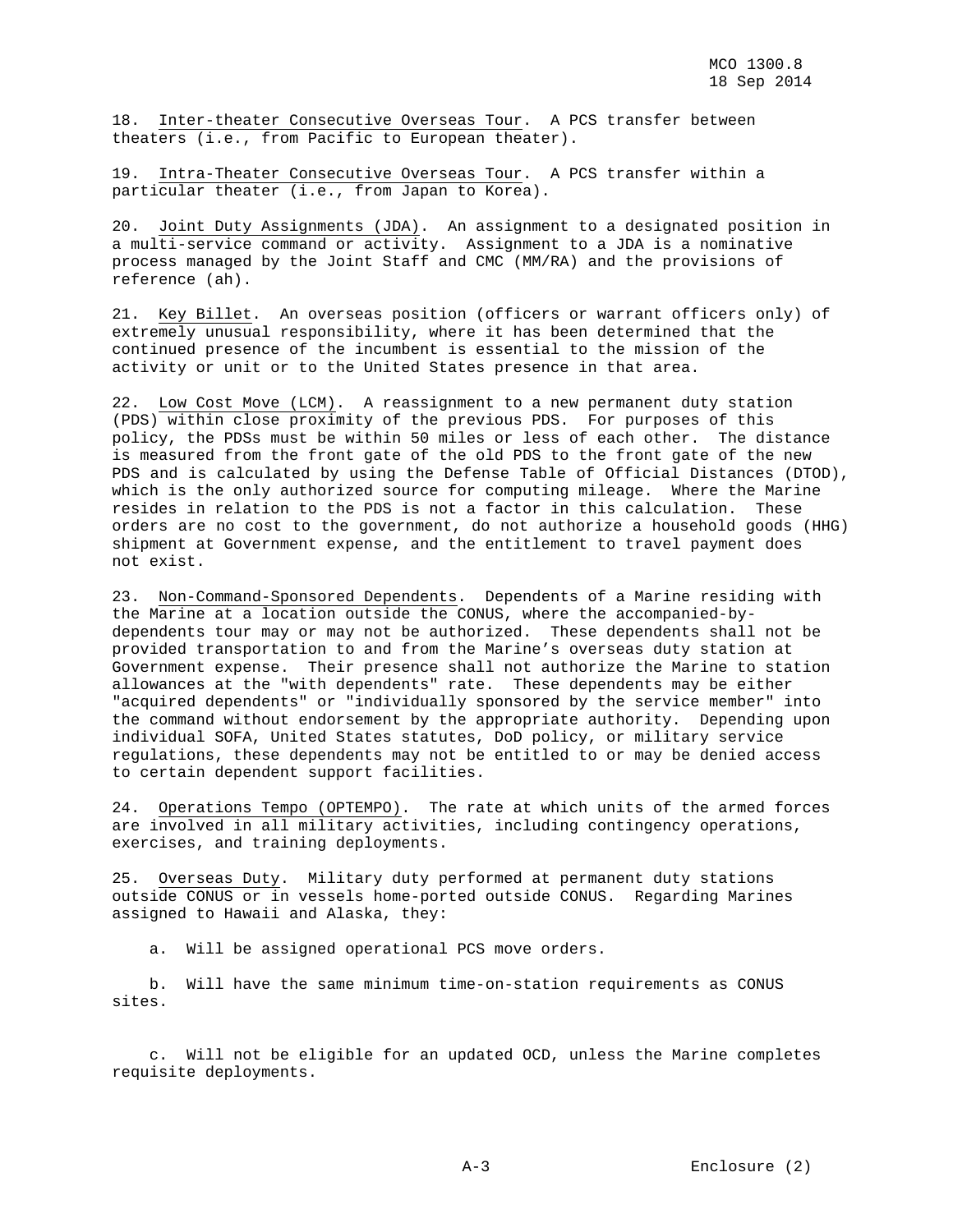18. Inter-theater Consecutive Overseas Tour. A PCS transfer between theaters (i.e., from Pacific to European theater).

19. Intra-Theater Consecutive Overseas Tour. A PCS transfer within a particular theater (i.e., from Japan to Korea).

20. Joint Duty Assignments (JDA). An assignment to a designated position in a multi-service command or activity. Assignment to a JDA is a nominative process managed by the Joint Staff and CMC (MM/RA) and the provisions of reference (ah).

21. Key Billet. An overseas position (officers or warrant officers only) of extremely unusual responsibility, where it has been determined that the continued presence of the incumbent is essential to the mission of the activity or unit or to the United States presence in that area.

22. Low Cost Move (LCM). A reassignment to a new permanent duty station (PDS) within close proximity of the previous PDS. For purposes of this policy, the PDSs must be within 50 miles or less of each other. The distance is measured from the front gate of the old PDS to the front gate of the new PDS and is calculated by using the Defense Table of Official Distances (DTOD), which is the only authorized source for computing mileage. Where the Marine resides in relation to the PDS is not a factor in this calculation. These orders are no cost to the government, do not authorize a household goods (HHG) shipment at Government expense, and the entitlement to travel payment does not exist.

23. Non-Command-Sponsored Dependents. Dependents of a Marine residing with the Marine at a location outside the CONUS, where the accompanied-bydependents tour may or may not be authorized. These dependents shall not be provided transportation to and from the Marine's overseas duty station at Government expense. Their presence shall not authorize the Marine to station allowances at the "with dependents" rate. These dependents may be either "acquired dependents" or "individually sponsored by the service member" into the command without endorsement by the appropriate authority. Depending upon individual SOFA, United States statutes, DoD policy, or military service regulations, these dependents may not be entitled to or may be denied access to certain dependent support facilities.

24. Operations Tempo (OPTEMPO). The rate at which units of the armed forces are involved in all military activities, including contingency operations, exercises, and training deployments.

25. Overseas Duty. Military duty performed at permanent duty stations outside CONUS or in vessels home-ported outside CONUS. Regarding Marines assigned to Hawaii and Alaska, they:

a. Will be assigned operational PCS move orders.

 b. Will have the same minimum time-on-station requirements as CONUS sites.

 c. Will not be eligible for an updated OCD, unless the Marine completes requisite deployments.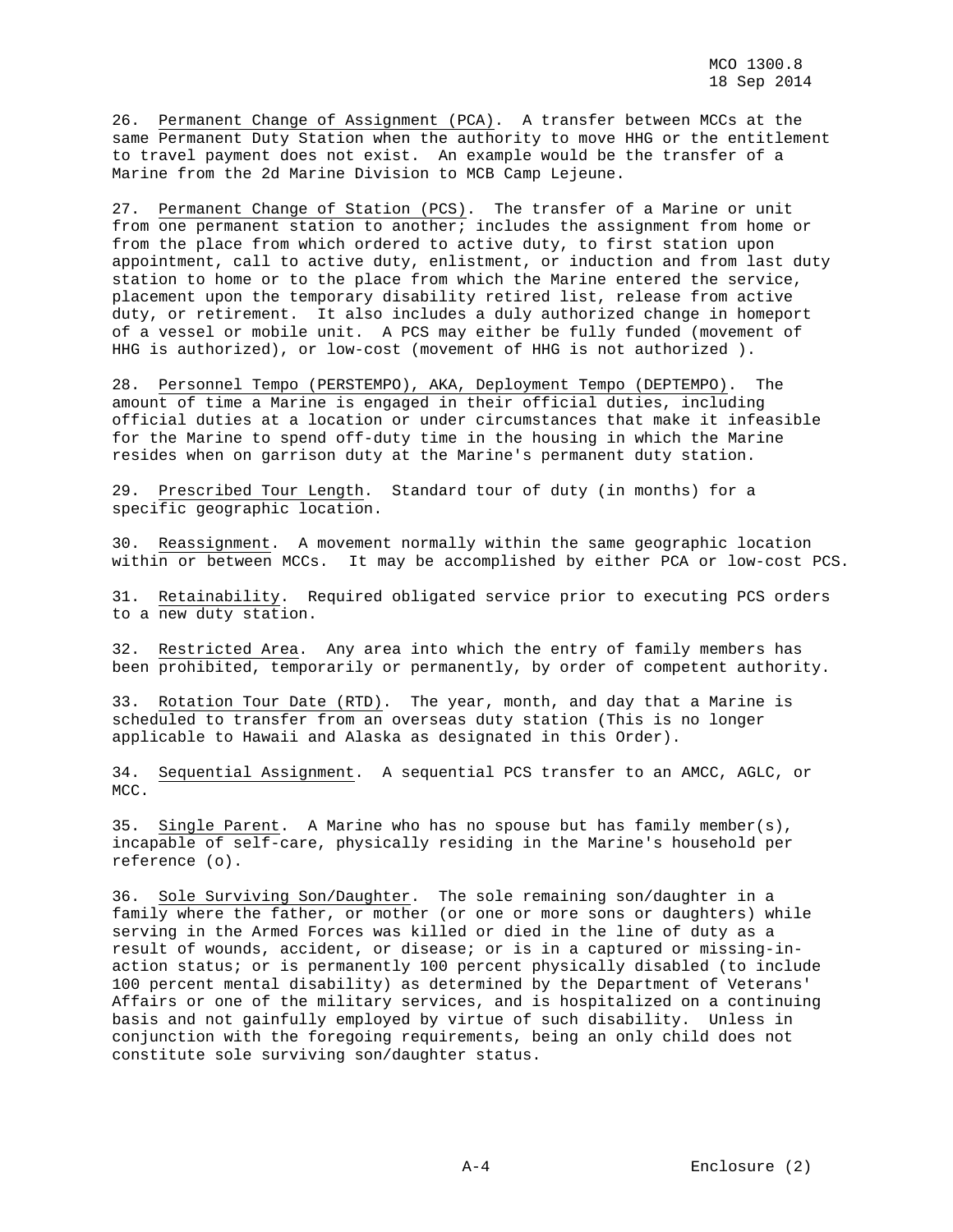26. Permanent Change of Assignment (PCA). A transfer between MCCs at the same Permanent Duty Station when the authority to move HHG or the entitlement to travel payment does not exist. An example would be the transfer of a Marine from the 2d Marine Division to MCB Camp Lejeune.

27. Permanent Change of Station (PCS). The transfer of a Marine or unit from one permanent station to another; includes the assignment from home or from the place from which ordered to active duty, to first station upon appointment, call to active duty, enlistment, or induction and from last duty station to home or to the place from which the Marine entered the service, placement upon the temporary disability retired list, release from active duty, or retirement. It also includes a duly authorized change in homeport of a vessel or mobile unit. A PCS may either be fully funded (movement of HHG is authorized), or low-cost (movement of HHG is not authorized ).

28. Personnel Tempo (PERSTEMPO), AKA, Deployment Tempo (DEPTEMPO). The amount of time a Marine is engaged in their official duties, including official duties at a location or under circumstances that make it infeasible for the Marine to spend off-duty time in the housing in which the Marine resides when on garrison duty at the Marine's permanent duty station.

29. Prescribed Tour Length. Standard tour of duty (in months) for a specific geographic location.

30. Reassignment. A movement normally within the same geographic location within or between MCCs. It may be accomplished by either PCA or low-cost PCS.

31. Retainability. Required obligated service prior to executing PCS orders to a new duty station.

32. Restricted Area. Any area into which the entry of family members has been prohibited, temporarily or permanently, by order of competent authority.

33. Rotation Tour Date (RTD). The year, month, and day that a Marine is scheduled to transfer from an overseas duty station (This is no longer applicable to Hawaii and Alaska as designated in this Order).

34. Sequential Assignment. A sequential PCS transfer to an AMCC, AGLC, or MCC.

35. Single Parent. A Marine who has no spouse but has family member(s), incapable of self-care, physically residing in the Marine's household per reference (o).

36. Sole Surviving Son/Daughter. The sole remaining son/daughter in a family where the father, or mother (or one or more sons or daughters) while serving in the Armed Forces was killed or died in the line of duty as a result of wounds, accident, or disease; or is in a captured or missing-inaction status; or is permanently 100 percent physically disabled (to include 100 percent mental disability) as determined by the Department of Veterans' Affairs or one of the military services, and is hospitalized on a continuing basis and not gainfully employed by virtue of such disability. Unless in conjunction with the foregoing requirements, being an only child does not constitute sole surviving son/daughter status.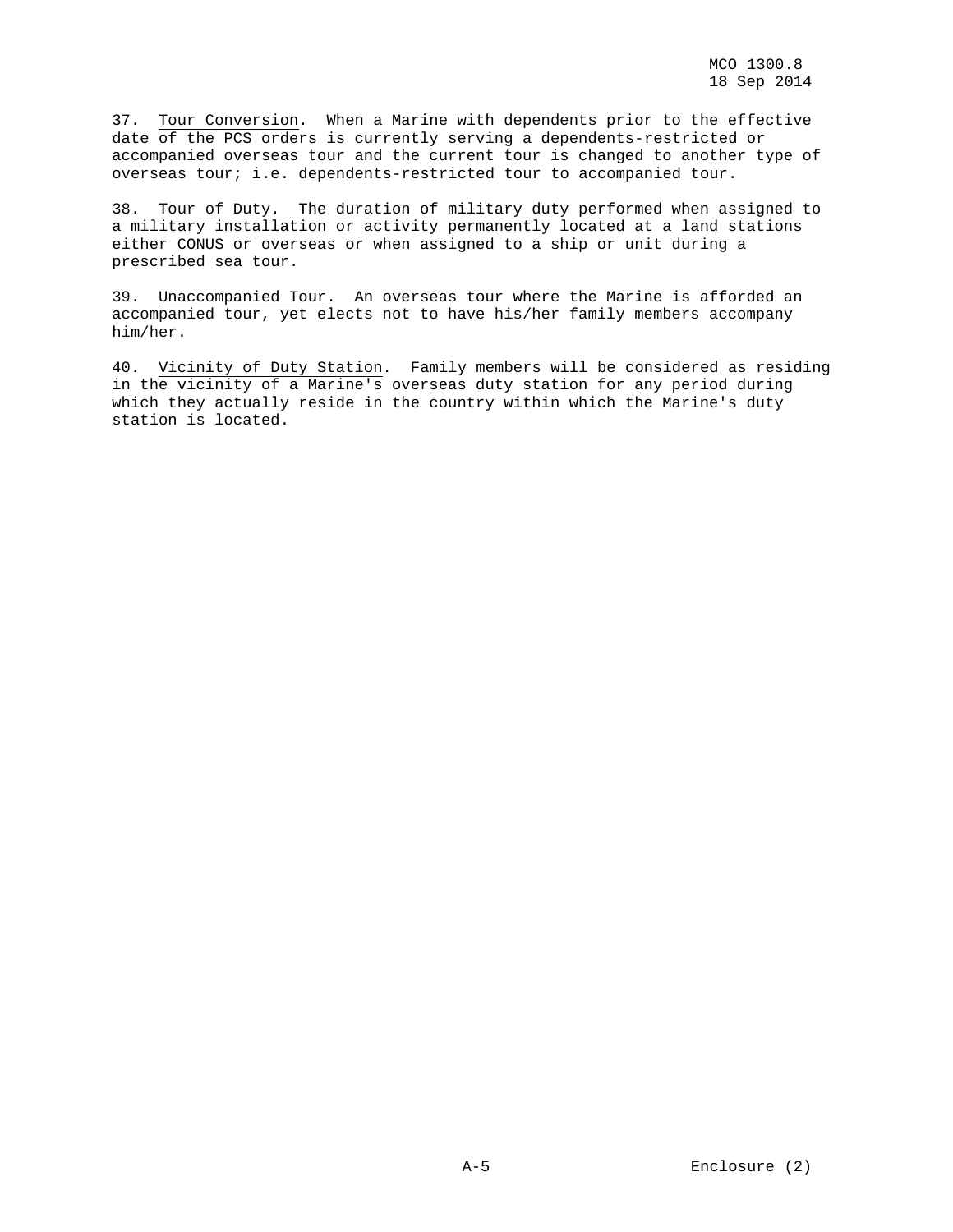37. Tour Conversion. When a Marine with dependents prior to the effective date of the PCS orders is currently serving a dependents-restricted or accompanied overseas tour and the current tour is changed to another type of overseas tour; i.e. dependents-restricted tour to accompanied tour.

38. Tour of Duty. The duration of military duty performed when assigned to a military installation or activity permanently located at a land stations either CONUS or overseas or when assigned to a ship or unit during a prescribed sea tour.

39. Unaccompanied Tour. An overseas tour where the Marine is afforded an accompanied tour, yet elects not to have his/her family members accompany him/her.

40. Vicinity of Duty Station. Family members will be considered as residing in the vicinity of a Marine's overseas duty station for any period during which they actually reside in the country within which the Marine's duty station is located.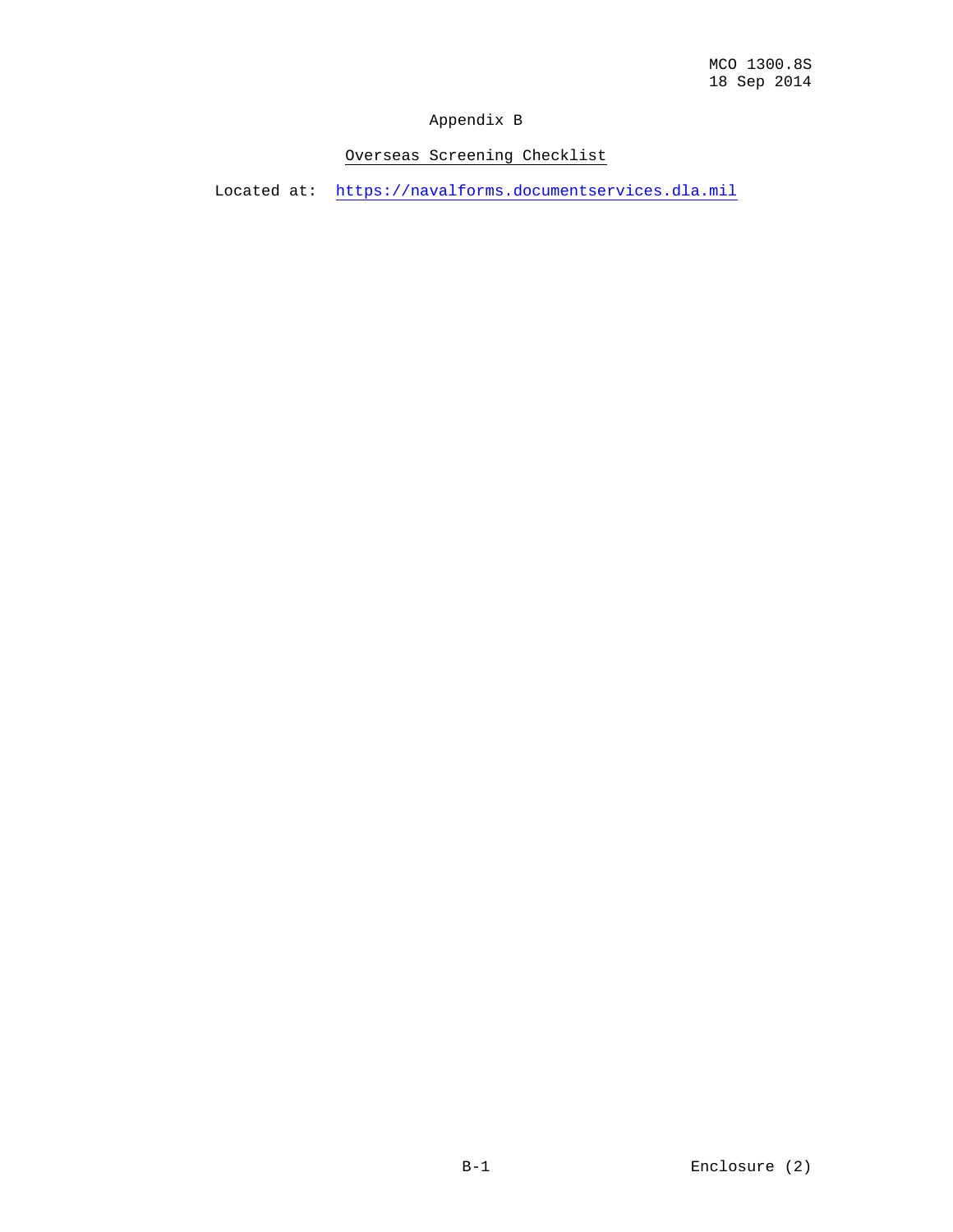## Appendix B

# Overseas Screening Checklist

Located at: [https://navalforms.documentservices.dla.mil](https://navalforms.documentservices.dla.mil/)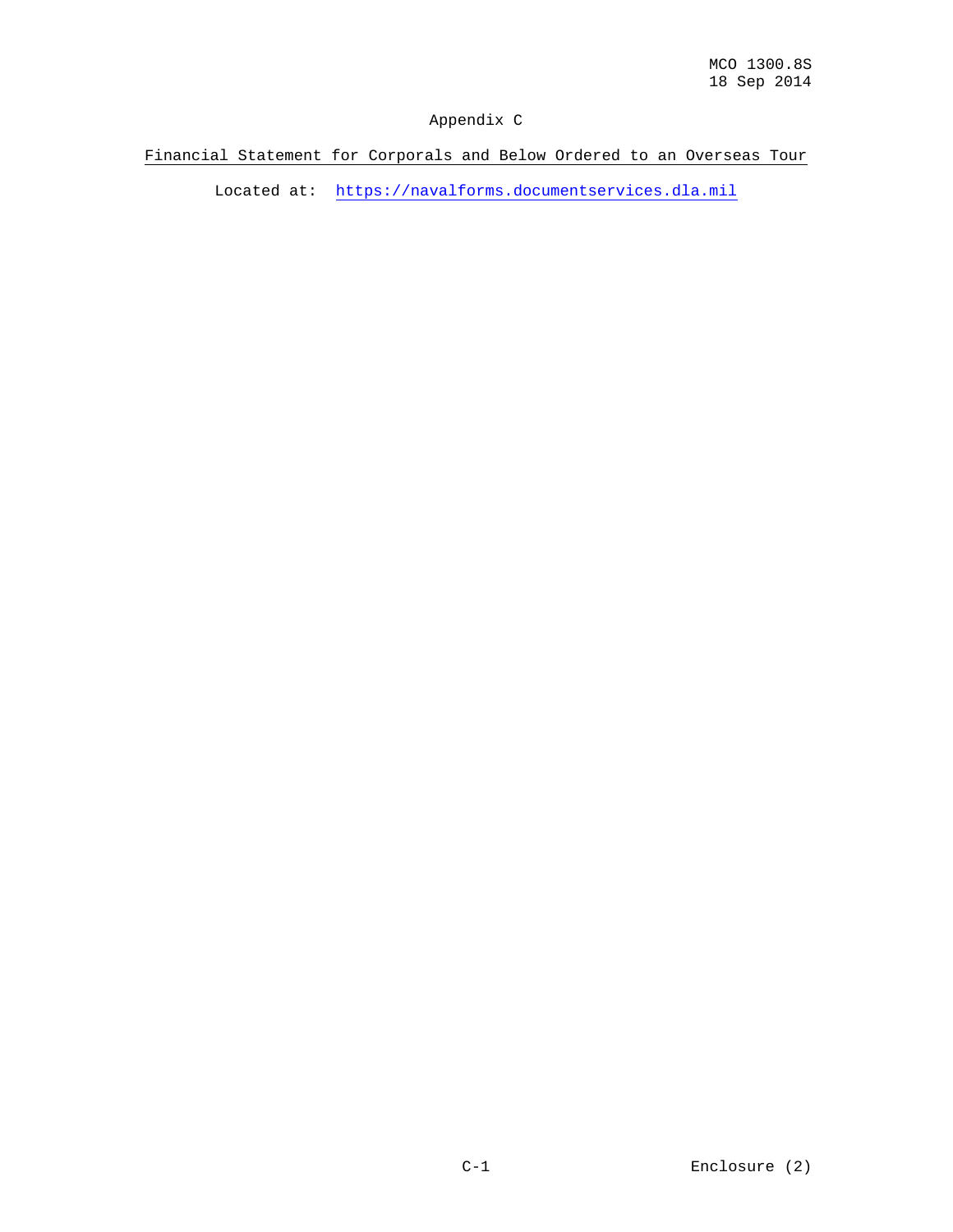## Appendix C

Financial Statement for Corporals and Below Ordered to an Overseas Tour

Located at: [https://navalforms.documentservices.dla.mil](https://navalforms.documentservices.dla.mil/)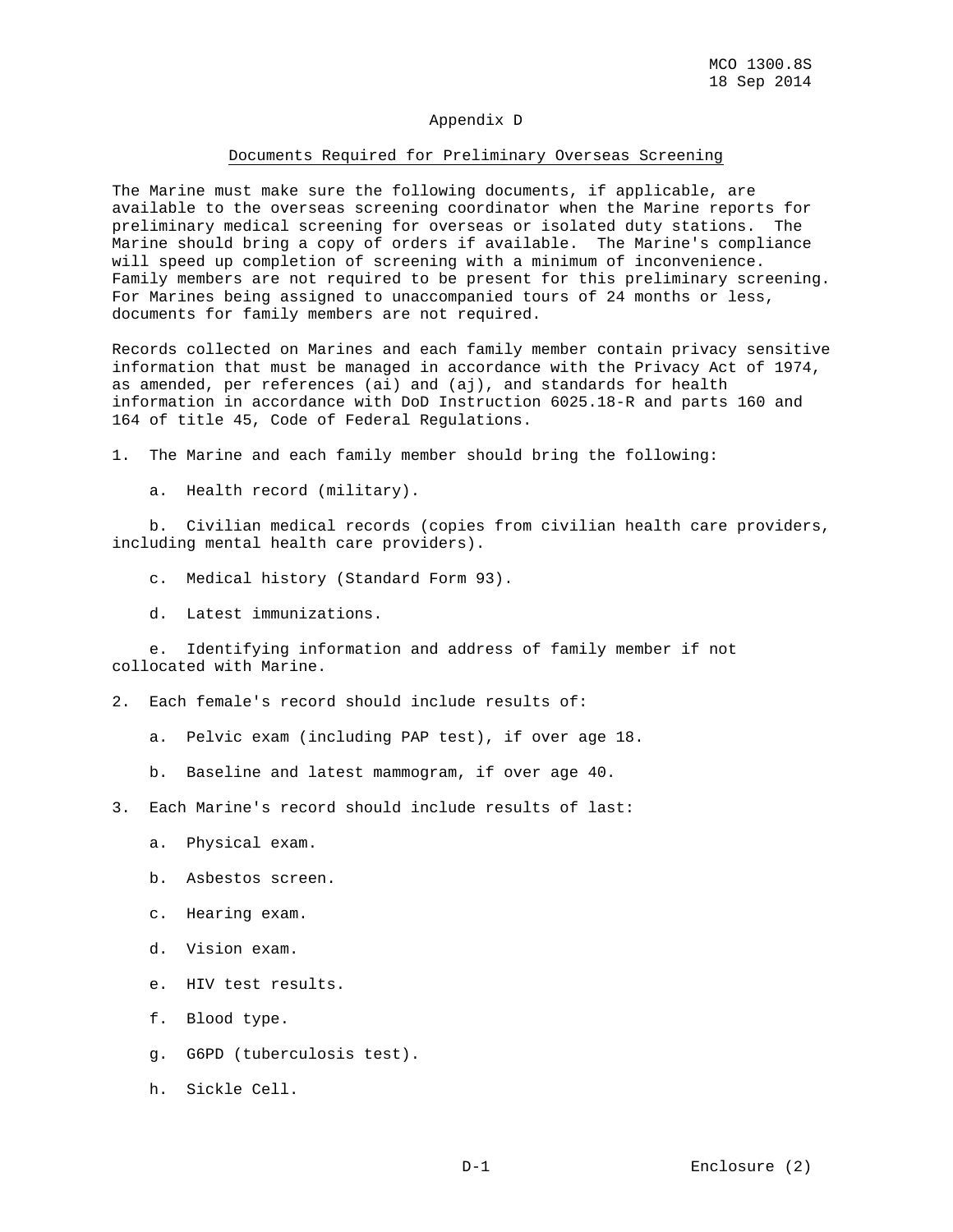#### Appendix D

#### Documents Required for Preliminary Overseas Screening

The Marine must make sure the following documents, if applicable, are available to the overseas screening coordinator when the Marine reports for preliminary medical screening for overseas or isolated duty stations. The Marine should bring a copy of orders if available. The Marine's compliance will speed up completion of screening with a minimum of inconvenience. Family members are not required to be present for this preliminary screening. For Marines being assigned to unaccompanied tours of 24 months or less, documents for family members are not required.

Records collected on Marines and each family member contain privacy sensitive information that must be managed in accordance with the Privacy Act of 1974, as amended, per references (ai) and (aj), and standards for health information in accordance with DoD Instruction 6025.18-R and parts 160 and 164 of title 45, Code of Federal Regulations.

1. The Marine and each family member should bring the following:

a. Health record (military).

 b. Civilian medical records (copies from civilian health care providers, including mental health care providers).

- c. Medical history (Standard Form 93).
- d. Latest immunizations.

 e. Identifying information and address of family member if not collocated with Marine.

2. Each female's record should include results of:

- a. Pelvic exam (including PAP test), if over age 18.
- b. Baseline and latest mammogram, if over age 40.
- 3. Each Marine's record should include results of last:
	- a. Physical exam.
	- b. Asbestos screen.
	- c. Hearing exam.
	- d. Vision exam.
	- e. HIV test results.
	- f. Blood type.
	- g. G6PD (tuberculosis test).
	- h. Sickle Cell.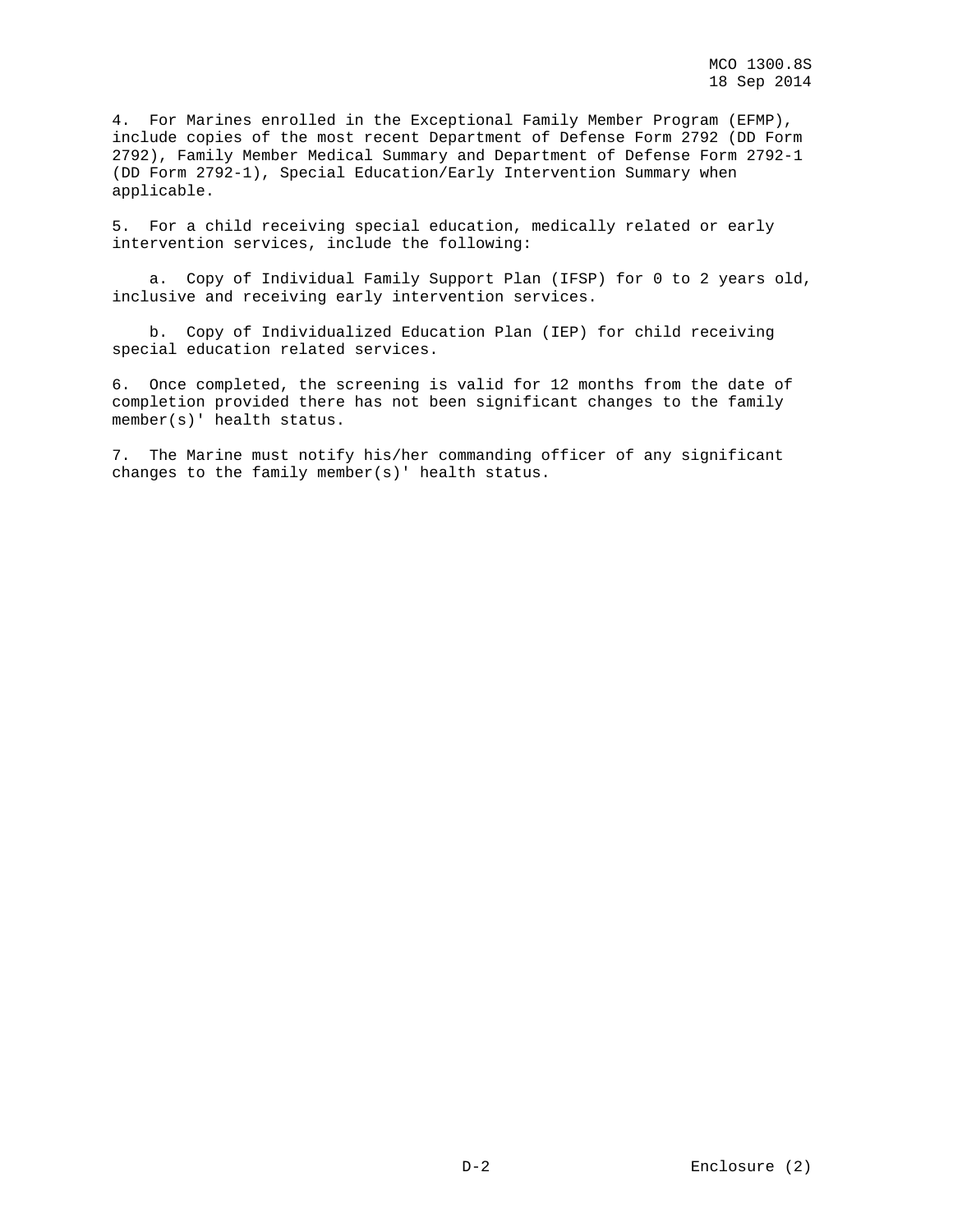4. For Marines enrolled in the Exceptional Family Member Program (EFMP), include copies of the most recent Department of Defense Form 2792 (DD Form 2792), Family Member Medical Summary and Department of Defense Form 2792-1 (DD Form 2792-1), Special Education/Early Intervention Summary when applicable.

5. For a child receiving special education, medically related or early intervention services, include the following:

 a. Copy of Individual Family Support Plan (IFSP) for 0 to 2 years old, inclusive and receiving early intervention services.

 b. Copy of Individualized Education Plan (IEP) for child receiving special education related services.

6. Once completed, the screening is valid for 12 months from the date of completion provided there has not been significant changes to the family member(s)' health status.

7. The Marine must notify his/her commanding officer of any significant changes to the family member(s)' health status.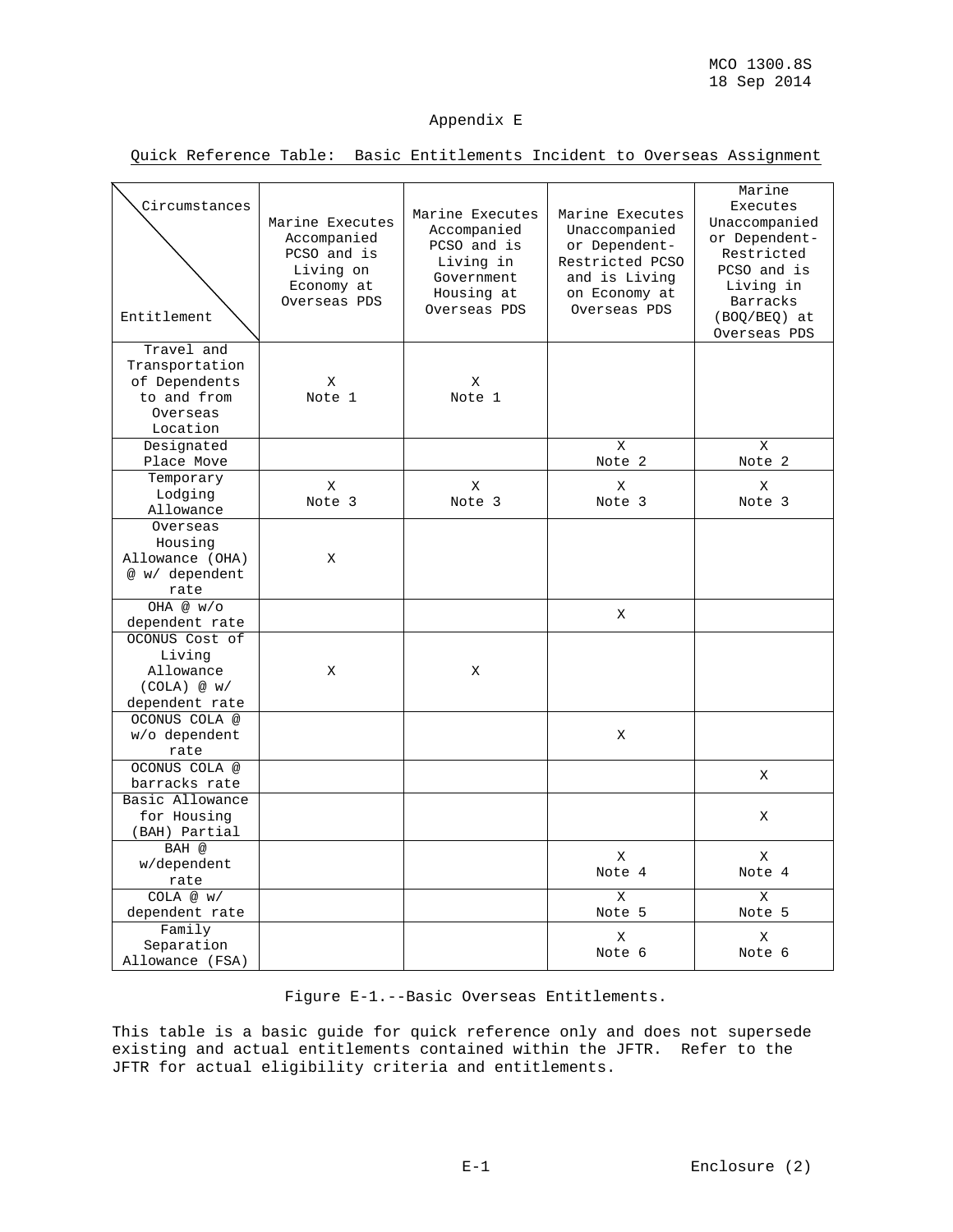### Appendix E

Quick Reference Table: Basic Entitlements Incident to Overseas Assignment

| Circumstances<br>Entitlement                                                         | Marine Executes<br>Accompanied<br>PCSO and is<br>Living on<br>Economy at<br>Overseas PDS | Marine Executes<br>Accompanied<br>PCSO and is<br>Living in<br>Government<br>Housing at<br>Overseas PDS | Marine Executes<br>Unaccompanied<br>or Dependent-<br>Restricted PCSO<br>and is Living<br>on Economy at<br>Overseas PDS | Marine<br>Executes<br>Unaccompanied<br>or Dependent-<br>Restricted<br>PCSO and is<br>Living in<br>Barracks<br>(BOQ/BEQ) at<br>Overseas PDS |
|--------------------------------------------------------------------------------------|------------------------------------------------------------------------------------------|--------------------------------------------------------------------------------------------------------|------------------------------------------------------------------------------------------------------------------------|--------------------------------------------------------------------------------------------------------------------------------------------|
| Travel and<br>Transportation<br>of Dependents<br>to and from<br>Overseas<br>Location | X<br>Note 1                                                                              | X<br>Note 1                                                                                            |                                                                                                                        |                                                                                                                                            |
| Designated<br>Place Move                                                             |                                                                                          |                                                                                                        | X<br>Note 2                                                                                                            | X<br>Note 2                                                                                                                                |
| Temporary<br>Lodging<br>Allowance                                                    | X<br>Note 3                                                                              | X<br>Note 3                                                                                            | X<br>Note 3                                                                                                            | X<br>Note 3                                                                                                                                |
| Overseas<br>Housing<br>Allowance (OHA)<br>@ w/ dependent<br>rate                     | X                                                                                        |                                                                                                        |                                                                                                                        |                                                                                                                                            |
| OHA @ w/o<br>dependent rate                                                          |                                                                                          |                                                                                                        | X                                                                                                                      |                                                                                                                                            |
| OCONUS Cost of<br>Living<br>Allowance<br>(COLA) @ w/<br>dependent rate               | Χ                                                                                        | X                                                                                                      |                                                                                                                        |                                                                                                                                            |
| OCONUS COLA @<br>w/o dependent<br>rate                                               |                                                                                          |                                                                                                        | Χ                                                                                                                      |                                                                                                                                            |
| OCONUS COLA @<br>barracks rate                                                       |                                                                                          |                                                                                                        |                                                                                                                        | X                                                                                                                                          |
| Basic Allowance<br>for Housing<br>(BAH) Partial                                      |                                                                                          |                                                                                                        |                                                                                                                        | Χ                                                                                                                                          |
| BAH @<br>w/dependent<br>rate                                                         |                                                                                          |                                                                                                        | X<br>Note 4                                                                                                            | X<br>Note 4                                                                                                                                |
| COLA @ W/<br>dependent rate                                                          |                                                                                          |                                                                                                        | X<br>Note 5                                                                                                            | $\mathbf x$<br>Note 5                                                                                                                      |
| Family<br>Separation<br>Allowance (FSA)                                              |                                                                                          |                                                                                                        | X<br>Note 6                                                                                                            | X<br>Note 6                                                                                                                                |

Figure E-1.--Basic Overseas Entitlements.

This table is a basic guide for quick reference only and does not supersede existing and actual entitlements contained within the JFTR. Refer to the JFTR for actual eligibility criteria and entitlements.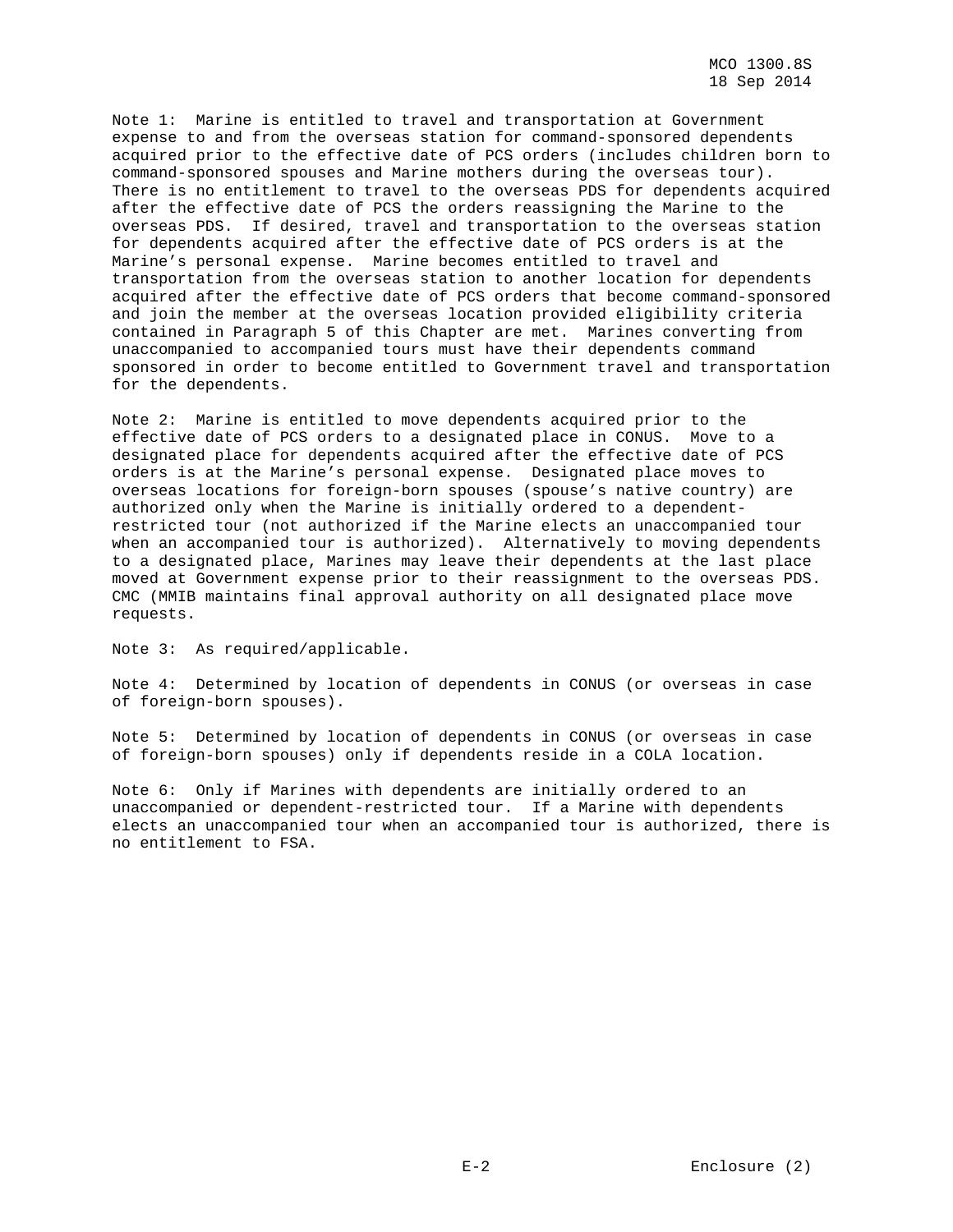Note 1: Marine is entitled to travel and transportation at Government expense to and from the overseas station for command-sponsored dependents acquired prior to the effective date of PCS orders (includes children born to command-sponsored spouses and Marine mothers during the overseas tour). There is no entitlement to travel to the overseas PDS for dependents acquired after the effective date of PCS the orders reassigning the Marine to the overseas PDS. If desired, travel and transportation to the overseas station for dependents acquired after the effective date of PCS orders is at the Marine's personal expense. Marine becomes entitled to travel and transportation from the overseas station to another location for dependents acquired after the effective date of PCS orders that become command-sponsored and join the member at the overseas location provided eligibility criteria contained in Paragraph 5 of this Chapter are met. Marines converting from unaccompanied to accompanied tours must have their dependents command sponsored in order to become entitled to Government travel and transportation for the dependents.

Note 2: Marine is entitled to move dependents acquired prior to the effective date of PCS orders to a designated place in CONUS. Move to a designated place for dependents acquired after the effective date of PCS orders is at the Marine's personal expense. Designated place moves to overseas locations for foreign-born spouses (spouse's native country) are authorized only when the Marine is initially ordered to a dependentrestricted tour (not authorized if the Marine elects an unaccompanied tour when an accompanied tour is authorized). Alternatively to moving dependents to a designated place, Marines may leave their dependents at the last place moved at Government expense prior to their reassignment to the overseas PDS. CMC (MMIB maintains final approval authority on all designated place move requests.

Note 3: As required/applicable.

Note 4: Determined by location of dependents in CONUS (or overseas in case of foreign-born spouses).

Note 5: Determined by location of dependents in CONUS (or overseas in case of foreign-born spouses) only if dependents reside in a COLA location.

Note 6: Only if Marines with dependents are initially ordered to an unaccompanied or dependent-restricted tour. If a Marine with dependents elects an unaccompanied tour when an accompanied tour is authorized, there is no entitlement to FSA.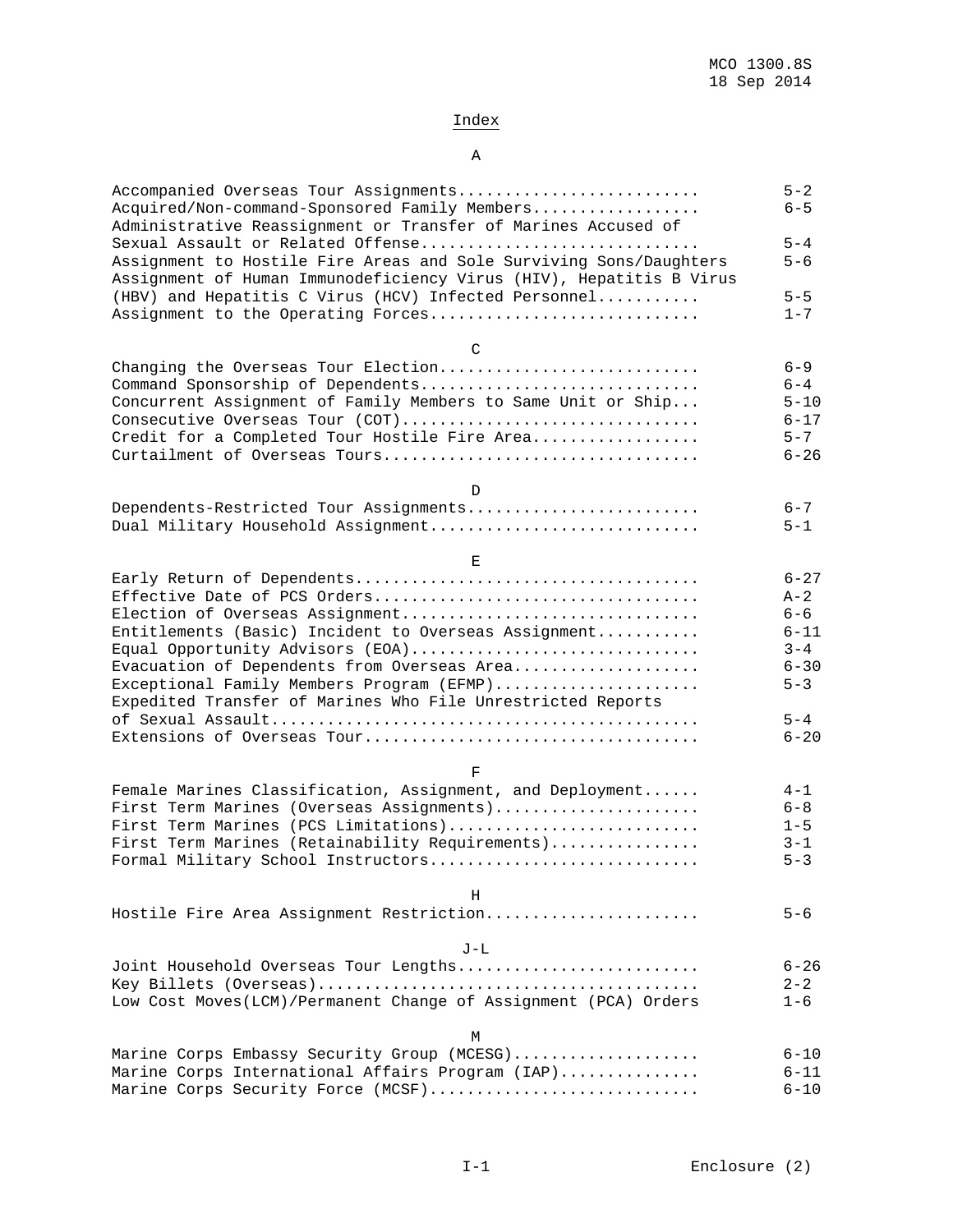# Index

### A

| Accompanied Overseas Tour Assignments<br>Acquired/Non-command-Sponsored Family Members<br>Administrative Reassignment or Transfer of Marines Accused of                        | $5 - 2$<br>$6 - 5$ |
|--------------------------------------------------------------------------------------------------------------------------------------------------------------------------------|--------------------|
| Sexual Assault or Related Offense<br>Assignment to Hostile Fire Areas and Sole Surviving Sons/Daughters<br>Assignment of Human Immunodeficiency Virus (HIV), Hepatitis B Virus | $5 - 4$<br>$5 - 6$ |
| (HBV) and Hepatitis C Virus (HCV) Infected Personnel                                                                                                                           | $5 - 5$            |
| Assignment to the Operating Forces                                                                                                                                             | $1 - 7$            |
| $\mathcal{C}$                                                                                                                                                                  |                    |
| Changing the Overseas Tour Election                                                                                                                                            | $6 - 9$            |
| Command Sponsorship of Dependents                                                                                                                                              | $6 - 4$            |
| Concurrent Assignment of Family Members to Same Unit or Ship                                                                                                                   | $5 - 10$           |
| Consecutive Overseas Tour (COT)                                                                                                                                                | $6 - 17$           |
| Credit for a Completed Tour Hostile Fire Area                                                                                                                                  | $5 - 7$            |
|                                                                                                                                                                                | $6 - 26$           |
| D                                                                                                                                                                              |                    |
| Dependents-Restricted Tour Assignments                                                                                                                                         | $6 - 7$            |
| Dual Military Household Assignment                                                                                                                                             | $5 - 1$            |
| Е                                                                                                                                                                              |                    |
|                                                                                                                                                                                | $6 - 27$           |
|                                                                                                                                                                                | $A - 2$            |
| Election of Overseas Assignment                                                                                                                                                | $6 - 6$            |
| Entitlements (Basic) Incident to Overseas Assignment                                                                                                                           | $6 - 11$           |
| Equal Opportunity Advisors (EOA)                                                                                                                                               | $3 - 4$            |
| Evacuation of Dependents from Overseas Area                                                                                                                                    | $6 - 30$           |
| Exceptional Family Members Program (EFMP)<br>Expedited Transfer of Marines Who File Unrestricted Reports                                                                       | $5 - 3$            |
|                                                                                                                                                                                | $5 - 4$            |
|                                                                                                                                                                                | $6 - 20$           |
| F                                                                                                                                                                              |                    |
| Female Marines Classification, Assignment, and Deployment                                                                                                                      | $4 - 1$            |
| First Term Marines (Overseas Assignments)                                                                                                                                      | $6 - 8$            |
| First Term Marines (PCS Limitations)                                                                                                                                           | $1 - 5$            |
| First Term Marines (Retainability Requirements)                                                                                                                                | $3 - 1$            |
| Formal Military School Instructors                                                                                                                                             | $5 - 3$            |
| Н                                                                                                                                                                              |                    |
| Hostile Fire Area Assignment Restriction                                                                                                                                       | $5 - 6$            |
| $J-L$                                                                                                                                                                          |                    |
| Joint Household Overseas Tour Lengths                                                                                                                                          | $6 - 26$           |
|                                                                                                                                                                                | $2 - 2$            |
| Low Cost Moves(LCM)/Permanent Change of Assignment (PCA) Orders                                                                                                                | $1 - 6$            |
| М                                                                                                                                                                              |                    |
| Marine Corps Embassy Security Group (MCESG)                                                                                                                                    | $6 - 10$           |
| Marine Corps International Affairs Program (IAP)                                                                                                                               | $6 - 11$           |
| Marine Corps Security Force (MCSF)                                                                                                                                             | $6 - 10$           |
|                                                                                                                                                                                |                    |